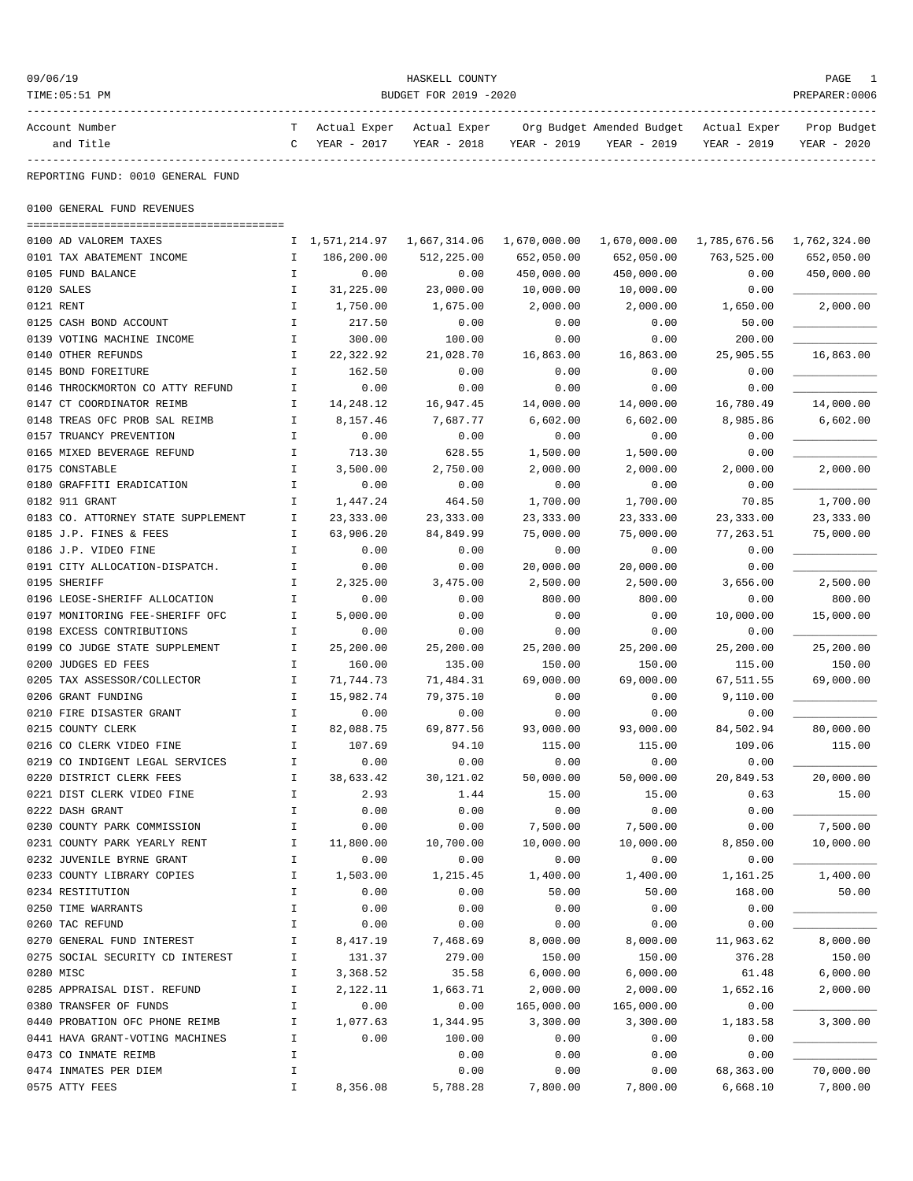| 09/06/19                                        |               |                             | HASKELL COUNTY        |               |                                        |              | PAGE           |
|-------------------------------------------------|---------------|-----------------------------|-----------------------|---------------|----------------------------------------|--------------|----------------|
| TIME: 05:51 PM<br>----------                    |               |                             | BUDGET FOR 2019 -2020 |               |                                        |              | PREPARER: 0006 |
| Account Number                                  |               | Actual Exper                | Actual Exper          |               | Org Budget Amended Budget Actual Exper |              | Prop Budget    |
| and Title                                       | C             | YEAR - 2017                 | YEAR - 2018           | YEAR - 2019   | YEAR - 2019                            | YEAR - 2019  | YEAR - 2020    |
| ----------<br>REPORTING FUND: 0010 GENERAL FUND |               |                             |                       |               |                                        |              |                |
| 0100 GENERAL FUND REVENUES                      |               |                             |                       |               |                                        |              |                |
| 0100 AD VALOREM TAXES                           |               | I 1,571,214.97 1,667,314.06 |                       | 1,670,000.00  | 1,670,000.00                           | 1,785,676.56 | 1,762,324.00   |
| 0101 TAX ABATEMENT INCOME                       | $\mathbf I$   | 186,200.00                  | 512,225.00            | 652,050.00    | 652,050.00                             | 763,525.00   | 652,050.00     |
| 0105 FUND BALANCE                               | Ι.            | 0.00                        | 0.00                  | 450,000.00    | 450,000.00                             | 0.00         | 450,000.00     |
| 0120 SALES                                      | $\mathbf I$   | 31,225.00                   | 23,000.00             | 10,000.00     | 10,000.00                              | 0.00         |                |
| 0121 RENT                                       | I             | 1,750.00                    | 1,675.00              | 2,000.00      | 2,000.00                               | 1,650.00     | 2,000.00       |
| 0125 CASH BOND ACCOUNT                          | $\mathbf I$   | 217.50                      | 0.00                  | 0.00          | 0.00                                   | 50.00        |                |
| 0139 VOTING MACHINE INCOME                      | Ι.            | 300.00                      | 100.00                | 0.00          | 0.00                                   | 200.00       |                |
| 0140 OTHER REFUNDS                              | I             | 22,322.92                   | 21,028.70             | 16,863.00     | 16,863.00                              | 25,905.55    | 16,863.00      |
| 0145 BOND FOREITURE                             | Ι.            | 162.50                      | 0.00                  | 0.00          | 0.00                                   | 0.00         |                |
| 0146 THROCKMORTON CO ATTY REFUND                | $\mathbf I$   | 0.00                        | 0.00                  | 0.00          | 0.00                                   | 0.00         |                |
| 0147 CT COORDINATOR REIMB                       | $\mathbf I$   | 14,248.12                   | 16,947.45             | 14,000.00     | 14,000.00                              | 16,780.49    | 14,000.00      |
| 0148 TREAS OFC PROB SAL REIMB                   | Ι.            | 8,157.46                    | 7,687.77              | 6,602.00      | 6,602.00                               | 8,985.86     | 6,602.00       |
| 0157 TRUANCY PREVENTION                         | Ι.            | 0.00                        | 0.00                  | 0.00          | 0.00                                   | 0.00         |                |
| 0165 MIXED BEVERAGE REFUND                      | Ι.            | 713.30                      | 628.55                | 1,500.00      | 1,500.00                               | 0.00         |                |
| 0175 CONSTABLE                                  | $\mathbf I$   | 3,500.00                    | 2,750.00              | 2,000.00      | 2,000.00                               | 2,000.00     | 2,000.00       |
| 0180 GRAFFITI ERADICATION                       | I             | 0.00                        | 0.00                  | 0.00          | 0.00                                   | 0.00         |                |
| 0182 911 GRANT                                  | I             | 1,447.24                    | 464.50                | 1,700.00      | 1,700.00                               | 70.85        | 1,700.00       |
| 0183 CO. ATTORNEY STATE SUPPLEMENT              | Ι.            | 23, 333.00                  | 23, 333.00            | 23, 333.00    | 23, 333.00                             | 23, 333.00   | 23, 333.00     |
| 0185 J.P. FINES & FEES                          | I             | 63,906.20                   | 84,849.99             | 75,000.00     | 75,000.00                              | 77,263.51    | 75,000.00      |
| 0186 J.P. VIDEO FINE                            | Ι.            | 0.00                        | 0.00                  | 0.00          | 0.00                                   | 0.00         |                |
| 0191 CITY ALLOCATION-DISPATCH.                  | $\mathbf I$   | 0.00                        | 0.00                  | 20,000.00     | 20,000.00                              | 0.00         |                |
| 0195 SHERIFF                                    | $\mathbf I$   | 2,325.00                    | 3,475.00              | 2,500.00      | 2,500.00                               | 3,656.00     | 2,500.00       |
| 0196 LEOSE-SHERIFF ALLOCATION                   | $\mathbf I$   | 0.00                        | 0.00                  | 800.00        | 800.00                                 | 0.00         | 800.00         |
| 0197 MONITORING FEE-SHERIFF OFC                 | Ι.            | 5,000.00                    | 0.00                  | 0.00          | 0.00                                   | 10,000.00    | 15,000.00      |
| 0198 EXCESS CONTRIBUTIONS                       | Ι.            | 0.00                        | 0.00                  | 0.00          | 0.00                                   | 0.00         |                |
| 0199 CO JUDGE STATE SUPPLEMENT                  | $\mathbf{I}$  | 25,200.00                   | 25,200.00             | 25,200.00     | 25,200.00                              | 25,200.00    | 25,200.00      |
| 0200 JUDGES ED FEES                             | I             | 160.00                      | 135.00                | 150.00        | 150.00                                 | 115.00       | 150.00         |
| 0205 TAX ASSESSOR/COLLECTOR                     | Ι.            | 71,744.73                   | 71,484.31             | 69,000.00     | 69,000.00                              | 67,511.55    | 69,000.00      |
| 0206 GRANT FUNDING                              | Ι.            | 15,982.74                   | 79,375.10             | 0.00          | 0.00                                   | 9,110.00     |                |
| 0210 FIRE DISASTER GRANT                        | I             | 0.00                        | 0.00                  | 0.00          | 0.00                                   | 0.00         |                |
| 0215 COUNTY CLERK                               | I             | 82,088.75                   | 69,877.56             | 93,000.00     | 93,000.00                              | 84,502.94    | 80,000.00      |
| 0216 CO CLERK VIDEO FINE                        |               | 107.69                      | 94.10                 | 115.00        | 115.00                                 | 109.06       | 115.00         |
| 0219 CO INDIGENT LEGAL SERVICES                 | I             | 0.00                        | 0.00                  | 0.00          | 0.00                                   | 0.00         |                |
| 0220 DISTRICT CLERK FEES                        | I<br>I        | 38,633.42                   | 30,121.02             | 50,000.00     | 50,000.00                              | 20,849.53    | 20,000.00      |
| 0221 DIST CLERK VIDEO FINE<br>0222 DASH GRANT   | I             | 2.93<br>0.00                | 1.44<br>0.00          | 15.00<br>0.00 | 15.00                                  | 0.63         | 15.00          |
| 0230 COUNTY PARK COMMISSION                     | $\mathbbm{I}$ | 0.00                        | 0.00                  | 7,500.00      | 0.00<br>7,500.00                       | 0.00<br>0.00 | 7,500.00       |
| 0231 COUNTY PARK YEARLY RENT                    | I             | 11,800.00                   | 10,700.00             | 10,000.00     | 10,000.00                              | 8,850.00     | 10,000.00      |
| 0232 JUVENILE BYRNE GRANT                       | $\mathbbm{I}$ | 0.00                        | 0.00                  | 0.00          | 0.00                                   | 0.00         |                |
| 0233 COUNTY LIBRARY COPIES                      | I             | 1,503.00                    | 1,215.45              | 1,400.00      | 1,400.00                               | 1,161.25     | 1,400.00       |
| 0234 RESTITUTION                                | I             | 0.00                        | 0.00                  | 50.00         | 50.00                                  | 168.00       | 50.00          |
| 0250 TIME WARRANTS                              | $\mathbbm{I}$ | 0.00                        | 0.00                  | 0.00          | 0.00                                   | 0.00         |                |
| 0260 TAC REFUND                                 | $\mathbbm{I}$ | 0.00                        | 0.00                  | 0.00          | 0.00                                   | 0.00         |                |
| 0270 GENERAL FUND INTEREST                      | $\mathbbm{I}$ | 8,417.19                    | 7,468.69              | 8,000.00      | 8,000.00                               | 11,963.62    | 8,000.00       |
| 0275 SOCIAL SECURITY CD INTEREST                | I             | 131.37                      | 279.00                | 150.00        | 150.00                                 | 376.28       | 150.00         |
| 0280 MISC                                       | I             | 3,368.52                    | 35.58                 | 6,000.00      | 6,000.00                               | 61.48        | 6,000.00       |
| 0285 APPRAISAL DIST. REFUND                     | I             | 2,122.11                    | 1,663.71              | 2,000.00      | 2,000.00                               | 1,652.16     | 2,000.00       |
| 0380 TRANSFER OF FUNDS                          | $\mathbbm{I}$ | 0.00                        | 0.00                  | 165,000.00    | 165,000.00                             | 0.00         |                |
| 0440 PROBATION OFC PHONE REIMB                  | $\mathbbm{I}$ | 1,077.63                    | 1,344.95              | 3,300.00      | 3,300.00                               | 1,183.58     | 3,300.00       |
| 0441 HAVA GRANT-VOTING MACHINES                 | $\mathbbm{I}$ | 0.00                        | 100.00                | 0.00          | 0.00                                   | 0.00         |                |
| 0473 CO INMATE REIMB                            | I             |                             | 0.00                  | 0.00          | 0.00                                   | 0.00         |                |
| 0474 INMATES PER DIEM                           | I             |                             | 0.00                  | 0.00          | 0.00                                   | 68,363.00    | 70,000.00      |
| 0575 ATTY FEES                                  | I             | 8,356.08                    | 5,788.28              | 7,800.00      | 7,800.00                               | 6,668.10     | 7,800.00       |
|                                                 |               |                             |                       |               |                                        |              |                |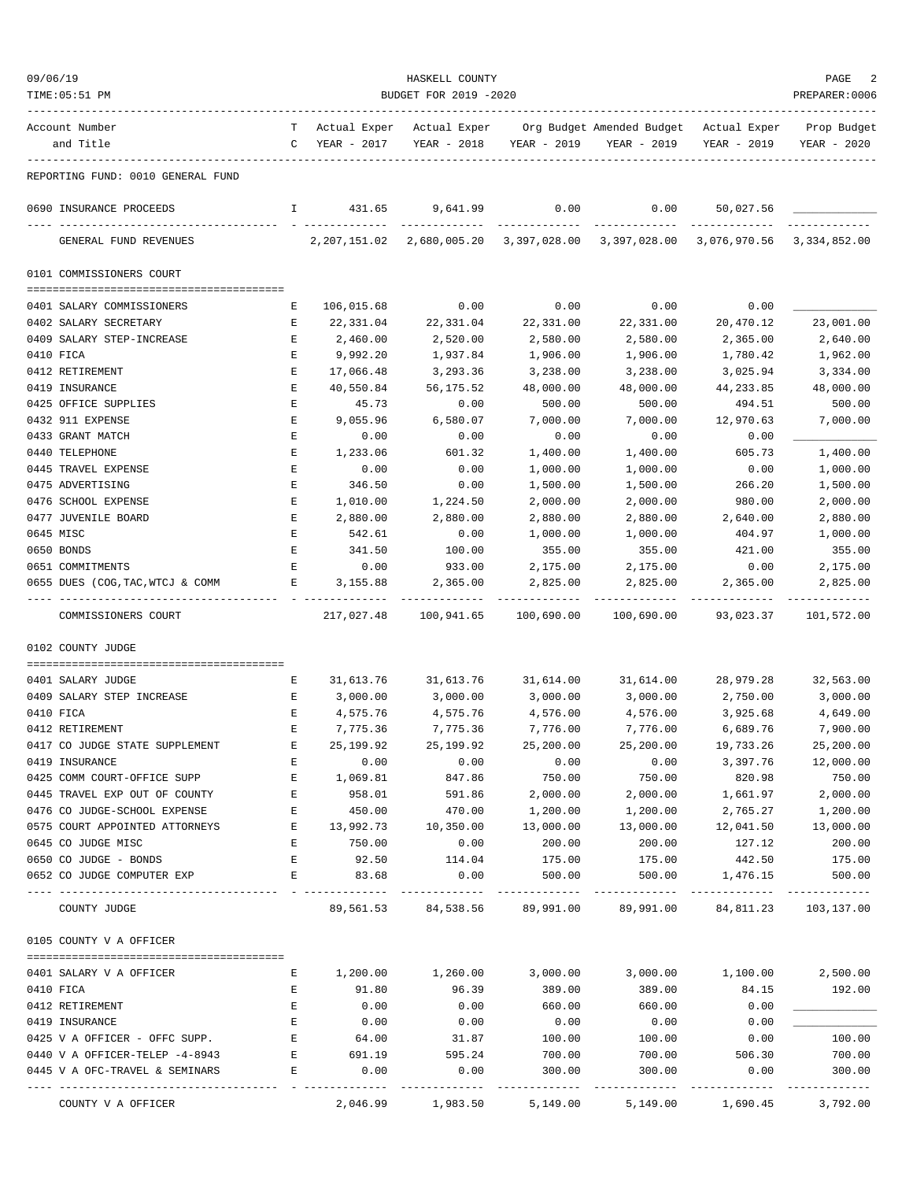| 09/06/19                                                         |                                                                                                |                   | HASKELL COUNTY        |                      |                                                                                           |                  | PAGE                 |
|------------------------------------------------------------------|------------------------------------------------------------------------------------------------|-------------------|-----------------------|----------------------|-------------------------------------------------------------------------------------------|------------------|----------------------|
| TIME: 05:51 PM                                                   |                                                                                                |                   | BUDGET FOR 2019 -2020 |                      |                                                                                           |                  | PREPARER:0006        |
| Account Number                                                   | T –                                                                                            | Actual Exper      | Actual Exper          |                      | Org Budget Amended Budget Actual Exper                                                    |                  | Prop Budget          |
| and Title                                                        |                                                                                                | C YEAR - 2017     | YEAR - 2018           | YEAR - 2019          | YEAR - 2019                                                                               | YEAR - 2019      | YEAR - 2020          |
| REPORTING FUND: 0010 GENERAL FUND                                |                                                                                                |                   |                       |                      |                                                                                           |                  |                      |
| 0690 INSURANCE PROCEEDS                                          |                                                                                                | 1 431.65 9,641.99 |                       | 0.00                 | 0.00                                                                                      | 50,027.56        |                      |
| GENERAL FUND REVENUES                                            |                                                                                                |                   |                       | . <u>.</u>           | 2, 207, 151.02 2, 680, 005.20 3, 397, 028.00 3, 397, 028.00 3, 076, 970.56 3, 334, 852.00 |                  |                      |
| 0101 COMMISSIONERS COURT                                         |                                                                                                |                   |                       |                      |                                                                                           |                  |                      |
| 0401 SALARY COMMISSIONERS                                        | Е                                                                                              | 106,015.68        | 0.00                  | 0.00                 | 0.00                                                                                      | 0.00             |                      |
| 0402 SALARY SECRETARY                                            | Е                                                                                              | 22,331.04         | 22,331.04             | 22,331.00            | 22,331.00                                                                                 | 20,470.12        | 23,001.00            |
| 0409 SALARY STEP-INCREASE                                        | Е                                                                                              | 2,460.00          | 2,520.00              | 2,580.00             | 2,580.00                                                                                  | 2,365.00         | 2,640.00             |
| 0410 FICA                                                        | $\mathbf{E}% _{0}$                                                                             | 9,992.20          | 1,937.84              | 1,906.00             | 1,906.00                                                                                  | 1,780.42         | 1,962.00             |
| 0412 RETIREMENT                                                  | Ε                                                                                              | 17,066.48         | 3,293.36              | 3,238.00             | 3,238.00                                                                                  | 3,025.94         | 3,334.00             |
| 0419 INSURANCE                                                   | E                                                                                              | 40,550.84         | 56,175.52             | 48,000.00            | 48,000.00                                                                                 | 44, 233.85       | 48,000.00            |
| 0425 OFFICE SUPPLIES                                             | Е                                                                                              | 45.73             | 0.00                  | 500.00               | 500.00                                                                                    | 494.51           | 500.00               |
| 0432 911 EXPENSE                                                 | Е                                                                                              | 9,055.96          | 6,580.07              | 7,000.00             | 7,000.00                                                                                  | 12,970.63        | 7,000.00             |
| 0433 GRANT MATCH                                                 | E                                                                                              | 0.00              | 0.00                  | 0.00                 | 0.00                                                                                      | 0.00             |                      |
| 0440 TELEPHONE                                                   | Е                                                                                              | 1,233.06          | 601.32                | 1,400.00             | 1,400.00                                                                                  | 605.73           | 1,400.00             |
| 0445 TRAVEL EXPENSE                                              | E                                                                                              | 0.00              | 0.00                  | 1,000.00             | 1,000.00                                                                                  | 0.00             | 1,000.00             |
| 0475 ADVERTISING                                                 | E                                                                                              | 346.50            | 0.00                  | 1,500.00             | 1,500.00                                                                                  | 266.20           | 1,500.00             |
| 0476 SCHOOL EXPENSE                                              | Е                                                                                              | 1,010.00          | 1,224.50              | 2,000.00             | 2,000.00                                                                                  | 980.00           | 2,000.00             |
| 0477 JUVENILE BOARD                                              | Е                                                                                              | 2,880.00          | 2,880.00              | 2,880.00             | 2,880.00                                                                                  | 2,640.00         | 2,880.00             |
| 0645 MISC                                                        | Ε                                                                                              | 542.61            | 0.00                  | 1,000.00             | 1,000.00                                                                                  | 404.97           | 1,000.00             |
| 0650 BONDS                                                       | $\mathbf{E}% _{t}\left  \mathbf{1}\right\rangle =\mathbf{1}_{t}\left  \mathbf{1}\right\rangle$ | 341.50            | 100.00                | 355.00               | 355.00                                                                                    | 421.00           | 355.00               |
| 0651 COMMITMENTS<br>0655 DUES (COG, TAC, WTCJ & COMM             | Е<br>E                                                                                         | 0.00<br>3,155.88  | 933.00<br>2,365.00    | 2,175.00<br>2,825.00 | 2,175.00<br>2,825.00                                                                      | 0.00<br>2,365.00 | 2,175.00<br>2,825.00 |
|                                                                  |                                                                                                |                   |                       |                      |                                                                                           |                  |                      |
| COMMISSIONERS COURT                                              |                                                                                                | 217,027.48        | 100,941.65            | 100,690.00           | 100,690.00                                                                                | 93,023.37        | 101,572.00           |
| 0102 COUNTY JUDGE                                                |                                                                                                |                   |                       |                      |                                                                                           |                  |                      |
| 0401 SALARY JUDGE                                                | Е                                                                                              | 31,613.76         | 31,613.76             | 31,614.00            | 31,614.00                                                                                 | 28,979.28        | 32,563.00            |
| 0409 SALARY STEP INCREASE                                        | Е                                                                                              | 3,000.00          | 3,000.00              | 3,000.00             | 3,000.00                                                                                  | 2,750.00         | 3,000.00             |
| 0410 FICA                                                        | $\mathbf{E}$                                                                                   | 4,575.76          | 4,575.76              | 4,576.00             | 4,576.00                                                                                  | 3,925.68         | 4,649.00             |
| 0412 RETIREMENT                                                  | $\mathbf{E}$                                                                                   | 7,775.36          | 7,775.36              | 7,776.00             | 7,776.00                                                                                  | 6,689.76         | 7,900.00             |
| 0417 CO JUDGE STATE SUPPLEMENT                                   | Ε                                                                                              | 25, 199.92        | 25,199.92             | 25,200.00            | 25,200.00                                                                                 | 19,733.26        | 25,200.00            |
| 0419 INSURANCE                                                   | Ε                                                                                              | 0.00              | 0.00                  | 0.00                 | 0.00                                                                                      | 3,397.76         | 12,000.00            |
| 0425 COMM COURT-OFFICE SUPP                                      | E                                                                                              | 1,069.81          | 847.86                | 750.00               | 750.00                                                                                    | 820.98           | 750.00               |
| 0445 TRAVEL EXP OUT OF COUNTY                                    | E                                                                                              | 958.01            | 591.86                | 2,000.00             | 2,000.00                                                                                  | 1,661.97         | 2,000.00             |
| 0476 CO JUDGE-SCHOOL EXPENSE                                     | Е                                                                                              | 450.00            | 470.00                | 1,200.00             | 1,200.00                                                                                  | 2,765.27         | 1,200.00             |
| 0575 COURT APPOINTED ATTORNEYS                                   | E                                                                                              | 13,992.73         | 10,350.00             | 13,000.00            | 13,000.00                                                                                 | 12,041.50        | 13,000.00            |
| 0645 CO JUDGE MISC                                               | Е                                                                                              | 750.00            | 0.00                  | 200.00               | 200.00                                                                                    | 127.12           | 200.00               |
| 0650 CO JUDGE - BONDS                                            | E                                                                                              | 92.50             | 114.04                | 175.00               | 175.00                                                                                    | 442.50           | 175.00               |
| 0652 CO JUDGE COMPUTER EXP                                       | E                                                                                              | 83.68             | 0.00                  | 500.00               | 500.00                                                                                    | 1,476.15         | 500.00               |
| COUNTY JUDGE                                                     |                                                                                                | 89,561.53         | 84,538.56 89,991.00   |                      | 89,991.00                                                                                 | 84,811.23        | 103,137.00           |
| 0105 COUNTY V A OFFICER                                          |                                                                                                |                   |                       |                      |                                                                                           |                  |                      |
| 0401 SALARY V A OFFICER                                          | Е                                                                                              | 1,200.00          | 1,260.00              | 3,000.00             | 3,000.00                                                                                  | 1,100.00         | 2,500.00             |
| 0410 FICA                                                        | Е                                                                                              | 91.80             | 96.39                 | 389.00               | 389.00                                                                                    | 84.15            | 192.00               |
| 0412 RETIREMENT                                                  | E                                                                                              | 0.00              | 0.00                  | 660.00               | 660.00                                                                                    | 0.00             |                      |
| 0419 INSURANCE                                                   | E                                                                                              | 0.00              | 0.00                  | 0.00                 | 0.00                                                                                      | 0.00             |                      |
| 0425 V A OFFICER - OFFC SUPP.                                    | Ε<br>Ε                                                                                         | 64.00             | 31.87                 | 100.00               | 100.00<br>700.00                                                                          | 0.00             | 100.00               |
| 0440 V A OFFICER-TELEP -4-8943<br>0445 V A OFC-TRAVEL & SEMINARS | E                                                                                              | 691.19<br>0.00    | 595.24<br>0.00        | 700.00<br>300.00     | 300.00                                                                                    | 506.30<br>0.00   | 700.00<br>300.00     |
|                                                                  |                                                                                                |                   |                       |                      |                                                                                           |                  |                      |
| COUNTY V A OFFICER                                               |                                                                                                | 2,046.99          | 1,983.50              | 5,149.00             | 5,149.00                                                                                  | 1,690.45         | 3,792.00             |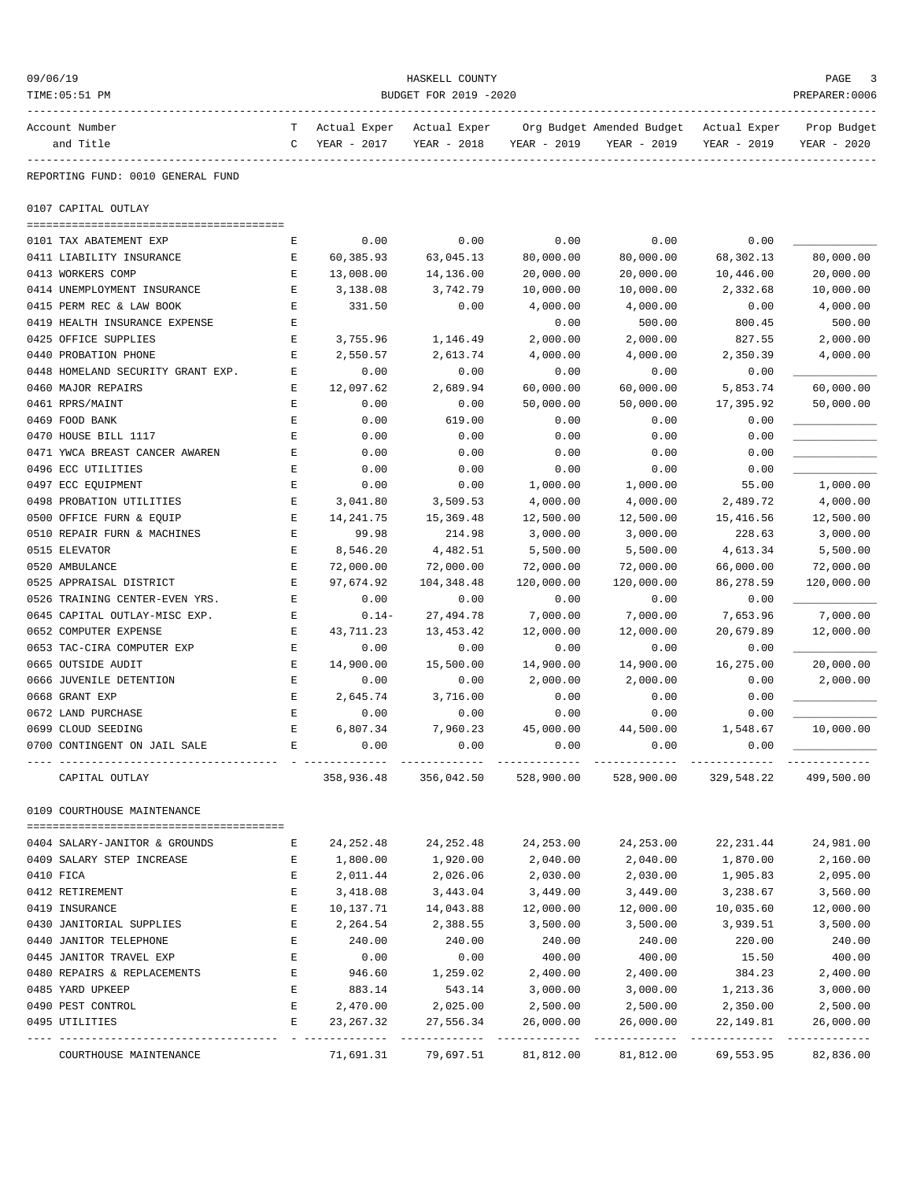| 09/06/19                          |        |                             | HASKELL COUNTY              |             |                                          |                             | PAGE                       |
|-----------------------------------|--------|-----------------------------|-----------------------------|-------------|------------------------------------------|-----------------------------|----------------------------|
| TIME: 05:51 PM                    |        |                             | BUDGET FOR 2019 -2020       |             |                                          |                             | PREPARER: 0006             |
| Account Number<br>and Title       | т<br>C | Actual Exper<br>YEAR - 2017 | Actual Exper<br>YEAR - 2018 | YEAR - 2019 | Org Budget Amended Budget<br>YEAR - 2019 | Actual Exper<br>YEAR - 2019 | Prop Budget<br>YEAR - 2020 |
| REPORTING FUND: 0010 GENERAL FUND |        |                             |                             |             |                                          |                             |                            |
| 0107 CAPITAL OUTLAY               |        |                             |                             |             |                                          |                             |                            |
| 0101 TAX ABATEMENT EXP            | Е      | 0.00                        | 0.00                        | 0.00        | 0.00                                     | 0.00                        |                            |
| 0411 LIABILITY INSURANCE          | Е      | 60,385.93                   | 63,045.13                   | 80,000.00   | 80,000.00                                | 68,302.13                   | 80,000.00                  |
| 0413 WORKERS COMP                 | Ε      | 13,008.00                   | 14,136.00                   | 20,000.00   | 20,000.00                                | 10,446.00                   | 20,000.00                  |
| 0414 UNEMPLOYMENT INSURANCE       | Е      | 3,138.08                    | 3,742.79                    | 10,000.00   | 10,000.00                                | 2,332.68                    | 10,000.00                  |
| 0415 PERM REC & LAW BOOK          | Ε      | 331.50                      | 0.00                        | 4,000.00    | 4,000.00                                 | 0.00                        | 4,000.00                   |
| 0419 HEALTH INSURANCE EXPENSE     | Ε      |                             |                             | 0.00        | 500.00                                   | 800.45                      | 500.00                     |
| 0425 OFFICE SUPPLIES              | Е      | 3,755.96                    | 1,146.49                    | 2,000.00    | 2,000.00                                 | 827.55                      | 2,000.00                   |
| 0440 PROBATION PHONE              | E      | 2,550.57                    | 2,613.74                    | 4,000.00    | 4,000.00                                 | 2,350.39                    | 4,000.00                   |
| 0448 HOMELAND SECURITY GRANT EXP. | Е      | 0.00                        | 0.00                        | 0.00        | 0.00                                     | 0.00                        |                            |
| 0460 MAJOR REPAIRS                | Е      | 12,097.62                   | 2,689.94                    | 60,000.00   | 60,000.00                                | 5,853.74                    | 60,000.00                  |
| 0461 RPRS/MAINT                   | Е      | 0.00                        | 0.00                        | 50,000.00   | 50,000.00                                | 17,395.92                   | 50,000.00                  |
| 0469 FOOD BANK                    | Ε      | 0.00                        | 619.00                      | 0.00        | 0.00                                     | 0.00                        |                            |
| 0470 HOUSE BILL 1117              | E      | 0.00                        | 0.00                        | 0.00        | 0.00                                     | 0.00                        |                            |
| 0471 YWCA BREAST CANCER AWAREN    | Ε      | 0.00                        | 0.00                        | 0.00        | 0.00                                     | 0.00                        |                            |
| 0496 ECC UTILITIES                | Е      | 0.00                        | 0.00                        | 0.00        | 0.00                                     | 0.00                        |                            |
| 0497 ECC EQUIPMENT                | E      | 0.00                        | 0.00                        | 1,000.00    | 1,000.00                                 | 55.00                       | 1,000.00                   |
| 0498 PROBATION UTILITIES          | Е      | 3,041.80                    | 3,509.53                    | 4,000.00    | 4,000.00                                 | 2,489.72                    | 4,000.00                   |
| 0500 OFFICE FURN & EQUIP          | Е      | 14,241.75                   | 15,369.48                   | 12,500.00   | 12,500.00                                | 15,416.56                   | 12,500.00                  |
| 0510 REPAIR FURN & MACHINES       | E      | 99.98                       | 214.98                      | 3,000.00    | 3,000.00                                 | 228.63                      | 3,000.00                   |
| 0515 ELEVATOR                     | Ε      | 8,546.20                    | 4,482.51                    | 5,500.00    | 5,500.00                                 | 4,613.34                    | 5,500.00                   |
| 0520 AMBULANCE                    | Е      | 72,000.00                   | 72,000.00                   | 72,000.00   | 72,000.00                                | 66,000.00                   | 72,000.00                  |
| 0525 APPRAISAL DISTRICT           | Е      | 97,674.92                   | 104,348.48                  | 120,000.00  | 120,000.00                               | 86,278.59                   | 120,000.00                 |
| 0526 TRAINING CENTER-EVEN YRS.    | Е      | 0.00                        | 0.00                        | 0.00        | 0.00                                     | 0.00                        |                            |
| 0645 CAPITAL OUTLAY-MISC EXP.     | Е      | $0.14-$                     | 27,494.78                   | 7,000.00    | 7,000.00                                 | 7,653.96                    | 7,000.00                   |
| 0652 COMPUTER EXPENSE             | Е      | 43,711.23                   | 13,453.42                   | 12,000.00   | 12,000.00                                | 20,679.89                   | 12,000.00                  |
| 0653 TAC-CIRA COMPUTER EXP        | Е      | 0.00                        | 0.00                        | 0.00        | 0.00                                     | 0.00                        |                            |
| 0665 OUTSIDE AUDIT                | Е      | 14,900.00                   | 15,500.00                   | 14,900.00   | 14,900.00                                | 16,275.00                   | 20,000.00                  |
| 0666 JUVENILE DETENTION           | Е      | 0.00                        | 0.00                        | 2,000.00    | 2,000.00                                 | 0.00                        | 2,000.00                   |
| 0668 GRANT EXP                    | Е      | 2,645.74                    | 3,716.00                    | 0.00        | 0.00                                     | 0.00                        |                            |
| 0672 LAND PURCHASE                | E      | 0.00                        | 0.00                        | 0.00        | 0.00                                     | 0.00                        |                            |
| 0699 CLOUD SEEDING                | E      | 6,807.34                    | 7,960.23                    | 45,000.00   | 44,500.00                                | 1,548.67                    | 10,000.00                  |
| 0700 CONTINGENT ON JAIL SALE      | Ε      | 0.00                        | 0.00                        | 0.00        | 0.00                                     | 0.00                        |                            |
| CAPITAL OUTLAY                    |        | 358,936.48                  | 356,042.50                  | 528,900.00  | 528,900.00                               | 329,548.22                  | 499,500.00                 |
| 0109 COURTHOUSE MAINTENANCE       |        |                             |                             |             |                                          |                             |                            |
| 0404 SALARY-JANITOR & GROUNDS     | Е      | 24,252.48                   | 24,252.48                   | 24,253.00   | 24,253.00                                | 22, 231.44                  | 24,981.00                  |
| 0409 SALARY STEP INCREASE         | Е      | 1,800.00                    | 1,920.00                    | 2,040.00    | 2,040.00                                 | 1,870.00                    | 2,160.00                   |
| 0410 FICA                         | Е      | 2,011.44                    | 2,026.06                    | 2,030.00    | 2,030.00                                 | 1,905.83                    | 2,095.00                   |
| 0412 RETIREMENT                   | E      | 3,418.08                    | 3,443.04                    | 3,449.00    | 3,449.00                                 | 3,238.67                    | 3,560.00                   |
| 0419 INSURANCE                    | Ε      | 10,137.71                   | 14,043.88                   | 12,000.00   | 12,000.00                                | 10,035.60                   | 12,000.00                  |
| 0430 JANITORIAL SUPPLIES          | Ε      | 2,264.54                    | 2,388.55                    | 3,500.00    | 3,500.00                                 | 3,939.51                    | 3,500.00                   |
| 0440 JANITOR TELEPHONE            | Е      | 240.00                      | 240.00                      | 240.00      | 240.00                                   | 220.00                      | 240.00                     |
| 0445 JANITOR TRAVEL EXP           | Ε      | 0.00                        | 0.00                        | 400.00      | 400.00                                   | 15.50                       | 400.00                     |
| 0480 REPAIRS & REPLACEMENTS       | E      | 946.60                      | 1,259.02                    | 2,400.00    | 2,400.00                                 | 384.23                      | 2,400.00                   |
| 0485 YARD UPKEEP                  | Ε      | 883.14                      | 543.14                      | 3,000.00    | 3,000.00                                 | 1,213.36                    | 3,000.00                   |
| 0490 PEST CONTROL                 | Е      | 2,470.00                    | 2,025.00                    | 2,500.00    | 2,500.00                                 | 2,350.00                    | 2,500.00                   |
| 0495 UTILITIES                    | E      | 23, 267.32                  | 27,556.34                   | 26,000.00   | 26,000.00                                | 22,149.81                   | 26,000.00                  |
| COURTHOUSE MAINTENANCE            |        | 71,691.31                   | 79,697.51                   | 81,812.00   | 81,812.00                                | 69,553.95                   | 82,836.00                  |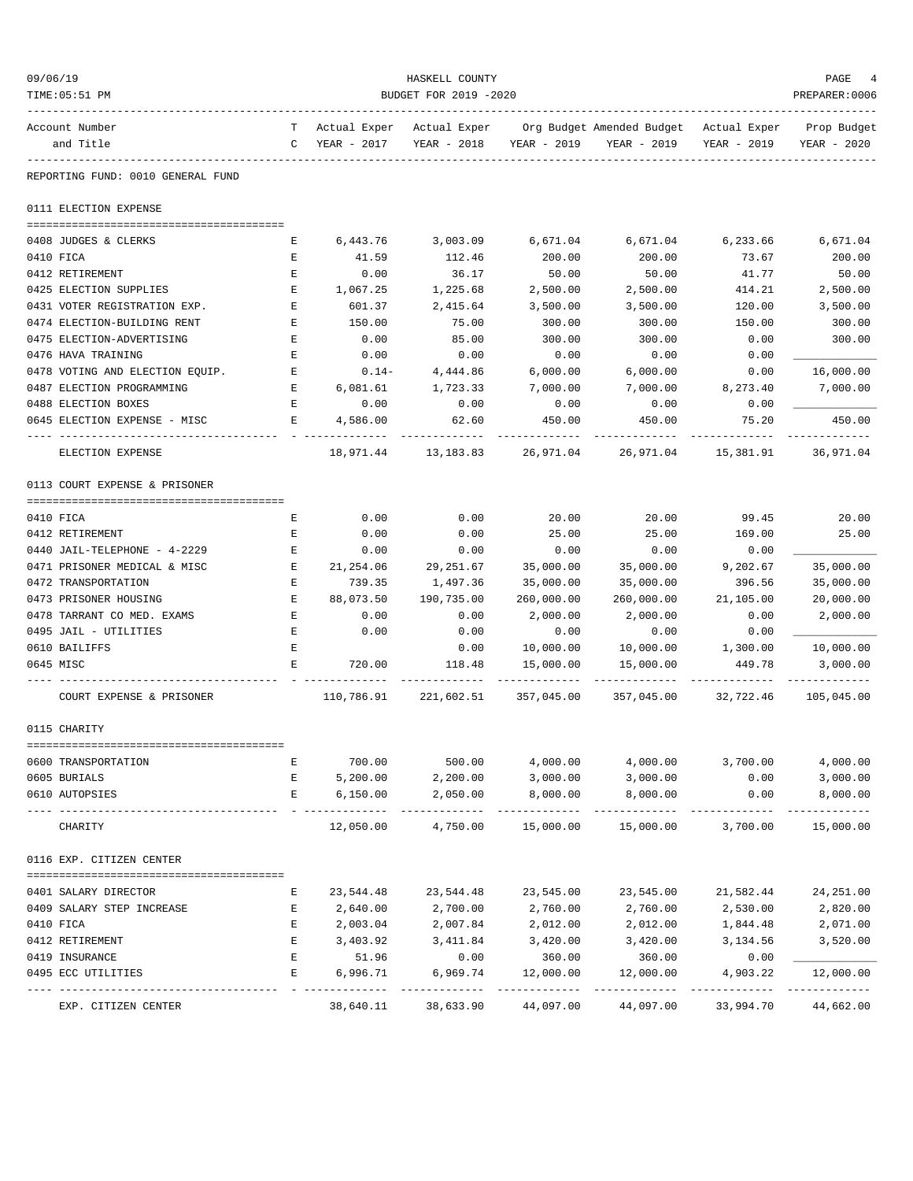| 09/06/19  | TIME: 05:51 PM                    | HASKELL COUNTY<br>BUDGET FOR 2019 -2020 |                                              |                         |            |                                                       |                           |                            |  |
|-----------|-----------------------------------|-----------------------------------------|----------------------------------------------|-------------------------|------------|-------------------------------------------------------|---------------------------|----------------------------|--|
|           | Account Number<br>and Title       |                                         | T Actual Exper Actual Exper<br>C YEAR - 2017 | YEAR - 2018 YEAR - 2019 |            | Org Budget Amended Budget Actual Exper<br>YEAR - 2019 | YEAR - 2019               | Prop Budget<br>YEAR - 2020 |  |
|           | REPORTING FUND: 0010 GENERAL FUND |                                         |                                              |                         |            |                                                       |                           |                            |  |
|           | 0111 ELECTION EXPENSE             |                                         |                                              |                         |            |                                                       |                           |                            |  |
|           |                                   |                                         |                                              |                         |            |                                                       |                           |                            |  |
|           | 0408 JUDGES & CLERKS              | Е                                       | 6,443.76                                     | 3,003.09                | 6,671.04   | 6,671.04                                              | 6,233.66                  | 6,671.04                   |  |
| 0410 FICA |                                   | Е                                       | 41.59                                        | 112.46                  | 200.00     | 200.00                                                | 73.67                     | 200.00                     |  |
|           | 0412 RETIREMENT                   | Е                                       | 0.00                                         | 36.17                   | 50.00      | 50.00                                                 | 41.77                     | 50.00                      |  |
|           | 0425 ELECTION SUPPLIES            | Е                                       | 1,067.25                                     | 1,225.68                | 2,500.00   | 2,500.00                                              | 414.21                    | 2,500.00                   |  |
|           | 0431 VOTER REGISTRATION EXP.      | E                                       | 601.37                                       | 2,415.64                | 3,500.00   | 3,500.00                                              | 120.00                    | 3,500.00                   |  |
|           | 0474 ELECTION-BUILDING RENT       | Е                                       | 150.00                                       | 75.00                   | 300.00     | 300.00                                                | 150.00                    | 300.00                     |  |
|           | 0475 ELECTION-ADVERTISING         | Е                                       | 0.00                                         | 85.00                   | 300.00     | 300.00                                                | 0.00                      | 300.00                     |  |
|           | 0476 HAVA TRAINING                | Е                                       | 0.00                                         | 0.00                    | 0.00       | 0.00                                                  | 0.00                      |                            |  |
|           | 0478 VOTING AND ELECTION EQUIP.   | Е                                       | $0.14-$                                      | 4,444.86                | 6,000.00   | 6,000.00                                              | 0.00                      | 16,000.00                  |  |
|           | 0487 ELECTION PROGRAMMING         | Е                                       | 6,081.61                                     | 1,723.33                | 7,000.00   | 7,000.00                                              | 8,273.40                  | 7,000.00                   |  |
|           | 0488 ELECTION BOXES               | Е                                       | 0.00                                         | 0.00                    | 0.00       | 0.00                                                  | 0.00                      |                            |  |
|           | 0645 ELECTION EXPENSE - MISC      | Е                                       | 4,586.00                                     | 62.60                   | 450.00     | 450.00                                                | 75.20                     | 450.00                     |  |
|           | ELECTION EXPENSE                  |                                         |                                              | 18,971.44 13,183.83     | 26,971.04  | 26,971.04                                             | 15,381.91                 | 36,971.04                  |  |
|           | 0113 COURT EXPENSE & PRISONER     |                                         |                                              |                         |            |                                                       |                           |                            |  |
| 0410 FICA |                                   | Е                                       | 0.00                                         | 0.00                    | 20.00      | 20.00                                                 | 99.45                     | 20.00                      |  |
|           | 0412 RETIREMENT                   | Е                                       | 0.00                                         | 0.00                    | 25.00      | 25.00                                                 | 169.00                    | 25.00                      |  |
|           | 0440 JAIL-TELEPHONE - 4-2229      | Е                                       | 0.00                                         | 0.00                    | 0.00       | 0.00                                                  | 0.00                      |                            |  |
|           | 0471 PRISONER MEDICAL & MISC      | Е                                       | 21,254.06                                    | 29,251.67               | 35,000.00  | 35,000.00                                             | 9,202.67                  | 35,000.00                  |  |
|           | 0472 TRANSPORTATION               | E                                       | 739.35                                       | 1,497.36                | 35,000.00  | 35,000.00                                             | 396.56                    | 35,000.00                  |  |
|           | 0473 PRISONER HOUSING             | E                                       | 88,073.50                                    | 190,735.00              | 260,000.00 | 260,000.00                                            | 21,105.00                 | 20,000.00                  |  |
|           | 0478 TARRANT CO MED. EXAMS        | E                                       | 0.00                                         | 0.00                    | 2,000.00   | 2,000.00                                              | 0.00                      | 2,000.00                   |  |
|           | 0495 JAIL - UTILITIES             | E                                       | 0.00                                         | 0.00                    | 0.00       | 0.00                                                  | 0.00                      |                            |  |
|           | 0610 BAILIFFS                     | Ε                                       |                                              | 0.00                    | 10,000.00  | 10,000.00                                             | 1,300.00                  | 10,000.00                  |  |
| 0645 MISC |                                   | E                                       | 720.00                                       | 118.48                  | 15,000.00  | 15,000.00                                             | 449.78                    | 3,000.00                   |  |
|           | COURT EXPENSE & PRISONER          |                                         | 110,786.91                                   | 221,602.51              | 357,045.00 | 357,045.00                                            | 32,722.46                 | 105,045.00                 |  |
|           | 0115 CHARITY                      |                                         |                                              |                         |            |                                                       |                           |                            |  |
|           |                                   |                                         |                                              |                         |            |                                                       |                           |                            |  |
|           | 0600 TRANSPORTATION               | Е                                       | 700.00                                       | 500.00                  | 4,000.00   | 4,000.00                                              | 3,700.00                  | 4,000.00                   |  |
|           | 0605 BURIALS                      | Е                                       | 5,200.00                                     | 2,200.00                | 3,000.00   | 3,000.00                                              | 0.00                      | 3,000.00                   |  |
|           | 0610 AUTOPSIES                    | Е                                       | 6,150.00                                     | 2,050.00                | 8,000.00   | 8,000.00                                              | 0.00                      | 8,000.00                   |  |
|           | CHARITY                           |                                         | 12,050.00                                    | 4,750.00                | 15,000.00  | 15,000.00                                             | 3,700.00                  | 15,000.00                  |  |
|           | 0116 EXP. CITIZEN CENTER          |                                         |                                              |                         |            |                                                       |                           |                            |  |
|           | 0401 SALARY DIRECTOR              | Е                                       | 23,544.48                                    | 23,544.48               | 23,545.00  | 23,545.00                                             | 21,582.44                 | 24,251.00                  |  |
|           | 0409 SALARY STEP INCREASE         | Е                                       | 2,640.00                                     | 2,700.00                | 2,760.00   | 2,760.00                                              | 2,530.00                  | 2,820.00                   |  |
| 0410 FICA |                                   | Е                                       | 2,003.04                                     | 2,007.84                | 2,012.00   | 2,012.00                                              | 1,844.48                  | 2,071.00                   |  |
|           | 0412 RETIREMENT                   | E                                       | 3,403.92                                     | 3,411.84                | 3,420.00   | 3,420.00                                              | 3,134.56                  | 3,520.00                   |  |
|           | 0419 INSURANCE                    | Е                                       | 51.96                                        | 0.00                    | 360.00     | 360.00                                                | 0.00                      |                            |  |
|           | 0495 ECC UTILITIES                | Е                                       | 6,996.71                                     | 6,969.74                | 12,000.00  | 12,000.00                                             | 4,903.22<br>------------- | 12,000.00                  |  |
|           | EXP. CITIZEN CENTER               |                                         | 38,640.11                                    | 38,633.90               | 44,097.00  | 44,097.00                                             | 33,994.70                 | 44,662.00                  |  |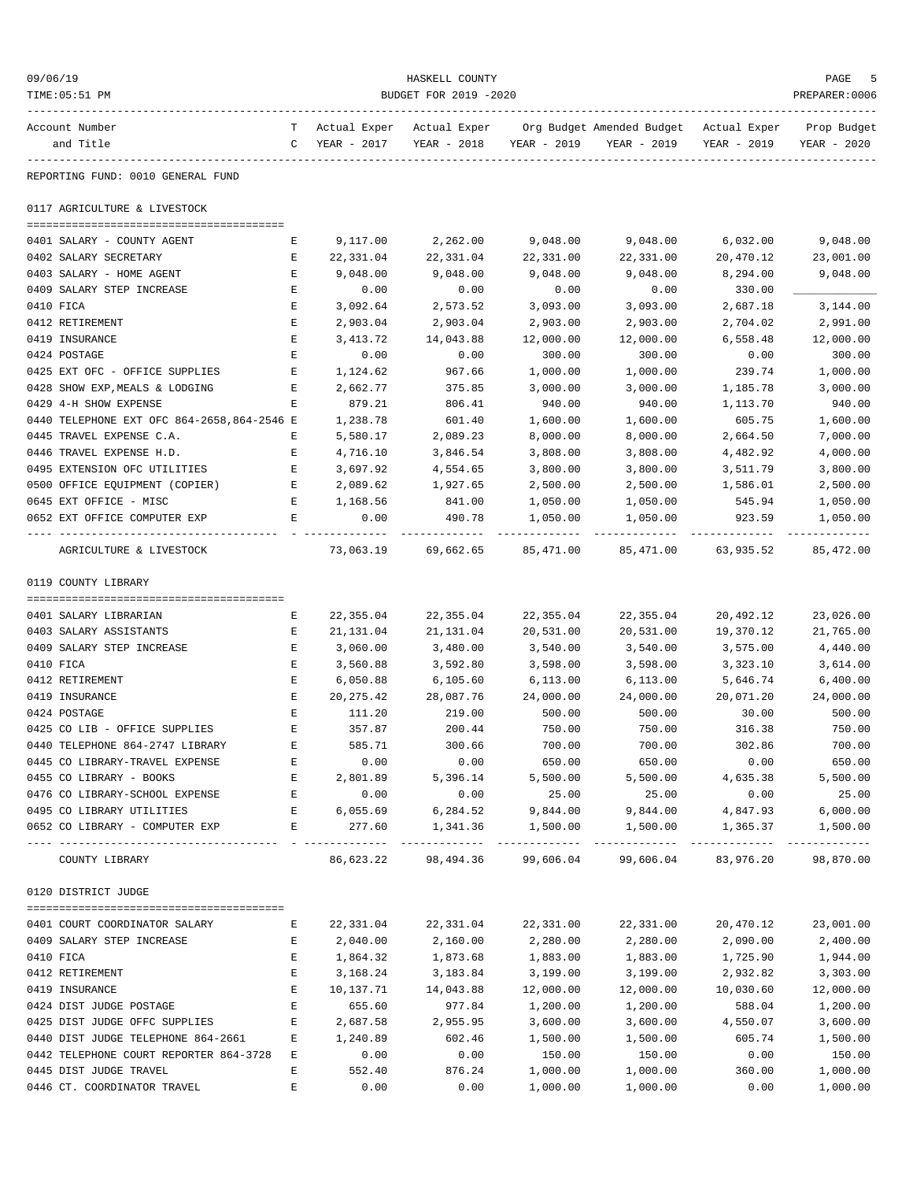| 09/06/19<br>TIME: 05:51 PM                           | HASKELL COUNTY<br>BUDGET FOR 2019 -2020 |                      |                                      |                            |                                                                                               |                                      |                      |  |
|------------------------------------------------------|-----------------------------------------|----------------------|--------------------------------------|----------------------------|-----------------------------------------------------------------------------------------------|--------------------------------------|----------------------|--|
| Account Number<br>and Title                          |                                         | C YEAR - 2017        |                                      | YEAR - 2018 YEAR - 2019    | T Actual Exper Actual Exper Org Budget Amended Budget Actual Exper Prop Budget<br>YEAR - 2019 | YEAR - 2019                          | YEAR - 2020          |  |
| REPORTING FUND: 0010 GENERAL FUND                    |                                         |                      |                                      |                            |                                                                                               |                                      |                      |  |
| 0117 AGRICULTURE & LIVESTOCK                         |                                         |                      |                                      |                            |                                                                                               |                                      |                      |  |
| 0401 SALARY - COUNTY AGENT                           | Е                                       |                      | 9,117.00 2,262.00                    | 9,048.00                   | 9,048.00                                                                                      |                                      | 6,032.00 9,048.00    |  |
| 0402 SALARY SECRETARY                                | Е                                       | 22,331.04            | 22,331.04                            | 22,331.00                  | 22,331.00                                                                                     | 20,470.12                            | 23,001.00            |  |
| 0403 SALARY - HOME AGENT                             | Е                                       | 9,048.00             | 9,048.00                             | 9,048.00                   | 9,048.00                                                                                      | 8,294.00                             | 9,048.00             |  |
| 0409 SALARY STEP INCREASE                            | Е                                       | 0.00                 | 0.00                                 | 0.00                       | 0.00                                                                                          | 330.00                               |                      |  |
| 0410 FICA                                            | Е                                       | 3,092.64             | 2,573.52                             | 3,093.00                   | 3,093.00                                                                                      | 2,687.18                             | 3,144.00             |  |
| 0412 RETIREMENT                                      | Е                                       | 2,903.04             | 2,903.04                             | 2,903.00                   | 2,903.00                                                                                      | 2,704.02                             | 2,991.00             |  |
| 0419 INSURANCE                                       | Е                                       | 3,413.72             | 14,043.88                            | 12,000.00                  | 12,000.00                                                                                     | 6,558.48                             | 12,000.00            |  |
| 0424 POSTAGE                                         | Е                                       | 0.00                 | 0.00                                 | 300.00                     | 300.00                                                                                        | 0.00                                 | 300.00               |  |
| 0425 EXT OFC - OFFICE SUPPLIES                       | E                                       | 1,124.62             | 967.66                               | 1,000.00                   | 1,000.00                                                                                      | 239.74                               | 1,000.00             |  |
| 0428 SHOW EXP, MEALS & LODGING                       | Е                                       | 2,662.77             | 375.85                               | 3,000.00                   | 3,000.00                                                                                      | 1,185.78                             | 3,000.00             |  |
| 0429 4-H SHOW EXPENSE                                | Е                                       | 879.21               | 806.41                               | 940.00                     | 940.00                                                                                        | 1,113.70                             | 940.00               |  |
| 0440 TELEPHONE EXT OFC 864-2658,864-2546 E           |                                         | 1,238.78             | 601.40                               | 1,600.00                   | 1,600.00                                                                                      | 605.75                               | 1,600.00             |  |
| 0445 TRAVEL EXPENSE C.A.<br>0446 TRAVEL EXPENSE H.D. | Е                                       | 5,580.17             | 2,089.23                             | 8,000.00                   | 8,000.00                                                                                      | 2,664.50                             | 7,000.00<br>4,000.00 |  |
| 0495 EXTENSION OFC UTILITIES                         | Е<br>E                                  | 4,716.10<br>3,697.92 | 3,846.54<br>4,554.65                 | 3,808.00<br>3,800.00       | 3,808.00<br>3,800.00                                                                          | 4,482.92<br>3,511.79                 | 3,800.00             |  |
| 0500 OFFICE EQUIPMENT (COPIER)                       | E                                       | 2,089.62             | 1,927.65                             | 2,500.00                   | 2,500.00                                                                                      | 1,586.01                             | 2,500.00             |  |
| 0645 EXT OFFICE - MISC                               | E                                       | 1,168.56             | 841.00                               | 1,050.00                   | 1,050.00                                                                                      | 545.94                               | 1,050.00             |  |
| 0652 EXT OFFICE COMPUTER EXP                         | Е                                       | 0.00                 | 490.78                               | 1,050.00                   | 1,050.00                                                                                      | 923.59                               | 1,050.00             |  |
| AGRICULTURE & LIVESTOCK                              |                                         |                      | -------------<br>73,063.19 69,662.65 | -------------<br>85,471.00 |                                                                                               | -------------<br>85,471.00 63,935.52 | 85,472.00            |  |
| 0119 COUNTY LIBRARY                                  |                                         |                      |                                      |                            |                                                                                               |                                      |                      |  |
| 0401 SALARY LIBRARIAN                                | E                                       | 22,355.04            | 22,355.04                            | 22,355.04                  | 22,355.04                                                                                     | 20,492.12                            | 23,026.00            |  |
| 0403 SALARY ASSISTANTS                               | Е                                       | 21,131.04            | 21,131.04                            | 20,531.00                  | 20,531.00                                                                                     | 19,370.12                            | 21,765.00            |  |
| 0409 SALARY STEP INCREASE                            | Е                                       | 3,060.00             | 3,480.00                             | 3,540.00                   | 3,540.00                                                                                      | 3,575.00                             | 4,440.00             |  |
| 0410 FICA                                            | Е                                       | 3,560.88             | 3,592.80                             | 3,598.00                   | 3,598.00                                                                                      | 3,323.10                             | 3,614.00             |  |
| 0412 RETIREMENT                                      | Е                                       | 6,050.88             | 6,105.60                             | 6,113.00                   | 6,113.00                                                                                      | 5,646.74                             | 6,400.00             |  |
| 0419 INSURANCE                                       | Е                                       | 20,275.42            | 28,087.76                            | 24,000.00                  | 24,000.00                                                                                     | 20,071.20                            | 24,000.00            |  |
| 0424 POSTAGE                                         | E                                       | 111.20               | 219.00                               | 500.00                     | 500.00                                                                                        | 30.00                                | 500.00               |  |
| 0425 CO LIB - OFFICE SUPPLIES                        | E                                       | 357.87               | 200.44                               | 750.00                     | 750.00                                                                                        | 316.38                               | 750.00               |  |
| 0440 TELEPHONE 864-2747 LIBRARY                      | Ε                                       | 585.71               | 300.66                               | 700.00                     | 700.00                                                                                        | 302.86                               | 700.00               |  |
| 0445 CO LIBRARY-TRAVEL EXPENSE                       | Е                                       | 0.00                 | 0.00                                 | 650.00                     | 650.00                                                                                        | 0.00                                 | 650.00               |  |
| 0455 CO LIBRARY - BOOKS                              | E                                       | 2,801.89             | 5,396.14                             | 5,500.00                   | 5,500.00                                                                                      | 4,635.38                             | 5,500.00             |  |
| 0476 CO LIBRARY-SCHOOL EXPENSE                       | Е                                       | 0.00                 | 0.00                                 | 25.00                      | 25.00                                                                                         | 0.00                                 | 25.00                |  |
| 0495 CO LIBRARY UTILITIES                            | Е                                       | 6,055.69             | 6,284.52                             | 9,844.00                   | 9,844.00                                                                                      | 4,847.93                             | 6,000.00             |  |
| 0652 CO LIBRARY - COMPUTER EXP                       | E                                       | 277.60<br>__________ | 1,341.36                             | 1,500.00                   | 1,500.00<br>-------------                                                                     | 1,365.37<br>-------------            | 1,500.00             |  |
| COUNTY LIBRARY                                       |                                         | 86,623.22            | 98,494.36                            | 99,606.04                  | 99,606.04                                                                                     | 83,976.20                            | 98,870.00            |  |
| 0120 DISTRICT JUDGE                                  |                                         |                      |                                      |                            |                                                                                               |                                      |                      |  |
|                                                      |                                         |                      |                                      |                            |                                                                                               |                                      |                      |  |
| 0401 COURT COORDINATOR SALARY                        | Е                                       | 22,331.04            | 22,331.04                            | 22,331.00                  | 22,331.00                                                                                     | 20,470.12                            | 23,001.00            |  |
| 0409 SALARY STEP INCREASE<br>0410 FICA               | Е<br>Е                                  | 2,040.00<br>1,864.32 | 2,160.00<br>1,873.68                 | 2,280.00<br>1,883.00       | 2,280.00<br>1,883.00                                                                          | 2,090.00<br>1,725.90                 | 2,400.00<br>1,944.00 |  |
| 0412 RETIREMENT                                      | Ε                                       | 3,168.24             | 3,183.84                             | 3,199.00                   | 3,199.00                                                                                      | 2,932.82                             | 3,303.00             |  |
| 0419 INSURANCE                                       | Ε                                       | 10,137.71            | 14,043.88                            | 12,000.00                  | 12,000.00                                                                                     | 10,030.60                            | 12,000.00            |  |
| 0424 DIST JUDGE POSTAGE                              | Ε                                       | 655.60               | 977.84                               | 1,200.00                   | 1,200.00                                                                                      | 588.04                               | 1,200.00             |  |
| 0425 DIST JUDGE OFFC SUPPLIES                        | Ε                                       | 2,687.58             | 2,955.95                             | 3,600.00                   | 3,600.00                                                                                      | 4,550.07                             | 3,600.00             |  |
| 0440 DIST JUDGE TELEPHONE 864-2661                   | Е                                       | 1,240.89             | 602.46                               | 1,500.00                   | 1,500.00                                                                                      | 605.74                               | 1,500.00             |  |
| 0442 TELEPHONE COURT REPORTER 864-3728               | Е                                       | 0.00                 | 0.00                                 | 150.00                     | 150.00                                                                                        | 0.00                                 | 150.00               |  |
| 0445 DIST JUDGE TRAVEL                               | Е                                       | 552.40               | 876.24                               | 1,000.00                   | 1,000.00                                                                                      | 360.00                               | 1,000.00             |  |
| 0446 CT. COORDINATOR TRAVEL                          | Ε                                       | 0.00                 | 0.00                                 | 1,000.00                   | 1,000.00                                                                                      | 0.00                                 | 1,000.00             |  |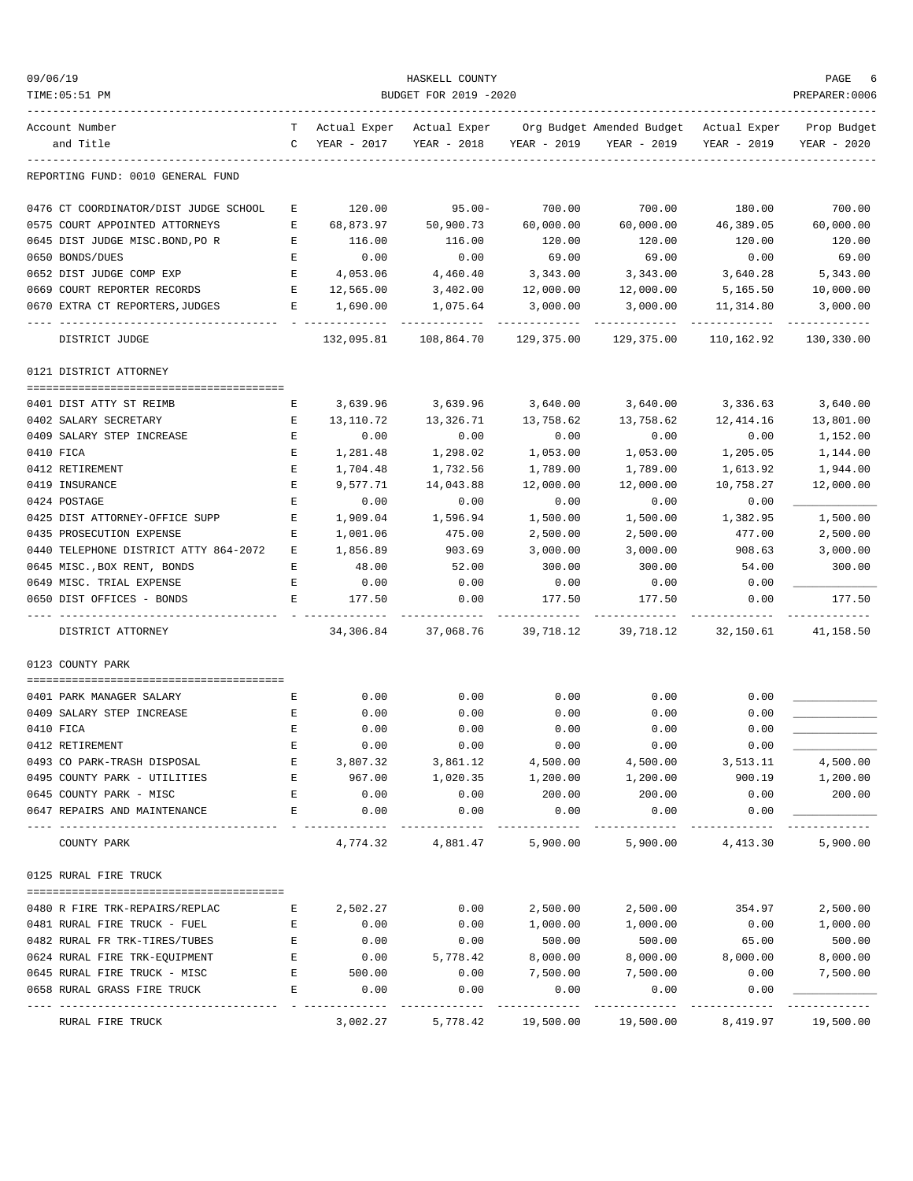| 09/06/19                              |              |              | HASKELL COUNTY        |             |                                        |                          | PAGE                            |
|---------------------------------------|--------------|--------------|-----------------------|-------------|----------------------------------------|--------------------------|---------------------------------|
| TIME: 05:51 PM                        |              |              | BUDGET FOR 2019 -2020 |             |                                        |                          | PREPARER:0006                   |
| Account Number                        | T            | Actual Exper | Actual Exper          |             | Org Budget Amended Budget Actual Exper |                          | Prop Budget                     |
| and Title                             | $\mathbb{C}$ | YEAR - 2017  | YEAR - 2018           | YEAR - 2019 | YEAR - 2019                            | YEAR - 2019              | YEAR - 2020                     |
| REPORTING FUND: 0010 GENERAL FUND     |              |              |                       |             |                                        |                          |                                 |
| 0476 CT COORDINATOR/DIST JUDGE SCHOOL | Е            | 120.00       | $95.00 -$             | 700.00      | 700.00                                 | 180.00                   | 700.00                          |
| 0575 COURT APPOINTED ATTORNEYS        | E            | 68,873.97    | 50,900.73             | 60,000.00   | 60,000.00                              | 46,389.05                | 60,000.00                       |
| 0645 DIST JUDGE MISC.BOND, PO R       | E            | 116.00       | 116.00                | 120.00      | 120.00                                 | 120.00                   | 120.00                          |
| 0650 BONDS/DUES                       | Е            | 0.00         | 0.00                  | 69.00       | 69.00                                  | 0.00                     | 69.00                           |
| 0652 DIST JUDGE COMP EXP              | E            | 4,053.06     | 4,460.40              | 3,343.00    | 3,343.00                               | 3,640.28                 | 5,343.00                        |
| 0669 COURT REPORTER RECORDS           | E            | 12,565.00    | 3,402.00              | 12,000.00   | 12,000.00                              | 5,165.50                 | 10,000.00                       |
| 0670 EXTRA CT REPORTERS, JUDGES       | Е            | 1,690.00     | 1,075.64              | 3,000.00    | 3,000.00                               | 11,314.80<br>----------- | 3,000.00                        |
| DISTRICT JUDGE                        |              | 132,095.81   | 108,864.70            | 129,375.00  | 129,375.00                             | 110,162.92               | 130,330.00                      |
| 0121 DISTRICT ATTORNEY                |              |              |                       |             |                                        |                          |                                 |
| 0401 DIST ATTY ST REIMB               | Е            | 3,639.96     | 3,639.96              | 3,640.00    | 3,640.00                               | 3,336.63                 | 3,640.00                        |
| 0402 SALARY SECRETARY                 | Е            | 13,110.72    | 13,326.71             | 13,758.62   | 13,758.62                              | 12,414.16                | 13,801.00                       |
| 0409 SALARY STEP INCREASE             | Е            | 0.00         | 0.00                  | 0.00        | 0.00                                   | 0.00                     | 1,152.00                        |
| 0410 FICA                             | Е            | 1,281.48     | 1,298.02              | 1,053.00    | 1,053.00                               | 1,205.05                 | 1,144.00                        |
| 0412 RETIREMENT                       | E            | 1,704.48     | 1,732.56              | 1,789.00    | 1,789.00                               | 1,613.92                 | 1,944.00                        |
| 0419 INSURANCE                        | E            | 9,577.71     | 14,043.88             | 12,000.00   | 12,000.00                              | 10,758.27                | 12,000.00                       |
| 0424 POSTAGE                          | Ε            | 0.00         | 0.00                  | 0.00        | 0.00                                   | 0.00                     |                                 |
| 0425 DIST ATTORNEY-OFFICE SUPP        | Е            | 1,909.04     | 1,596.94              | 1,500.00    | 1,500.00                               | 1,382.95                 | 1,500.00                        |
| 0435 PROSECUTION EXPENSE              | E            | 1,001.06     | 475.00                | 2,500.00    | 2,500.00                               | 477.00                   | 2,500.00                        |
| 0440 TELEPHONE DISTRICT ATTY 864-2072 | Е            | 1,856.89     | 903.69                | 3,000.00    | 3,000.00                               | 908.63                   | 3,000.00                        |
| 0645 MISC., BOX RENT, BONDS           | Е            | 48.00        | 52.00                 | 300.00      | 300.00                                 | 54.00                    | 300.00                          |
| 0649 MISC. TRIAL EXPENSE              | Е            | 0.00         | 0.00                  | 0.00        | 0.00                                   | 0.00                     |                                 |
| 0650 DIST OFFICES - BONDS             | Е            | 177.50       | 0.00                  | 177.50      | 177.50                                 | 0.00                     | 177.50<br>. _ _ _ _ _ _ _ _ _ _ |
| DISTRICT ATTORNEY                     |              | 34,306.84    | 37,068.76             | 39,718.12   | 39,718.12                              | 32,150.61                | 41,158.50                       |
| 0123 COUNTY PARK                      |              |              |                       |             |                                        |                          |                                 |
| 0401 PARK MANAGER SALARY              | E            | 0.00         | 0.00                  | 0.00        | 0.00                                   | 0.00                     |                                 |
| 0409 SALARY STEP INCREASE             | Е            | 0.00         | 0.00                  | 0.00        | 0.00                                   | 0.00                     |                                 |
| 0410 FICA                             | E            | 0.00         | 0.00                  | 0.00        | 0.00                                   | 0.00                     |                                 |
| 0412 RETIREMENT                       | Ε            | 0.00         | 0.00                  | 0.00        | 0.00                                   | 0.00                     |                                 |
| 0493 CO PARK-TRASH DISPOSAL           | Ε            | 3,807.32     | 3,861.12              | 4,500.00    | 4,500.00                               | 3,513.11                 | 4,500.00                        |
| 0495 COUNTY PARK - UTILITIES          | Ε            | 967.00       | 1,020.35              | 1,200.00    | 1,200.00                               | 900.19                   | 1,200.00                        |
| 0645 COUNTY PARK - MISC               | Ε            | 0.00         | 0.00                  | 200.00      | 200.00                                 | 0.00                     | 200.00                          |
| 0647 REPAIRS AND MAINTENANCE          | E            | 0.00         | 0.00                  | 0.00        | 0.00                                   | 0.00                     |                                 |
| COUNTY PARK                           |              | 4,774.32     | 4,881.47              | 5,900.00    | 5,900.00                               | 4,413.30                 | 5,900.00                        |
| 0125 RURAL FIRE TRUCK                 |              |              |                       |             |                                        |                          |                                 |
| 0480 R FIRE TRK-REPAIRS/REPLAC        | Е            | 2,502.27     | 0.00                  | 2,500.00    | 2,500.00                               | 354.97                   | 2,500.00                        |
| 0481 RURAL FIRE TRUCK - FUEL          | Е            | 0.00         | 0.00                  | 1,000.00    | 1,000.00                               | 0.00                     | 1,000.00                        |
| 0482 RURAL FR TRK-TIRES/TUBES         | Ε            | 0.00         | 0.00                  | 500.00      | 500.00                                 | 65.00                    | 500.00                          |
| 0624 RURAL FIRE TRK-EQUIPMENT         | Ε            | 0.00         | 5,778.42              | 8,000.00    | 8,000.00                               | 8,000.00                 | 8,000.00                        |
| 0645 RURAL FIRE TRUCK - MISC          | E            | 500.00       | 0.00                  | 7,500.00    | 7,500.00                               | 0.00                     | 7,500.00                        |
| 0658 RURAL GRASS FIRE TRUCK           | E            | 0.00         | 0.00                  | 0.00        | 0.00                                   | 0.00                     |                                 |
| RURAL FIRE TRUCK                      |              | 3,002.27     | 5,778.42              | 19,500.00   | 19,500.00                              | 8,419.97                 | 19,500.00                       |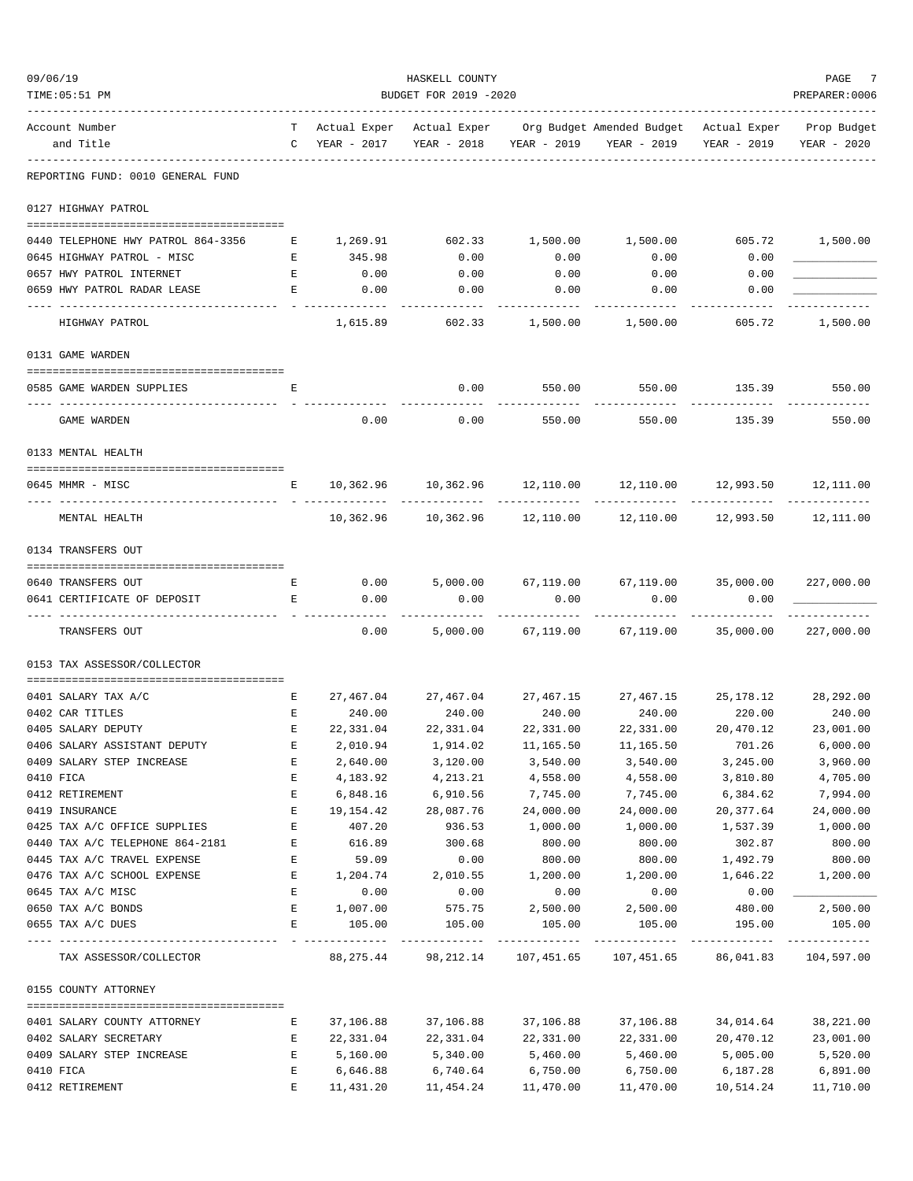| 09/06/19 |                                                      |                   |                 | HASKELL COUNTY                           |                             |                                                                                               |                            | PAGE           |
|----------|------------------------------------------------------|-------------------|-----------------|------------------------------------------|-----------------------------|-----------------------------------------------------------------------------------------------|----------------------------|----------------|
|          | TIME: 05:51 PM                                       |                   |                 | BUDGET FOR 2019 -2020                    |                             |                                                                                               |                            | PREPARER: 0006 |
|          | Account Number<br>and Title                          | $\mathbb{C}$      | YEAR - 2017     | YEAR - 2018                              | YEAR - 2019                 | T Actual Exper Actual Exper Org Budget Amended Budget Actual Exper Prop Budget<br>YEAR - 2019 | YEAR - 2019                | YEAR - 2020    |
|          | REPORTING FUND: 0010 GENERAL FUND                    |                   |                 |                                          |                             |                                                                                               |                            |                |
|          | 0127 HIGHWAY PATROL                                  |                   |                 |                                          |                             |                                                                                               |                            |                |
|          | 0440 TELEPHONE HWY PATROL 864-3356                   | Е                 | 1,269.91 602.33 |                                          | 1,500.00                    | 1,500.00                                                                                      | 605.72                     | 1,500.00       |
|          | 0645 HIGHWAY PATROL - MISC                           | Е                 | 345.98          | 0.00                                     | 0.00                        | 0.00                                                                                          | 0.00                       |                |
|          | 0657 HWY PATROL INTERNET                             | $\mathbf{E}$      | 0.00            | 0.00                                     | 0.00                        | 0.00                                                                                          | 0.00                       |                |
|          | 0659 HWY PATROL RADAR LEASE                          | E                 | 0.00            | 0.00                                     | 0.00                        | 0.00                                                                                          | 0.00                       |                |
|          | HIGHWAY PATROL                                       |                   | 1,615.89        | 602.33                                   | 1,500.00                    | 1,500.00                                                                                      | 605.72                     | 1,500.00       |
|          | 0131 GAME WARDEN                                     |                   |                 |                                          |                             |                                                                                               |                            |                |
|          |                                                      |                   |                 |                                          |                             |                                                                                               |                            |                |
|          | 0585 GAME WARDEN SUPPLIES                            | Е                 |                 | 0.00                                     | 550.00                      | 550.00                                                                                        |                            | 135.39 550.00  |
|          | <b>GAME WARDEN</b>                                   |                   | 0.00            | 0.00                                     | 550.00                      | 550.00                                                                                        | 135.39                     | 550.00         |
|          | 0133 MENTAL HEALTH                                   |                   |                 |                                          |                             |                                                                                               |                            |                |
|          | 0645 MHMR - MISC                                     | E                 |                 |                                          |                             | $10,362.96$ $10,362.96$ $12,110.00$ $12,110.00$ $12,993.50$ $12,111.00$                       |                            |                |
|          | MENTAL HEALTH                                        |                   |                 |                                          |                             | $10,362.96$ $10,362.96$ $12,110.00$ $12,110.00$ $12,993.50$ $12,111.00$                       |                            |                |
|          | 0134 TRANSFERS OUT                                   |                   |                 |                                          |                             |                                                                                               |                            |                |
|          | 0640 TRANSFERS OUT                                   | Е                 | 0.00            | 5,000.00                                 |                             | 67,119.00 67,119.00 35,000.00                                                                 |                            | 227,000.00     |
|          | 0641 CERTIFICATE OF DEPOSIT                          | E                 | 0.00            | 0.00                                     | 0.00                        | 0.00                                                                                          | 0.00                       |                |
|          | TRANSFERS OUT                                        |                   | 0.00            |                                          | .                           | -----------<br>5,000.00 67,119.00 67,119.00                                                   | 35,000.00                  | 227,000.00     |
|          | 0153 TAX ASSESSOR/COLLECTOR                          |                   |                 |                                          |                             |                                                                                               |                            |                |
|          |                                                      |                   |                 |                                          |                             |                                                                                               |                            |                |
|          | 0401 SALARY TAX A/C<br>0402 CAR TITLES               | Е<br>$\mathbf{E}$ | 240.00          | 240.00                                   | 240.00                      | $27,467.04$ $27,467.04$ $27,467.15$ $27,467.15$ $25,178.12$ $28,292.00$<br>240.00             | 220.00                     | 240.00         |
|          | 0405 SALARY DEPUTY                                   | $\mathbf{E}$      | 22,331.04       | 22,331.04                                | 22,331.00                   | 22,331.00                                                                                     | 20,470.12                  | 23,001.00      |
|          | 0406 SALARY ASSISTANT DEPUTY                         | Ε                 | 2,010.94        | 1,914.02                                 | 11,165.50                   | 11,165.50                                                                                     | 701.26                     | 6,000.00       |
|          | 0409 SALARY STEP INCREASE                            | E                 | 2,640.00        | 3,120.00                                 | 3,540.00                    | 3,540.00                                                                                      | 3,245.00                   | 3,960.00       |
|          | 0410 FICA                                            | Ε                 | 4,183.92        | 4,213.21                                 | 4,558.00                    | 4,558.00                                                                                      | 3,810.80                   | 4,705.00       |
|          | 0412 RETIREMENT                                      | E                 | 6,848.16        | 6,910.56                                 | 7,745.00                    | 7,745.00                                                                                      | 6,384.62                   | 7,994.00       |
|          | 0419 INSURANCE                                       | E                 | 19,154.42       | 28,087.76                                | 24,000.00                   | 24,000.00                                                                                     | 20, 377.64                 | 24,000.00      |
|          | 0425 TAX A/C OFFICE SUPPLIES                         | E                 | 407.20          | 936.53                                   | 1,000.00                    | 1,000.00                                                                                      | 1,537.39                   | 1,000.00       |
|          | 0440 TAX A/C TELEPHONE 864-2181                      | E                 | 616.89          | 300.68                                   | 800.00                      | 800.00                                                                                        | 302.87                     | 800.00         |
|          | 0445 TAX A/C TRAVEL EXPENSE                          | Е                 | 59.09           | 0.00                                     | 800.00                      | 800.00                                                                                        | 1,492.79                   | 800.00         |
|          | 0476 TAX A/C SCHOOL EXPENSE                          | Е                 | 1,204.74        | 2,010.55                                 | 1,200.00                    | 1,200.00                                                                                      | 1,646.22                   | 1,200.00       |
|          | 0645 TAX A/C MISC                                    | E                 | 0.00            | 0.00                                     | 0.00                        | 0.00                                                                                          | 0.00                       |                |
|          | 0650 TAX A/C BONDS                                   | Е                 | 1,007.00        | 575.75                                   | 2,500.00                    | 2,500.00                                                                                      | 480.00                     | 2,500.00       |
|          | 0655 TAX A/C DUES                                    | Е                 | 105.00          | 105.00                                   | 105.00                      | 105.00                                                                                        | 195.00                     | 105.00         |
|          | TAX ASSESSOR/COLLECTOR                               |                   | ----------      | -------------<br>88, 275. 44 98, 212. 14 | -------------<br>107,451.65 | -------------<br>107,451.65                                                                   | -------------<br>86,041.83 | 104,597.00     |
|          | 0155 COUNTY ATTORNEY                                 |                   |                 |                                          |                             |                                                                                               |                            |                |
|          |                                                      |                   | 37,106.88       | 37,106.88                                | 37,106.88                   | 37,106.88                                                                                     | 34,014.64                  | 38,221.00      |
|          | 0401 SALARY COUNTY ATTORNEY<br>0402 SALARY SECRETARY | Е<br>Е            | 22,331.04       |                                          | 22,331.00                   | 22,331.00                                                                                     | 20,470.12                  | 23,001.00      |
|          | 0409 SALARY STEP INCREASE                            | Е                 | 5,160.00        | 22,331.04<br>5,340.00                    | 5,460.00                    | 5,460.00                                                                                      | 5,005.00                   | 5,520.00       |
|          | 0410 FICA                                            | E                 | 6,646.88        | 6,740.64                                 | 6,750.00                    | 6,750.00                                                                                      | 6,187.28                   | 6,891.00       |
|          | 0412 RETIREMENT                                      | E                 | 11,431.20       | 11,454.24                                | 11,470.00                   | 11,470.00                                                                                     | 10,514.24                  | 11,710.00      |
|          |                                                      |                   |                 |                                          |                             |                                                                                               |                            |                |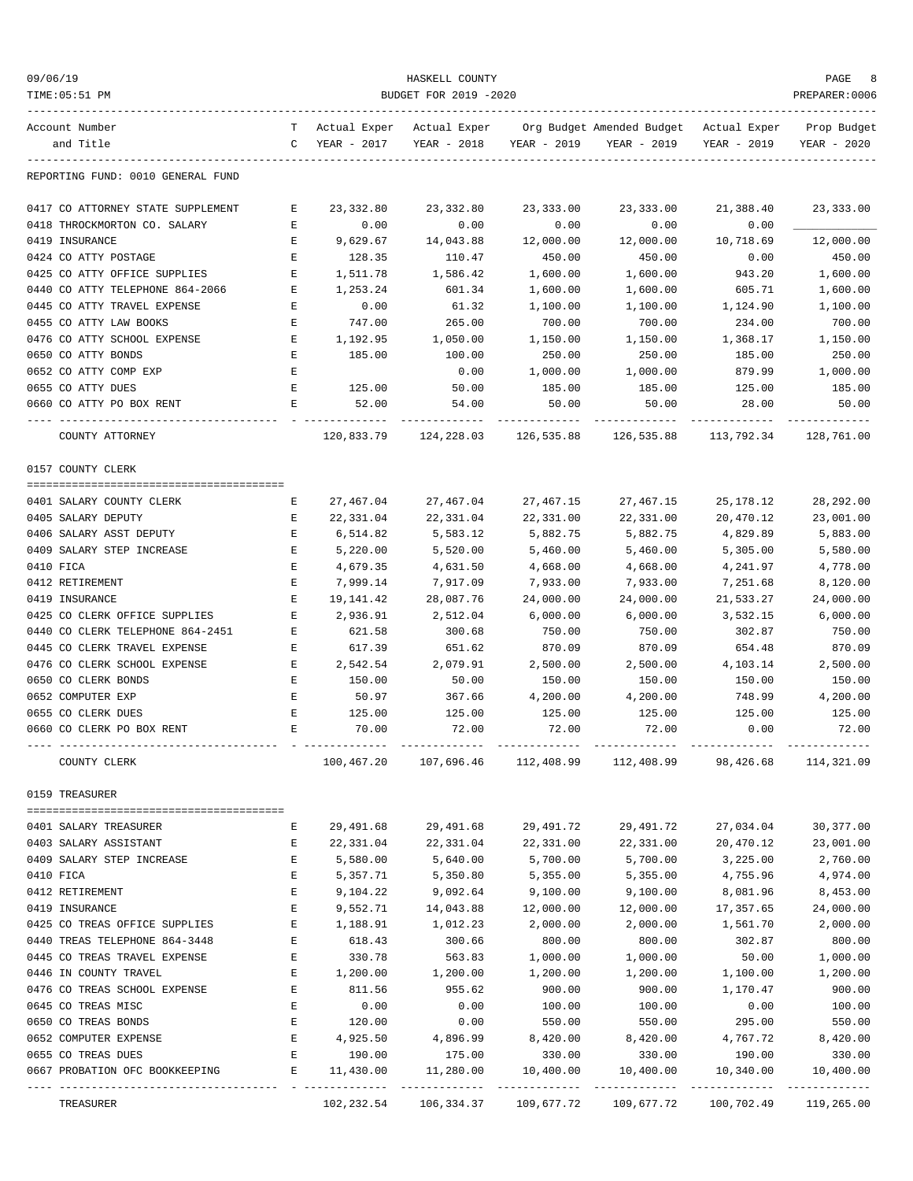| 09/06/19<br>TIME: 05:51 PM              | HASKELL COUNTY<br>BUDGET FOR 2019 -2020<br>PREPARER:0006 |               |                                         |               |                                                                                               |                            |                            |
|-----------------------------------------|----------------------------------------------------------|---------------|-----------------------------------------|---------------|-----------------------------------------------------------------------------------------------|----------------------------|----------------------------|
| Account Number<br>and Title             | $\mathbb{C}$                                             | YEAR - 2017   | YEAR - 2018                             | YEAR - 2019   | T Actual Exper Actual Exper Org Budget Amended Budget Actual Exper Prop Budget<br>YEAR - 2019 | YEAR - 2019                | YEAR - 2020                |
| REPORTING FUND: 0010 GENERAL FUND       |                                                          |               |                                         |               |                                                                                               |                            |                            |
| 0417 CO ATTORNEY STATE SUPPLEMENT       | Е                                                        | 23,332.80     | 23,332.80                               | 23,333.00     | 23,333.00                                                                                     | 21,388.40                  | 23,333.00                  |
| 0418 THROCKMORTON CO. SALARY            | Е                                                        | 0.00          | 0.00                                    | 0.00          | 0.00                                                                                          | 0.00                       |                            |
| 0419 INSURANCE                          | Е                                                        | 9,629.67      | 14,043.88                               | 12,000.00     | 12,000.00                                                                                     | 10,718.69                  | 12,000.00                  |
| 0424 CO ATTY POSTAGE                    | Е                                                        | 128.35        | 110.47                                  | 450.00        | 450.00                                                                                        | 0.00                       | 450.00                     |
| 0425 CO ATTY OFFICE SUPPLIES            | Е                                                        | 1,511.78      | 1,586.42                                | 1,600.00      | 1,600.00                                                                                      | 943.20                     | 1,600.00                   |
| 0440 CO ATTY TELEPHONE 864-2066         | E                                                        | 1,253.24      | 601.34                                  | 1,600.00      | 1,600.00                                                                                      | 605.71                     | 1,600.00                   |
| 0445 CO ATTY TRAVEL EXPENSE             | Е                                                        | 0.00          | 61.32                                   | 1,100.00      | 1,100.00                                                                                      | 1,124.90                   | 1,100.00                   |
| 0455 CO ATTY LAW BOOKS                  | E                                                        | 747.00        | 265.00                                  | 700.00        | 700.00                                                                                        | 234.00                     | 700.00                     |
| 0476 CO ATTY SCHOOL EXPENSE             | E                                                        | 1,192.95      | 1,050.00                                | 1,150.00      | 1,150.00                                                                                      | 1,368.17                   | 1,150.00                   |
| 0650 CO ATTY BONDS                      | Е                                                        | 185.00        | 100.00                                  | 250.00        | 250.00                                                                                        | 185.00                     | 250.00                     |
| 0652 CO ATTY COMP EXP                   | Е                                                        |               | 0.00                                    | 1,000.00      | 1,000.00                                                                                      | 879.99                     | 1,000.00                   |
| 0655 CO ATTY DUES                       | Е                                                        | 125.00        | 50.00                                   | 185.00        | 185.00                                                                                        | 125.00                     | 185.00                     |
| 0660 CO ATTY PO BOX RENT                | E                                                        | 52.00         | 54.00                                   | 50.00         | 50.00                                                                                         | 28.00                      | 50.00                      |
| ---- ---------------<br>COUNTY ATTORNEY |                                                          | ------------- | ______________<br>120,833.79 124,228.03 | ------------- | --------------<br>126,535.88 126,535.88                                                       | ------------<br>113,792.34 | ------------<br>128,761.00 |
| 0157 COUNTY CLERK                       |                                                          |               |                                         |               |                                                                                               |                            |                            |
|                                         |                                                          |               |                                         |               |                                                                                               |                            |                            |
| 0401 SALARY COUNTY CLERK                | Е                                                        | 27,467.04     | 27,467.04                               | 27,467.15     | 27,467.15                                                                                     | 25,178.12                  | 28,292.00                  |
| 0405 SALARY DEPUTY                      | Е                                                        | 22,331.04     | 22,331.04                               | 22,331.00     | 22,331.00                                                                                     | 20,470.12                  | 23,001.00                  |
| 0406 SALARY ASST DEPUTY                 | Е                                                        | 6,514.82      | 5,583.12                                | 5,882.75      | 5,882.75                                                                                      | 4,829.89                   | 5,883.00                   |
| 0409 SALARY STEP INCREASE               | E                                                        | 5,220.00      | 5,520.00                                | 5,460.00      | 5,460.00                                                                                      | 5,305.00                   | 5,580.00                   |
| 0410 FICA                               | $\mathbf E$                                              | 4,679.35      | 4,631.50                                | 4,668.00      | 4,668.00                                                                                      | 4,241.97                   | 4,778.00                   |
| 0412 RETIREMENT                         | E                                                        | 7,999.14      | 7,917.09                                | 7,933.00      | 7,933.00                                                                                      | 7,251.68                   | 8,120.00                   |
| 0419 INSURANCE                          | Е                                                        | 19,141.42     | 28,087.76                               | 24,000.00     | 24,000.00                                                                                     | 21,533.27                  | 24,000.00                  |
| 0425 CO CLERK OFFICE SUPPLIES           | E                                                        | 2,936.91      | 2,512.04                                | 6,000.00      | 6,000.00                                                                                      | 3,532.15                   | 6,000.00                   |
| 0440 CO CLERK TELEPHONE 864-2451        | Е                                                        | 621.58        | 300.68                                  | 750.00        | 750.00                                                                                        | 302.87                     | 750.00                     |
| 0445 CO CLERK TRAVEL EXPENSE            | Е                                                        | 617.39        | 651.62                                  | 870.09        | 870.09                                                                                        | 654.48                     | 870.09                     |
| 0476 CO CLERK SCHOOL EXPENSE            | E                                                        | 2,542.54      | 2,079.91                                | 2,500.00      | 2,500.00                                                                                      | 4,103.14                   | 2,500.00                   |
| 0650 CO CLERK BONDS                     | Е                                                        | 150.00        | 50.00                                   | 150.00        | 150.00                                                                                        | 150.00                     | 150.00                     |
| 0652 COMPUTER EXP                       | Е                                                        | 50.97         | 367.66                                  | 4,200.00      | 4,200.00                                                                                      | 748.99                     | 4,200.00                   |
| 0655 CO CLERK DUES                      | E                                                        | 125.00        | 125.00                                  | 125.00        | 125.00                                                                                        | 125.00                     | 125.00                     |
| 0660 CO CLERK PO BOX RENT               | E                                                        | 70.00         | 72.00                                   | 72.00         | 72.00                                                                                         | 0.00                       | 72.00                      |
| COUNTY CLERK                            |                                                          |               |                                         |               | 100,467.20 107,696.46 112,408.99 112,408.99 98,426.68 114,321.09                              |                            |                            |
| 0159 TREASURER                          |                                                          |               |                                         |               |                                                                                               |                            |                            |
| 0401 SALARY TREASURER                   | Е                                                        | 29,491.68     | 29,491.68                               | 29,491.72     | 29,491.72                                                                                     | 27,034.04                  | 30,377.00                  |
| 0403 SALARY ASSISTANT                   | E                                                        | 22,331.04     | 22,331.04                               | 22,331.00     | 22,331.00                                                                                     | 20,470.12                  | 23,001.00                  |
| 0409 SALARY STEP INCREASE               | E                                                        | 5,580.00      | 5,640.00                                | 5,700.00      | 5,700.00                                                                                      | 3,225.00                   | 2,760.00                   |
| 0410 FICA                               | Е                                                        | 5,357.71      | 5,350.80                                | 5,355.00      | 5,355.00                                                                                      | 4,755.96                   | 4,974.00                   |
| 0412 RETIREMENT                         | Е                                                        | 9,104.22      | 9,092.64                                | 9,100.00      | 9,100.00                                                                                      | 8,081.96                   | 8,453.00                   |
| 0419 INSURANCE                          | $\mathbf E$                                              | 9,552.71      | 14,043.88                               | 12,000.00     | 12,000.00                                                                                     | 17,357.65                  | 24,000.00                  |
| 0425 CO TREAS OFFICE SUPPLIES           | $\mathbf E$                                              | 1,188.91      | 1,012.23                                | 2,000.00      | 2,000.00                                                                                      | 1,561.70                   | 2,000.00                   |
| 0440 TREAS TELEPHONE 864-3448           | $\mathbf E$                                              | 618.43        | 300.66                                  | 800.00        | 800.00                                                                                        | 302.87                     | 800.00                     |
| 0445 CO TREAS TRAVEL EXPENSE            | E                                                        | 330.78        | 563.83                                  | 1,000.00      | 1,000.00                                                                                      | 50.00                      | 1,000.00                   |
| 0446 IN COUNTY TRAVEL                   | E                                                        | 1,200.00      | 1,200.00                                | 1,200.00      | 1,200.00                                                                                      | 1,100.00                   | 1,200.00                   |
| 0476 CO TREAS SCHOOL EXPENSE            | E                                                        | 811.56        | 955.62                                  | 900.00        | 900.00                                                                                        | 1,170.47                   | 900.00                     |
| 0645 CO TREAS MISC                      | $\mathbf E$                                              | 0.00          | 0.00                                    | 100.00        | 100.00                                                                                        | 0.00                       | 100.00                     |
| 0650 CO TREAS BONDS                     | E                                                        | 120.00        | 0.00                                    | 550.00        | 550.00                                                                                        | 295.00                     | 550.00                     |
| 0652 COMPUTER EXPENSE                   | E                                                        | 4,925.50      | 4,896.99                                | 8,420.00      | 8,420.00                                                                                      | 4,767.72                   | 8,420.00                   |
| 0655 CO TREAS DUES                      | Е                                                        | 190.00        | 175.00                                  | 330.00        | 330.00                                                                                        | 190.00                     | 330.00                     |
| 0667 PROBATION OFC BOOKKEEPING          | Е                                                        | 11,430.00     | 11,280.00                               | 10,400.00     | 10,400.00                                                                                     | 10,340.00                  | 10,400.00                  |
| TREASURER                               |                                                          | 102,232.54    | 106,334.37                              |               | 109,677.72 109,677.72                                                                         | 100,702.49                 | 119,265.00                 |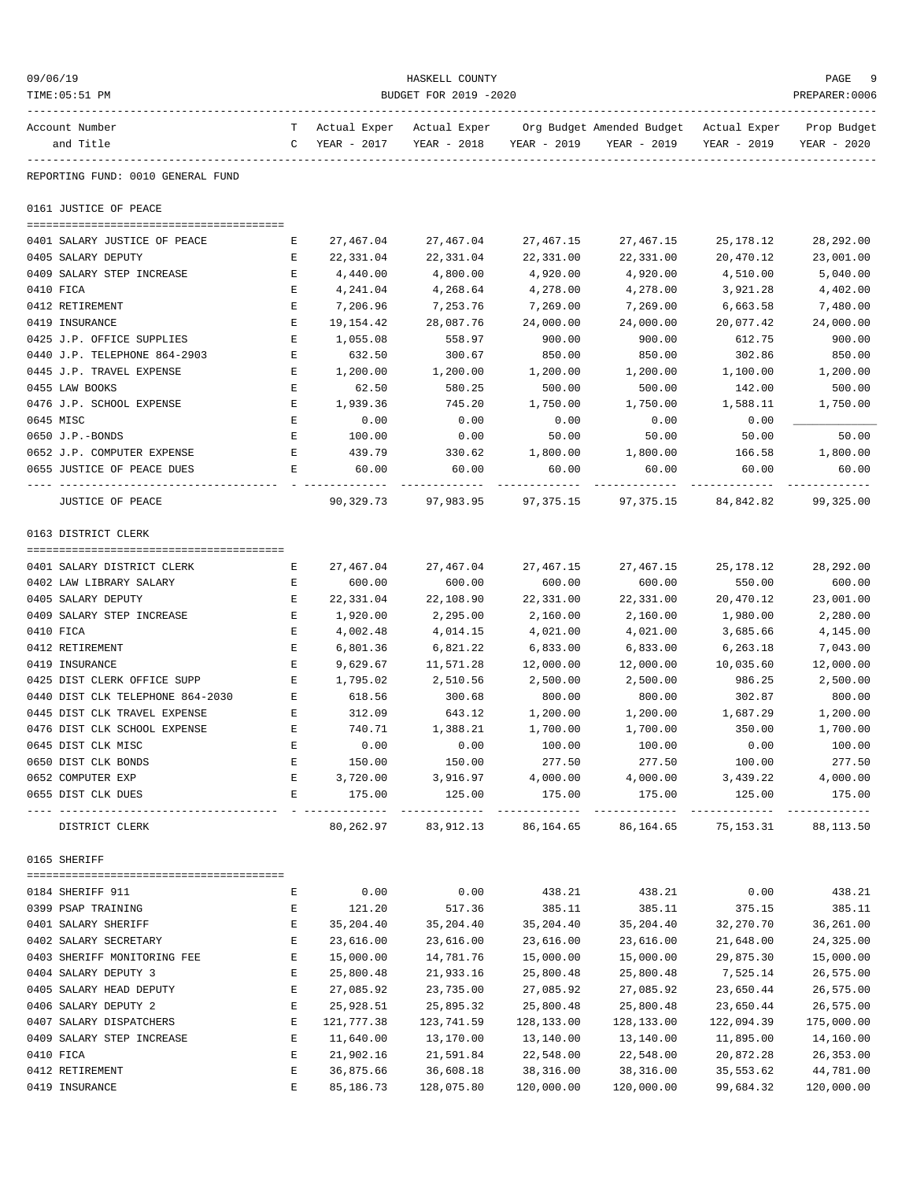| 09/06/19<br>TIME: 05:51 PM                            | HASKELL COUNTY<br>BUDGET FOR 2019 -2020<br>PREPARER: 0006 |                                            |                        |                        |                                                                               |                                           |                            |  |
|-------------------------------------------------------|-----------------------------------------------------------|--------------------------------------------|------------------------|------------------------|-------------------------------------------------------------------------------|-------------------------------------------|----------------------------|--|
| Account Number<br>and Title                           | $\mathbb{C}$                                              | T Actual Exper Actual Exper<br>YEAR - 2017 |                        |                        | Org Budget Amended Budget Actual Exper<br>YEAR - 2018 YEAR - 2019 YEAR - 2019 | YEAR - 2019                               | Prop Budget<br>YEAR - 2020 |  |
| REPORTING FUND: 0010 GENERAL FUND                     |                                                           |                                            |                        |                        |                                                                               |                                           |                            |  |
| 0161 JUSTICE OF PEACE                                 |                                                           |                                            |                        |                        |                                                                               |                                           |                            |  |
| 0401 SALARY JUSTICE OF PEACE                          | Е                                                         | 27,467.04                                  | 27,467.04              | 27,467.15              | 27,467.15                                                                     | 25,178.12                                 | 28, 292.00                 |  |
| 0405 SALARY DEPUTY                                    | Е                                                         | 22,331.04                                  | 22,331.04              | 22,331.00              | 22,331.00                                                                     | 20,470.12                                 | 23,001.00                  |  |
| 0409 SALARY STEP INCREASE                             | Е                                                         | 4,440.00                                   | 4,800.00               | 4,920.00               | 4,920.00                                                                      | 4,510.00                                  | 5,040.00                   |  |
| 0410 FICA                                             | Е                                                         | 4,241.04                                   | 4,268.64               | 4,278.00               | 4,278.00                                                                      | 3,921.28                                  | 4,402.00                   |  |
| 0412 RETIREMENT                                       | E                                                         | 7,206.96                                   | 7,253.76               | 7,269.00               | 7,269.00                                                                      | 6,663.58                                  | 7,480.00                   |  |
| 0419 INSURANCE                                        | Ε                                                         | 19,154.42                                  | 28,087.76              | 24,000.00              | 24,000.00                                                                     | 20,077.42                                 | 24,000.00                  |  |
| 0425 J.P. OFFICE SUPPLIES                             | Е                                                         | 1,055.08                                   | 558.97                 | 900.00                 | 900.00                                                                        | 612.75                                    | 900.00                     |  |
| 0440 J.P. TELEPHONE 864-2903                          | Е                                                         | 632.50                                     | 300.67                 | 850.00                 | 850.00                                                                        | 302.86                                    | 850.00                     |  |
| 0445 J.P. TRAVEL EXPENSE                              | Е                                                         | 1,200.00                                   | 1,200.00               | 1,200.00               | 1,200.00                                                                      | 1,100.00                                  | 1,200.00                   |  |
| 0455 LAW BOOKS                                        | Е                                                         | 62.50                                      | 580.25                 | 500.00                 | 500.00                                                                        | 142.00                                    | 500.00                     |  |
| 0476 J.P. SCHOOL EXPENSE                              | Е                                                         | 1,939.36                                   | 745.20                 | 1,750.00               | 1,750.00                                                                      | 1,588.11                                  | 1,750.00                   |  |
| 0645 MISC                                             | Ε                                                         | 0.00                                       | 0.00                   | 0.00                   | 0.00                                                                          | 0.00                                      |                            |  |
| 0650 J.P.-BONDS                                       | Е                                                         | 100.00                                     | 0.00                   | 50.00                  | 50.00                                                                         | 50.00                                     | 50.00                      |  |
| 0652 J.P. COMPUTER EXPENSE                            | Е                                                         | 439.79                                     | 330.62                 | 1,800.00               | 1,800.00                                                                      | 166.58                                    | 1,800.00                   |  |
| 0655 JUSTICE OF PEACE DUES                            | Е                                                         | 60.00                                      | 60.00                  | 60.00                  | 60.00                                                                         | 60.00                                     | 60.00                      |  |
| JUSTICE OF PEACE                                      |                                                           | 90,329.73                                  | 97,983.95              | 97,375.15              | 97,375.15                                                                     | 84,842.82                                 | 99,325.00                  |  |
| 0163 DISTRICT CLERK                                   |                                                           |                                            |                        |                        |                                                                               |                                           |                            |  |
|                                                       |                                                           |                                            |                        |                        |                                                                               |                                           |                            |  |
| 0401 SALARY DISTRICT CLERK<br>0402 LAW LIBRARY SALARY | Е<br>Е                                                    | 27,467.04<br>600.00                        | 27,467.04<br>600.00    | 27,467.15              | 27,467.15<br>600.00                                                           | 25,178.12<br>550.00                       | 28,292.00<br>600.00        |  |
| 0405 SALARY DEPUTY                                    | Е                                                         | 22,331.04                                  | 22,108.90              | 600.00<br>22,331.00    | 22,331.00                                                                     | 20,470.12                                 | 23,001.00                  |  |
| 0409 SALARY STEP INCREASE                             | E                                                         | 1,920.00                                   | 2,295.00               | 2,160.00               | 2,160.00                                                                      | 1,980.00                                  | 2,280.00                   |  |
| 0410 FICA                                             | Е                                                         | 4,002.48                                   | 4,014.15               | 4,021.00               | 4,021.00                                                                      | 3,685.66                                  | 4,145.00                   |  |
| 0412 RETIREMENT                                       | Ε                                                         | 6,801.36                                   | 6,821.22               | 6,833.00               | 6,833.00                                                                      | 6,263.18                                  | 7,043.00                   |  |
| 0419 INSURANCE                                        | E                                                         | 9,629.67                                   | 11,571.28              | 12,000.00              | 12,000.00                                                                     | 10,035.60                                 | 12,000.00                  |  |
| 0425 DIST CLERK OFFICE SUPP                           | E                                                         | 1,795.02                                   | 2,510.56               | 2,500.00               | 2,500.00                                                                      | 986.25                                    | 2,500.00                   |  |
| 0440 DIST CLK TELEPHONE 864-2030                      | E                                                         | 618.56                                     | 300.68                 | 800.00                 | 800.00                                                                        | 302.87                                    | 800.00                     |  |
| 0445 DIST CLK TRAVEL EXPENSE                          | Е                                                         | 312.09                                     | 643.12                 | 1,200.00               | 1,200.00                                                                      | 1,687.29                                  | 1,200.00                   |  |
| 0476 DIST CLK SCHOOL EXPENSE                          | Ε                                                         | 740.71                                     | 1,388.21               | 1,700.00               | 1,700.00                                                                      | 350.00                                    | 1,700.00                   |  |
| 0645 DIST CLK MISC                                    | Ε                                                         | 0.00                                       | 0.00                   | 100.00                 | 100.00                                                                        | 0.00                                      | 100.00                     |  |
| 0650 DIST CLK BONDS                                   | Е                                                         | 150.00                                     | 150.00                 | 277.50                 | 277.50                                                                        | 100.00                                    | 277.50                     |  |
| 0652 COMPUTER EXP                                     | E                                                         | 3,720.00                                   | 3,916.97               | 4,000.00               | 4,000.00                                                                      | 3,439.22                                  | 4,000.00                   |  |
| 0655 DIST CLK DUES                                    | E                                                         | 175.00                                     | 125.00                 | 175.00                 | 175.00                                                                        | 125.00                                    | 175.00                     |  |
| DISTRICT CLERK                                        |                                                           |                                            | 80,262.97 83,912.13    | 86,164.65              |                                                                               | ______________<br>86, 164. 65 75, 153. 31 | 88,113.50                  |  |
| 0165 SHERIFF                                          |                                                           |                                            |                        |                        |                                                                               |                                           |                            |  |
| 0184 SHERIFF 911                                      |                                                           |                                            | 0.00                   |                        |                                                                               | 0.00                                      |                            |  |
|                                                       | Е                                                         | 0.00                                       | 517.36                 | 438.21<br>385.11       | 438.21                                                                        |                                           | 438.21                     |  |
| 0399 PSAP TRAINING<br>0401 SALARY SHERIFF             | Е<br>Е                                                    | 121.20<br>35, 204.40                       | 35,204.40              | 35,204.40              | 385.11<br>35,204.40                                                           | 375.15<br>32,270.70                       | 385.11<br>36,261.00        |  |
|                                                       | Е                                                         |                                            |                        |                        |                                                                               |                                           |                            |  |
| 0402 SALARY SECRETARY<br>0403 SHERIFF MONITORING FEE  | Е                                                         | 23,616.00<br>15,000.00                     | 23,616.00<br>14,781.76 | 23,616.00<br>15,000.00 | 23,616.00<br>15,000.00                                                        | 21,648.00<br>29,875.30                    | 24,325.00<br>15,000.00     |  |
| 0404 SALARY DEPUTY 3                                  | Е                                                         | 25,800.48                                  | 21,933.16              | 25,800.48              | 25,800.48                                                                     | 7,525.14                                  | 26,575.00                  |  |
| 0405 SALARY HEAD DEPUTY                               | Е                                                         | 27,085.92                                  | 23,735.00              | 27,085.92              | 27,085.92                                                                     | 23,650.44                                 | 26,575.00                  |  |
| 0406 SALARY DEPUTY 2                                  | Ε                                                         | 25,928.51                                  | 25,895.32              | 25,800.48              | 25,800.48                                                                     | 23,650.44                                 | 26,575.00                  |  |
| 0407 SALARY DISPATCHERS                               | Ε                                                         | 121,777.38                                 | 123,741.59             | 128,133.00             | 128,133.00                                                                    | 122,094.39                                | 175,000.00                 |  |
| 0409 SALARY STEP INCREASE                             | Е                                                         | 11,640.00                                  | 13,170.00              | 13,140.00              | 13,140.00                                                                     | 11,895.00                                 | 14,160.00                  |  |
| 0410 FICA                                             | Е                                                         | 21,902.16                                  | 21,591.84              | 22,548.00              | 22,548.00                                                                     | 20,872.28                                 | 26,353.00                  |  |
| 0412 RETIREMENT                                       | Ε                                                         | 36,875.66                                  | 36,608.18              | 38,316.00              | 38,316.00                                                                     | 35,553.62                                 | 44,781.00                  |  |
| 0419 INSURANCE                                        | Е                                                         | 85,186.73                                  | 128,075.80             | 120,000.00             | 120,000.00                                                                    | 99,684.32                                 | 120,000.00                 |  |
|                                                       |                                                           |                                            |                        |                        |                                                                               |                                           |                            |  |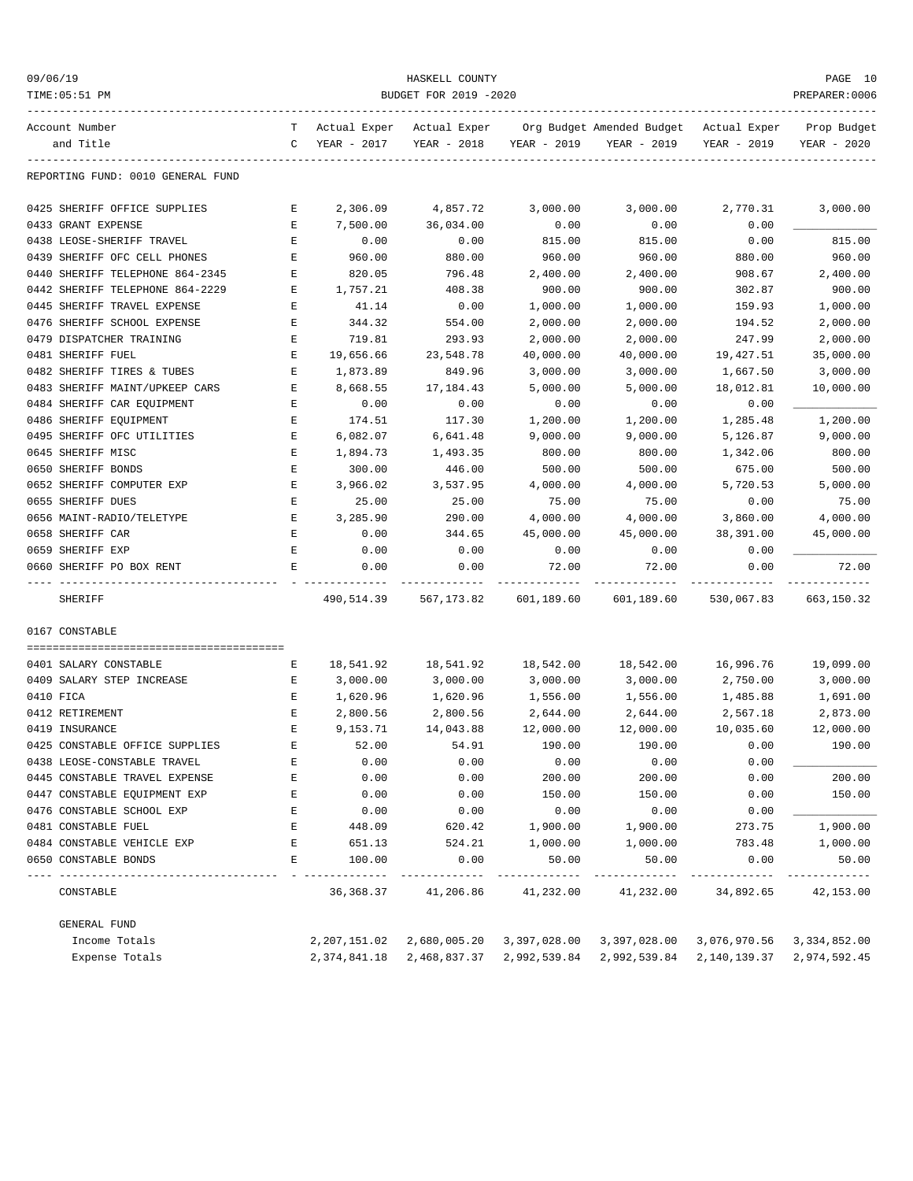| 09/06/19<br>TIME: 05:51 PM                         | HASKELL COUNTY<br>BUDGET FOR 2019 -2020<br>PREPARER: 0006 |                             |                             |                      |                                          |                             |                            |
|----------------------------------------------------|-----------------------------------------------------------|-----------------------------|-----------------------------|----------------------|------------------------------------------|-----------------------------|----------------------------|
| Account Number<br>and Title                        | T<br>C                                                    | Actual Exper<br>YEAR - 2017 | Actual Exper<br>YEAR - 2018 | YEAR - 2019          | Org Budget Amended Budget<br>YEAR - 2019 | Actual Exper<br>YEAR - 2019 | Prop Budget<br>YEAR - 2020 |
| REPORTING FUND: 0010 GENERAL FUND                  |                                                           |                             |                             |                      |                                          |                             |                            |
| 0425 SHERIFF OFFICE SUPPLIES                       | Е                                                         | 2,306.09                    | 4,857.72                    | 3,000.00             | 3,000.00                                 | 2,770.31                    | 3,000.00                   |
| 0433 GRANT EXPENSE                                 | E                                                         | 7,500.00                    | 36,034.00                   | 0.00                 | 0.00                                     | 0.00                        |                            |
| 0438 LEOSE-SHERIFF TRAVEL                          | Ε                                                         | 0.00                        | 0.00                        | 815.00               | 815.00                                   | 0.00                        | 815.00                     |
| 0439 SHERIFF OFC CELL PHONES                       | Ε                                                         | 960.00                      | 880.00                      | 960.00               | 960.00                                   | 880.00                      | 960.00                     |
| 0440 SHERIFF TELEPHONE 864-2345                    | E                                                         | 820.05                      | 796.48                      | 2,400.00             | 2,400.00                                 | 908.67                      | 2,400.00                   |
| 0442 SHERIFF TELEPHONE 864-2229                    | Е                                                         | 1,757.21                    | 408.38                      | 900.00               | 900.00                                   | 302.87                      | 900.00                     |
| 0445 SHERIFF TRAVEL EXPENSE                        | Ε                                                         | 41.14                       | 0.00                        | 1,000.00             | 1,000.00                                 | 159.93                      | 1,000.00                   |
| 0476 SHERIFF SCHOOL EXPENSE                        | Ε                                                         | 344.32                      | 554.00                      | 2,000.00             | 2,000.00                                 | 194.52                      | 2,000.00                   |
| 0479 DISPATCHER TRAINING                           | Ε                                                         | 719.81                      | 293.93                      | 2,000.00             | 2,000.00                                 | 247.99                      | 2,000.00                   |
| 0481 SHERIFF FUEL                                  | Ε                                                         | 19,656.66                   | 23,548.78                   | 40,000.00            | 40,000.00                                | 19,427.51                   | 35,000.00                  |
| 0482 SHERIFF TIRES & TUBES                         | E                                                         | 1,873.89                    | 849.96                      | 3,000.00             | 3,000.00                                 | 1,667.50                    | 3,000.00                   |
| 0483 SHERIFF MAINT/UPKEEP CARS                     | E                                                         | 8,668.55                    | 17,184.43                   | 5,000.00             | 5,000.00                                 | 18,012.81                   | 10,000.00                  |
| 0484 SHERIFF CAR EQUIPMENT                         | Ε                                                         | 0.00                        | 0.00                        | 0.00                 | 0.00                                     | 0.00                        |                            |
| 0486 SHERIFF EQUIPMENT                             | Ε                                                         | 174.51                      | 117.30                      | 1,200.00             | 1,200.00                                 | 1,285.48                    | 1,200.00                   |
| 0495 SHERIFF OFC UTILITIES                         | Е                                                         | 6,082.07                    | 6,641.48                    | 9,000.00             | 9,000.00                                 | 5,126.87                    | 9,000.00                   |
| 0645 SHERIFF MISC                                  | E                                                         | 1,894.73                    | 1,493.35                    | 800.00               | 800.00                                   | 1,342.06                    | 800.00                     |
| 0650 SHERIFF BONDS                                 | E                                                         | 300.00                      | 446.00                      | 500.00               | 500.00                                   | 675.00                      | 500.00                     |
| 0652 SHERIFF COMPUTER EXP                          | Е                                                         | 3,966.02                    | 3,537.95                    | 4,000.00             | 4,000.00                                 | 5,720.53                    | 5,000.00                   |
| 0655 SHERIFF DUES                                  | Ε                                                         | 25.00                       | 25.00                       | 75.00                | 75.00                                    | 0.00                        | 75.00                      |
| 0656 MAINT-RADIO/TELETYPE                          | Е                                                         | 3,285.90                    | 290.00                      | 4,000.00             | 4,000.00                                 | 3,860.00                    | 4,000.00                   |
| 0658 SHERIFF CAR                                   | E                                                         | 0.00                        | 344.65                      | 45,000.00            | 45,000.00                                | 38,391.00                   | 45,000.00                  |
| 0659 SHERIFF EXP                                   | E                                                         | 0.00                        | 0.00                        | 0.00                 | 0.00                                     | 0.00                        |                            |
| 0660 SHERIFF PO BOX RENT                           | Ε                                                         | 0.00                        | 0.00                        | 72.00                | 72.00                                    | 0.00                        | 72.00                      |
| SHERIFF                                            |                                                           | 490,514.39                  | 567,173.82                  | 601,189.60           | 601,189.60                               | 530,067.83                  | 663,150.32                 |
| 0167 CONSTABLE                                     |                                                           |                             |                             |                      |                                          |                             |                            |
| 0401 SALARY CONSTABLE                              |                                                           |                             |                             |                      | 18,542.00                                |                             |                            |
|                                                    | Е                                                         | 18,541.92                   | 18,541.92                   | 18,542.00            |                                          | 16,996.76                   | 19,099.00                  |
| 0409 SALARY STEP INCREASE                          | Е                                                         | 3,000.00                    | 3,000.00                    | 3,000.00<br>1,556.00 | 3,000.00                                 | 2,750.00                    | 3,000.00                   |
| 0410 FICA                                          | Ε                                                         | 1,620.96                    | 1,620.96                    |                      | 1,556.00                                 | 1,485.88                    | 1,691.00                   |
| 0412 RETIREMENT                                    | Ε<br>E                                                    | 2,800.56<br>9,153.71        | 2,800.56                    | 2,644.00             | 2,644.00                                 | 2,567.18                    | 2,873.00                   |
| 0419 INSURANCE                                     |                                                           |                             | 14,043.88                   | 12,000.00            | 12,000.00                                | 10,035.60                   | 12,000.00                  |
| 0425 CONSTABLE OFFICE SUPPLIES                     | Ε                                                         | 52.00                       | 54.91                       | 190.00               | 190.00                                   | 0.00                        | 190.00                     |
| 0438 LEOSE-CONSTABLE TRAVEL                        | E                                                         | 0.00                        | 0.00                        | 0.00                 | 0.00                                     | 0.00                        |                            |
| 0445 CONSTABLE TRAVEL EXPENSE                      | Ε                                                         | 0.00                        | 0.00                        | 200.00               | 200.00                                   | 0.00                        | 200.00                     |
| 0447 CONSTABLE EQUIPMENT EXP                       | Ε                                                         | 0.00                        | 0.00                        | 150.00               | 150.00                                   | 0.00                        | 150.00                     |
| 0476 CONSTABLE SCHOOL EXP                          | Ε                                                         | 0.00                        | 0.00                        | 0.00                 | 0.00                                     | 0.00                        |                            |
| 0481 CONSTABLE FUEL                                | Ε                                                         | 448.09                      | 620.42                      | 1,900.00             | 1,900.00                                 | 273.75                      | 1,900.00                   |
| 0484 CONSTABLE VEHICLE EXP<br>0650 CONSTABLE BONDS | E<br>E                                                    | 651.13<br>100.00            | 524.21<br>0.00              | 1,000.00<br>50.00    | 1,000.00<br>50.00                        | 783.48<br>0.00              | 1,000.00<br>50.00          |
|                                                    |                                                           |                             |                             |                      |                                          |                             |                            |
| CONSTABLE                                          |                                                           | 36, 368.37                  | 41,206.86                   | 41,232.00            | 41,232.00                                | 34,892.65                   | 42,153.00                  |
| GENERAL FUND                                       |                                                           |                             |                             |                      |                                          |                             |                            |
| Income Totals                                      |                                                           | 2,207,151.02                | 2,680,005.20                | 3,397,028.00         | 3,397,028.00                             | 3,076,970.56                | 3,334,852.00               |
| Expense Totals                                     |                                                           | 2,374,841.18                | 2,468,837.37                | 2,992,539.84         | 2,992,539.84                             | 2,140,139.37                | 2,974,592.45               |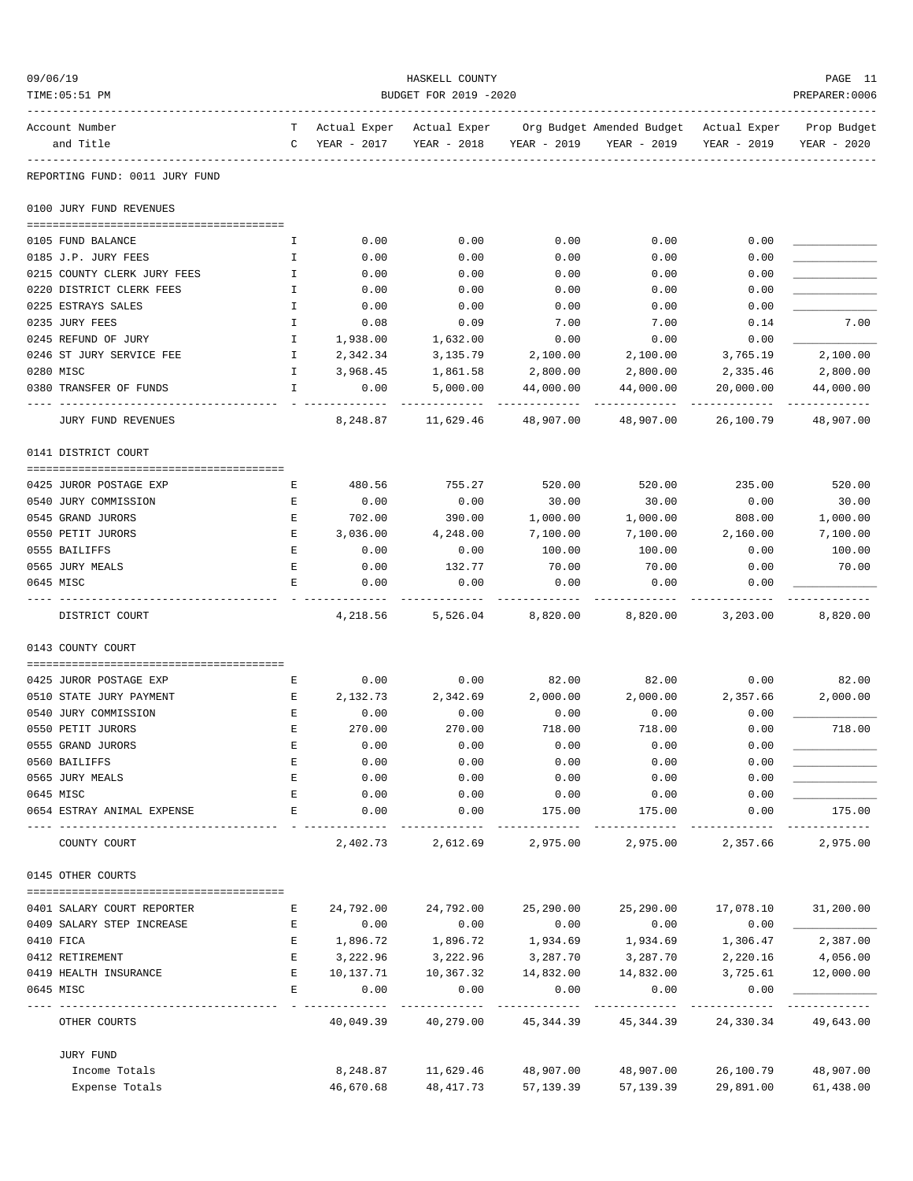| 09/06/19 | TIME: 05:51 PM                 |                    |                             | HASKELL COUNTY<br>BUDGET FOR 2019 -2020 |             |                                          |                             | PAGE 11<br>PREPARER: 0006  |
|----------|--------------------------------|--------------------|-----------------------------|-----------------------------------------|-------------|------------------------------------------|-----------------------------|----------------------------|
|          | Account Number<br>and Title    | T.<br>$\mathsf{C}$ | Actual Exper<br>YEAR - 2017 | Actual Exper<br>YEAR - 2018             | YEAR - 2019 | Org Budget Amended Budget<br>YEAR - 2019 | Actual Exper<br>YEAR - 2019 | Prop Budget<br>YEAR - 2020 |
|          | REPORTING FUND: 0011 JURY FUND |                    |                             |                                         |             |                                          |                             |                            |
|          | 0100 JURY FUND REVENUES        |                    |                             |                                         |             |                                          |                             |                            |
|          | 0105 FUND BALANCE              | I.                 | 0.00                        | 0.00                                    | 0.00        | 0.00                                     | 0.00                        |                            |
|          | 0185 J.P. JURY FEES            | I.                 | 0.00                        | 0.00                                    | 0.00        | 0.00                                     | 0.00                        |                            |
|          | 0215 COUNTY CLERK JURY FEES    | $\mathbbm{I}$      | 0.00                        | 0.00                                    | 0.00        | 0.00                                     | 0.00                        |                            |
|          | 0220 DISTRICT CLERK FEES       | Ι.                 | 0.00                        | 0.00                                    | 0.00        | 0.00                                     | 0.00                        |                            |
|          | 0225 ESTRAYS SALES             | I.                 | 0.00                        | 0.00                                    | 0.00        | 0.00                                     | 0.00                        |                            |
|          | 0235 JURY FEES                 | I.                 | 0.08                        | 0.09                                    | 7.00        | 7.00                                     | 0.14                        | 7.00                       |
|          | 0245 REFUND OF JURY            | Ι.                 | 1,938.00                    | 1,632.00                                | 0.00        | 0.00                                     | 0.00                        |                            |
|          | 0246 ST JURY SERVICE FEE       | I                  | 2,342.34                    | 3,135.79                                | 2,100.00    | 2,100.00                                 | 3,765.19                    | 2,100.00                   |
|          | 0280 MISC                      | I.                 | 3,968.45                    | 1,861.58                                | 2,800.00    | 2,800.00                                 | 2,335.46                    | 2,800.00                   |
|          | 0380 TRANSFER OF FUNDS         | $\mathbf I$        | 0.00                        | 5,000.00                                | 44,000.00   | 44,000.00                                | 20,000.00                   | 44,000.00<br>----------    |
|          | <b>JURY FUND REVENUES</b>      |                    | 8,248.87                    | 11,629.46                               | 48,907.00   | 48,907.00                                | 26,100.79                   | 48,907.00                  |
|          | 0141 DISTRICT COURT            |                    |                             |                                         |             |                                          |                             |                            |
|          | 0425 JUROR POSTAGE EXP         | E                  | 480.56                      | 755.27                                  | 520.00      | 520.00                                   | 235.00                      | 520.00                     |
|          | 0540 JURY COMMISSION           | Е                  | 0.00                        | 0.00                                    | 30.00       | 30.00                                    | 0.00                        | 30.00                      |
|          | 0545 GRAND JURORS              | Е                  | 702.00                      | 390.00                                  | 1,000.00    | 1,000.00                                 | 808.00                      | 1,000.00                   |
|          | 0550 PETIT JURORS              | E                  | 3,036.00                    | 4,248.00                                | 7,100.00    | 7,100.00                                 | 2,160.00                    | 7,100.00                   |
|          | 0555 BAILIFFS                  | Е                  | 0.00                        | 0.00                                    | 100.00      | 100.00                                   | 0.00                        | 100.00                     |
|          | 0565 JURY MEALS                | E                  | 0.00                        | 132.77                                  | 70.00       | 70.00                                    | 0.00                        | 70.00                      |
|          | 0645 MISC                      | Ε                  | 0.00                        | 0.00                                    | 0.00        | 0.00                                     | 0.00                        |                            |
|          | DISTRICT COURT                 |                    | 4,218.56                    | 5,526.04                                | 8,820.00    | 8,820.00                                 | 3,203.00                    | 8,820.00                   |
|          | 0143 COUNTY COURT              |                    |                             |                                         |             |                                          |                             |                            |
|          | 0425 JUROR POSTAGE EXP         | Е                  | 0.00                        | 0.00                                    | 82.00       | 82.00                                    | 0.00                        | 82.00                      |
|          | 0510 STATE JURY PAYMENT        | Е                  | 2,132.73                    | 2,342.69                                | 2,000.00    | 2,000.00                                 | 2,357.66                    | 2,000.00                   |
|          | 0540 JURY COMMISSION           | E                  | 0.00                        | 0.00                                    | 0.00        | 0.00                                     | 0.00                        |                            |
|          | 0550 PETIT JURORS              | E                  | 270.00                      | 270.00                                  | 718.00      | 718.00                                   | 0.00                        | 718.00                     |
|          | 0555 GRAND JURORS              | Е                  | 0.00                        | 0.00                                    | 0.00        | 0.00                                     | 0.00                        |                            |
|          | 0560 BAILIFFS                  | E                  | 0.00                        | 0.00                                    | 0.00        | 0.00                                     | 0.00                        |                            |
|          | 0565 JURY MEALS                | E                  | 0.00                        | 0.00                                    | 0.00        | 0.00                                     | 0.00                        |                            |
|          | 0645 MISC                      | E                  | 0.00                        | 0.00                                    | 0.00        | 0.00                                     | 0.00                        |                            |
|          | 0654 ESTRAY ANIMAL EXPENSE     | E                  | 0.00                        | 0.00                                    | 175.00      | 175.00                                   | 0.00                        | 175.00                     |
|          | COUNTY COURT                   |                    | 2,402.73                    | 2,612.69                                | 2,975.00    | 2,975.00                                 | 2,357.66                    | 2,975.00                   |
|          | 0145 OTHER COURTS              |                    |                             |                                         |             |                                          |                             |                            |
|          | 0401 SALARY COURT REPORTER     | Ε                  | 24,792.00                   | 24,792.00                               | 25,290.00   | 25,290.00                                | 17,078.10                   | 31,200.00                  |
|          | 0409 SALARY STEP INCREASE      | E                  | 0.00                        | 0.00                                    | 0.00        | 0.00                                     | 0.00                        |                            |
|          | 0410 FICA                      | E                  | 1,896.72                    | 1,896.72                                | 1,934.69    | 1,934.69                                 | 1,306.47                    | 2,387.00                   |
|          | 0412 RETIREMENT                | Е                  | 3,222.96                    | 3,222.96                                | 3,287.70    | 3,287.70                                 | 2,220.16                    | 4,056.00                   |
|          | 0419 HEALTH INSURANCE          | E                  | 10,137.71                   | 10,367.32                               | 14,832.00   | 14,832.00                                | 3,725.61                    | 12,000.00                  |
|          | 0645 MISC                      | E                  | 0.00<br>---------           | 0.00                                    | 0.00<br>.   | 0.00<br>---------                        | 0.00                        |                            |
|          | OTHER COURTS                   |                    | 40,049.39                   | 40,279.00                               | 45,344.39   | 45,344.39                                | 24,330.34                   | 49,643.00                  |
|          | JURY FUND                      |                    |                             |                                         |             |                                          |                             |                            |
|          | Income Totals                  |                    | 8,248.87                    | 11,629.46                               | 48,907.00   | 48,907.00                                | 26,100.79                   | 48,907.00                  |
|          | Expense Totals                 |                    | 46,670.68                   | 48, 417.73                              | 57, 139.39  | 57,139.39                                | 29,891.00                   | 61,438.00                  |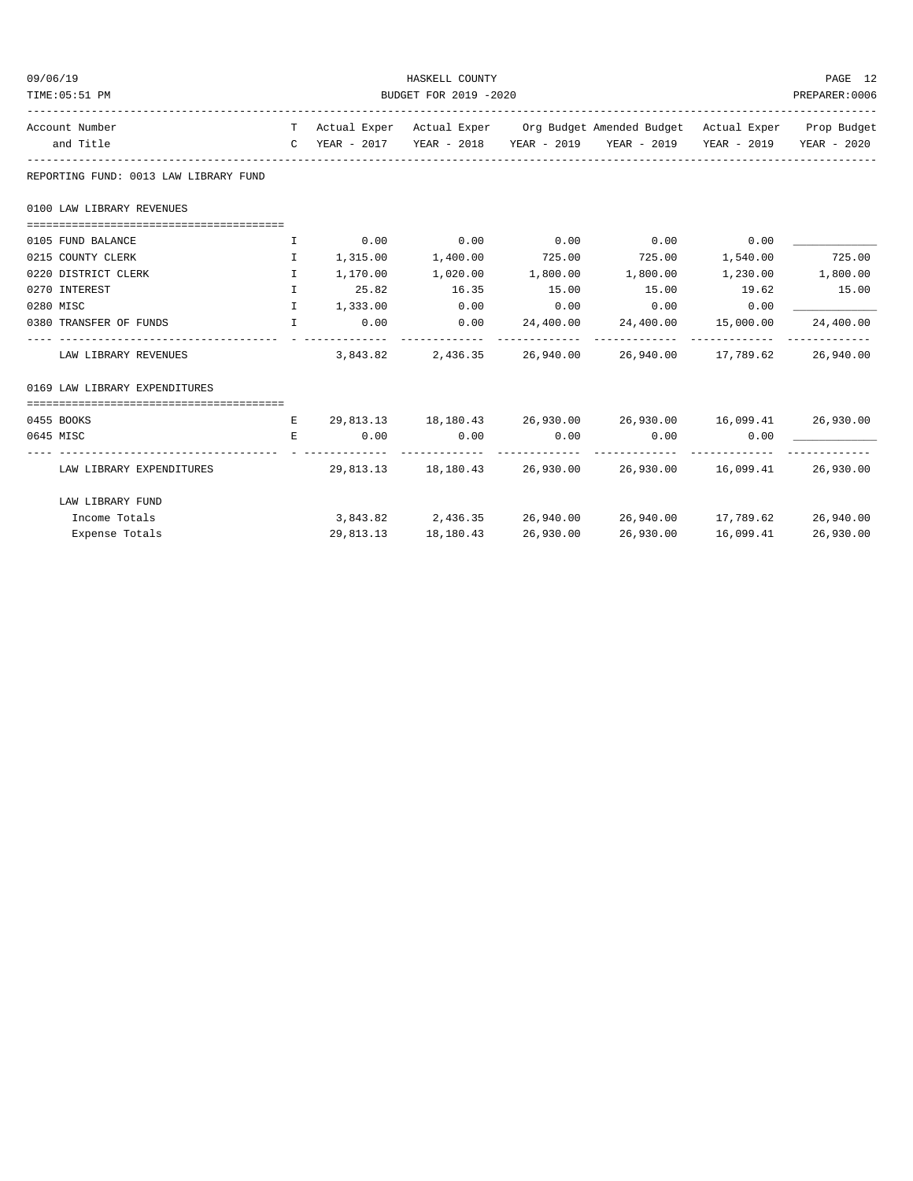| 09/06/19<br>TIME: 05:51 PM                                               |              |          | PAGE 12<br>PREPARER:0006         |           |                                                                                                                                                             |           |           |
|--------------------------------------------------------------------------|--------------|----------|----------------------------------|-----------|-------------------------------------------------------------------------------------------------------------------------------------------------------------|-----------|-----------|
|                                                                          |              |          |                                  |           |                                                                                                                                                             |           |           |
| Account Number<br>and Title                                              |              |          |                                  |           | T Actual Exper Actual Exper Org Budget Amended Budget Actual Exper Prop Budget<br>C YEAR - 2017 YEAR - 2018 YEAR - 2019 YEAR - 2019 YEAR - 2019 YEAR - 2020 |           |           |
| REPORTING FUND: 0013 LAW LIBRARY FUND                                    |              |          |                                  |           |                                                                                                                                                             |           |           |
| 0100 LAW LIBRARY REVENUES                                                |              |          |                                  |           |                                                                                                                                                             |           |           |
| 0105 FUND BALANCE                                                        | I            |          | $0.00$ 0.00                      | 0.00      | $0.00$ 0.00                                                                                                                                                 |           |           |
| 0215 COUNTY CLERK                                                        | T            |          |                                  |           | $1,315.00$ $1,400.00$ $725.00$ $725.00$ $1,540.00$                                                                                                          |           | 725.00    |
| 0220 DISTRICT CLERK                                                      | $\mathbf{I}$ |          | $1,170.00$ $1,020.00$ $1,800.00$ |           |                                                                                                                                                             |           |           |
| 0270 INTEREST                                                            | $\mathbf{I}$ | 25.82    | 16.35                            | 15.00     | 15.00                                                                                                                                                       | 19.62     | 15.00     |
| 0280 MISC                                                                | $\mathbf{T}$ | 1,333.00 | 0.00                             | 0.00      | 0.00                                                                                                                                                        | 0.00      |           |
| 0380 TRANSFER OF FUNDS<br>and the state of the state of the state of the |              | 0.00     | 0.00<br>-------------            |           | 24,400.00 24,400.00 15,000.00                                                                                                                               |           | 24,400.00 |
| LAW LIBRARY REVENUES                                                     |              | 3,843.82 |                                  |           | 2,436.35 26,940.00 26,940.00 17,789.62 26,940.00                                                                                                            |           |           |
| 0169 LAW LIBRARY EXPENDITURES                                            |              |          |                                  |           |                                                                                                                                                             |           |           |
|                                                                          |              |          |                                  |           |                                                                                                                                                             |           |           |
| 0455 BOOKS                                                               | $\mathbf{E}$ |          |                                  |           | 29,813.13 18,180.43 26,930.00 26,930.00 16,099.41 26,930.00                                                                                                 |           |           |
| 0645 MISC                                                                | E.           |          | $0.00$ $0.00$ $0.00$ $0.00$      |           | $0.00$ 0.00                                                                                                                                                 |           |           |
| LAW LIBRARY EXPENDITURES                                                 |              |          |                                  |           | $29,813.13$ $18,180.43$ $26,930.00$ $26,930.00$ $16,099.41$ $26,930.00$                                                                                     |           |           |
| LAW LIBRARY FUND                                                         |              |          |                                  |           |                                                                                                                                                             |           |           |
| Income Totals                                                            |              |          |                                  |           | $3,843.82$ $2,436.35$ $26,940.00$ $26,940.00$ $17,789.62$ $26,940.00$                                                                                       |           |           |
| Expense Totals                                                           |              |          | 29,813.13 18,180.43              | 26,930.00 | 26,930.00                                                                                                                                                   | 16,099.41 | 26,930.00 |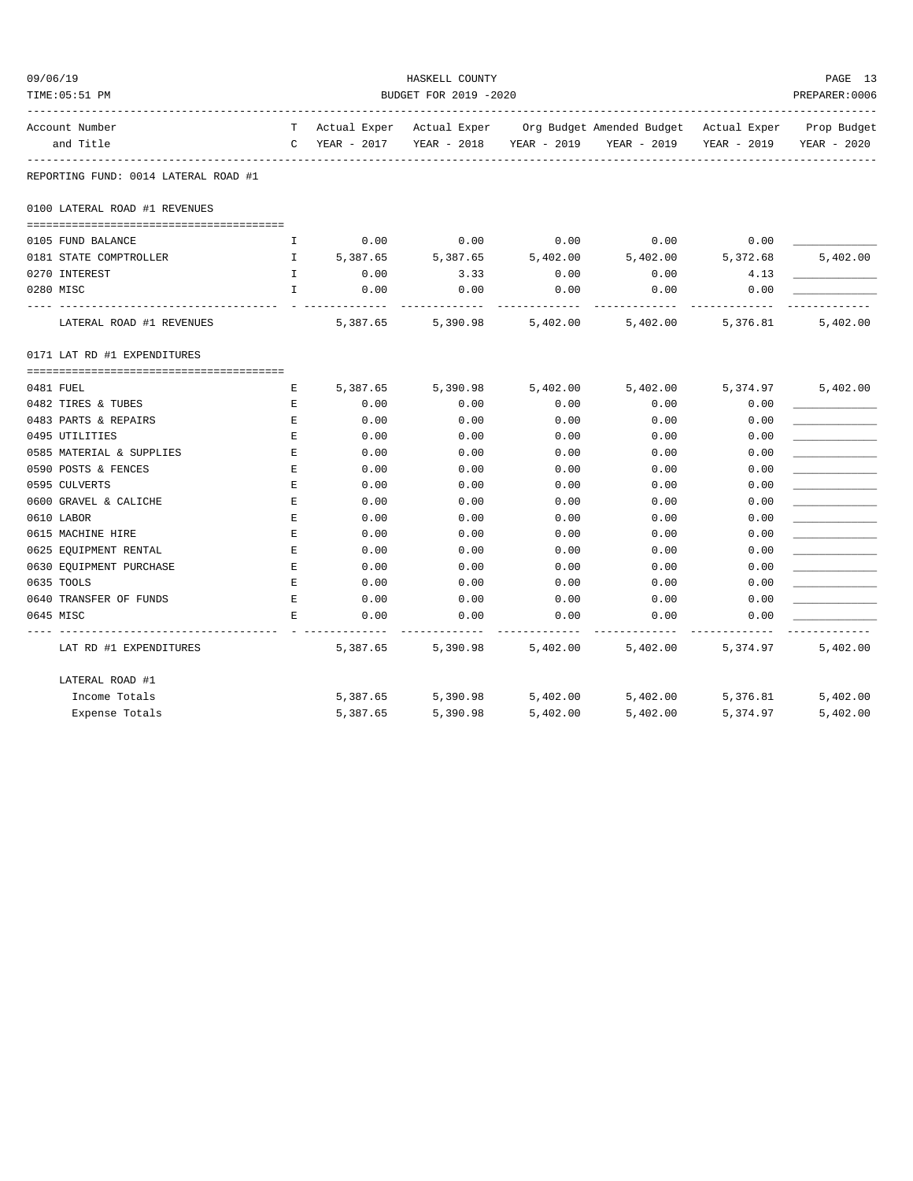| 09/06/19<br>TIME: 05:51 PM                 |                                                                                                     |               | HASKELL COUNTY<br>BUDGET FOR 2019 -2020 |              |                                                                                |                   | PAGE 13<br>PREPARER: 0006 |
|--------------------------------------------|-----------------------------------------------------------------------------------------------------|---------------|-----------------------------------------|--------------|--------------------------------------------------------------------------------|-------------------|---------------------------|
| Account Number                             |                                                                                                     |               |                                         |              | T Actual Exper Actual Exper Org Budget Amended Budget Actual Exper Prop Budget |                   |                           |
| and Title                                  |                                                                                                     | C YEAR - 2017 |                                         |              | YEAR - 2018 YEAR - 2019 YEAR - 2019                                            | YEAR - 2019       | YEAR - 2020               |
| REPORTING FUND: 0014 LATERAL ROAD #1       |                                                                                                     |               |                                         |              |                                                                                |                   |                           |
| 0100 LATERAL ROAD #1 REVENUES              |                                                                                                     |               |                                         |              |                                                                                |                   |                           |
| 0105 FUND BALANCE                          | I.                                                                                                  | 0.00          | 0.00                                    | 0.00         | 0.00                                                                           | 0.00              |                           |
| 0181 STATE COMPTROLLER                     | $\mathbf{I}$                                                                                        | 5,387.65      | 5,387.65                                | 5,402.00     | 5,402.00                                                                       | 5,372.68          | 5,402.00                  |
| 0270 INTEREST                              | $\mathbb{I}$                                                                                        | 0.00          | 3.33                                    | 0.00         | 0.00                                                                           | 4.13              |                           |
| 0280 MISC                                  | $\mathbf{I}$                                                                                        | 0.00          | 0.00                                    | 0.00         | 0.00                                                                           | 0.00              |                           |
| LATERAL ROAD #1 REVENUES                   |                                                                                                     | 5,387.65      | 5,390.98                                | 5,402.00     |                                                                                | 5,402.00 5,376.81 | 5,402.00                  |
| 0171 LAT RD #1 EXPENDITURES                |                                                                                                     |               |                                         |              |                                                                                |                   |                           |
|                                            |                                                                                                     |               |                                         |              |                                                                                |                   |                           |
| 0481 FUEL                                  | Е                                                                                                   | 5,387.65      | 5,390.98                                | 5,402.00     |                                                                                | 5,402.00 5,374.97 | 5,402.00                  |
| 0482 TIRES & TUBES<br>0483 PARTS & REPAIRS | E<br>$\mathbf{E}% _{t}\left  \mathbf{1}\right\rangle =\mathbf{1}_{t}\left  \mathbf{1}\right\rangle$ | 0.00<br>0.00  | 0.00<br>0.00                            | 0.00<br>0.00 | 0.00<br>0.00                                                                   | 0.00<br>0.00      |                           |
| 0495 UTILITIES                             | $\mathbf E$                                                                                         | 0.00          | 0.00                                    | 0.00         | 0.00                                                                           | 0.00              |                           |
| 0585 MATERIAL & SUPPLIES                   | Е                                                                                                   | 0.00          | 0.00                                    | 0.00         | 0.00                                                                           | 0.00              |                           |
| 0590 POSTS & FENCES                        | Е                                                                                                   | 0.00          | 0.00                                    | 0.00         | 0.00                                                                           | 0.00              |                           |
| 0595 CULVERTS                              | Е                                                                                                   | 0.00          | 0.00                                    | 0.00         | 0.00                                                                           | 0.00              |                           |
| 0600 GRAVEL & CALICHE                      | Е                                                                                                   | 0.00          | 0.00                                    | 0.00         | 0.00                                                                           | 0.00              |                           |
| 0610 LABOR                                 | Е                                                                                                   | 0.00          | 0.00                                    | 0.00         | 0.00                                                                           | 0.00              |                           |
| 0615 MACHINE HIRE                          | E                                                                                                   | 0.00          | 0.00                                    | 0.00         | 0.00                                                                           | 0.00              |                           |
| 0625 EQUIPMENT RENTAL                      | $\mathbf{E}$                                                                                        | 0.00          | 0.00                                    | 0.00         | 0.00                                                                           | 0.00              |                           |
| 0630 EQUIPMENT PURCHASE                    | E                                                                                                   | 0.00          | 0.00                                    | 0.00         | 0.00                                                                           | 0.00              |                           |
| 0635 TOOLS                                 | E                                                                                                   | 0.00          | 0.00                                    | 0.00         | 0.00                                                                           | 0.00              |                           |
| 0640 TRANSFER OF FUNDS                     | E                                                                                                   | 0.00          | 0.00                                    | 0.00         | 0.00                                                                           | 0.00              |                           |
| 0645 MISC                                  | E                                                                                                   | 0.00          | 0.00                                    | 0.00         | 0.00                                                                           | 0.00              |                           |
| LAT RD #1 EXPENDITURES                     |                                                                                                     | 5,387.65      | 5,390.98                                | 5,402.00     | 5,402.00                                                                       | 5,374.97          | 5,402.00                  |
| LATERAL ROAD #1                            |                                                                                                     |               |                                         |              |                                                                                |                   |                           |
| Income Totals                              |                                                                                                     | 5,387.65      | 5,390.98                                | 5,402.00     | 5,402.00                                                                       | 5,376.81          | 5,402.00                  |
| Expense Totals                             |                                                                                                     | 5,387.65      | 5,390.98                                | 5,402.00     | 5,402.00                                                                       | 5,374.97          | 5,402.00                  |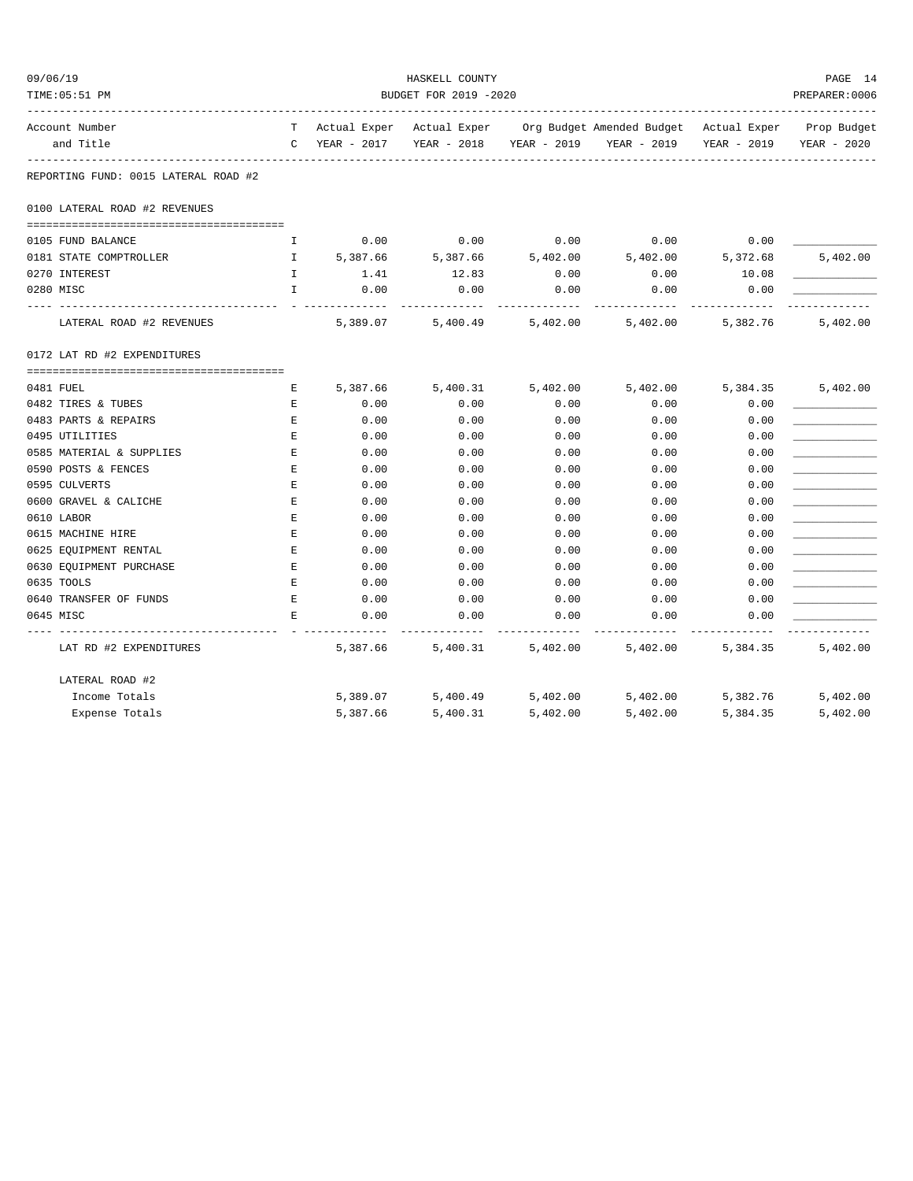| 09/06/19 |                                      |              | HASKELL COUNTY |                                                     |          |                                                                                |             |                |  |  |
|----------|--------------------------------------|--------------|----------------|-----------------------------------------------------|----------|--------------------------------------------------------------------------------|-------------|----------------|--|--|
|          | TIME: 05:51 PM                       |              |                | BUDGET FOR 2019 -2020<br>__________________________ |          |                                                                                |             | PREPARER: 0006 |  |  |
|          | Account Number                       |              |                |                                                     |          | T Actual Exper Actual Exper Org Budget Amended Budget Actual Exper Prop Budget |             |                |  |  |
|          | and Title                            |              | C YEAR - 2017  | YEAR - 2018                                         |          | YEAR - 2019 YEAR - 2019                                                        | YEAR - 2019 | YEAR - 2020    |  |  |
|          | REPORTING FUND: 0015 LATERAL ROAD #2 |              |                |                                                     |          |                                                                                |             |                |  |  |
|          | 0100 LATERAL ROAD #2 REVENUES        |              |                |                                                     |          |                                                                                |             |                |  |  |
|          |                                      |              |                |                                                     |          |                                                                                |             |                |  |  |
|          | 0105 FUND BALANCE                    | I            | 0.00           | 0.00                                                | 0.00     | 0.00                                                                           | 0.00        |                |  |  |
|          | 0181 STATE COMPTROLLER               | $\mathbf{I}$ | 5,387.66       | 5,387.66                                            | 5,402.00 | 5,402.00                                                                       | 5,372.68    | 5,402.00       |  |  |
|          | 0270 INTEREST                        | $\mathbf{I}$ | 1.41           | 12.83                                               | 0.00     | 0.00                                                                           | 10.08       |                |  |  |
|          | 0280 MISC                            | $\mathbf{I}$ | 0.00           | 0.00                                                | 0.00     | 0.00                                                                           | 0.00        |                |  |  |
|          | LATERAL ROAD #2 REVENUES             |              | 5,389.07       | 5,400.49                                            | 5,402.00 | 5,402.00                                                                       | 5,382.76    | 5,402.00       |  |  |
|          | 0172 LAT RD #2 EXPENDITURES          |              |                |                                                     |          |                                                                                |             |                |  |  |
|          |                                      |              |                |                                                     |          |                                                                                |             |                |  |  |
|          | 0481 FUEL                            | E            | 5,387.66       | 5,400.31                                            | 5,402.00 | 5,402.00                                                                       | 5,384.35    | 5,402.00       |  |  |
|          | 0482 TIRES & TUBES                   | E            | 0.00           | 0.00                                                | 0.00     | 0.00                                                                           | 0.00        |                |  |  |
|          | 0483 PARTS & REPAIRS                 | E            | 0.00           | 0.00                                                | 0.00     | 0.00                                                                           | 0.00        |                |  |  |
|          | 0495 UTILITIES                       | E            | 0.00           | 0.00                                                | 0.00     | 0.00                                                                           | 0.00        |                |  |  |
|          | 0585 MATERIAL & SUPPLIES             | E            | 0.00           | 0.00                                                | 0.00     | 0.00                                                                           | 0.00        |                |  |  |
|          | 0590 POSTS & FENCES                  | E            | 0.00           | 0.00                                                | 0.00     | 0.00                                                                           | 0.00        |                |  |  |
|          | 0595 CULVERTS                        | E            | 0.00           | 0.00                                                | 0.00     | 0.00                                                                           | 0.00        |                |  |  |
|          | 0600 GRAVEL & CALICHE                | E            | 0.00           | 0.00                                                | 0.00     | 0.00                                                                           | 0.00        |                |  |  |
|          | 0610 LABOR                           | Е            | 0.00           | 0.00                                                | 0.00     | 0.00                                                                           | 0.00        |                |  |  |
|          | 0615 MACHINE HIRE                    | E            | 0.00           | 0.00                                                | 0.00     | 0.00                                                                           | 0.00        |                |  |  |
|          | 0625 EQUIPMENT RENTAL                | $\mathbf{E}$ | 0.00           | 0.00                                                | 0.00     | 0.00                                                                           | 0.00        |                |  |  |
|          | 0630 EQUIPMENT PURCHASE              | E            | 0.00           | 0.00                                                | 0.00     | 0.00                                                                           | 0.00        |                |  |  |
|          | 0635 TOOLS                           | E            | 0.00           | 0.00                                                | 0.00     | 0.00                                                                           | 0.00        |                |  |  |
|          | 0640 TRANSFER OF FUNDS               | E            | 0.00           | 0.00                                                | 0.00     | 0.00                                                                           | 0.00        |                |  |  |
|          | 0645 MISC                            | E.           | 0.00           | 0.00                                                | 0.00     | 0.00                                                                           | 0.00        |                |  |  |
|          | LAT RD #2 EXPENDITURES               |              | 5,387.66       | 5,400.31                                            | 5,402.00 | 5,402.00                                                                       | 5,384.35    | 5,402.00       |  |  |
|          | LATERAL ROAD #2                      |              |                |                                                     |          |                                                                                |             |                |  |  |
|          | Income Totals                        |              | 5,389.07       | 5,400.49                                            | 5,402.00 | 5,402.00                                                                       | 5,382.76    | 5,402.00       |  |  |
|          | Expense Totals                       |              | 5,387.66       | 5,400.31                                            | 5,402.00 | 5,402.00                                                                       | 5,384.35    | 5,402.00       |  |  |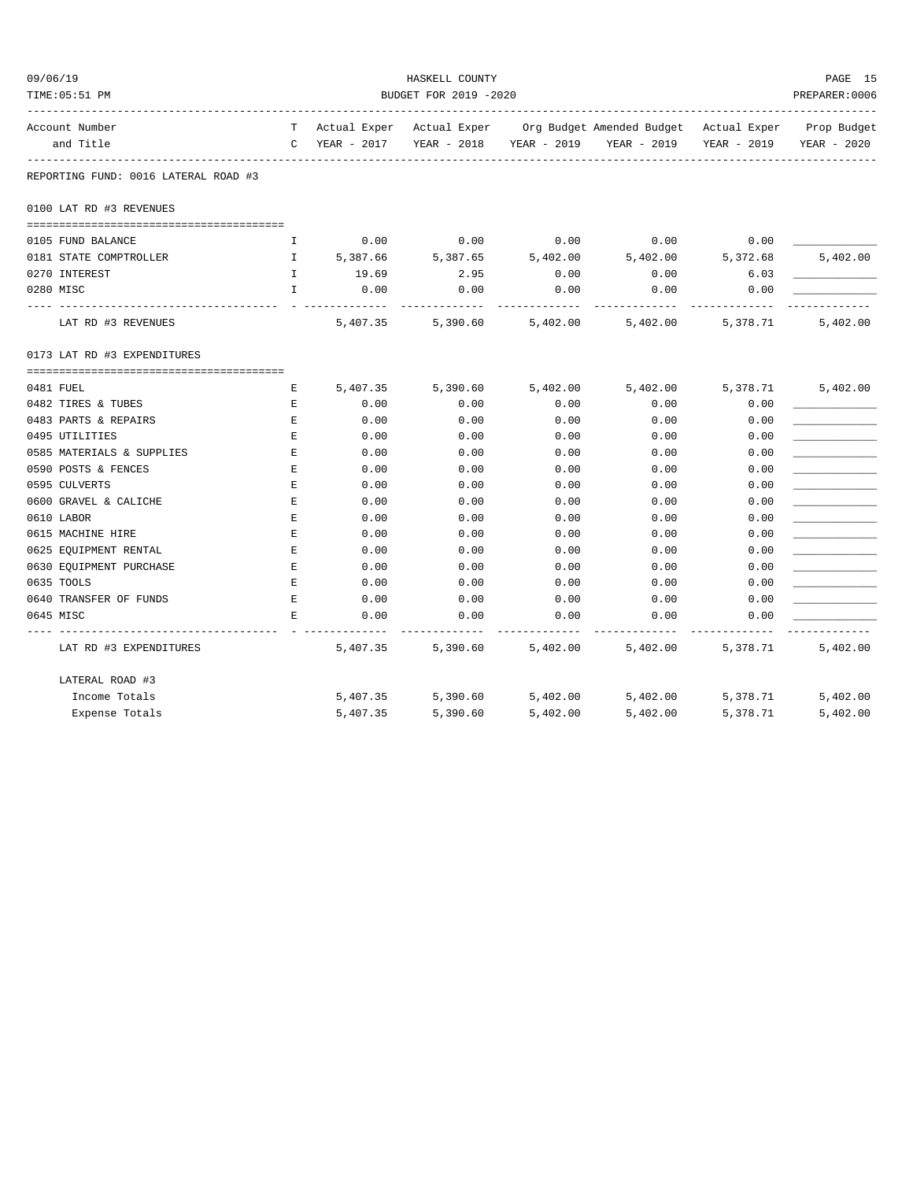| 09/06/19                             |              |             | HASKELL COUNTY            |             |                                                    |             | PAGE 15        |
|--------------------------------------|--------------|-------------|---------------------------|-------------|----------------------------------------------------|-------------|----------------|
| TIME: 05:51 PM                       |              |             | BUDGET FOR 2019 -2020     |             | -------------------------------------              |             | PREPARER: 0006 |
| Account Number                       | T            |             | Actual Exper Actual Exper |             | Org Budget Amended Budget Actual Exper Prop Budget |             |                |
| and Title                            | $\mathbb{C}$ | YEAR - 2017 | YEAR - 2018               | YEAR - 2019 | YEAR - 2019                                        | YEAR - 2019 | YEAR - 2020    |
| REPORTING FUND: 0016 LATERAL ROAD #3 |              |             |                           |             |                                                    |             |                |
| 0100 LAT RD #3 REVENUES              |              |             |                           |             |                                                    |             |                |
| 0105 FUND BALANCE                    | I.           | 0.00        | 0.00                      | 0.00        | 0.00                                               | 0.00        |                |
| 0181 STATE COMPTROLLER               | $\mathbf{I}$ | 5,387.66    | 5,387.65                  | 5,402.00    | 5,402.00                                           | 5,372.68    | 5,402.00       |
| 0270 INTEREST                        | I            | 19.69       | 2.95                      | 0.00        | 0.00                                               | 6.03        |                |
| 0280 MISC                            | I.           | 0.00        | 0.00                      | 0.00        | 0.00                                               | 0.00        |                |
| LAT RD #3 REVENUES                   |              | 5,407.35    | 5,390.60                  | 5,402.00    | 5,402.00                                           | 5,378.71    | 5,402.00       |
| 0173 LAT RD #3 EXPENDITURES          |              |             |                           |             |                                                    |             |                |
| 0481 FUEL                            | Е            | 5,407.35    | 5,390.60                  | 5,402.00    | 5,402.00                                           | 5,378.71    | 5,402.00       |
| 0482 TIRES & TUBES                   | E            | 0.00        | 0.00                      | 0.00        | 0.00                                               | 0.00        |                |
| 0483 PARTS & REPAIRS                 | Ε            | 0.00        | 0.00                      | 0.00        | 0.00                                               | 0.00        |                |
| 0495 UTILITIES                       | Ε            | 0.00        | 0.00                      | 0.00        | 0.00                                               | 0.00        |                |
| 0585 MATERIALS & SUPPLIES            | E            | 0.00        | 0.00                      | 0.00        | 0.00                                               | 0.00        |                |
| 0590 POSTS & FENCES                  | Е            | 0.00        | 0.00                      | 0.00        | 0.00                                               | 0.00        |                |
| 0595 CULVERTS                        | E            | 0.00        | 0.00                      | 0.00        | 0.00                                               | 0.00        |                |
| 0600 GRAVEL & CALICHE                | Ε            | 0.00        | 0.00                      | 0.00        | 0.00                                               | 0.00        |                |
| 0610 LABOR                           | Ε            | 0.00        | 0.00                      | 0.00        | 0.00                                               | 0.00        |                |
| 0615 MACHINE HIRE                    | Е            | 0.00        | 0.00                      | 0.00        | 0.00                                               | 0.00        |                |
| 0625 EQUIPMENT RENTAL                | Ε            | 0.00        | 0.00                      | 0.00        | 0.00                                               | 0.00        |                |
| 0630 EQUIPMENT PURCHASE              | Ε            | 0.00        | 0.00                      | 0.00        | 0.00                                               | 0.00        |                |
| 0635 TOOLS                           | $\mathbf E$  | 0.00        | 0.00                      | 0.00        | 0.00                                               | 0.00        |                |
| 0640 TRANSFER OF FUNDS               | E            | 0.00        | 0.00                      | 0.00        | 0.00                                               | 0.00        |                |
| 0645 MISC                            | E            | 0.00        | 0.00                      | 0.00        | 0.00                                               | 0.00        |                |
| LAT RD #3 EXPENDITURES               |              | 5,407.35    | 5,390.60                  | 5,402.00    | 5,402.00                                           | 5,378.71    | 5,402.00       |
| LATERAL ROAD #3                      |              |             |                           |             |                                                    |             |                |
| Income Totals                        |              | 5,407.35    | 5,390.60                  | 5,402.00    | 5,402.00                                           | 5,378.71    | 5,402.00       |
| Expense Totals                       |              | 5,407.35    | 5,390.60                  | 5,402.00    | 5,402.00                                           | 5,378.71    | 5,402.00       |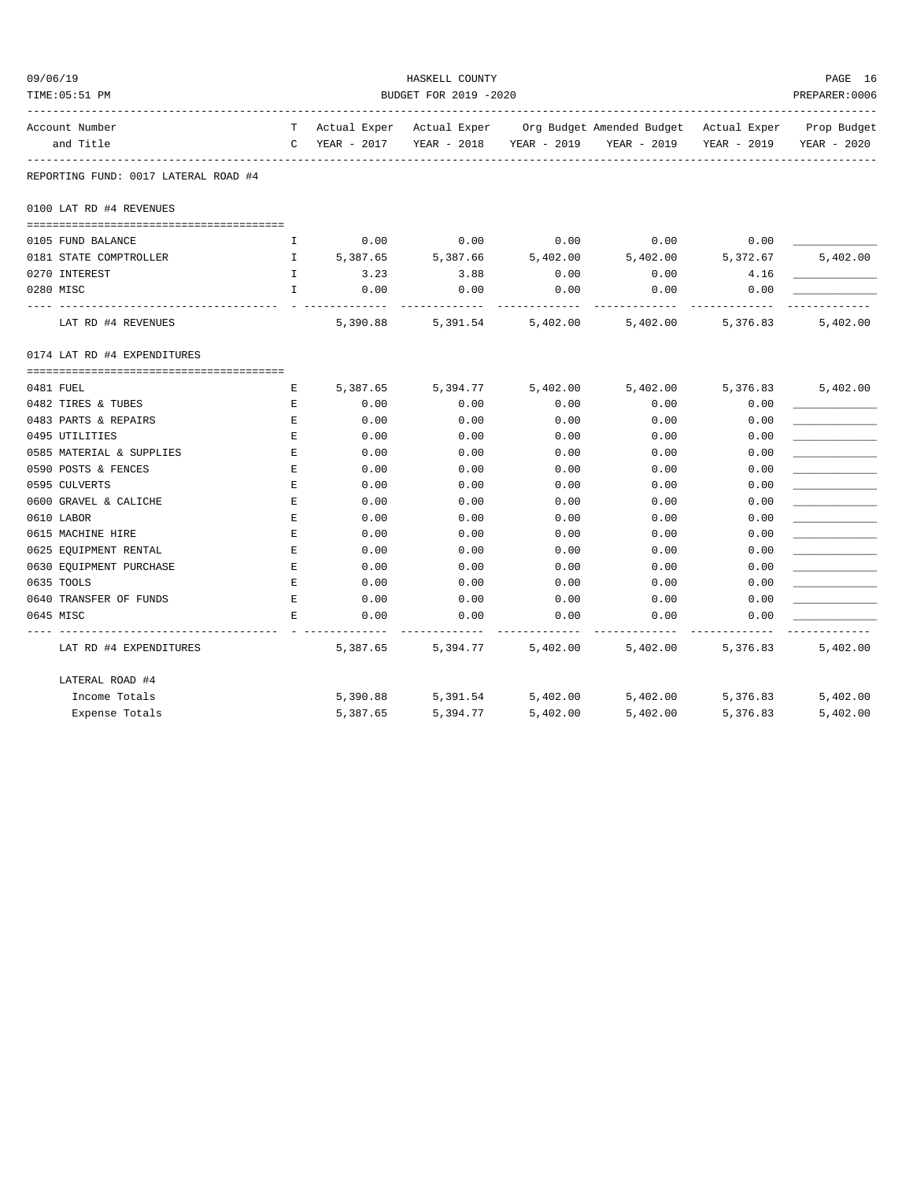| 09/06/19 |                                      |              |                                                    | HASKELL COUNTY |             |                                                                                |             | PAGE 16     |  |  |
|----------|--------------------------------------|--------------|----------------------------------------------------|----------------|-------------|--------------------------------------------------------------------------------|-------------|-------------|--|--|
|          | TIME: 05:51 PM                       |              | BUDGET FOR 2019 -2020<br>_________________________ |                |             |                                                                                |             |             |  |  |
|          | Account Number                       |              |                                                    |                |             | T Actual Exper Actual Exper Org Budget Amended Budget Actual Exper Prop Budget |             |             |  |  |
|          | and Title                            |              | C YEAR - 2017                                      | YEAR - 2018    | YEAR - 2019 | YEAR - 2019                                                                    | YEAR - 2019 | YEAR - 2020 |  |  |
|          | REPORTING FUND: 0017 LATERAL ROAD #4 |              |                                                    |                |             |                                                                                |             |             |  |  |
|          | 0100 LAT RD #4 REVENUES              |              |                                                    |                |             |                                                                                |             |             |  |  |
|          |                                      |              |                                                    |                |             |                                                                                |             |             |  |  |
|          | 0105 FUND BALANCE                    | I            | 0.00                                               | 0.00           | 0.00        | 0.00                                                                           | 0.00        |             |  |  |
|          | 0181 STATE COMPTROLLER               | $\mathbf{I}$ | 5,387.65                                           | 5,387.66       | 5,402.00    | 5,402.00                                                                       | 5,372.67    | 5,402.00    |  |  |
|          | 0270 INTEREST                        | $\mathbf{I}$ | 3.23                                               | 3.88           | 0.00        | 0.00                                                                           | 4.16        |             |  |  |
|          | 0280 MISC                            | $\mathbf{I}$ | 0.00                                               | 0.00           | 0.00        | 0.00                                                                           | 0.00        |             |  |  |
|          | LAT RD #4 REVENUES                   |              | 5,390.88                                           | 5,391.54       | 5,402.00    | 5,402.00                                                                       | 5,376.83    | 5,402.00    |  |  |
|          | 0174 LAT RD #4 EXPENDITURES          |              |                                                    |                |             |                                                                                |             |             |  |  |
|          |                                      |              |                                                    |                |             |                                                                                |             |             |  |  |
|          | 0481 FUEL                            | E            | 5,387.65                                           | 5,394.77       | 5,402.00    | 5,402.00                                                                       | 5,376.83    | 5,402.00    |  |  |
|          | 0482 TIRES & TUBES                   | E            | 0.00                                               | 0.00           | 0.00        | 0.00                                                                           | 0.00        |             |  |  |
|          | 0483 PARTS & REPAIRS                 | E            | 0.00                                               | 0.00           | 0.00        | 0.00                                                                           | 0.00        |             |  |  |
|          | 0495 UTILITIES                       | E            | 0.00                                               | 0.00           | 0.00        | 0.00                                                                           | 0.00        |             |  |  |
|          | 0585 MATERIAL & SUPPLIES             | E            | 0.00                                               | 0.00           | 0.00        | 0.00                                                                           | 0.00        |             |  |  |
|          | 0590 POSTS & FENCES                  | E            | 0.00                                               | 0.00           | 0.00        | 0.00                                                                           | 0.00        |             |  |  |
|          | 0595 CULVERTS                        | E            | 0.00                                               | 0.00           | 0.00        | 0.00                                                                           | 0.00        |             |  |  |
|          | 0600 GRAVEL & CALICHE                | E            | 0.00                                               | 0.00           | 0.00        | 0.00                                                                           | 0.00        |             |  |  |
|          | 0610 LABOR                           | Е            | 0.00                                               | 0.00           | 0.00        | 0.00                                                                           | 0.00        |             |  |  |
|          | 0615 MACHINE HIRE                    | E            | 0.00                                               | 0.00           | 0.00        | 0.00                                                                           | 0.00        |             |  |  |
|          | 0625 EQUIPMENT RENTAL                | $\mathbf{E}$ | 0.00                                               | 0.00           | 0.00        | 0.00                                                                           | 0.00        |             |  |  |
|          | 0630 EQUIPMENT PURCHASE              | E            | 0.00                                               | 0.00           | 0.00        | 0.00                                                                           | 0.00        |             |  |  |
|          | 0635 TOOLS                           | Е            | 0.00                                               | 0.00           | 0.00        | 0.00                                                                           | 0.00        |             |  |  |
|          | 0640 TRANSFER OF FUNDS               | E            | 0.00                                               | 0.00           | 0.00        | 0.00                                                                           | 0.00        |             |  |  |
|          | 0645 MISC                            | E.           | 0.00                                               | 0.00           | 0.00        | 0.00                                                                           | 0.00        |             |  |  |
|          | LAT RD #4 EXPENDITURES               |              | 5,387.65                                           | 5,394.77       | 5,402.00    | 5,402.00                                                                       | 5,376.83    | 5,402.00    |  |  |
|          | LATERAL ROAD #4                      |              |                                                    |                |             |                                                                                |             |             |  |  |
|          | Income Totals                        |              | 5,390.88                                           | 5,391.54       | 5,402.00    | 5,402.00                                                                       | 5,376.83    | 5,402.00    |  |  |
|          | Expense Totals                       |              | 5,387.65                                           | 5,394.77       | 5,402.00    | 5,402.00                                                                       | 5,376.83    | 5,402.00    |  |  |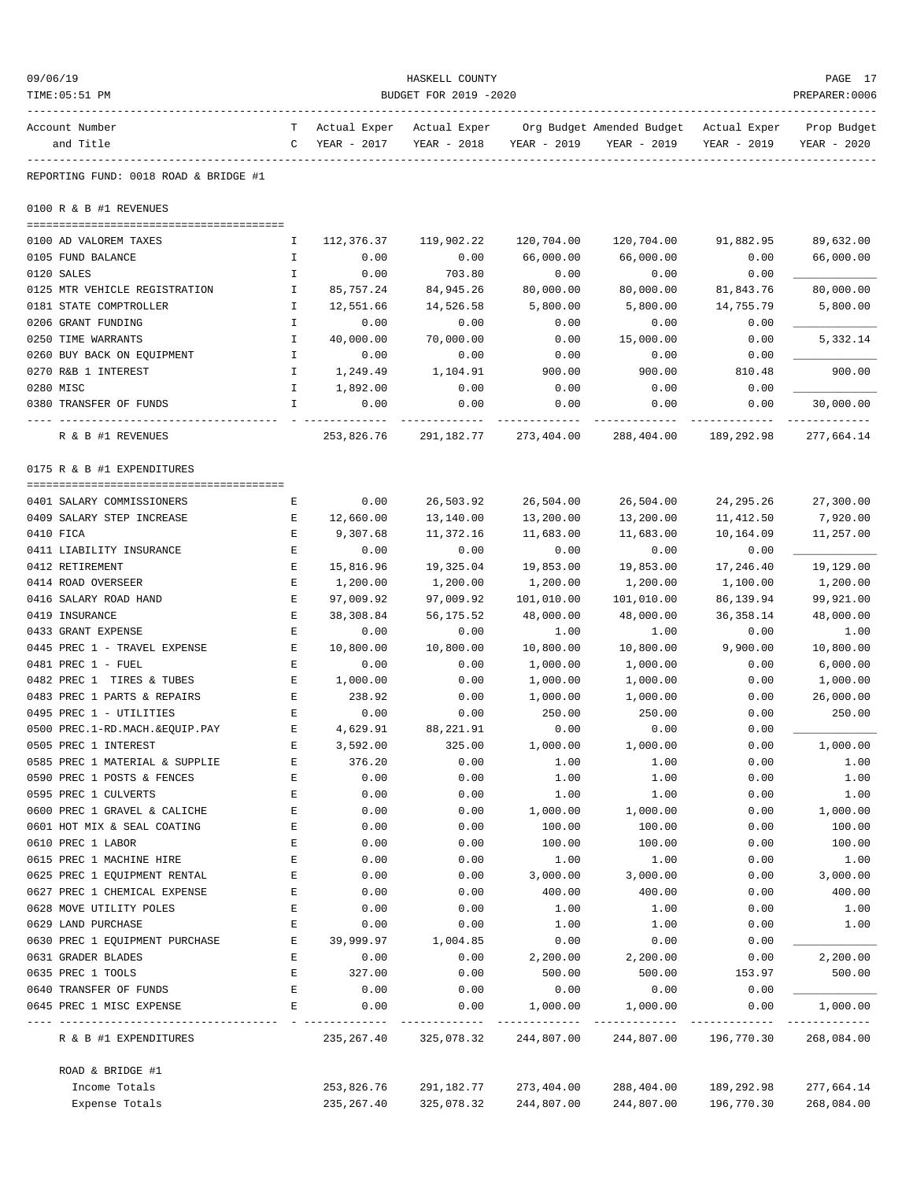| 09/06/19                                             |                       |              | HASKELL COUNTY |                    |                           |              | PAGE 17          |  |
|------------------------------------------------------|-----------------------|--------------|----------------|--------------------|---------------------------|--------------|------------------|--|
| TIME: 05:51 PM                                       | BUDGET FOR 2019 -2020 |              |                |                    |                           |              |                  |  |
| Account Number                                       | т                     | Actual Exper | Actual Exper   |                    | Org Budget Amended Budget | Actual Exper | Prop Budget      |  |
| and Title                                            | $\mathsf{C}$          | YEAR - 2017  | YEAR - 2018    | YEAR - 2019        | YEAR - 2019               | YEAR - 2019  | YEAR - 2020      |  |
| REPORTING FUND: 0018 ROAD & BRIDGE #1                |                       |              |                |                    |                           |              |                  |  |
| 0100 R & B #1 REVENUES                               |                       |              |                |                    |                           |              |                  |  |
| 0100 AD VALOREM TAXES                                | Ι.                    | 112,376.37   | 119,902.22     | 120,704.00         | 120,704.00                | 91,882.95    | 89,632.00        |  |
| 0105 FUND BALANCE                                    | $\mathbf{I}$          | 0.00         | 0.00           | 66,000.00          | 66,000.00                 | 0.00         | 66,000.00        |  |
| 0120 SALES                                           | $\mathbf I$           | 0.00         | 703.80         | 0.00               | 0.00                      | 0.00         |                  |  |
| 0125 MTR VEHICLE REGISTRATION                        | $\mathbf I$           | 85,757.24    | 84,945.26      | 80,000.00          | 80,000.00                 | 81,843.76    | 80,000.00        |  |
| 0181 STATE COMPTROLLER                               | Ι.                    | 12,551.66    | 14,526.58      | 5,800.00           | 5,800.00                  | 14,755.79    | 5,800.00         |  |
| 0206 GRANT FUNDING                                   | Ι.                    | 0.00         | 0.00           | 0.00               | 0.00                      | 0.00         |                  |  |
| 0250 TIME WARRANTS                                   | Ι.                    | 40,000.00    | 70,000.00      | 0.00               | 15,000.00                 | 0.00         | 5,332.14         |  |
| 0260 BUY BACK ON EQUIPMENT                           | $\mathbf{I}$          | 0.00         | 0.00           | 0.00               | 0.00                      | 0.00         |                  |  |
| 0270 R&B 1 INTEREST                                  | $\mathbf{I}$          | 1,249.49     | 1,104.91       | 900.00             | 900.00                    | 810.48       | 900.00           |  |
| 0280 MISC                                            | $\mathbf{I}$          | 1,892.00     | 0.00           | 0.00               | 0.00                      | 0.00         |                  |  |
| 0380 TRANSFER OF FUNDS                               | I                     | 0.00         | 0.00           | 0.00               | 0.00                      | 0.00         | 30,000.00        |  |
| R & B #1 REVENUES                                    |                       | 253,826.76   | 291,182.77     | 273,404.00         | 288,404.00                | 189,292.98   | 277,664.14       |  |
|                                                      |                       |              |                |                    |                           |              |                  |  |
| 0175 R & B #1 EXPENDITURES                           |                       |              |                |                    |                           |              |                  |  |
| 0401 SALARY COMMISSIONERS                            | Е                     | 0.00         | 26,503.92      | 26,504.00          | 26,504.00                 | 24, 295. 26  | 27,300.00        |  |
| 0409 SALARY STEP INCREASE                            | Е                     | 12,660.00    | 13,140.00      | 13,200.00          | 13,200.00                 | 11,412.50    | 7,920.00         |  |
| 0410 FICA                                            | Е                     | 9,307.68     | 11,372.16      | 11,683.00          | 11,683.00                 | 10,164.09    | 11,257.00        |  |
| 0411 LIABILITY INSURANCE                             | $\mathbf E$           | 0.00         | 0.00           | 0.00               | 0.00                      | 0.00         |                  |  |
| 0412 RETIREMENT                                      | Е                     | 15,816.96    | 19,325.04      | 19,853.00          | 19,853.00                 | 17,246.40    | 19,129.00        |  |
| 0414 ROAD OVERSEER                                   | E                     | 1,200.00     | 1,200.00       | 1,200.00           | 1,200.00                  | 1,100.00     | 1,200.00         |  |
| 0416 SALARY ROAD HAND                                | Е                     | 97,009.92    | 97,009.92      | 101,010.00         | 101,010.00                | 86,139.94    | 99,921.00        |  |
| 0419 INSURANCE                                       | $\mathbf E$           | 38,308.84    | 56,175.52      | 48,000.00          | 48,000.00                 | 36, 358.14   | 48,000.00        |  |
| 0433 GRANT EXPENSE                                   | $\mathbf E$           | 0.00         | 0.00           | 1.00               | 1.00                      | 0.00         | 1.00             |  |
| 0445 PREC 1 - TRAVEL EXPENSE                         | Е                     | 10,800.00    | 10,800.00      | 10,800.00          | 10,800.00                 | 9,900.00     | 10,800.00        |  |
| 0481 PREC 1 - FUEL                                   | Е                     | 0.00         | 0.00           | 1,000.00           | 1,000.00                  | 0.00         | 6,000.00         |  |
| 0482 PREC 1 TIRES & TUBES                            | Е                     | 1,000.00     | 0.00           | 1,000.00           | 1,000.00                  | 0.00         | 1,000.00         |  |
| 0483 PREC 1 PARTS & REPAIRS                          | E                     | 238.92       | 0.00           | 1,000.00           | 1,000.00                  | 0.00         | 26,000.00        |  |
| 0495 PREC 1 - UTILITIES                              | Е                     | 0.00         | 0.00           | 250.00             | 250.00                    | 0.00         | 250.00           |  |
| 0500 PREC.1-RD.MACH.&EQUIP.PAY                       | Ε                     | 4,629.91     | 88,221.91      | 0.00               | 0.00                      | 0.00         |                  |  |
| 0505 PREC 1 INTEREST                                 | Е                     | 3,592.00     | 325.00         | 1,000.00           | 1,000.00                  | 0.00         | 1,000.00         |  |
| 0585 PREC 1 MATERIAL & SUPPLIE                       | E                     | 376.20       | 0.00           | 1.00               | 1.00                      | 0.00         | 1.00             |  |
| 0590 PREC 1 POSTS & FENCES                           | Ε                     | 0.00         | 0.00           | 1.00               | 1.00                      | 0.00         | 1.00             |  |
| 0595 PREC 1 CULVERTS<br>0600 PREC 1 GRAVEL & CALICHE | E                     | 0.00         | 0.00           | 1.00               | 1.00                      | 0.00         | 1.00<br>1,000.00 |  |
| 0601 HOT MIX & SEAL COATING                          | E<br>E                | 0.00<br>0.00 | 0.00<br>0.00   | 1,000.00<br>100.00 | 1,000.00<br>100.00        | 0.00<br>0.00 | 100.00           |  |
| 0610 PREC 1 LABOR                                    | Ε                     | 0.00         | 0.00           | 100.00             | 100.00                    | 0.00         | 100.00           |  |
| 0615 PREC 1 MACHINE HIRE                             | Ε                     | 0.00         | 0.00           | 1.00               | 1.00                      | 0.00         | 1.00             |  |
| 0625 PREC 1 EQUIPMENT RENTAL                         | E                     | 0.00         | 0.00           | 3,000.00           | 3,000.00                  | 0.00         | 3,000.00         |  |
| 0627 PREC 1 CHEMICAL EXPENSE                         | E                     | 0.00         | 0.00           | 400.00             | 400.00                    | 0.00         | 400.00           |  |
| 0628 MOVE UTILITY POLES                              | E                     | 0.00         | 0.00           | 1.00               | 1.00                      | 0.00         | 1.00             |  |
| 0629 LAND PURCHASE                                   | E                     | 0.00         | 0.00           | 1.00               | 1.00                      | 0.00         | 1.00             |  |
| 0630 PREC 1 EQUIPMENT PURCHASE                       | Ε                     | 39,999.97    | 1,004.85       | 0.00               | 0.00                      | 0.00         |                  |  |
| 0631 GRADER BLADES                                   | Ε                     | 0.00         | 0.00           | 2,200.00           | 2,200.00                  | 0.00         | 2,200.00         |  |
| 0635 PREC 1 TOOLS                                    | E                     | 327.00       | 0.00           | 500.00             | 500.00                    | 153.97       | 500.00           |  |
| 0640 TRANSFER OF FUNDS                               | E                     | 0.00         | 0.00           | 0.00               | 0.00                      | 0.00         |                  |  |
| 0645 PREC 1 MISC EXPENSE                             | E                     | 0.00         | 0.00           | 1,000.00           | 1,000.00                  | 0.00         | 1,000.00         |  |
| -------------<br>R & B #1 EXPENDITURES               |                       | 235, 267.40  | 325,078.32     | .<br>244,807.00    | 244,807.00                | 196,770.30   | 268,084.00       |  |
| ROAD & BRIDGE #1                                     |                       |              |                |                    |                           |              |                  |  |
| Income Totals                                        |                       | 253,826.76   | 291,182.77     | 273,404.00         | 288,404.00                | 189,292.98   | 277,664.14       |  |
| Expense Totals                                       |                       | 235, 267.40  | 325,078.32     | 244,807.00         | 244,807.00                | 196,770.30   | 268,084.00       |  |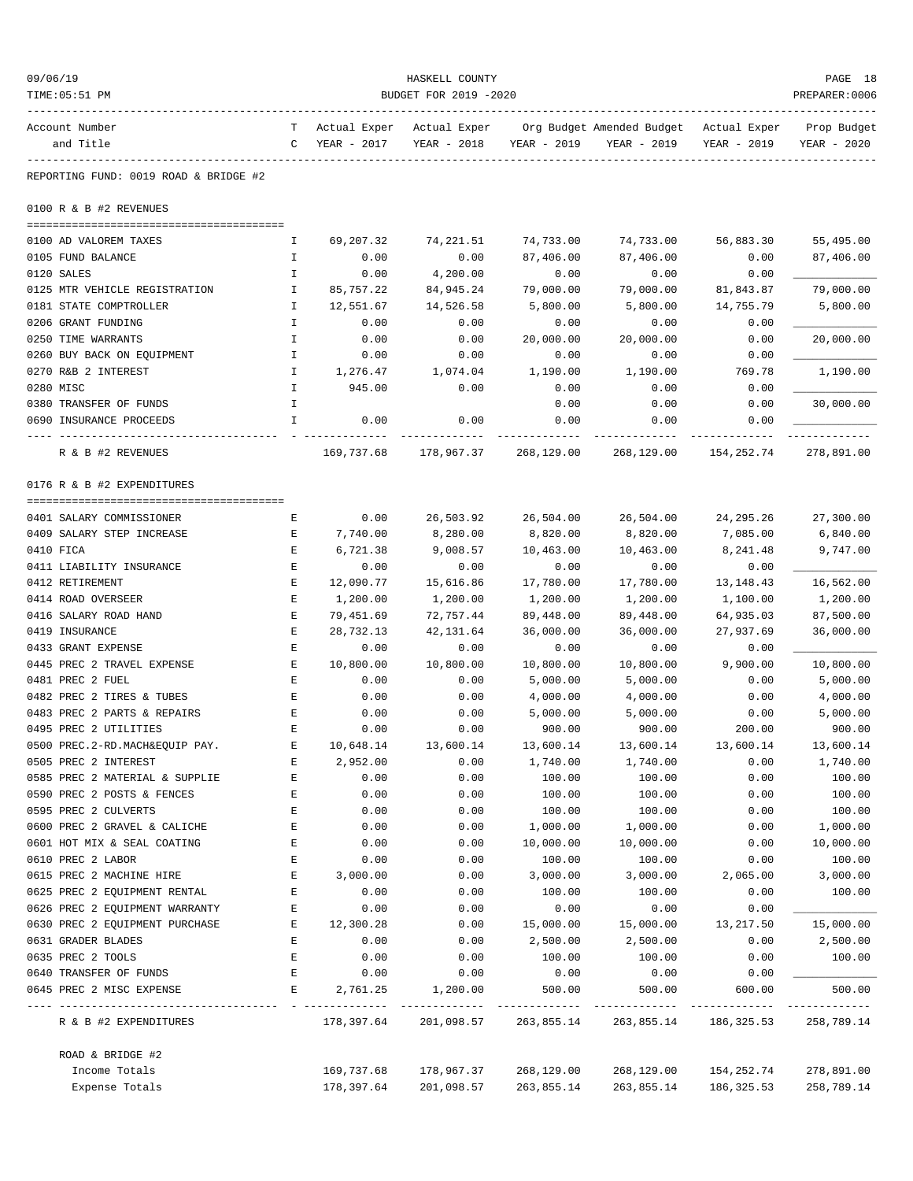| 09/06/19<br>TIME: 05:51 PM                                       | HASKELL COUNTY<br>BUDGET FOR 2019 -2020 |              |                                  |                    |                                                                                   |              |                            |  |
|------------------------------------------------------------------|-----------------------------------------|--------------|----------------------------------|--------------------|-----------------------------------------------------------------------------------|--------------|----------------------------|--|
| Account Number<br>and Title                                      | $\mathbf{C}$                            | YEAR - 2017  | YEAR - 2018                      | YEAR - 2019        | T Actual Exper Actual Exper Org Budget Amended Budget Actual Exper<br>YEAR - 2019 | YEAR - 2019  | Prop Budget<br>YEAR - 2020 |  |
|                                                                  |                                         |              |                                  |                    |                                                                                   |              |                            |  |
| REPORTING FUND: 0019 ROAD & BRIDGE #2                            |                                         |              |                                  |                    |                                                                                   |              |                            |  |
| 0100 R & B #2 REVENUES                                           |                                         |              |                                  |                    |                                                                                   |              |                            |  |
| 0100 AD VALOREM TAXES                                            | Ι.                                      | 69,207.32    | 74,221.51                        | 74,733.00          | 74,733.00                                                                         | 56,883.30    | 55,495.00                  |  |
| 0105 FUND BALANCE                                                | I.                                      | 0.00         | 0.00                             | 87,406.00          | 87,406.00                                                                         | 0.00         | 87,406.00                  |  |
| 0120 SALES                                                       | Ι.                                      | 0.00         | 4,200.00                         | 0.00               | 0.00                                                                              | 0.00         |                            |  |
| 0125 MTR VEHICLE REGISTRATION                                    | Ι.                                      | 85,757.22    | 84,945.24                        | 79,000.00          | 79,000.00                                                                         | 81,843.87    | 79,000.00                  |  |
| 0181 STATE COMPTROLLER                                           | Ι.                                      | 12,551.67    | 14,526.58                        | 5,800.00           | 5,800.00                                                                          | 14,755.79    | 5,800.00                   |  |
| 0206 GRANT FUNDING                                               | $\mathbf{I}$                            | 0.00         | 0.00                             | 0.00               | 0.00                                                                              | 0.00         |                            |  |
| 0250 TIME WARRANTS                                               | I                                       | 0.00         | 0.00                             | 20,000.00          | 20,000.00                                                                         | 0.00         | 20,000.00                  |  |
| 0260 BUY BACK ON EQUIPMENT                                       | I.                                      | 0.00         | 0.00                             | 0.00               | 0.00                                                                              | 0.00         |                            |  |
| 0270 R&B 2 INTEREST                                              | Ι.                                      | 1,276.47     | 1,074.04                         | 1,190.00           | 1,190.00                                                                          | 769.78       | 1,190.00                   |  |
| 0280 MISC                                                        | I.                                      | 945.00       | 0.00                             | 0.00               | 0.00                                                                              | 0.00         |                            |  |
| 0380 TRANSFER OF FUNDS                                           | I.                                      |              |                                  | 0.00               | 0.00                                                                              | 0.00         | 30,000.00                  |  |
| 0690 INSURANCE PROCEEDS                                          | I.                                      | 0.00         | 0.00                             | 0.00               | 0.00                                                                              | 0.00         |                            |  |
| R & B #2 REVENUES                                                |                                         | 169,737.68   | 178,967.37                       | 268,129.00         | 268,129.00                                                                        | 154,252.74   | 278,891.00                 |  |
| 0176 R & B #2 EXPENDITURES                                       |                                         |              |                                  |                    |                                                                                   |              |                            |  |
| 0401 SALARY COMMISSIONER                                         | Е                                       | 0.00         | 26,503.92                        | 26,504.00          | 26,504.00                                                                         | 24,295.26    | 27,300.00                  |  |
| 0409 SALARY STEP INCREASE                                        | Е                                       | 7,740.00     | 8,280.00                         | 8,820.00           | 8,820.00                                                                          | 7,085.00     | 6,840.00                   |  |
| 0410 FICA                                                        | Е                                       | 6,721.38     | 9,008.57                         | 10,463.00          | 10,463.00                                                                         | 8,241.48     | 9,747.00                   |  |
| 0411 LIABILITY INSURANCE                                         | Ε                                       | 0.00         | 0.00                             | 0.00               | 0.00                                                                              | 0.00         |                            |  |
| 0412 RETIREMENT                                                  | Е                                       | 12,090.77    | 15,616.86                        | 17,780.00          | 17,780.00                                                                         | 13, 148. 43  | 16,562.00                  |  |
| 0414 ROAD OVERSEER                                               | Е                                       | 1,200.00     | 1,200.00                         | 1,200.00           | 1,200.00                                                                          | 1,100.00     | 1,200.00                   |  |
| 0416 SALARY ROAD HAND                                            | Е                                       | 79,451.69    | 72,757.44                        | 89,448.00          | 89,448.00                                                                         | 64,935.03    | 87,500.00                  |  |
| 0419 INSURANCE                                                   | Е                                       | 28,732.13    | 42,131.64                        | 36,000.00          | 36,000.00                                                                         | 27,937.69    | 36,000.00                  |  |
| 0433 GRANT EXPENSE                                               | Ε                                       | 0.00         | 0.00                             | 0.00               | 0.00                                                                              | 0.00         |                            |  |
| 0445 PREC 2 TRAVEL EXPENSE                                       | E                                       | 10,800.00    | 10,800.00                        | 10,800.00          | 10,800.00                                                                         | 9,900.00     | 10,800.00                  |  |
| 0481 PREC 2 FUEL                                                 | Е                                       | 0.00         | 0.00                             | 5,000.00           | 5,000.00                                                                          | 0.00         | 5,000.00                   |  |
| 0482 PREC 2 TIRES & TUBES                                        | Е                                       | 0.00         | 0.00                             | 4,000.00           | 4,000.00                                                                          | 0.00         | 4,000.00                   |  |
| 0483 PREC 2 PARTS & REPAIRS                                      | Е                                       | 0.00         | 0.00                             | 5,000.00           | 5,000.00                                                                          | 0.00         | 5,000.00                   |  |
| 0495 PREC 2 UTILITIES                                            | E                                       | 0.00         | 0.00                             | 900.00             | 900.00                                                                            | 200.00       | 900.00                     |  |
| 0500 PREC.2-RD.MACH&EQUIP PAY.                                   | Е                                       | 10,648.14    | 13,600.14                        | 13,600.14          | 13,600.14                                                                         | 13,600.14    | 13,600.14                  |  |
| 0505 PREC 2 INTEREST                                             | E                                       | 2,952.00     | 0.00                             | 1,740.00           | 1,740.00                                                                          | 0.00         | 1,740.00                   |  |
| 0585 PREC 2 MATERIAL & SUPPLIE                                   | Е                                       | 0.00         | 0.00                             | 100.00             | 100.00                                                                            | 0.00         | 100.00                     |  |
| 0590 PREC 2 POSTS & FENCES                                       | Е                                       | 0.00         | 0.00                             | 100.00             | 100.00                                                                            | 0.00         | 100.00                     |  |
| 0595 PREC 2 CULVERTS                                             | Е                                       | 0.00         | 0.00                             | 100.00             | 100.00                                                                            | 0.00         | 100.00                     |  |
| 0600 PREC 2 GRAVEL & CALICHE                                     | E                                       | 0.00         | 0.00                             | 1,000.00           | 1,000.00                                                                          | 0.00         | 1,000.00                   |  |
| 0601 HOT MIX & SEAL COATING                                      | E                                       | 0.00         | 0.00                             | 10,000.00          | 10,000.00                                                                         | 0.00         | 10,000.00                  |  |
| 0610 PREC 2 LABOR                                                | Е                                       | 0.00         | 0.00                             | 100.00             | 100.00                                                                            | 0.00         | 100.00                     |  |
| 0615 PREC 2 MACHINE HIRE                                         | Е                                       | 3,000.00     | 0.00                             | 3,000.00           | 3,000.00                                                                          | 2,065.00     | 3,000.00                   |  |
| 0625 PREC 2 EQUIPMENT RENTAL                                     | Е                                       | 0.00         | 0.00                             | 100.00             | 100.00                                                                            | 0.00         | 100.00                     |  |
| 0626 PREC 2 EQUIPMENT WARRANTY<br>0630 PREC 2 EQUIPMENT PURCHASE | E<br>E                                  | 0.00         | 0.00<br>0.00                     | 0.00               | 0.00                                                                              | 0.00         | 15,000.00                  |  |
|                                                                  | E                                       | 12,300.28    |                                  | 15,000.00          | 15,000.00                                                                         | 13,217.50    |                            |  |
| 0631 GRADER BLADES<br>0635 PREC 2 TOOLS                          | E                                       | 0.00<br>0.00 | 0.00<br>0.00                     | 2,500.00<br>100.00 | 2,500.00<br>100.00                                                                | 0.00<br>0.00 | 2,500.00<br>100.00         |  |
| 0640 TRANSFER OF FUNDS                                           | E                                       | 0.00         | 0.00                             | 0.00               | 0.00                                                                              | 0.00         |                            |  |
| 0645 PREC 2 MISC EXPENSE                                         | Е                                       | 2,761.25     | 1,200.00                         | 500.00             | 500.00                                                                            | 600.00       | 500.00                     |  |
| R & B #2 EXPENDITURES                                            |                                         |              | 178,397.64 201,098.57 263,855.14 |                    | 263,855.14                                                                        | 186,325.53   | 258,789.14                 |  |
| ROAD & BRIDGE #2                                                 |                                         |              |                                  |                    |                                                                                   |              |                            |  |
| Income Totals                                                    |                                         | 169,737.68   | 178,967.37                       | 268,129.00         | 268,129.00                                                                        | 154,252.74   | 278,891.00                 |  |
| Expense Totals                                                   |                                         | 178,397.64   | 201,098.57                       | 263,855.14         | 263,855.14                                                                        | 186,325.53   | 258,789.14                 |  |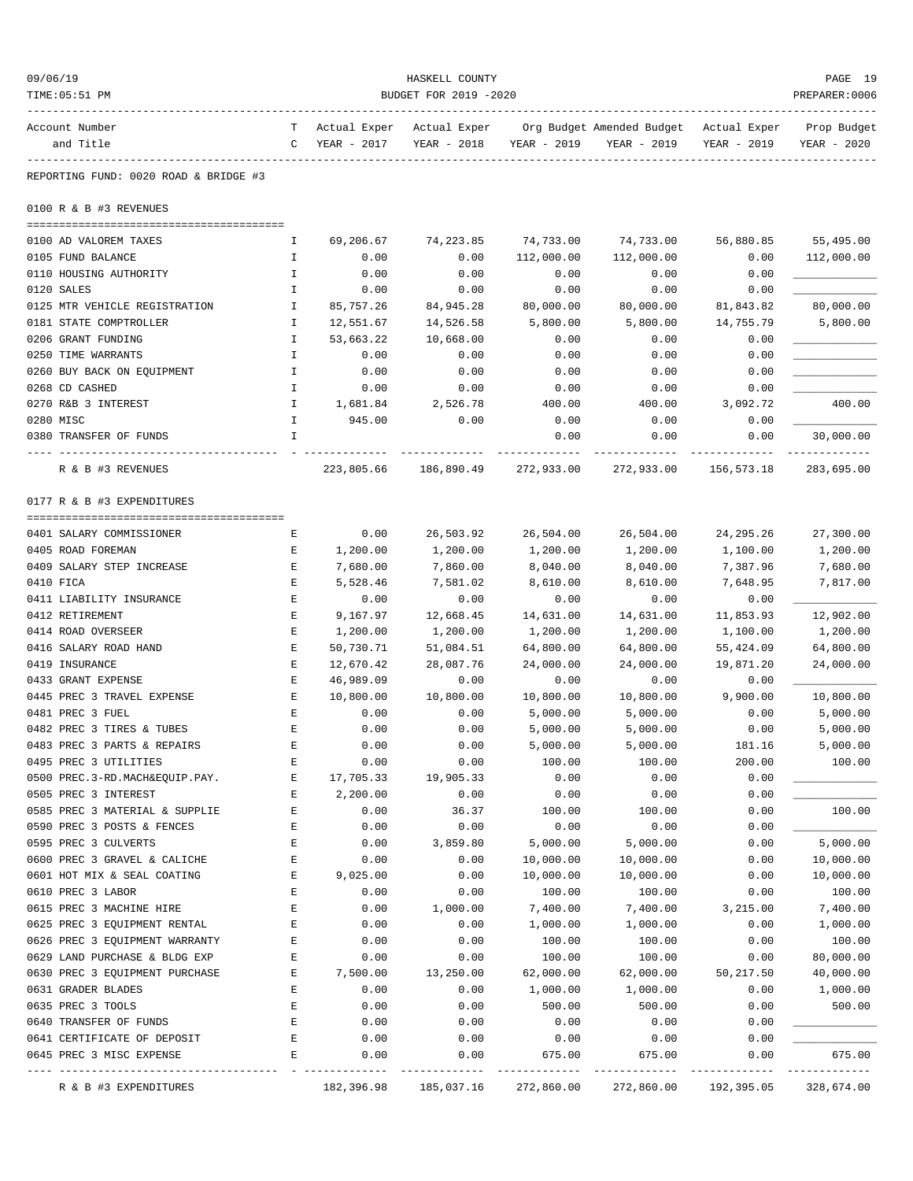| 09/06/19<br>TIME: 05:51 PM                           | HASKELL COUNTY<br>BUDGET FOR 2019 -2020 |                               |                             |                         |                                                         |                |                            |
|------------------------------------------------------|-----------------------------------------|-------------------------------|-----------------------------|-------------------------|---------------------------------------------------------|----------------|----------------------------|
| Account Number<br>and Title                          | C                                       | T Actual Exper<br>YEAR - 2017 | Actual Exper<br>YEAR - 2018 | YEAR - 2019             | Org Budget Amended Budget – Actual Exper<br>YEAR - 2019 | YEAR - 2019    | Prop Budget<br>YEAR - 2020 |
| REPORTING FUND: 0020 ROAD & BRIDGE #3                |                                         |                               |                             |                         |                                                         |                |                            |
| 0100 R & B #3 REVENUES                               |                                         |                               |                             |                         |                                                         |                |                            |
|                                                      |                                         |                               | 74,223.85                   |                         |                                                         | 56,880.85      |                            |
| 0100 AD VALOREM TAXES<br>0105 FUND BALANCE           | Ι.<br>Ι.                                | 69,206.67<br>0.00             | 0.00                        | 74,733.00<br>112,000.00 | 74,733.00<br>112,000.00                                 | 0.00           | 55,495.00<br>112,000.00    |
| 0110 HOUSING AUTHORITY                               | I                                       | 0.00                          | 0.00                        | 0.00                    | 0.00                                                    | 0.00           |                            |
| 0120 SALES                                           | Ι.                                      | 0.00                          | 0.00                        | 0.00                    | 0.00                                                    | 0.00           |                            |
| 0125 MTR VEHICLE REGISTRATION                        | I                                       | 85,757.26                     | 84,945.28                   | 80,000.00               | 80,000.00                                               | 81,843.82      | 80,000.00                  |
| 0181 STATE COMPTROLLER                               | I                                       | 12,551.67                     | 14,526.58                   | 5,800.00                | 5,800.00                                                | 14,755.79      | 5,800.00                   |
| 0206 GRANT FUNDING                                   | Ι.                                      | 53,663.22                     | 10,668.00                   | 0.00                    | 0.00                                                    | 0.00           |                            |
| 0250 TIME WARRANTS                                   | I                                       | 0.00                          | 0.00                        | 0.00                    | 0.00                                                    | 0.00           |                            |
| 0260 BUY BACK ON EQUIPMENT                           | I                                       | 0.00                          | 0.00                        | 0.00                    | 0.00                                                    | 0.00           |                            |
| 0268 CD CASHED                                       | $\mathbbm{I}$                           | 0.00                          | 0.00                        | 0.00                    | 0.00                                                    | 0.00           |                            |
| 0270 R&B 3 INTEREST                                  | I                                       | 1,681.84                      | 2,526.78                    | 400.00                  | 400.00                                                  | 3,092.72       | 400.00                     |
| 0280 MISC                                            | I                                       | 945.00                        | 0.00                        | 0.00                    | 0.00                                                    | 0.00           |                            |
| 0380 TRANSFER OF FUNDS                               | I                                       |                               |                             | 0.00                    | 0.00                                                    | 0.00           | 30,000.00                  |
| R & B #3 REVENUES                                    |                                         | 223,805.66                    | 186,890.49                  | 272,933.00              | 272,933.00                                              | 156,573.18     | 283,695.00                 |
| 0177 R & B #3 EXPENDITURES                           |                                         |                               |                             |                         |                                                         |                |                            |
|                                                      |                                         |                               |                             |                         |                                                         |                |                            |
| 0401 SALARY COMMISSIONER                             | Е                                       | 0.00                          | 26,503.92                   | 26,504.00               | 26,504.00                                               | 24, 295. 26    | 27,300.00                  |
| 0405 ROAD FOREMAN                                    | Е                                       | 1,200.00                      | 1,200.00                    | 1,200.00                | 1,200.00                                                | 1,100.00       | 1,200.00                   |
| 0409 SALARY STEP INCREASE                            | Е                                       | 7,680.00                      | 7,860.00                    | 8,040.00                | 8,040.00                                                | 7,387.96       | 7,680.00                   |
| 0410 FICA                                            | E                                       | 5,528.46                      | 7,581.02                    | 8,610.00                | 8,610.00                                                | 7,648.95       | 7,817.00                   |
| 0411 LIABILITY INSURANCE                             | Е                                       | 0.00                          | 0.00                        | 0.00                    | 0.00                                                    | 0.00           |                            |
| 0412 RETIREMENT                                      | Е                                       | 9,167.97                      | 12,668.45                   | 14,631.00               | 14,631.00                                               | 11,853.93      | 12,902.00                  |
| 0414 ROAD OVERSEER                                   | Е                                       | 1,200.00                      | 1,200.00                    | 1,200.00                | 1,200.00                                                | 1,100.00       | 1,200.00                   |
| 0416 SALARY ROAD HAND                                | Ε                                       | 50,730.71                     | 51,084.51                   | 64,800.00               | 64,800.00                                               | 55,424.09      | 64,800.00                  |
| 0419 INSURANCE                                       | Ε                                       | 12,670.42                     | 28,087.76                   | 24,000.00               | 24,000.00                                               | 19,871.20      | 24,000.00                  |
| 0433 GRANT EXPENSE                                   | Ε                                       | 46,989.09                     | 0.00                        | 0.00                    | 0.00                                                    | 0.00           |                            |
| 0445 PREC 3 TRAVEL EXPENSE                           | Е                                       | 10,800.00                     | 10,800.00                   | 10,800.00               | 10,800.00                                               | 9,900.00       | 10,800.00                  |
| 0481 PREC 3 FUEL<br>0482 PREC 3 TIRES & TUBES        | E<br>F.                                 | 0.00                          | 0.00                        | 5,000.00                | 5,000.00                                                | 0.00           | 5,000.00                   |
|                                                      |                                         | 0.00<br>0.00                  | 0.00                        | 5,000.00<br>5,000.00    | 5,000.00<br>5,000.00                                    | 0.00<br>181.16 | 5,000.00<br>5,000.00       |
| 0483 PREC 3 PARTS & REPAIRS<br>0495 PREC 3 UTILITIES | Ε<br>E                                  | 0.00                          | 0.00<br>0.00                | 100.00                  | 100.00                                                  | 200.00         | 100.00                     |
| 0500 PREC.3-RD.MACH&EQUIP.PAY.                       | Ε                                       | 17,705.33                     | 19,905.33                   | 0.00                    | 0.00                                                    | 0.00           |                            |
| 0505 PREC 3 INTEREST                                 | Ε                                       | 2,200.00                      | 0.00                        | 0.00                    | 0.00                                                    | 0.00           |                            |
| 0585 PREC 3 MATERIAL & SUPPLIE                       | E                                       | 0.00                          | 36.37                       | 100.00                  | 100.00                                                  | 0.00           | 100.00                     |
| 0590 PREC 3 POSTS & FENCES                           | Ε                                       | 0.00                          | 0.00                        | 0.00                    | 0.00                                                    | 0.00           |                            |
| 0595 PREC 3 CULVERTS                                 | Ε                                       | 0.00                          | 3,859.80                    | 5,000.00                | 5,000.00                                                | 0.00           | 5,000.00                   |
| 0600 PREC 3 GRAVEL & CALICHE                         | Ε                                       | 0.00                          | 0.00                        | 10,000.00               | 10,000.00                                               | 0.00           | 10,000.00                  |
| 0601 HOT MIX & SEAL COATING                          | Ε                                       | 9,025.00                      | 0.00                        | 10,000.00               | 10,000.00                                               | 0.00           | 10,000.00                  |
| 0610 PREC 3 LABOR                                    | Ε                                       | 0.00                          | 0.00                        | 100.00                  | 100.00                                                  | 0.00           | 100.00                     |
| 0615 PREC 3 MACHINE HIRE                             | Ε                                       | 0.00                          | 1,000.00                    | 7,400.00                | 7,400.00                                                | 3,215.00       | 7,400.00                   |
| 0625 PREC 3 EQUIPMENT RENTAL                         | Ε                                       | 0.00                          | 0.00                        | 1,000.00                | 1,000.00                                                | 0.00           | 1,000.00                   |
| 0626 PREC 3 EQUIPMENT WARRANTY                       | Ε                                       | 0.00                          | 0.00                        | 100.00                  | 100.00                                                  | 0.00           | 100.00                     |
| 0629 LAND PURCHASE & BLDG EXP                        | E                                       | 0.00                          | 0.00                        | 100.00                  | 100.00                                                  | 0.00           | 80,000.00                  |
| 0630 PREC 3 EQUIPMENT PURCHASE                       | Ε                                       | 7,500.00                      | 13,250.00                   | 62,000.00               | 62,000.00                                               | 50, 217.50     | 40,000.00                  |
| 0631 GRADER BLADES                                   | Ε                                       | 0.00                          | 0.00                        | 1,000.00                | 1,000.00                                                | 0.00           | 1,000.00                   |
| 0635 PREC 3 TOOLS                                    | Ε                                       | 0.00                          | 0.00                        | 500.00                  | 500.00                                                  | 0.00           | 500.00                     |
| 0640 TRANSFER OF FUNDS                               | $\mathbf E$                             | 0.00                          | 0.00                        | 0.00                    | 0.00                                                    | 0.00           |                            |
| 0641 CERTIFICATE OF DEPOSIT                          | Ε                                       | 0.00                          | 0.00                        | 0.00                    | 0.00                                                    | 0.00           |                            |
| 0645 PREC 3 MISC EXPENSE                             | Ε                                       | 0.00                          | 0.00                        | 675.00                  | 675.00                                                  | 0.00           | 675.00                     |
| R & B #3 EXPENDITURES                                |                                         | 182,396.98                    | 185,037.16                  | 272,860.00              | 272,860.00                                              | 192,395.05     | 328,674.00                 |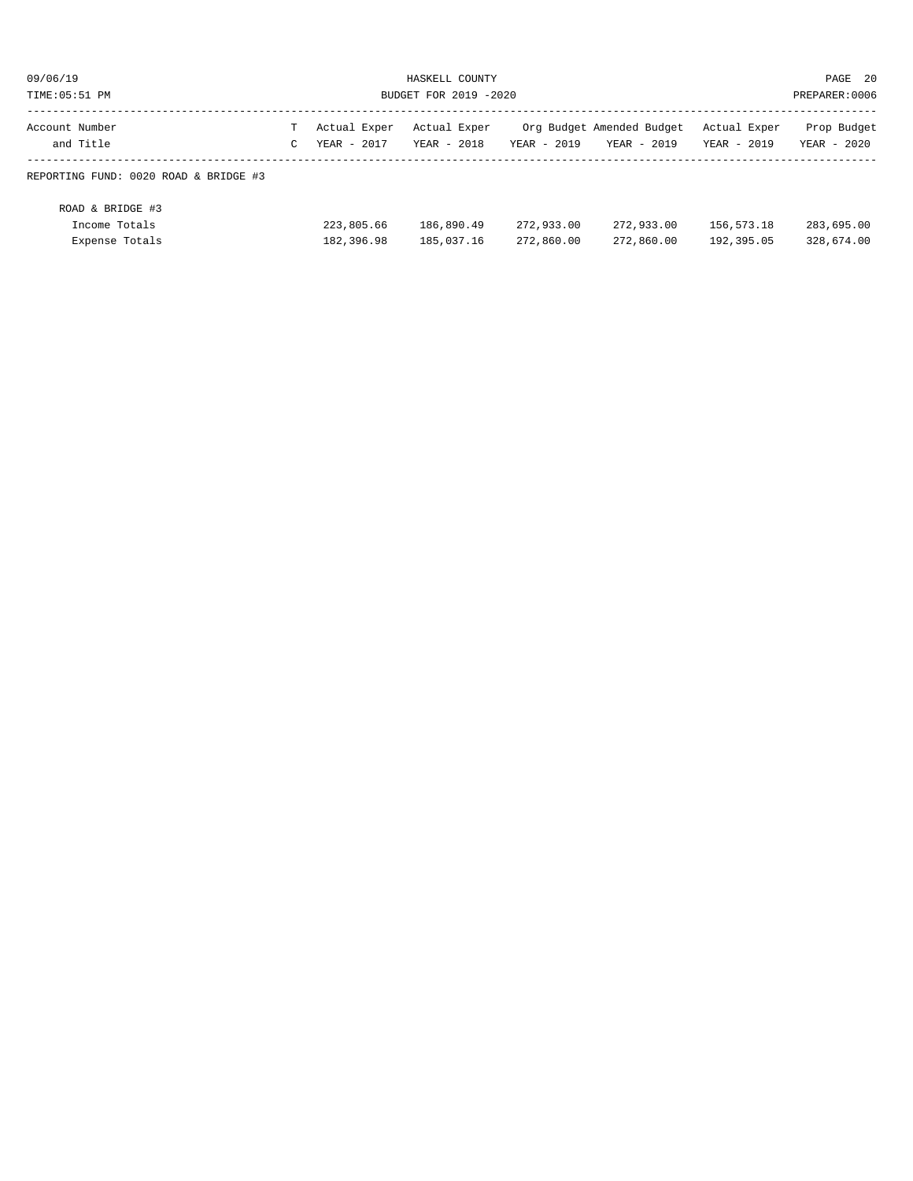| 09/06/19<br>HASKELL COUNTY<br>TIME: 05:51 PM<br>BUDGET FOR 2019 -2020 |        |                             |                             |                          |                                          |                             | PAGE 20<br>PREPARER: 0006  |
|-----------------------------------------------------------------------|--------|-----------------------------|-----------------------------|--------------------------|------------------------------------------|-----------------------------|----------------------------|
| Account Number<br>and Title                                           | т<br>C | Actual Exper<br>YEAR - 2017 | Actual Exper<br>YEAR - 2018 | YEAR - 2019              | Org Budget Amended Budget<br>YEAR - 2019 | Actual Exper<br>YEAR - 2019 | Prop Budget<br>YEAR - 2020 |
| REPORTING FUND: 0020 ROAD & BRIDGE #3                                 |        |                             |                             |                          |                                          |                             |                            |
| ROAD & BRIDGE #3<br>Income Totals<br>Expense Totals                   |        | 223,805.66<br>182,396.98    | 186,890.49<br>185,037.16    | 272,933.00<br>272,860.00 | 272,933.00<br>272,860.00                 | 156,573.18<br>192,395.05    | 283,695.00<br>328,674.00   |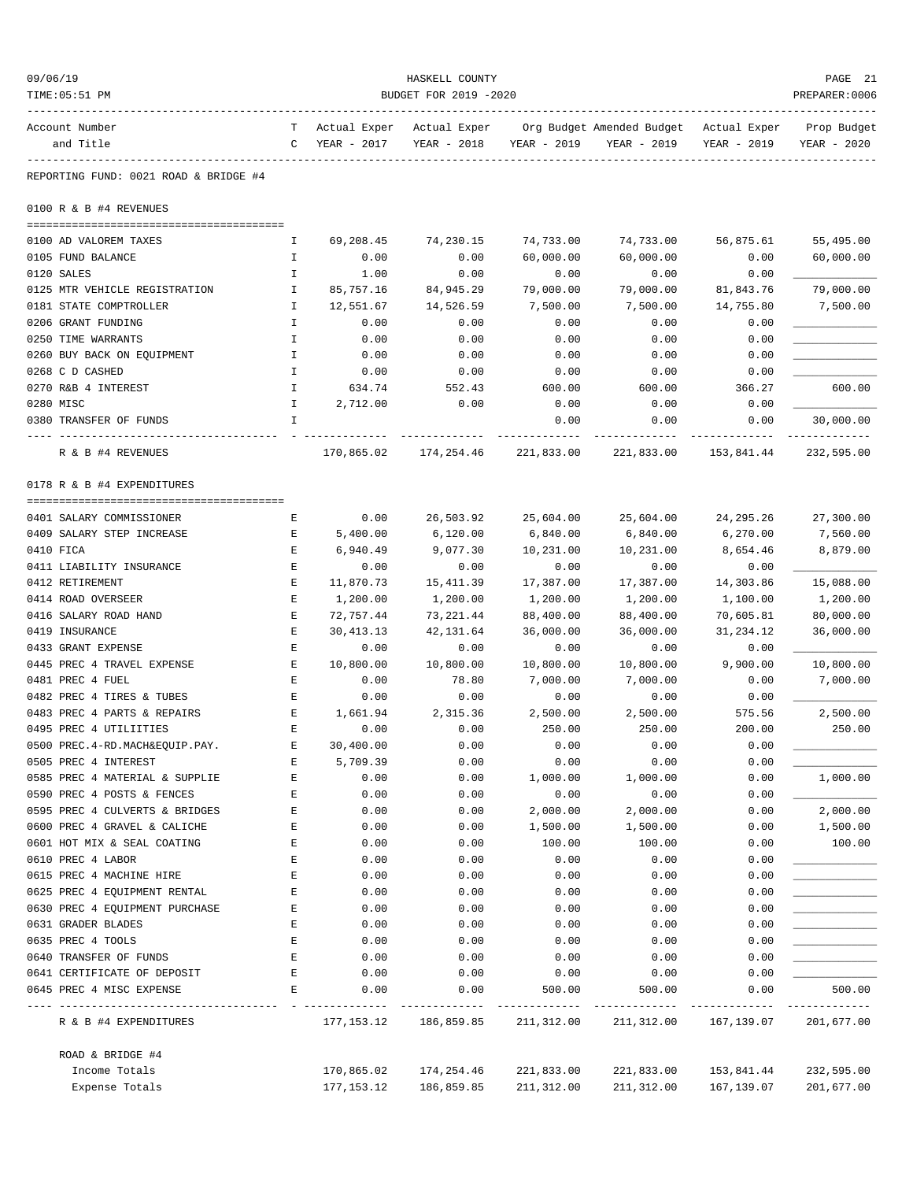| 09/06/19                                              |               |                  | HASKELL COUNTY        |                    |                                                                                   |                  | PAGE 21                    |
|-------------------------------------------------------|---------------|------------------|-----------------------|--------------------|-----------------------------------------------------------------------------------|------------------|----------------------------|
| TIME: 05:51 PM                                        |               |                  | BUDGET FOR 2019 -2020 |                    |                                                                                   |                  | PREPARER: 0006             |
| Account Number<br>and Title                           | C             | YEAR - 2017      | YEAR - 2018           | YEAR - 2019        | T Actual Exper Actual Exper Org Budget Amended Budget Actual Exper<br>YEAR - 2019 | YEAR - 2019      | Prop Budget<br>YEAR - 2020 |
| REPORTING FUND: 0021 ROAD & BRIDGE #4                 |               |                  |                       |                    |                                                                                   |                  |                            |
| 0100 R & B #4 REVENUES                                |               |                  |                       |                    |                                                                                   |                  |                            |
| 0100 AD VALOREM TAXES                                 | Ι.            | 69,208.45        | 74,230.15             | 74,733.00          | 74,733.00                                                                         | 56,875.61        | 55,495.00                  |
| 0105 FUND BALANCE                                     | Ι.            | 0.00             | 0.00                  | 60,000.00          | 60,000.00                                                                         | 0.00             | 60,000.00                  |
| 0120 SALES                                            | $\mathbf I$   | 1.00             | 0.00                  | 0.00               | 0.00                                                                              | 0.00             |                            |
| 0125 MTR VEHICLE REGISTRATION                         | I.            | 85,757.16        | 84,945.29             | 79,000.00          | 79,000.00                                                                         | 81,843.76        | 79,000.00                  |
| 0181 STATE COMPTROLLER                                | Ι.            | 12,551.67        | 14,526.59             | 7,500.00           | 7,500.00                                                                          | 14,755.80        | 7,500.00                   |
| 0206 GRANT FUNDING                                    | Ι.            | 0.00             | 0.00                  | 0.00               | 0.00                                                                              | 0.00             |                            |
| 0250 TIME WARRANTS                                    | I             | 0.00             | 0.00                  | 0.00               | 0.00                                                                              | 0.00             |                            |
| 0260 BUY BACK ON EQUIPMENT                            | I             | 0.00             | 0.00                  | 0.00               | 0.00                                                                              | 0.00             |                            |
| 0268 C D CASHED                                       | I             | 0.00             | 0.00                  | 0.00               | 0.00                                                                              | 0.00             |                            |
| 0270 R&B 4 INTEREST                                   | $\mathbbm{I}$ | 634.74           | 552.43                | 600.00             | 600.00                                                                            | 366.27           | 600.00                     |
| 0280 MISC                                             | I.            | 2,712.00         | 0.00                  | 0.00               | 0.00                                                                              | 0.00             |                            |
| 0380 TRANSFER OF FUNDS                                | I             |                  |                       | 0.00               | 0.00                                                                              | 0.00             | 30,000.00                  |
| R & B #4 REVENUES                                     |               | 170,865.02       | 174,254.46            | 221,833.00         | 221,833.00                                                                        | 153,841.44       | 232,595.00                 |
| 0178 R & B #4 EXPENDITURES                            |               |                  |                       |                    |                                                                                   |                  |                            |
| 0401 SALARY COMMISSIONER                              | Е             | 0.00             | 26,503.92             | 25,604.00          | 25,604.00                                                                         | 24,295.26        | 27,300.00                  |
| 0409 SALARY STEP INCREASE                             | Е             | 5,400.00         | 6,120.00              | 6,840.00           | 6,840.00                                                                          | 6,270.00         | 7,560.00                   |
| 0410 FICA                                             | Е             | 6,940.49         | 9,077.30              | 10,231.00          | 10,231.00                                                                         | 8,654.46         | 8,879.00                   |
| 0411 LIABILITY INSURANCE                              | Е             | 0.00             | 0.00                  | 0.00               | 0.00                                                                              | 0.00             |                            |
| 0412 RETIREMENT                                       | E             | 11,870.73        | 15, 411.39            | 17,387.00          | 17,387.00                                                                         | 14,303.86        | 15,088.00                  |
| 0414 ROAD OVERSEER                                    | Е             | 1,200.00         | 1,200.00              | 1,200.00           | 1,200.00                                                                          | 1,100.00         | 1,200.00                   |
| 0416 SALARY ROAD HAND                                 | Е             | 72,757.44        | 73, 221.44            | 88,400.00          | 88,400.00                                                                         | 70,605.81        | 80,000.00                  |
| 0419 INSURANCE                                        | Е             | 30, 413.13       | 42,131.64             | 36,000.00          | 36,000.00                                                                         | 31,234.12        | 36,000.00                  |
| 0433 GRANT EXPENSE                                    | E             | 0.00             | 0.00                  | 0.00               | 0.00                                                                              | 0.00             |                            |
| 0445 PREC 4 TRAVEL EXPENSE                            | Е             | 10,800.00        | 10,800.00             | 10,800.00          | 10,800.00                                                                         | 9,900.00         | 10,800.00                  |
| 0481 PREC 4 FUEL                                      | Е             | 0.00             | 78.80                 | 7,000.00           | 7,000.00                                                                          | 0.00             | 7,000.00                   |
| 0482 PREC 4 TIRES & TUBES                             | Е             | 0.00             | 0.00                  | 0.00               | 0.00                                                                              | 0.00             |                            |
| 0483 PREC 4 PARTS & REPAIRS<br>0495 PREC 4 UTILIITIES | Е<br>F.       | 1,661.94<br>0.00 | 2,315.36<br>0.00      | 2,500.00<br>250.00 | 2,500.00<br>250.00                                                                | 575.56<br>200.00 | 2,500.00<br>250.00         |
| 0500 PREC.4-RD.MACH&EQUIP.PAY.                        | Е             | 30,400.00        | 0.00                  | 0.00               | 0.00                                                                              | 0.00             |                            |
| 0505 PREC 4 INTEREST                                  | Е             | 5,709.39         | 0.00                  | 0.00               | 0.00                                                                              | 0.00             |                            |
| 0585 PREC 4 MATERIAL & SUPPLIE                        | Е             | 0.00             | 0.00                  | 1,000.00           | 1,000.00                                                                          | 0.00             | 1,000.00                   |
| 0590 PREC 4 POSTS & FENCES                            | Е             | 0.00             | 0.00                  | 0.00               | 0.00                                                                              | 0.00             |                            |
| 0595 PREC 4 CULVERTS & BRIDGES                        | Ε             | 0.00             | 0.00                  | 2,000.00           | 2,000.00                                                                          | 0.00             | 2,000.00                   |
| 0600 PREC 4 GRAVEL & CALICHE                          | Ε             | 0.00             | 0.00                  | 1,500.00           | 1,500.00                                                                          | 0.00             | 1,500.00                   |
| 0601 HOT MIX & SEAL COATING                           | E             | 0.00             | 0.00                  | 100.00             | 100.00                                                                            | 0.00             | 100.00                     |
| 0610 PREC 4 LABOR                                     | Ε             | 0.00             | 0.00                  | 0.00               | 0.00                                                                              | 0.00             |                            |
| 0615 PREC 4 MACHINE HIRE                              | Е             | 0.00             | 0.00                  | 0.00               | 0.00                                                                              | 0.00             |                            |
| 0625 PREC 4 EQUIPMENT RENTAL                          | Е             | 0.00             | 0.00                  | 0.00               | 0.00                                                                              | 0.00             |                            |
| 0630 PREC 4 EQUIPMENT PURCHASE                        | Ε             | 0.00             | 0.00                  | 0.00               | 0.00                                                                              | 0.00             |                            |
| 0631 GRADER BLADES                                    | Ε             | 0.00             | 0.00                  | 0.00               | 0.00                                                                              | 0.00             |                            |
| 0635 PREC 4 TOOLS                                     | E             | 0.00             | 0.00                  | 0.00               | 0.00                                                                              | 0.00             |                            |
| 0640 TRANSFER OF FUNDS                                | Е             | 0.00             | 0.00                  | 0.00               | 0.00                                                                              | 0.00             |                            |
| 0641 CERTIFICATE OF DEPOSIT                           | Е             | 0.00             | 0.00                  | 0.00               | 0.00                                                                              | 0.00             |                            |
| 0645 PREC 4 MISC EXPENSE                              | Ε             | 0.00             | 0.00                  | 500.00             | 500.00                                                                            | 0.00             | 500.00<br>-----------      |
| R & B #4 EXPENDITURES                                 |               | 177,153.12       | 186,859.85            | 211,312.00         | 211,312.00                                                                        | 167,139.07       | 201,677.00                 |
| ROAD & BRIDGE #4                                      |               |                  |                       |                    |                                                                                   |                  |                            |
| Income Totals                                         |               | 170,865.02       | 174,254.46            | 221,833.00         | 221,833.00                                                                        | 153,841.44       | 232,595.00                 |
| Expense Totals                                        |               | 177,153.12       | 186,859.85            | 211,312.00         | 211,312.00                                                                        | 167,139.07       | 201,677.00                 |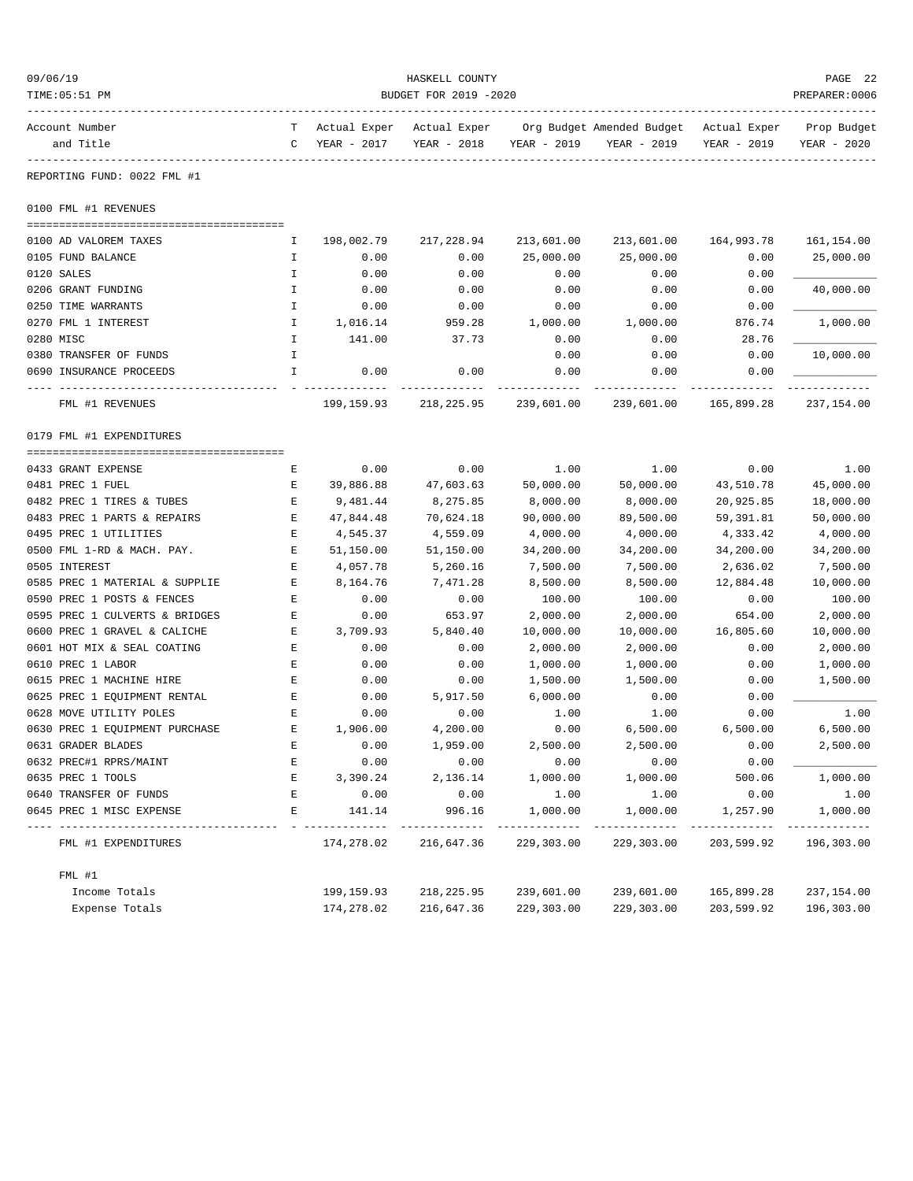| 09/06/19<br>TIME: 05:51 PM     | HASKELL COUNTY<br>BUDGET FOR 2019 -2020<br>PREPARER: 0006 |             |             |             |                                                                                   |             |                            |
|--------------------------------|-----------------------------------------------------------|-------------|-------------|-------------|-----------------------------------------------------------------------------------|-------------|----------------------------|
| Account Number<br>and Title    | $\mathbb{C}$                                              | YEAR - 2017 | YEAR - 2018 | YEAR - 2019 | T Actual Exper Actual Exper Org Budget Amended Budget Actual Exper<br>YEAR - 2019 | YEAR - 2019 | Prop Budget<br>YEAR - 2020 |
| REPORTING FUND: 0022 FML #1    |                                                           |             |             |             |                                                                                   |             |                            |
| 0100 FML #1 REVENUES           |                                                           |             |             |             |                                                                                   |             |                            |
| 0100 AD VALOREM TAXES          | I.                                                        | 198,002.79  | 217,228.94  | 213,601.00  | 213,601.00                                                                        | 164,993.78  | 161,154.00                 |
| 0105 FUND BALANCE              | Ι.                                                        | 0.00        | 0.00        | 25,000.00   | 25,000.00                                                                         | 0.00        | 25,000.00                  |
| 0120 SALES                     | I.                                                        | 0.00        | 0.00        | 0.00        | 0.00                                                                              | 0.00        |                            |
| 0206 GRANT FUNDING             | $\mathbbm{I}$                                             | 0.00        | 0.00        | 0.00        | 0.00                                                                              | 0.00        | 40,000.00                  |
| 0250 TIME WARRANTS             | I.                                                        | 0.00        | 0.00        | 0.00        | 0.00                                                                              | 0.00        |                            |
| 0270 FML 1 INTEREST            | Ι.                                                        | 1,016.14    | 959.28      | 1,000.00    | 1,000.00                                                                          | 876.74      | 1,000.00                   |
| 0280 MISC                      | I.                                                        | 141.00      | 37.73       | 0.00        | 0.00                                                                              | 28.76       |                            |
| 0380 TRANSFER OF FUNDS         | I.                                                        |             |             | 0.00        | 0.00                                                                              | 0.00        | 10,000.00                  |
| 0690 INSURANCE PROCEEDS        | I.                                                        | 0.00        | 0.00        | 0.00        | 0.00                                                                              | 0.00        |                            |
| FML #1 REVENUES                |                                                           | 199,159.93  | 218,225.95  | 239,601.00  | 239,601.00                                                                        | 165,899.28  | 237,154.00                 |
| 0179 FML #1 EXPENDITURES       |                                                           |             |             |             |                                                                                   |             |                            |
| 0433 GRANT EXPENSE             | Е                                                         | 0.00        | 0.00        | 1.00        | 1.00                                                                              | 0.00        | 1.00                       |
| 0481 PREC 1 FUEL               | Е                                                         | 39,886.88   | 47,603.63   | 50,000.00   | 50,000.00                                                                         | 43,510.78   | 45,000.00                  |
| 0482 PREC 1 TIRES & TUBES      | E                                                         | 9,481.44    | 8,275.85    | 8,000.00    | 8,000.00                                                                          | 20,925.85   | 18,000.00                  |
| 0483 PREC 1 PARTS & REPAIRS    | E                                                         | 47,844.48   | 70,624.18   | 90,000.00   | 89,500.00                                                                         | 59,391.81   | 50,000.00                  |
| 0495 PREC 1 UTILITIES          | Е                                                         | 4,545.37    | 4,559.09    | 4,000.00    | 4,000.00                                                                          | 4,333.42    | 4,000.00                   |
| 0500 FML 1-RD & MACH. PAY.     | Е                                                         | 51,150.00   | 51,150.00   | 34,200.00   | 34,200.00                                                                         | 34,200.00   | 34,200.00                  |
| 0505 INTEREST                  | E                                                         | 4,057.78    | 5,260.16    | 7,500.00    | 7,500.00                                                                          | 2,636.02    | 7,500.00                   |
| 0585 PREC 1 MATERIAL & SUPPLIE | Е                                                         | 8,164.76    | 7,471.28    | 8,500.00    | 8,500.00                                                                          | 12,884.48   | 10,000.00                  |
| 0590 PREC 1 POSTS & FENCES     | Е                                                         | 0.00        | 0.00        | 100.00      | 100.00                                                                            | 0.00        | 100.00                     |
| 0595 PREC 1 CULVERTS & BRIDGES | Е                                                         | 0.00        | 653.97      | 2,000.00    | 2,000.00                                                                          | 654.00      | 2,000.00                   |
| 0600 PREC 1 GRAVEL & CALICHE   | Е                                                         | 3,709.93    | 5,840.40    | 10,000.00   | 10,000.00                                                                         | 16,805.60   | 10,000.00                  |
| 0601 HOT MIX & SEAL COATING    | Е                                                         | 0.00        | 0.00        | 2,000.00    | 2,000.00                                                                          | 0.00        | 2,000.00                   |
| 0610 PREC 1 LABOR              | E                                                         | 0.00        | 0.00        | 1,000.00    | 1,000.00                                                                          | 0.00        | 1,000.00                   |
| 0615 PREC 1 MACHINE HIRE       | Е                                                         | 0.00        | 0.00        | 1,500.00    | 1,500.00                                                                          | 0.00        | 1,500.00                   |
| 0625 PREC 1 EQUIPMENT RENTAL   | E                                                         | 0.00        | 5,917.50    | 6,000.00    | 0.00                                                                              | 0.00        |                            |
| 0628 MOVE UTILITY POLES        | $\mathbf{E}$                                              | 0.00        | 0.00        | 1.00        | 1.00                                                                              | 0.00        | 1.00                       |
| 0630 PREC 1 EOUIPMENT PURCHASE | Е                                                         | 1,906.00    | 4,200.00    | 0.00        | 6,500.00                                                                          | 6,500.00    | 6,500.00                   |
| 0631 GRADER BLADES             | Ε                                                         | 0.00        | 1,959.00    | 2,500.00    | 2,500.00                                                                          | 0.00        | 2,500.00                   |
| 0632 PREC#1 RPRS/MAINT         | Ε                                                         | 0.00        | 0.00        | 0.00        | 0.00                                                                              | 0.00        |                            |
| 0635 PREC 1 TOOLS              | E                                                         | 3,390.24    | 2,136.14    | 1,000.00    | 1,000.00                                                                          | 500.06      | 1,000.00                   |
| 0640 TRANSFER OF FUNDS         | Ε                                                         | 0.00        | 0.00        | 1.00        | 1.00                                                                              | 0.00        | 1.00                       |
| 0645 PREC 1 MISC EXPENSE       | E                                                         | 141.14      | 996.16      | 1,000.00    | 1,000.00                                                                          | 1,257.90    | 1,000.00                   |
| FML #1 EXPENDITURES            |                                                           | 174,278.02  | 216,647.36  | 229,303.00  | 229,303.00                                                                        | 203,599.92  | 196,303.00                 |
| FML #1                         |                                                           |             |             |             |                                                                                   |             |                            |
| Income Totals                  |                                                           | 199,159.93  | 218,225.95  | 239,601.00  | 239,601.00                                                                        | 165,899.28  | 237,154.00                 |
| Expense Totals                 |                                                           | 174,278.02  | 216,647.36  | 229,303.00  | 229,303.00                                                                        | 203,599.92  | 196,303.00                 |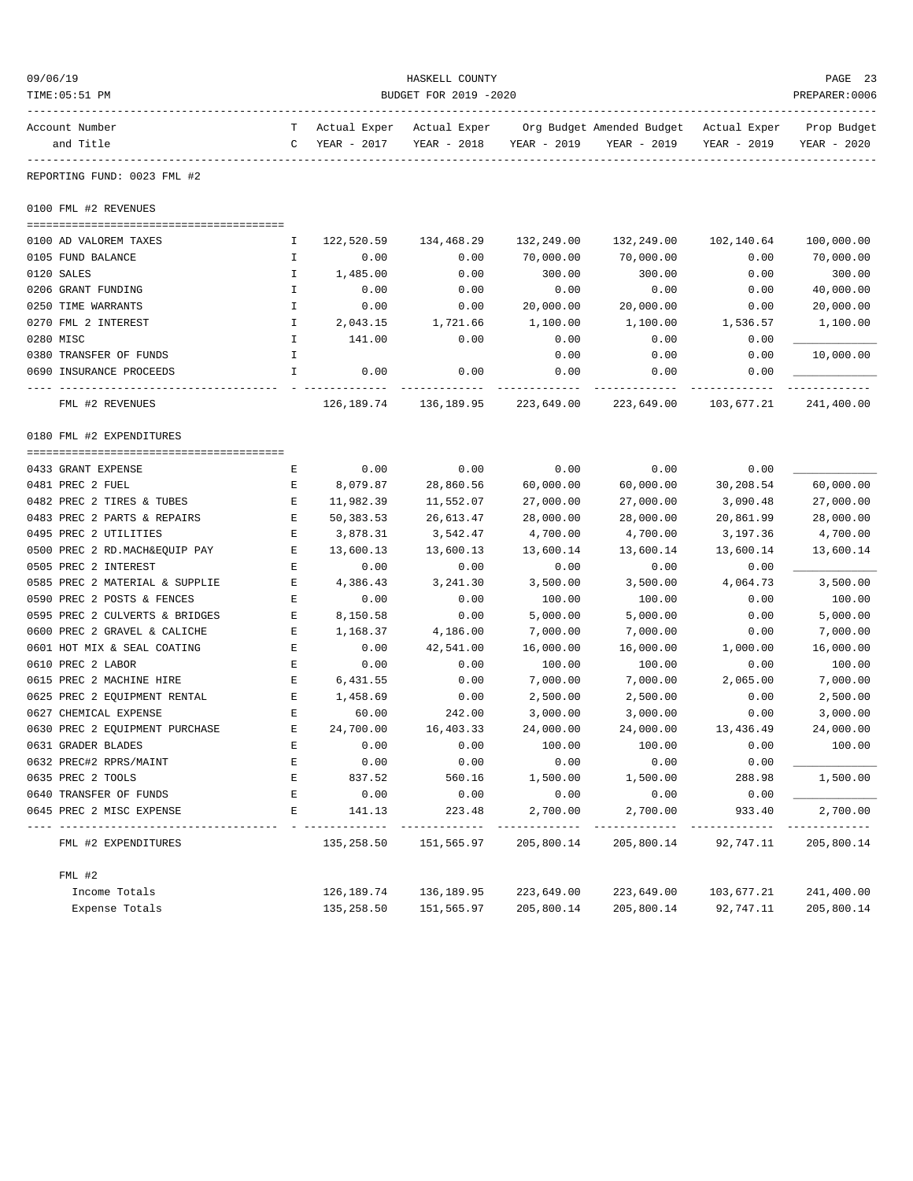| 09/06/19<br>TIME: 05:51 PM     |               | HASKELL COUNTY<br>BUDGET FOR 2019 -2020    |             |                   |                                                         |             |                            |  |
|--------------------------------|---------------|--------------------------------------------|-------------|-------------------|---------------------------------------------------------|-------------|----------------------------|--|
| Account Number<br>and Title    | $\mathsf{C}$  | T Actual Exper Actual Exper<br>YEAR - 2017 | YEAR - 2018 | YEAR - 2019       | Org Budget Amended Budget - Actual Exper<br>YEAR - 2019 | YEAR - 2019 | Prop Budget<br>YEAR - 2020 |  |
| REPORTING FUND: 0023 FML #2    |               |                                            |             |                   |                                                         |             |                            |  |
| 0100 FML #2 REVENUES           |               |                                            |             |                   |                                                         |             |                            |  |
|                                |               |                                            |             |                   |                                                         |             |                            |  |
| 0100 AD VALOREM TAXES          | I.            | 122,520.59                                 | 134,468.29  | 132,249.00        | 132,249.00                                              | 102,140.64  | 100,000.00                 |  |
| 0105 FUND BALANCE              | I.            | 0.00                                       | 0.00        | 70,000.00         | 70,000.00                                               | 0.00        | 70,000.00                  |  |
| 0120 SALES                     | Ι.            | 1,485.00                                   | 0.00        | 300.00            | 300.00                                                  | 0.00        | 300.00                     |  |
| 0206 GRANT FUNDING             | $\mathbbm{I}$ | 0.00                                       | 0.00        | 0.00              | 0.00                                                    | 0.00        | 40,000.00                  |  |
| 0250 TIME WARRANTS             | I.            | 0.00                                       | 0.00        | 20,000.00         | 20,000.00                                               | 0.00        | 20,000.00                  |  |
| 0270 FML 2 INTEREST            | Ι.            | 2,043.15                                   | 1,721.66    | 1,100.00          | 1,100.00                                                | 1,536.57    | 1,100.00                   |  |
| 0280 MISC                      | I.            | 141.00                                     | 0.00        | 0.00              | 0.00                                                    | 0.00        |                            |  |
| 0380 TRANSFER OF FUNDS         | I.            |                                            |             | 0.00              | 0.00                                                    | 0.00        | 10,000.00                  |  |
| 0690 INSURANCE PROCEEDS        | $\mathbf{I}$  | 0.00                                       | 0.00        | 0.00<br>--------- | 0.00                                                    | 0.00        |                            |  |
| FML #2 REVENUES                |               | 126,189.74                                 | 136,189.95  | 223,649.00        | 223,649.00                                              | 103,677.21  | 241,400.00                 |  |
| 0180 FML #2 EXPENDITURES       |               |                                            |             |                   |                                                         |             |                            |  |
| 0433 GRANT EXPENSE             | Е             | 0.00                                       | 0.00        | 0.00              | 0.00                                                    | 0.00        |                            |  |
| 0481 PREC 2 FUEL               | Е             | 8,079.87                                   | 28,860.56   | 60,000.00         | 60,000.00                                               | 30,208.54   | 60,000.00                  |  |
| 0482 PREC 2 TIRES & TUBES      | E             | 11,982.39                                  | 11,552.07   | 27,000.00         | 27,000.00                                               | 3,090.48    | 27,000.00                  |  |
| 0483 PREC 2 PARTS & REPAIRS    | E             | 50,383.53                                  | 26,613.47   | 28,000.00         | 28,000.00                                               | 20,861.99   | 28,000.00                  |  |
| 0495 PREC 2 UTILITIES          | E             | 3,878.31                                   | 3,542.47    | 4,700.00          | 4,700.00                                                | 3,197.36    | 4,700.00                   |  |
| 0500 PREC 2 RD. MACH&EQUIP PAY | Е             | 13,600.13                                  | 13,600.13   | 13,600.14         | 13,600.14                                               | 13,600.14   | 13,600.14                  |  |
| 0505 PREC 2 INTEREST           | E             | 0.00                                       | 0.00        | 0.00              | 0.00                                                    | 0.00        |                            |  |
| 0585 PREC 2 MATERIAL & SUPPLIE | Е             | 4,386.43                                   | 3,241.30    | 3,500.00          | 3,500.00                                                | 4,064.73    | 3,500.00                   |  |
| 0590 PREC 2 POSTS & FENCES     | Е             | 0.00                                       | 0.00        | 100.00            | 100.00                                                  | 0.00        | 100.00                     |  |
| 0595 PREC 2 CULVERTS & BRIDGES | Е             | 8,150.58                                   | 0.00        | 5,000.00          | 5,000.00                                                | 0.00        | 5,000.00                   |  |
| 0600 PREC 2 GRAVEL & CALICHE   | Е             | 1,168.37                                   | 4,186.00    | 7,000.00          | 7,000.00                                                | 0.00        | 7,000.00                   |  |
| 0601 HOT MIX & SEAL COATING    | E             | 0.00                                       | 42,541.00   | 16,000.00         | 16,000.00                                               | 1,000.00    | 16,000.00                  |  |
| 0610 PREC 2 LABOR              | $\mathbf E$   | 0.00                                       | 0.00        | 100.00            | 100.00                                                  | 0.00        | 100.00                     |  |
| 0615 PREC 2 MACHINE HIRE       | E             | 6,431.55                                   | 0.00        | 7,000.00          | 7,000.00                                                | 2,065.00    | 7,000.00                   |  |
| 0625 PREC 2 EQUIPMENT RENTAL   | E             | 1,458.69                                   | 0.00        | 2,500.00          | 2,500.00                                                | 0.00        | 2,500.00                   |  |
| 0627 CHEMICAL EXPENSE          | E             | 60.00                                      | 242.00      | 3,000.00          | 3,000.00                                                | 0.00        | 3,000.00                   |  |
| 0630 PREC 2 EOUIPMENT PURCHASE | E             | 24,700.00                                  | 16,403.33   | 24,000.00         | 24,000.00                                               | 13,436.49   | 24,000.00                  |  |
| 0631 GRADER BLADES             | Ε             | 0.00                                       | 0.00        | 100.00            | 100.00                                                  | 0.00        | 100.00                     |  |
| 0632 PREC#2 RPRS/MAINT         | Ε             | 0.00                                       | 0.00        | 0.00              | 0.00                                                    | 0.00        |                            |  |
| 0635 PREC 2 TOOLS              | Ε             | 837.52                                     | 560.16      | 1,500.00          | 1,500.00                                                | 288.98      | 1,500.00                   |  |
| 0640 TRANSFER OF FUNDS         | Ε             | 0.00                                       | 0.00        | 0.00              | 0.00                                                    | 0.00        |                            |  |
| 0645 PREC 2 MISC EXPENSE       | Ε             | 141.13                                     | 223.48      | 2,700.00          | 2,700.00                                                | 933.40      | 2,700.00                   |  |
| FML #2 EXPENDITURES            |               | 135,258.50                                 | 151,565.97  | 205,800.14        | 205,800.14                                              | 92,747.11   | 205,800.14                 |  |
| FML #2                         |               |                                            |             |                   |                                                         |             |                            |  |
| Income Totals                  |               | 126,189.74                                 | 136,189.95  | 223,649.00        | 223,649.00                                              | 103,677.21  | 241,400.00                 |  |
| Expense Totals                 |               | 135,258.50                                 | 151,565.97  | 205,800.14        | 205,800.14                                              | 92,747.11   | 205,800.14                 |  |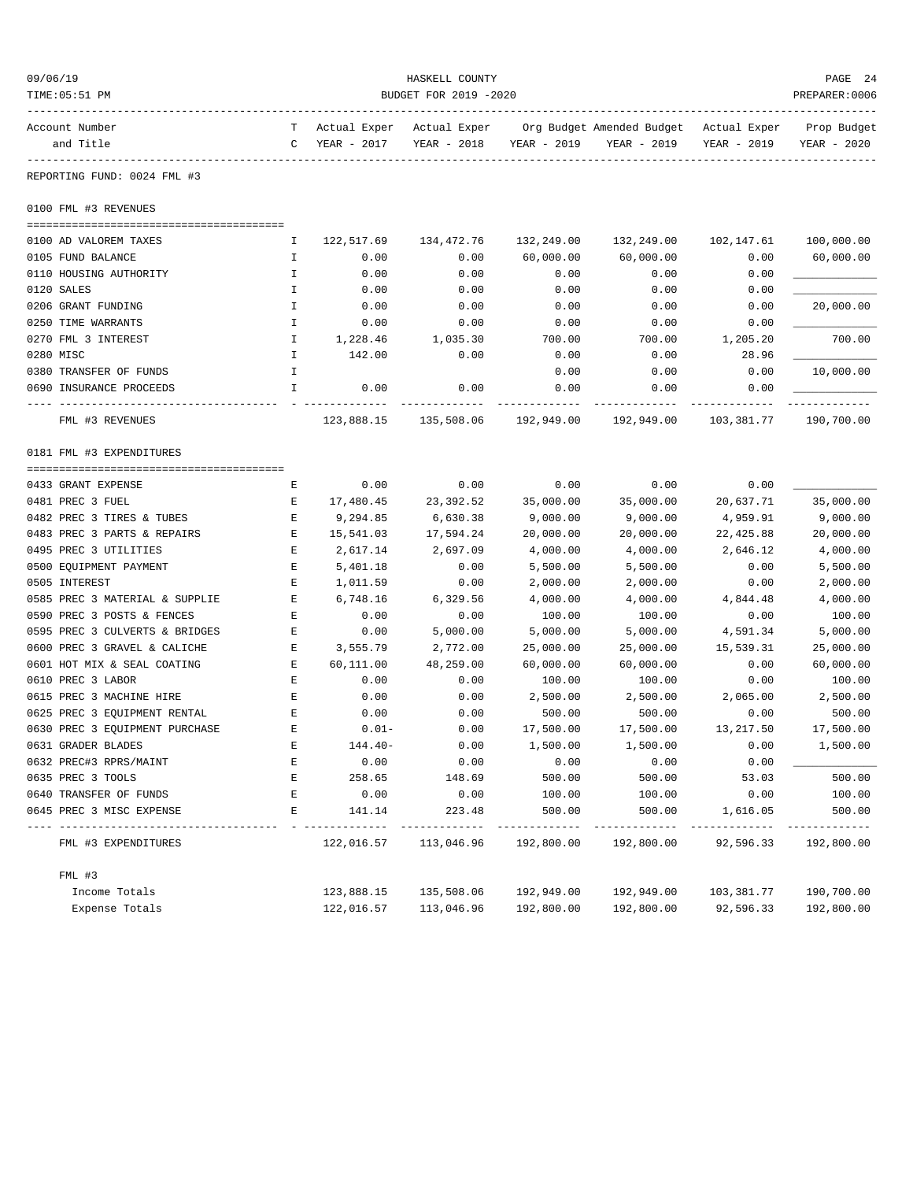| 09/06/19<br>HASKELL COUNTY<br>TIME: 05:51 PM<br>BUDGET FOR 2019 -2020 |    |              |              |                       |                           |              | PAGE 24<br>PREPARER: 0006 |
|-----------------------------------------------------------------------|----|--------------|--------------|-----------------------|---------------------------|--------------|---------------------------|
| Account Number                                                        | T. | Actual Exper | Actual Exper |                       | Org Budget Amended Budget | Actual Exper | Prop Budget               |
| and Title                                                             | C  | YEAR - 2017  | YEAR - 2018  | YEAR - 2019           | YEAR - 2019               | YEAR - 2019  | YEAR - 2020               |
| REPORTING FUND: 0024 FML #3                                           |    |              |              |                       |                           |              |                           |
| 0100 FML #3 REVENUES                                                  |    |              |              |                       |                           |              |                           |
| 0100 AD VALOREM TAXES                                                 | Ι. | 122,517.69   | 134,472.76   | 132,249.00            | 132,249.00                | 102,147.61   | 100,000.00                |
| 0105 FUND BALANCE                                                     | Ι. | 0.00         | 0.00         | 60,000.00             | 60,000.00                 | 0.00         | 60,000.00                 |
| 0110 HOUSING AUTHORITY                                                | I  | 0.00         | 0.00         | 0.00                  | 0.00                      | 0.00         |                           |
| 0120 SALES                                                            | I  | 0.00         | 0.00         | 0.00                  | 0.00                      | 0.00         |                           |
| 0206 GRANT FUNDING                                                    | I  | 0.00         | 0.00         | 0.00                  | 0.00                      | 0.00         | 20,000.00                 |
| 0250 TIME WARRANTS                                                    | I  | 0.00         | 0.00         | 0.00                  | 0.00                      | 0.00         |                           |
| 0270 FML 3 INTEREST                                                   | I  | 1,228.46     | 1,035.30     | 700.00                | 700.00                    | 1,205.20     | 700.00                    |
| 0280 MISC                                                             | I  | 142.00       | 0.00         | 0.00                  | 0.00                      | 28.96        |                           |
| 0380 TRANSFER OF FUNDS                                                | I  |              |              | 0.00                  | 0.00                      | 0.00         | 10,000.00                 |
| 0690 INSURANCE PROCEEDS                                               | I  | 0.00         | 0.00         | 0.00                  | 0.00                      | 0.00         |                           |
| FML #3 REVENUES                                                       |    | 123,888.15   | 135,508.06   | 192,949.00            | 192,949.00                | 103,381.77   | 190,700.00                |
| 0181 FML #3 EXPENDITURES                                              |    |              |              |                       |                           |              |                           |
|                                                                       |    |              |              |                       |                           |              |                           |
| 0433 GRANT EXPENSE                                                    | Е  | 0.00         | 0.00         | 0.00                  | 0.00                      | 0.00         |                           |
| 0481 PREC 3 FUEL                                                      | Е  | 17,480.45    | 23,392.52    | 35,000.00             | 35,000.00                 | 20,637.71    | 35,000.00                 |
| 0482 PREC 3 TIRES & TUBES                                             | Ε  | 9,294.85     | 6,630.38     | 9,000.00              | 9,000.00                  | 4,959.91     | 9,000.00                  |
| 0483 PREC 3 PARTS & REPAIRS                                           | Е  | 15,541.03    | 17,594.24    | 20,000.00             | 20,000.00                 | 22, 425.88   | 20,000.00                 |
| 0495 PREC 3 UTILITIES                                                 | Ε  | 2,617.14     | 2,697.09     | 4,000.00              | 4,000.00                  | 2,646.12     | 4,000.00                  |
| 0500 EQUIPMENT PAYMENT                                                | Ε  | 5,401.18     | 0.00         | 5,500.00              | 5,500.00                  | 0.00         | 5,500.00                  |
| 0505 INTEREST                                                         | E  | 1,011.59     | 0.00         | 2,000.00              | 2,000.00                  | 0.00         | 2,000.00                  |
| 0585 PREC 3 MATERIAL & SUPPLIE                                        | Е  | 6,748.16     | 6,329.56     | 4,000.00              | 4,000.00                  | 4,844.48     | 4,000.00                  |
| 0590 PREC 3 POSTS & FENCES                                            | Ε  | 0.00         | 0.00         | 100.00                | 100.00                    | 0.00         | 100.00                    |
| 0595 PREC 3 CULVERTS & BRIDGES                                        | Ε  | 0.00         | 5,000.00     | 5,000.00              | 5,000.00                  | 4,591.34     | 5,000.00                  |
| 0600 PREC 3 GRAVEL & CALICHE                                          | Ε  | 3,555.79     | 2,772.00     | 25,000.00             | 25,000.00                 | 15,539.31    | 25,000.00                 |
| 0601 HOT MIX & SEAL COATING                                           | Е  | 60,111.00    | 48,259.00    | 60,000.00             | 60,000.00                 | 0.00         | 60,000.00                 |
| 0610 PREC 3 LABOR                                                     | E  | 0.00         | 0.00         | 100.00                | 100.00                    | 0.00         | 100.00                    |
| 0615 PREC 3 MACHINE HIRE                                              | Е  | 0.00         | 0.00         | 2,500.00              | 2,500.00                  | 2,065.00     | 2,500.00                  |
| 0625 PREC 3 EQUIPMENT RENTAL                                          | Ε  | 0.00         | 0.00         | 500.00                | 500.00                    | 0.00         | 500.00                    |
| 0630 PREC 3 EQUIPMENT PURCHASE                                        | E  | $0.01 -$     | 0.00         | 17,500.00             | 17,500.00                 | 13,217.50    | 17,500.00                 |
| 0631 GRADER BLADES                                                    | Ε  | 144.40-      | 0.00         | 1,500.00              | 1,500.00                  | 0.00         | 1,500.00                  |
| 0632 PREC#3 RPRS/MAINT                                                | Ε  | 0.00         | 0.00         | 0.00                  | 0.00                      | 0.00         |                           |
| 0635 PREC 3 TOOLS                                                     | E  | 258.65       | 148.69       | 500.00                | 500.00                    | 53.03        | 500.00                    |
| 0640 TRANSFER OF FUNDS                                                | Е  | 0.00         | 0.00         | 100.00                | 100.00                    | 0.00         | 100.00                    |
| 0645 PREC 3 MISC EXPENSE<br>--------------                            | E  | 141.14       | 223.48       | 500.00<br>----------- | 500.00                    | 1,616.05     | 500.00                    |
| FML #3 EXPENDITURES                                                   |    | 122,016.57   | 113,046.96   | 192,800.00            | 192,800.00                | 92,596.33    | 192,800.00                |
| $FML$ #3                                                              |    |              |              |                       |                           |              |                           |
| Income Totals                                                         |    | 123,888.15   | 135,508.06   | 192,949.00            | 192,949.00                | 103,381.77   | 190,700.00                |
| Expense Totals                                                        |    | 122,016.57   | 113,046.96   | 192,800.00            | 192,800.00                | 92,596.33    | 192,800.00                |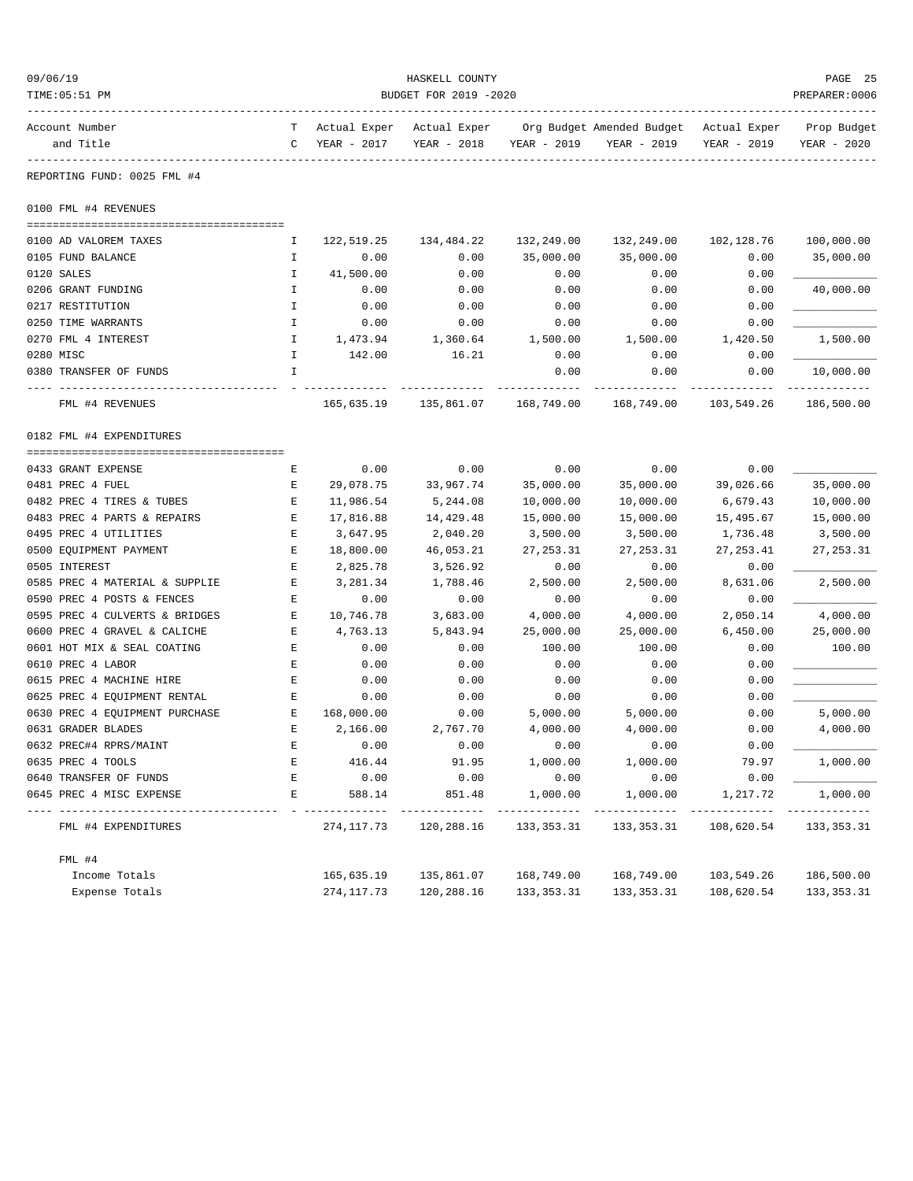| 09/06/19<br>TIME: 05:51 PM     |              |                             | HASKELL COUNTY<br>BUDGET FOR 2019 -2020 |              |                                          |                             | PAGE 25<br>PREPARER: 0006  |  |
|--------------------------------|--------------|-----------------------------|-----------------------------------------|--------------|------------------------------------------|-----------------------------|----------------------------|--|
|                                |              |                             |                                         |              |                                          |                             |                            |  |
| Account Number<br>and Title    | T.<br>C      | Actual Exper<br>YEAR - 2017 | Actual Exper<br>YEAR - 2018             | YEAR - 2019  | Org Budget Amended Budget<br>YEAR - 2019 | Actual Exper<br>YEAR - 2019 | Prop Budget<br>YEAR - 2020 |  |
| REPORTING FUND: 0025 FML #4    |              |                             |                                         |              |                                          |                             |                            |  |
| 0100 FML #4 REVENUES           |              |                             |                                         |              |                                          |                             |                            |  |
|                                |              |                             |                                         |              |                                          |                             |                            |  |
| 0100 AD VALOREM TAXES          | I.           | 122,519.25                  | 134,484.22                              | 132,249.00   | 132,249.00                               | 102, 128.76                 | 100,000.00                 |  |
| 0105 FUND BALANCE              | $\mathbf{I}$ | 0.00                        | 0.00                                    | 35,000.00    | 35,000.00                                | 0.00                        | 35,000.00                  |  |
| 0120 SALES                     | I            | 41,500.00                   | 0.00                                    | 0.00         | 0.00                                     | 0.00                        |                            |  |
| 0206 GRANT FUNDING             | $\mathbf I$  | 0.00                        | 0.00                                    | 0.00         | 0.00                                     | 0.00                        | 40,000.00                  |  |
| 0217 RESTITUTION               | I            | 0.00                        | 0.00                                    | 0.00         | 0.00                                     | 0.00                        |                            |  |
| 0250 TIME WARRANTS             | I            | 0.00                        | 0.00                                    | 0.00         | 0.00                                     | 0.00                        |                            |  |
| 0270 FML 4 INTEREST            | I.           | 1,473.94                    | 1,360.64                                | 1,500.00     | 1,500.00                                 | 1,420.50                    | 1,500.00                   |  |
|                                | $\mathbf{I}$ |                             |                                         |              |                                          |                             |                            |  |
| 0280 MISC                      | I            | 142.00                      | 16.21                                   | 0.00<br>0.00 | 0.00                                     | 0.00<br>0.00                | 10,000.00                  |  |
| 0380 TRANSFER OF FUNDS         |              |                             |                                         |              | 0.00                                     |                             |                            |  |
| FML #4 REVENUES                |              | 165,635.19                  | 135,861.07                              | 168,749.00   | 168,749.00                               | 103,549.26                  | 186,500.00                 |  |
| 0182 FML #4 EXPENDITURES       |              |                             |                                         |              |                                          |                             |                            |  |
|                                |              |                             |                                         |              |                                          |                             |                            |  |
| 0433 GRANT EXPENSE             | Е            | 0.00                        | 0.00                                    | 0.00         | 0.00                                     | 0.00                        |                            |  |
| 0481 PREC 4 FUEL               | Ε            | 29,078.75                   | 33,967.74                               | 35,000.00    | 35,000.00                                | 39,026.66                   | 35,000.00                  |  |
| 0482 PREC 4 TIRES & TUBES      | Ε            | 11,986.54                   | 5,244.08                                | 10,000.00    | 10,000.00                                | 6,679.43                    | 10,000.00                  |  |
| 0483 PREC 4 PARTS & REPAIRS    | Ε            | 17,816.88                   | 14,429.48                               | 15,000.00    | 15,000.00                                | 15,495.67                   | 15,000.00                  |  |
| 0495 PREC 4 UTILITIES          | Ε            | 3,647.95                    | 2,040.20                                | 3,500.00     | 3,500.00                                 | 1,736.48                    | 3,500.00                   |  |
| 0500 EQUIPMENT PAYMENT         | $\mathbf E$  | 18,800.00                   | 46,053.21                               | 27, 253.31   | 27, 253.31                               | 27, 253.41                  | 27, 253.31                 |  |
| 0505 INTEREST                  | Ε            | 2,825.78                    | 3,526.92                                | 0.00         | 0.00                                     | 0.00                        |                            |  |
| 0585 PREC 4 MATERIAL & SUPPLIE | Е            | 3,281.34                    | 1,788.46                                | 2,500.00     | 2,500.00                                 | 8,631.06                    | 2,500.00                   |  |
| 0590 PREC 4 POSTS & FENCES     | Ε            | 0.00                        | 0.00                                    | 0.00         | 0.00                                     | 0.00                        |                            |  |
| 0595 PREC 4 CULVERTS & BRIDGES | Е            | 10,746.78                   | 3,683.00                                | 4,000.00     | 4,000.00                                 | 2,050.14                    | 4,000.00                   |  |
| 0600 PREC 4 GRAVEL & CALICHE   | E            | 4,763.13                    | 5,843.94                                | 25,000.00    | 25,000.00                                | 6,450.00                    | 25,000.00                  |  |
| 0601 HOT MIX & SEAL COATING    | $\mathbf E$  | 0.00                        | 0.00                                    | 100.00       | 100.00                                   | 0.00                        | 100.00                     |  |
| 0610 PREC 4 LABOR              | Ε            | 0.00                        | 0.00                                    | 0.00         | 0.00                                     | 0.00                        |                            |  |
| 0615 PREC 4 MACHINE HIRE       | Ε            | 0.00                        | 0.00                                    | 0.00         | 0.00                                     | 0.00                        |                            |  |
| 0625 PREC 4 EQUIPMENT RENTAL   | Ε            | 0.00                        | 0.00                                    | 0.00         | 0.00                                     | 0.00                        |                            |  |
| 0630 PREC 4 EQUIPMENT PURCHASE | Е            | 168,000.00                  | 0.00                                    | 5,000.00     | 5,000.00                                 | 0.00                        | 5,000.00                   |  |
| 0631 GRADER BLADES             | E            | 2,166.00                    | 2,767.70                                | 4,000.00     | 4,000.00                                 | 0.00                        | 4,000.00                   |  |
| 0632 PREC#4 RPRS/MAINT         | Е            | 0.00                        | 0.00                                    | 0.00         | 0.00                                     | 0.00                        |                            |  |
| 0635 PREC 4 TOOLS              | Ε            | 416.44                      | 91.95                                   | 1,000.00     | 1,000.00                                 | 79.97                       | 1,000.00                   |  |
| 0640 TRANSFER OF FUNDS         | Ε            | 0.00                        | 0.00                                    | 0.00         | 0.00                                     | 0.00                        |                            |  |
| 0645 PREC 4 MISC EXPENSE       | Ε            | 588.14                      | 851.48                                  | 1,000.00     | 1,000.00                                 | 1,217.72                    | 1,000.00                   |  |
| FML #4 EXPENDITURES            |              | 274,117.73                  | 120,288.16                              | 133,353.31   | 133,353.31                               | 108,620.54                  | 133,353.31                 |  |
| FML #4                         |              |                             |                                         |              |                                          |                             |                            |  |
| Income Totals                  |              | 165,635.19                  | 135,861.07                              | 168,749.00   | 168,749.00                               | 103,549.26                  | 186,500.00                 |  |
| Expense Totals                 |              | 274,117.73                  | 120,288.16                              | 133, 353. 31 | 133, 353. 31                             | 108,620.54                  | 133, 353. 31               |  |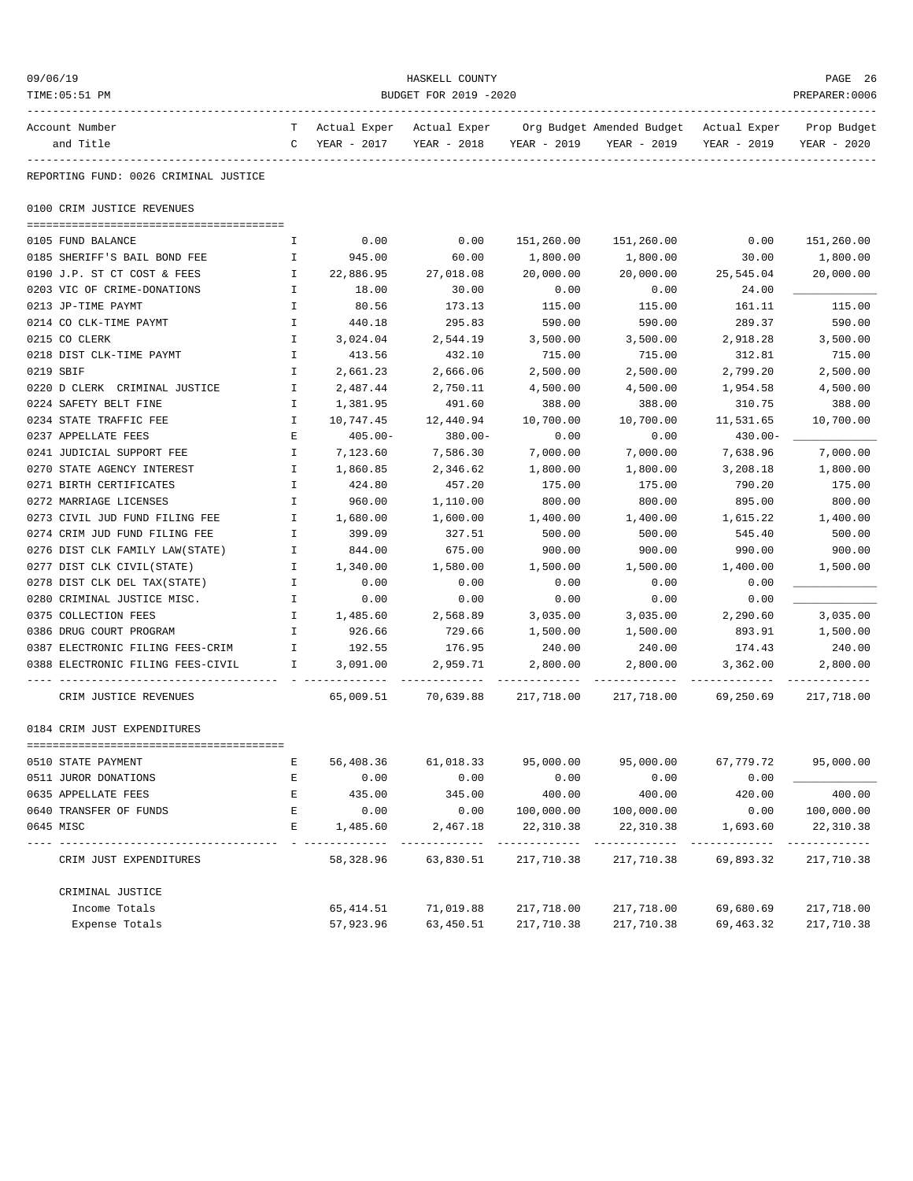| 09/06/19<br>TIME: 05:51 PM            | HASKELL COUNTY<br>PREPARER: 0006<br>BUDGET FOR 2019 -2020 |                               |                             |             |                                          |                             |                            |  |
|---------------------------------------|-----------------------------------------------------------|-------------------------------|-----------------------------|-------------|------------------------------------------|-----------------------------|----------------------------|--|
| Account Number<br>and Title           | T –                                                       | Actual Exper<br>C YEAR - 2017 | Actual Exper<br>YEAR - 2018 | YEAR - 2019 | Org Budget Amended Budget<br>YEAR - 2019 | Actual Exper<br>YEAR - 2019 | Prop Budget<br>YEAR - 2020 |  |
| REPORTING FUND: 0026 CRIMINAL JUSTICE |                                                           |                               |                             |             |                                          |                             |                            |  |
| 0100 CRIM JUSTICE REVENUES            |                                                           |                               |                             |             |                                          |                             |                            |  |
| 0105 FUND BALANCE                     | Ι.                                                        | 0.00                          | 0.00                        | 151,260.00  | 151,260.00                               | 0.00                        | 151,260.00                 |  |
| 0185 SHERIFF'S BAIL BOND FEE          | I.                                                        | 945.00                        | 60.00                       | 1,800.00    | 1,800.00                                 | 30.00                       | 1,800.00                   |  |
| 0190 J.P. ST CT COST & FEES           | $\mathbf{I}$                                              | 22,886.95                     | 27,018.08                   | 20,000.00   | 20,000.00                                | 25,545.04                   | 20,000.00                  |  |
| 0203 VIC OF CRIME-DONATIONS           | Ι.                                                        | 18.00                         | 30.00                       | 0.00        | 0.00                                     | 24.00                       |                            |  |
| 0213 JP-TIME PAYMT                    | I.                                                        | 80.56                         | 173.13                      | 115.00      | 115.00                                   | 161.11                      | 115.00                     |  |
| 0214 CO CLK-TIME PAYMT                | Ι.                                                        | 440.18                        | 295.83                      | 590.00      | 590.00                                   | 289.37                      | 590.00                     |  |
| 0215 CO CLERK                         | Ι.                                                        | 3,024.04                      | 2,544.19                    | 3,500.00    | 3,500.00                                 | 2,918.28                    | 3,500.00                   |  |
| 0218 DIST CLK-TIME PAYMT              | $\mathbf I$                                               | 413.56                        | 432.10                      | 715.00      | 715.00                                   | 312.81                      | 715.00                     |  |
| 0219 SBIF                             | $\mathbf I$                                               | 2,661.23                      | 2,666.06                    | 2,500.00    | 2,500.00                                 | 2,799.20                    | 2,500.00                   |  |
| 0220 D CLERK CRIMINAL JUSTICE         | I                                                         | 2,487.44                      | 2,750.11                    | 4,500.00    | 4,500.00                                 | 1,954.58                    | 4,500.00                   |  |
| 0224 SAFETY BELT FINE                 | Ι.                                                        | 1,381.95                      | 491.60                      | 388.00      | 388.00                                   | 310.75                      | 388.00                     |  |
| 0234 STATE TRAFFIC FEE                | Ι.                                                        | 10,747.45                     | 12,440.94                   | 10,700.00   | 10,700.00                                | 11,531.65                   | 10,700.00                  |  |
| 0237 APPELLATE FEES                   | E                                                         | 405.00-                       | 380.00-                     | 0.00        | 0.00                                     | 430.00-                     |                            |  |
| 0241 JUDICIAL SUPPORT FEE             | $\mathbf I$                                               | 7,123.60                      | 7,586.30                    | 7,000.00    | 7,000.00                                 | 7,638.96                    | 7,000.00                   |  |
| 0270 STATE AGENCY INTEREST            | $\mathbf{I}$                                              | 1,860.85                      | 2,346.62                    | 1,800.00    | 1,800.00                                 | 3,208.18                    | 1,800.00                   |  |
| 0271 BIRTH CERTIFICATES               | Ι.                                                        | 424.80                        | 457.20                      | 175.00      | 175.00                                   | 790.20                      | 175.00                     |  |
| 0272 MARRIAGE LICENSES                | I.                                                        | 960.00                        | 1,110.00                    | 800.00      | 800.00                                   | 895.00                      | 800.00                     |  |
| 0273 CIVIL JUD FUND FILING FEE        | Ι.                                                        | 1,680.00                      | 1,600.00                    | 1,400.00    | 1,400.00                                 | 1,615.22                    | 1,400.00                   |  |
| 0274 CRIM JUD FUND FILING FEE         | I.                                                        | 399.09                        | 327.51                      | 500.00      | 500.00                                   | 545.40                      | 500.00                     |  |
| 0276 DIST CLK FAMILY LAW(STATE)       | Ι.                                                        | 844.00                        | 675.00                      | 900.00      | 900.00                                   | 990.00                      | 900.00                     |  |
| 0277 DIST CLK CIVIL(STATE)            | $\mathbf{I}$                                              | 1,340.00                      | 1,580.00                    | 1,500.00    | 1,500.00                                 | 1,400.00                    | 1,500.00                   |  |
| 0278 DIST CLK DEL TAX(STATE)          | Ι.                                                        | 0.00                          | 0.00                        | 0.00        | 0.00                                     | 0.00                        |                            |  |
| 0280 CRIMINAL JUSTICE MISC.           | Ι.                                                        | 0.00                          | 0.00                        | 0.00        | 0.00                                     | 0.00                        |                            |  |
| 0375 COLLECTION FEES                  | I.                                                        | 1,485.60                      | 2,568.89                    | 3,035.00    | 3,035.00                                 | 2,290.60                    | 3,035.00                   |  |
| 0386 DRUG COURT PROGRAM               | $\mathbf{I}$                                              | 926.66                        | 729.66                      | 1,500.00    | 1,500.00                                 | 893.91                      | 1,500.00                   |  |
| 0387 ELECTRONIC FILING FEES-CRIM      | $\mathbf{I}$ and $\mathbf{I}$                             | 192.55                        | 176.95                      | 240.00      | 240.00                                   | 174.43                      | 240.00                     |  |
| 0388 ELECTRONIC FILING FEES-CIVIL     | Ι.                                                        | 3,091.00                      | 2,959.71                    | 2,800.00    | 2,800.00                                 | 3,362.00                    | 2,800.00                   |  |
| CRIM JUSTICE REVENUES                 |                                                           |                               | 65,009.51 70,639.88         | 217,718.00  | 217,718.00                               | 69,250.69                   | 217,718.00                 |  |
| 0184 CRIM JUST EXPENDITURES           |                                                           |                               |                             |             |                                          |                             |                            |  |
|                                       |                                                           |                               |                             |             |                                          |                             |                            |  |
| 0510 STATE PAYMENT                    | Ε                                                         | 56,408.36                     | 61,018.33                   | 95,000.00   | 95,000.00                                | 67,779.72                   | 95,000.00                  |  |
| 0511 JUROR DONATIONS                  | Ε                                                         | 0.00                          | 0.00                        | 0.00        | 0.00                                     | 0.00                        |                            |  |
| 0635 APPELLATE FEES                   | $\mathbf E$                                               | 435.00                        | 345.00                      | 400.00      | 400.00                                   | 420.00                      | 400.00                     |  |
| 0640 TRANSFER OF FUNDS                | Ε                                                         | 0.00                          | 0.00                        | 100,000.00  | 100,000.00                               | 0.00                        | 100,000.00                 |  |
| 0645 MISC                             | Ε                                                         | 1,485.60                      | 2,467.18                    | 22, 310.38  | 22, 310.38                               | 1,693.60                    | 22,310.38                  |  |
| CRIM JUST EXPENDITURES                |                                                           | 58,328.96                     | 63,830.51                   | 217,710.38  | 217,710.38                               | 69,893.32                   | 217,710.38                 |  |
| CRIMINAL JUSTICE                      |                                                           |                               |                             |             |                                          |                             |                            |  |
| Income Totals                         |                                                           | 65, 414.51                    | 71,019.88                   | 217,718.00  | 217,718.00                               | 69,680.69                   | 217,718.00                 |  |
| Expense Totals                        |                                                           | 57,923.96                     | 63,450.51                   | 217,710.38  | 217,710.38                               | 69, 463.32                  | 217,710.38                 |  |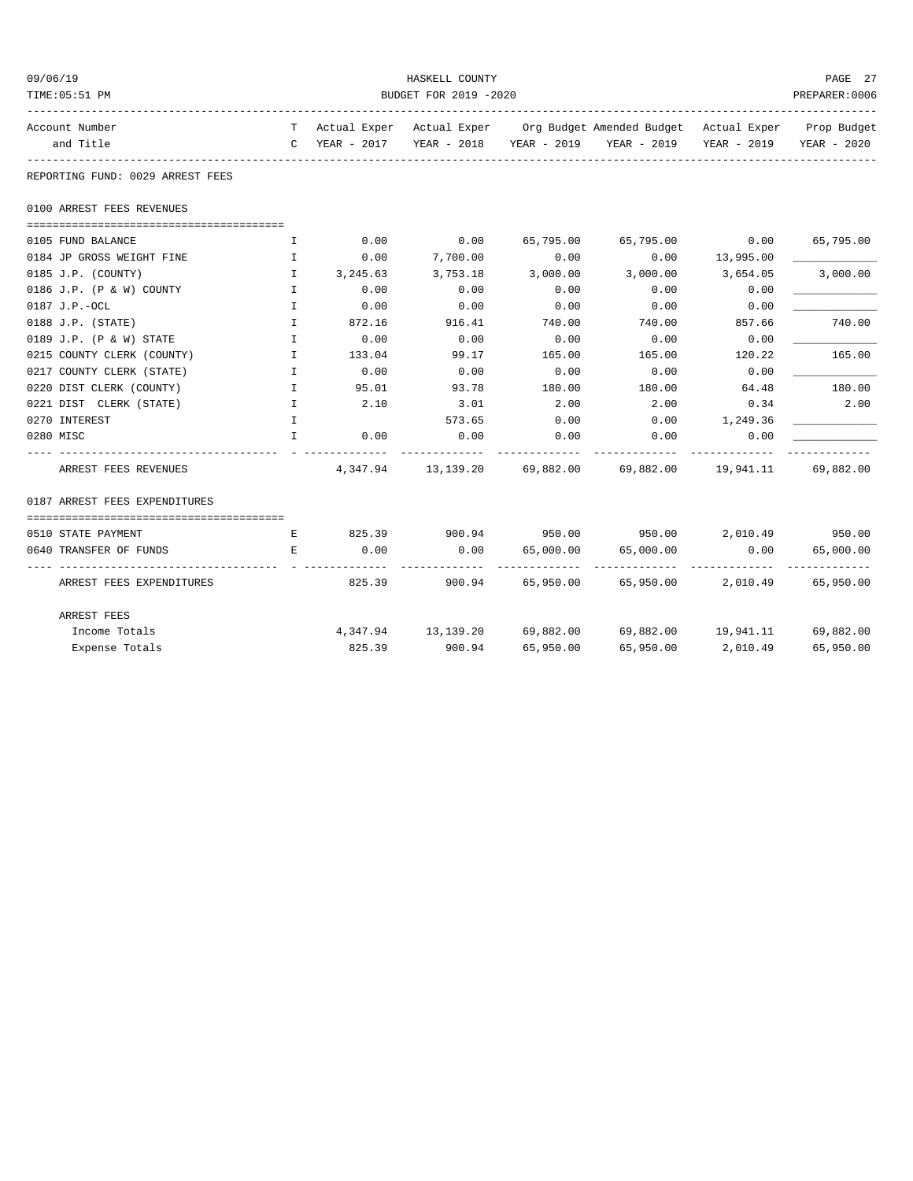| 09/06/19  |                                  |                       |               | HASKELL COUNTY |           |                                                                                |           | PAGE 27                 |  |
|-----------|----------------------------------|-----------------------|---------------|----------------|-----------|--------------------------------------------------------------------------------|-----------|-------------------------|--|
|           | TIME: 05:51 PM                   | BUDGET FOR 2019 -2020 |               |                |           |                                                                                |           |                         |  |
|           | Account Number                   |                       |               |                |           | T Actual Exper Actual Exper Org Budget Amended Budget Actual Exper Prop Budget |           |                         |  |
|           | and Title                        |                       | C YEAR - 2017 |                |           | YEAR - 2018 YEAR - 2019 YEAR - 2019                                            |           | YEAR - 2019 YEAR - 2020 |  |
|           | REPORTING FUND: 0029 ARREST FEES |                       |               |                |           |                                                                                |           |                         |  |
|           | 0100 ARREST FEES REVENUES        |                       |               |                |           |                                                                                |           |                         |  |
|           | 0105 FUND BALANCE                | <b>I</b>              | 0.00          | 0.00           | 65,795.00 | 65,795.00                                                                      | 0.00      | 65,795.00               |  |
|           | 0184 JP GROSS WEIGHT FINE        | $\mathbf{I}$          | 0.00          | 7,700.00       | 0.00      | 0.00                                                                           | 13,995.00 |                         |  |
|           | 0185 J.P. (COUNTY)               | $\mathbf{I}$          | 3,245.63      | 3,753.18       | 3,000.00  | 3,000.00                                                                       | 3,654.05  | 3,000.00                |  |
|           | 0186 J.P. (P & W) COUNTY         | $\mathbf{I}$          | 0.00          | 0.00           | 0.00      | 0.00                                                                           | 0.00      |                         |  |
|           | 0187 J.P.-OCL                    | $\mathbf{I}$          | 0.00          | 0.00           | 0.00      | 0.00                                                                           | 0.00      |                         |  |
|           | $0188$ J.P. (STATE)              | I                     | 872.16        | 916.41         | 740.00    | 740.00                                                                         | 857.66    | 740.00                  |  |
|           | 0189 J.P. (P & W) STATE          | $\mathbf{I}$          | 0.00          | 0.00           | 0.00      | 0.00                                                                           | 0.00      |                         |  |
|           | 0215 COUNTY CLERK (COUNTY)       | $\mathbf{I}$          | 133.04        | 99.17          | 165.00    | 165.00                                                                         | 120.22    | 165.00                  |  |
|           | 0217 COUNTY CLERK (STATE)        | $\mathbf{I}$          | 0.00          | 0.00           | 0.00      | 0.00                                                                           | 0.00      |                         |  |
|           | 0220 DIST CLERK (COUNTY)         | $\mathbf{I}$          | 95.01         | 93.78          | 180.00    | 180.00                                                                         | 64.48     | 180.00                  |  |
|           | 0221 DIST CLERK (STATE)          | $\mathbf{I}$          | 2.10          | 3.01           | 2.00      | 2.00                                                                           | 0.34      | 2.00                    |  |
|           | 0270 INTEREST                    | $\mathbf{I}$          |               | 573.65         | 0.00      | 0.00                                                                           | 1,249.36  |                         |  |
| 0280 MISC |                                  | $\mathbb{T}$          | 0.00          | 0.00           | 0.00      | 0.00                                                                           | 0.00      |                         |  |
|           | ARREST FEES REVENUES             |                       |               |                |           | $4,347.94$ 13,139.20 69,882.00 69,882.00 19,941.11                             |           | 69,882.00               |  |
|           | 0187 ARREST FEES EXPENDITURES    |                       |               |                |           |                                                                                |           |                         |  |
|           | 0510 STATE PAYMENT               | Е                     | 825.39        |                |           | $900.94$ $950.00$ $950.00$ $2,010.49$ $950.00$                                 |           |                         |  |
|           | 0640 TRANSFER OF FUNDS           | E                     | 0.00          | 0.00           | 65,000.00 | 65,000.00                                                                      | 0.00      | 65,000.00               |  |
|           | ARREST FEES EXPENDITURES         |                       | 825.39        |                |           | 900.94 65,950.00 65,950.00                                                     | 2,010.49  | 65,950.00               |  |
|           | ARREST FEES                      |                       |               |                |           |                                                                                |           |                         |  |
|           | Income Totals                    |                       |               |                |           | $4,347.94$ 13,139.20 69,882.00 69,882.00 19,941.11 69,882.00                   |           |                         |  |
|           | Expense Totals                   |                       | 825.39        | 900.94         | 65,950.00 | 65,950.00                                                                      | 2,010.49  | 65,950.00               |  |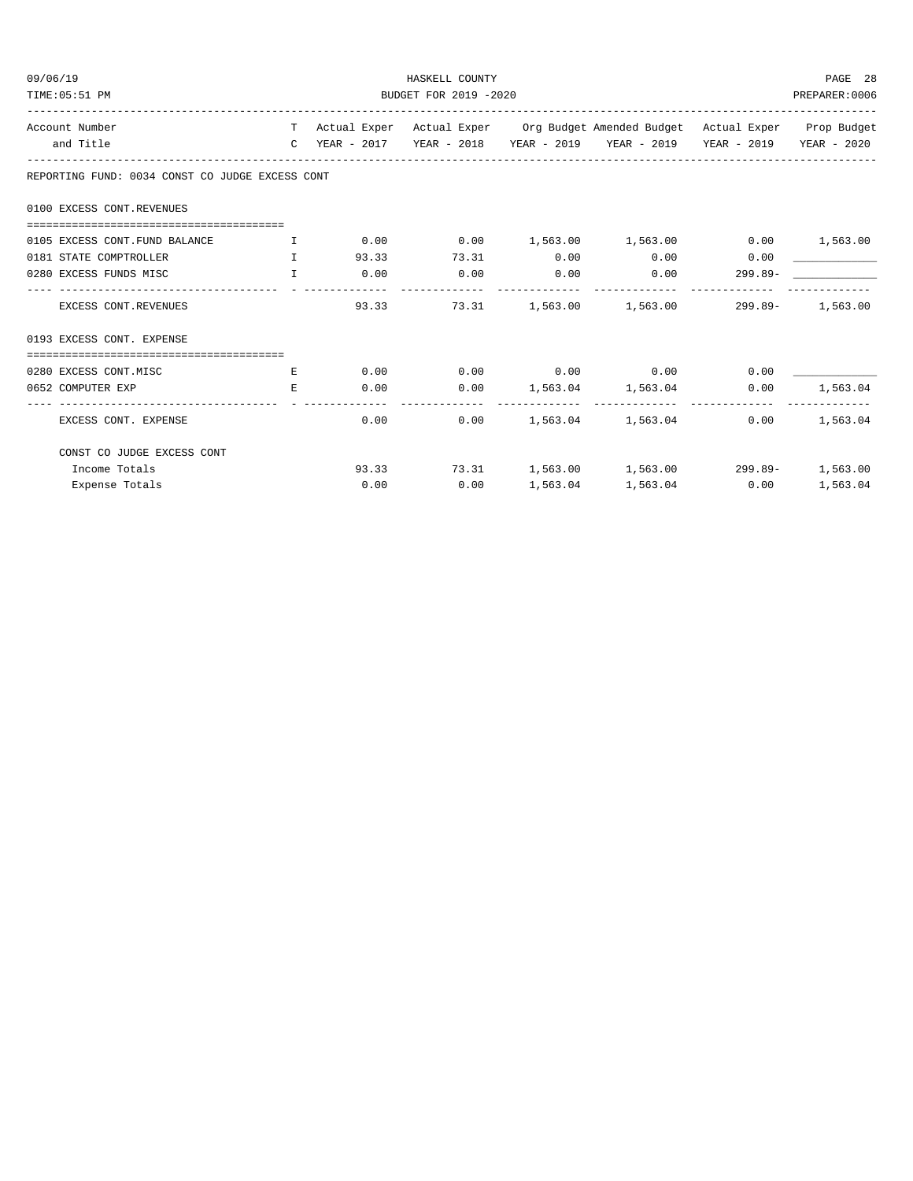| 09/06/19                                                                           | HASKELL COUNTY                |                |                            |               |                                                                                |            |          |  |
|------------------------------------------------------------------------------------|-------------------------------|----------------|----------------------------|---------------|--------------------------------------------------------------------------------|------------|----------|--|
| TIME: 05:51 PM                                                                     | BUDGET FOR 2019 -2020         |                |                            |               |                                                                                |            |          |  |
| Account Number                                                                     |                               |                |                            |               | T Actual Exper Actual Exper Org Budget Amended Budget Actual Exper Prop Budget |            |          |  |
| and Title                                                                          |                               |                |                            |               | C YEAR - 2017 YEAR - 2018 YEAR - 2019 YEAR - 2019 YEAR - 2019 YEAR - 2020      |            |          |  |
| REPORTING FUND: 0034 CONST CO JUDGE EXCESS CONT                                    |                               |                |                            |               |                                                                                |            |          |  |
| 0100 EXCESS CONT. REVENUES                                                         |                               |                |                            |               |                                                                                |            |          |  |
|                                                                                    |                               |                |                            |               |                                                                                |            |          |  |
| 0105 EXCESS CONT. FUND BALANCE                                                     | $\mathbf{I}$ and $\mathbf{I}$ | 0.00           |                            |               | $0.00$ 1,563.00 1,563.00 0.00 1,563.00                                         |            |          |  |
| 0181 STATE COMPTROLLER<br>$\mathbf{I}$ . The contract of the contract $\mathbf{I}$ |                               | 93.33          | 73.31                      | 0.00          | 0.00                                                                           | 0.00       |          |  |
| $\mathbf{r}$ and $\mathbf{r}$ and $\mathbf{r}$<br>0280 EXCESS FUNDS MISC           |                               | 0.00<br>------ | 0.00                       | 0.00          | 0.00                                                                           | $299.89 -$ |          |  |
| EXCESS CONT.REVENUES                                                               |                               | 93.33          | 73.31                      | ------------- | 1,563.00    1,563.00    299.89-    1,563.00                                    |            |          |  |
| 0193 EXCESS CONT. EXPENSE                                                          |                               |                |                            |               |                                                                                |            |          |  |
|                                                                                    |                               |                |                            |               |                                                                                |            |          |  |
| 0280 EXCESS CONT.MISC                                                              | E                             |                |                            |               | $0.00$ $0.00$ $0.00$ $0.00$ $0.00$                                             | 0.00       |          |  |
| 0652 COMPUTER EXP<br>------------------------------                                | E.                            | 0.00           | ----------- -------------- |               | $0.00$ 1,563.04 1,563.04                                                       | 0.00       | 1,563.04 |  |
| EXCESS CONT. EXPENSE                                                               |                               | 0.00           | 0.00                       |               | 1,563.04 1,563.04                                                              | 0.00       | 1,563.04 |  |
| CONST CO JUDGE EXCESS CONT                                                         |                               |                |                            |               |                                                                                |            |          |  |
| Income Totals                                                                      |                               |                |                            |               | 93.33 73.31 1,563.00 1,563.00 299.89- 1,563.00                                 |            |          |  |
| Expense Totals                                                                     |                               | 0.00           | 0.00                       |               | 1,563.04 1,563.04                                                              | 0.00       | 1,563.04 |  |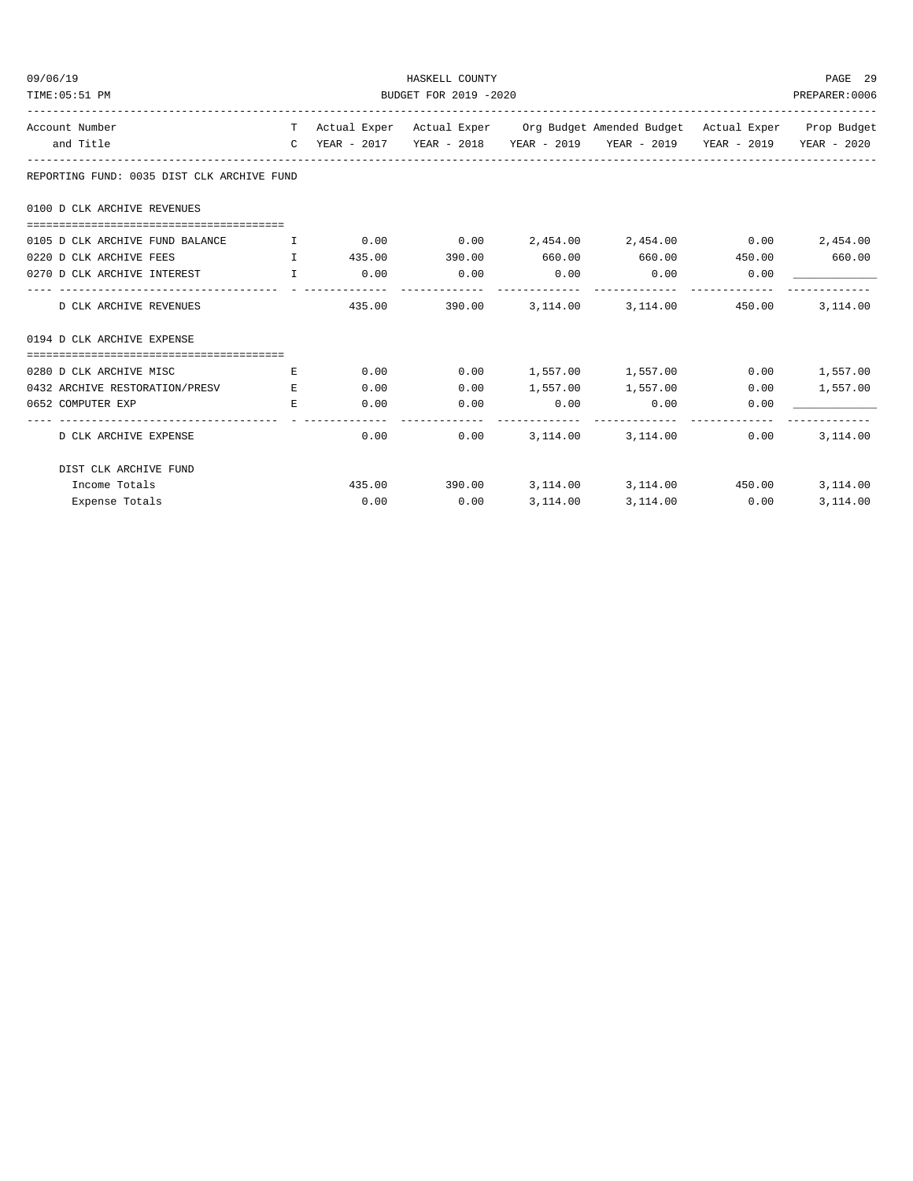| 09/06/19<br>TIME: 05:51 PM                                                       | HASKELL COUNTY<br>BUDGET FOR 2019 -2020<br>PREPARER: 0006 |             |                   |                        |                                                                                          |      |          |  |  |
|----------------------------------------------------------------------------------|-----------------------------------------------------------|-------------|-------------------|------------------------|------------------------------------------------------------------------------------------|------|----------|--|--|
| Account Number                                                                   |                                                           |             |                   |                        | T Actual Exper Actual Exper Org Budget Amended Budget Actual Exper Prop Budget           |      |          |  |  |
| and Title                                                                        |                                                           |             |                   |                        | C YEAR - 2017    YEAR - 2018    YEAR - 2019    YEAR - 2019    YEAR - 2019    YEAR - 2020 |      |          |  |  |
| REPORTING FUND: 0035 DIST CLK ARCHIVE FUND                                       |                                                           |             |                   |                        |                                                                                          |      |          |  |  |
| 0100 D CLK ARCHIVE REVENUES                                                      |                                                           |             |                   |                        |                                                                                          |      |          |  |  |
| 0105 D CLK ARCHIVE FUND BALANCE T 0.00 0.00 0.00 2,454.00 2,454.00 0.00 2,454.00 |                                                           |             |                   |                        |                                                                                          |      |          |  |  |
| $\mathbf{I}$ and $\mathbf{I}$ and $\mathbf{I}$<br>0220 D CLK ARCHIVE FEES        |                                                           |             |                   |                        | $435.00$ $390.00$ $660.00$ $660.00$ $450.00$ $660.00$                                    |      |          |  |  |
| 0270 D CLK ARCHIVE INTEREST I                                                    |                                                           | $0.00$ 0.00 |                   | 0.00<br>-------------  | $0.00$ 0.00<br>-------------                                                             |      |          |  |  |
| D CLK ARCHIVE REVENUES                                                           |                                                           |             |                   |                        | 435.00 390.00 3.114.00 3.114.00 450.00                                                   |      | 3,114.00 |  |  |
| 0194 D CLK ARCHIVE EXPENSE                                                       |                                                           |             |                   |                        |                                                                                          |      |          |  |  |
| 0280 D CLK ARCHIVE MISC                                                          | E                                                         |             | 0.00              |                        | $0.00$ 1,557.00 1,557.00 0.00 1,557.00                                                   |      |          |  |  |
| 0432 ARCHIVE RESTORATION/PRESV E                                                 |                                                           | 0.00        | 0.00              |                        | 1,557.00 1,557.00                                                                        | 0.00 | 1,557.00 |  |  |
| 0652 COMPUTER EXP                                                                | E.                                                        |             | 0.00<br>0.00      | 0.00<br>-------------- | 0.00                                                                                     | 0.00 |          |  |  |
| D CLK ARCHIVE EXPENSE                                                            |                                                           |             | $0.00$ and $0.00$ |                        | $0.00$ $3,114.00$ $3,114.00$                                                             | 0.00 | 3,114.00 |  |  |
| DIST CLK ARCHIVE FUND                                                            |                                                           |             |                   |                        |                                                                                          |      |          |  |  |
| Income Totals                                                                    |                                                           |             |                   |                        | $435.00$ $390.00$ $3,114.00$ $3,114.00$ $450.00$                                         |      | 3,114.00 |  |  |
| Expense Totals                                                                   |                                                           | 0.00        | 0.00              | 3,114.00               | 3,114.00 0.00                                                                            |      | 3,114.00 |  |  |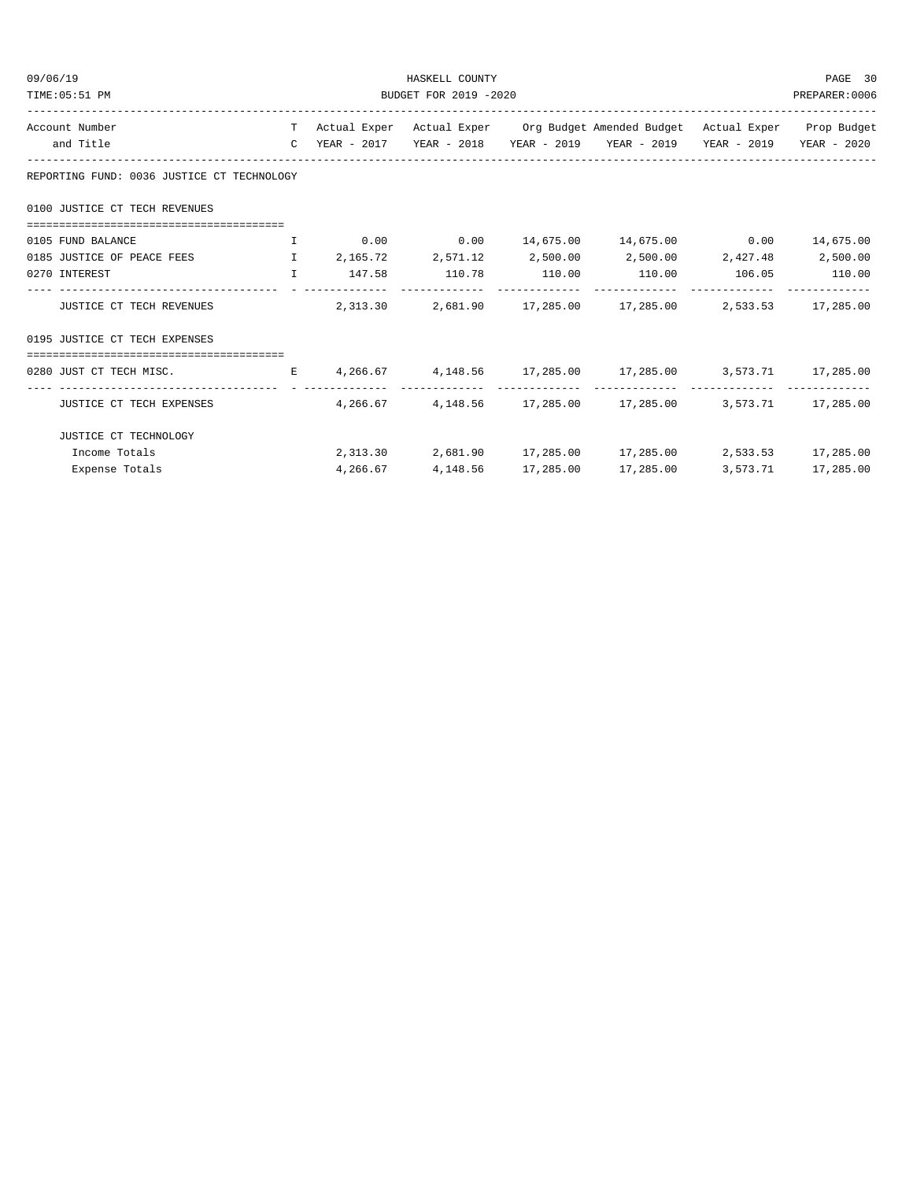| 09/06/19<br>HASKELL COUNTY<br>BUDGET FOR 2019 -2020<br>TIME: 05:51 PM                           |                                                                                |          |  |  |                                                                                                     |  | PAGE 30<br>PREPARER:0006 |  |
|-------------------------------------------------------------------------------------------------|--------------------------------------------------------------------------------|----------|--|--|-----------------------------------------------------------------------------------------------------|--|--------------------------|--|
| Account Number                                                                                  | T Actual Exper Actual Exper Org Budget Amended Budget Actual Exper Prop Budget |          |  |  |                                                                                                     |  |                          |  |
| and Title                                                                                       |                                                                                |          |  |  | C YEAR - 2017 YEAR - 2018 YEAR - 2019 YEAR - 2019 YEAR - 2019 YEAR - 2020                           |  |                          |  |
| REPORTING FUND: 0036 JUSTICE CT TECHNOLOGY                                                      |                                                                                |          |  |  |                                                                                                     |  |                          |  |
| 0100 JUSTICE CT TECH REVENUES                                                                   |                                                                                |          |  |  |                                                                                                     |  |                          |  |
|                                                                                                 |                                                                                |          |  |  |                                                                                                     |  |                          |  |
| 0105 FUND BALANCE                                                                               |                                                                                |          |  |  |                                                                                                     |  |                          |  |
| 0185 JUSTICE OF PEACE FEES                                                                      |                                                                                |          |  |  | $1 \qquad 2,165.72 \qquad 2,571.12 \qquad 2,500.00 \qquad 2,500.00 \qquad 2,427.48 \qquad 2,500.00$ |  |                          |  |
| 0270 INTEREST                                                                                   |                                                                                |          |  |  | $\mathbf{I}$ 147.58 110.78 110.00 110.00 106.05 110.00                                              |  |                          |  |
| JUSTICE CT TECH REVENUES                                                                        |                                                                                |          |  |  | $2,313.30$ $2,681.90$ $17,285.00$ $17,285.00$ $2,533.53$ $17,285.00$                                |  |                          |  |
| 0195 JUSTICE CT TECH EXPENSES                                                                   |                                                                                |          |  |  |                                                                                                     |  |                          |  |
| 0280 JUST CT TECH MISC. THE R SET A 266.67 4, 148.56 17, 285.00 17, 285.00 3, 573.71 17, 285.00 |                                                                                |          |  |  |                                                                                                     |  |                          |  |
| JUSTICE CT TECH EXPENSES                                                                        |                                                                                |          |  |  | $4,266.67$ $4,148.56$ $17,285.00$ $17,285.00$ $3,573.71$ $17,285.00$                                |  |                          |  |
| JUSTICE CT TECHNOLOGY                                                                           |                                                                                |          |  |  |                                                                                                     |  |                          |  |
| Income Totals                                                                                   |                                                                                |          |  |  | $2,313.30$ $2,681.90$ $17,285.00$ $17,285.00$ $2,533.53$ $17,285.00$                                |  |                          |  |
| Expense Totals                                                                                  |                                                                                | 4,266.67 |  |  | 4, 148.56 17, 285.00 17, 285.00                                                                     |  | 3,573.71 17,285.00       |  |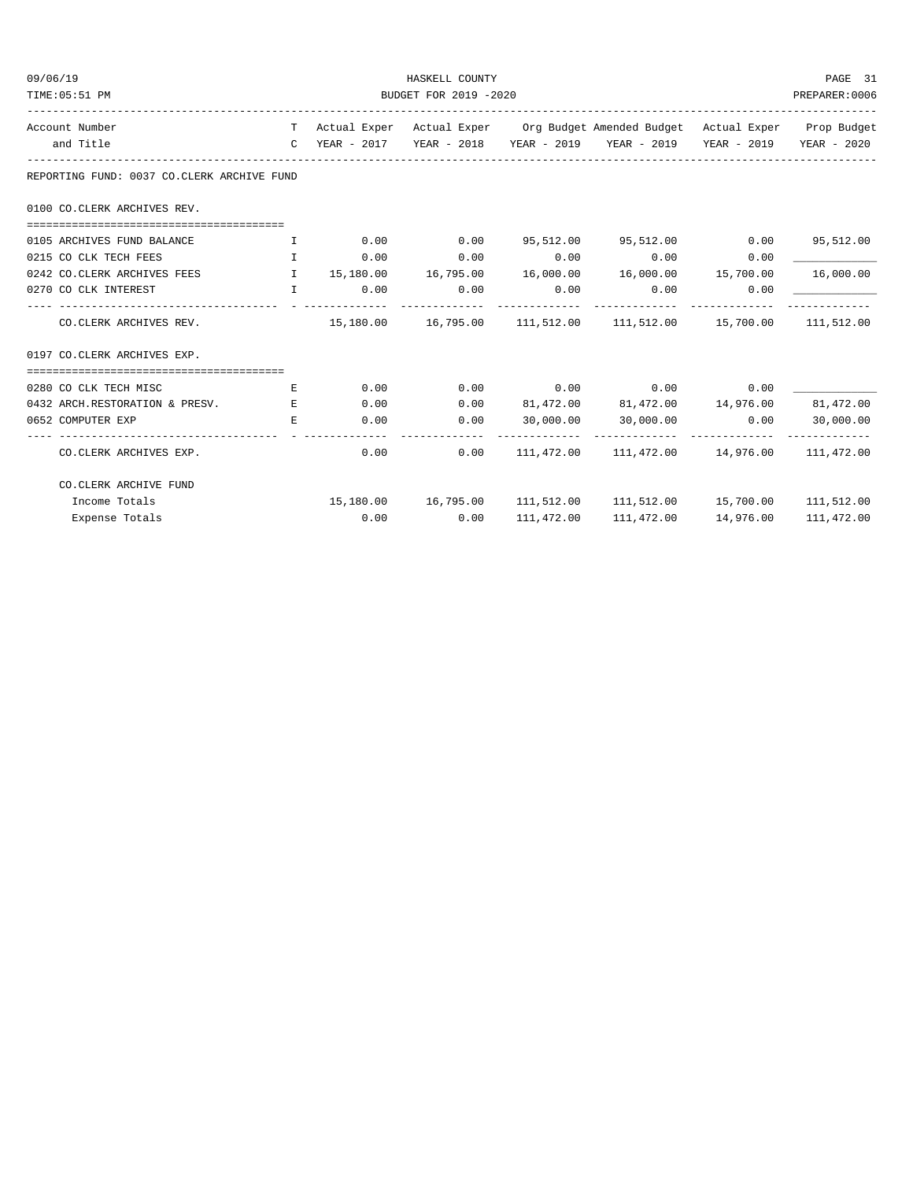| 09/06/19<br>TIME: 05:51 PM |                                                                                             | HASKELL COUNTY<br>BUDGET FOR 2019 -2020<br>PREPARER:0006 |             |             |      |                                                                                |      |            |  |
|----------------------------|---------------------------------------------------------------------------------------------|----------------------------------------------------------|-------------|-------------|------|--------------------------------------------------------------------------------|------|------------|--|
| Account Number             |                                                                                             |                                                          |             |             |      | T Actual Exper Actual Exper Org Budget Amended Budget Actual Exper Prop Budget |      |            |  |
| and Title                  |                                                                                             |                                                          |             |             |      | C YEAR - 2017 YEAR - 2018 YEAR - 2019 YEAR - 2019 YEAR - 2019 YEAR - 2020      |      |            |  |
|                            | REPORTING FUND: 0037 CO.CLERK ARCHIVE FUND                                                  |                                                          |             |             |      |                                                                                |      |            |  |
|                            | 0100 CO. CLERK ARCHIVES REV.                                                                |                                                          |             |             |      |                                                                                |      |            |  |
|                            | 0105 ARCHIVES FUND BALANCE                                                                  | $\mathbf{I}$ and $\mathbf{I}$ .                          |             | $0.00$ 0.00 |      | 95,512.00 95,512.00 0.00 95,512.00                                             |      |            |  |
|                            | 0215 CO CLK TECH FEES                                                                       | $\mathbf{I}$ and $\mathbf{I}$                            | 0.00        | 0.00        |      | $0.00$ 0.00                                                                    | 0.00 |            |  |
|                            | 0242 CO.CLERK ARCHIVES FEES THE 15,180.00 16,795.00 16,000.00 16,000.00 15,700.00 16,000.00 |                                                          |             |             |      |                                                                                |      |            |  |
|                            | 0270 CO CLK INTEREST<br>. The contraction of the contract of $\mathbf{I}$                   |                                                          | $0.00$ 0.00 |             | 0.00 | 0.00                                                                           | 0.00 |            |  |
|                            | CO.CLERK ARCHIVES REV.                                                                      |                                                          |             |             |      | $15,180.00$ $16,795.00$ $111,512.00$ $111,512.00$ $15,700.00$ $111,512.00$     |      |            |  |
|                            | 0197 CO.CLERK ARCHIVES EXP.                                                                 |                                                          |             |             |      |                                                                                |      |            |  |
|                            |                                                                                             |                                                          |             |             |      |                                                                                |      |            |  |
|                            | 0280 CO CLK TECH MISC                                                                       | E.                                                       |             |             |      | $0.00$ $0.00$ $0.00$ $0.00$ $0.00$ $0.00$ $0.00$                               |      |            |  |
|                            | 0432 ARCH.RESTORATION & PRESV.                                                              | E                                                        | 0.00        |             |      | $0.00$ $81,472.00$ $81,472.00$ $14,976.00$ $81,472.00$                         |      |            |  |
| 0652 COMPUTER EXP          |                                                                                             | E.                                                       | 0.00        | 0.00        |      | 30,000.00 30,000.00                                                            | 0.00 | 30,000.00  |  |
|                            | CO.CLERK ARCHIVES EXP.                                                                      |                                                          |             | 0.00        |      | $0.00$ 111,472.00 111,472.00 14,976.00 111,472.00                              |      |            |  |
|                            | CO. CLERK ARCHIVE FUND                                                                      |                                                          |             |             |      |                                                                                |      |            |  |
|                            | Income Totals                                                                               |                                                          |             |             |      | 15,180.00  16,795.00  111,512.00  111,512.00  15,700.00  111,512.00            |      |            |  |
|                            | Expense Totals                                                                              |                                                          |             | $0.00$ 0.00 |      | 111,472.00 111,472.00 14,976.00                                                |      | 111,472.00 |  |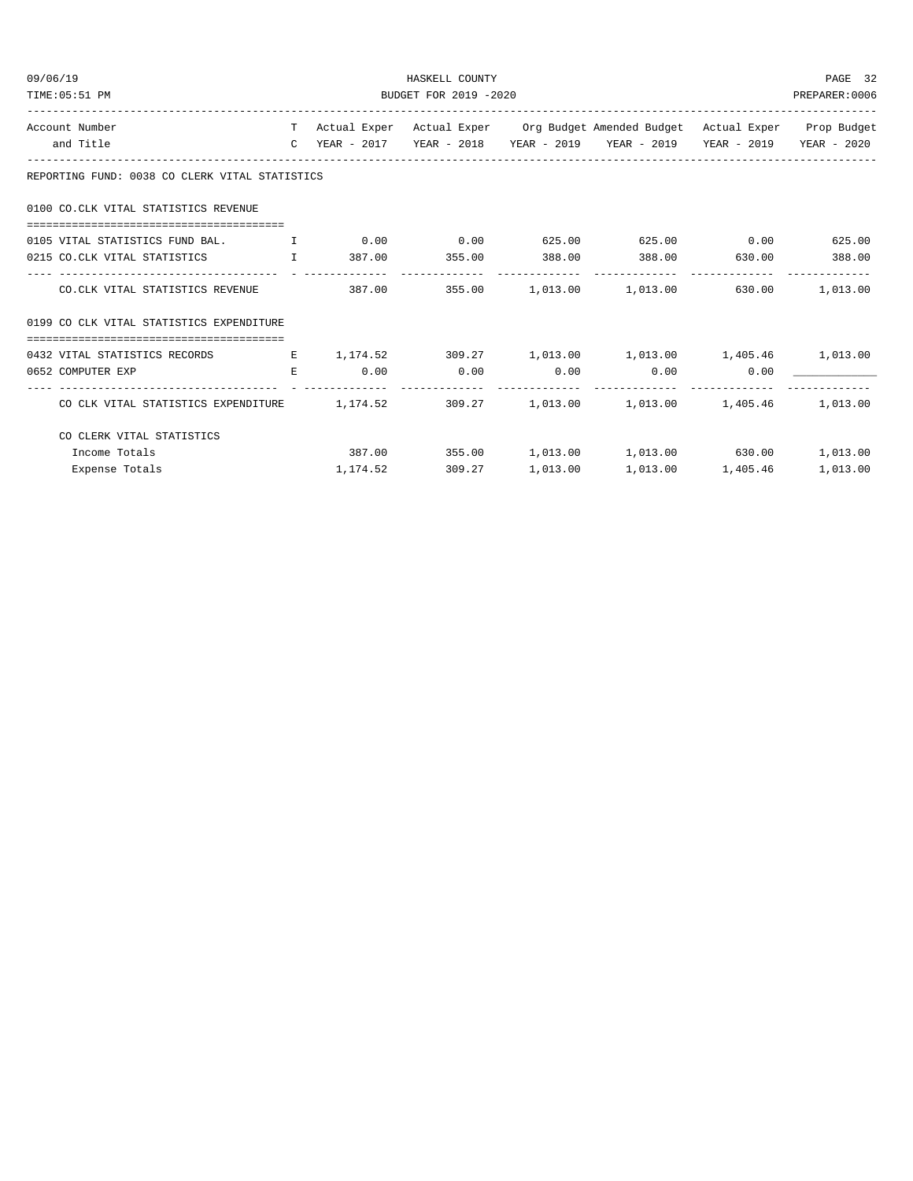| 09/06/19                                                                                     |    | HASKELL COUNTY        |                  |  |                                                                                |      |          |  |  |
|----------------------------------------------------------------------------------------------|----|-----------------------|------------------|--|--------------------------------------------------------------------------------|------|----------|--|--|
| TIME: 05:51 PM                                                                               |    | BUDGET FOR 2019 -2020 |                  |  |                                                                                |      |          |  |  |
| Account Number                                                                               |    |                       |                  |  | T Actual Exper Actual Exper Org Budget Amended Budget Actual Exper Prop Budget |      |          |  |  |
| and Title                                                                                    |    |                       |                  |  | C YEAR - 2017 YEAR - 2018 YEAR - 2019 YEAR - 2019 YEAR - 2019 YEAR - 2020      |      |          |  |  |
| REPORTING FUND: 0038 CO CLERK VITAL STATISTICS                                               |    |                       |                  |  |                                                                                |      |          |  |  |
| 0100 CO.CLK VITAL STATISTICS REVENUE                                                         |    |                       |                  |  |                                                                                |      |          |  |  |
| 0105 VITAL STATISTICS FUND BAL. $\qquad \qquad$ 1 0.00 0.00 0.00 625.00 625.00 0.00 625.00   |    |                       |                  |  |                                                                                |      |          |  |  |
| 0215 CO.CLK VITAL STATISTICS 1 387.00 355.00 388.00 388.00 630.00 388.00                     |    |                       |                  |  |                                                                                |      |          |  |  |
|                                                                                              |    |                       |                  |  |                                                                                |      |          |  |  |
| CO.CLK VITAL STATISTICS REVENUE                                                              |    |                       |                  |  | $387.00$ $355.00$ $1.013.00$ $1.013.00$ $630.00$ $1.013.00$                    |      |          |  |  |
| 0199 CO CLK VITAL STATISTICS EXPENDITURE                                                     |    |                       |                  |  |                                                                                |      |          |  |  |
|                                                                                              |    |                       |                  |  |                                                                                |      |          |  |  |
| 0432 VITAL STATISTICS RECORDS B 1,174.52 309.27 1,013.00 1,013.00 1,405.46 1,013.00          |    |                       |                  |  |                                                                                |      |          |  |  |
| 0652 COMPUTER EXP                                                                            | E. |                       |                  |  | $0.00$ $0.00$ $0.00$ $0.00$ $0.00$                                             | 0.00 |          |  |  |
| CO CLK VITAL STATISTICS EXPENDITURE 1, 174.52 309.27 1, 013.00 1, 013.00 1, 405.46 1, 013.00 |    |                       |                  |  |                                                                                |      |          |  |  |
| CO CLERK VITAL STATISTICS                                                                    |    |                       |                  |  |                                                                                |      |          |  |  |
| Income Totals                                                                                |    |                       |                  |  | $387.00$ $355.00$ $1,013.00$ $1,013.00$ $630.00$                               |      | 1,013.00 |  |  |
| Expense Totals                                                                               |    |                       | 1, 174.52 309.27 |  | 1,013.00    1,013.00    1,405.46                                               |      | 1,013.00 |  |  |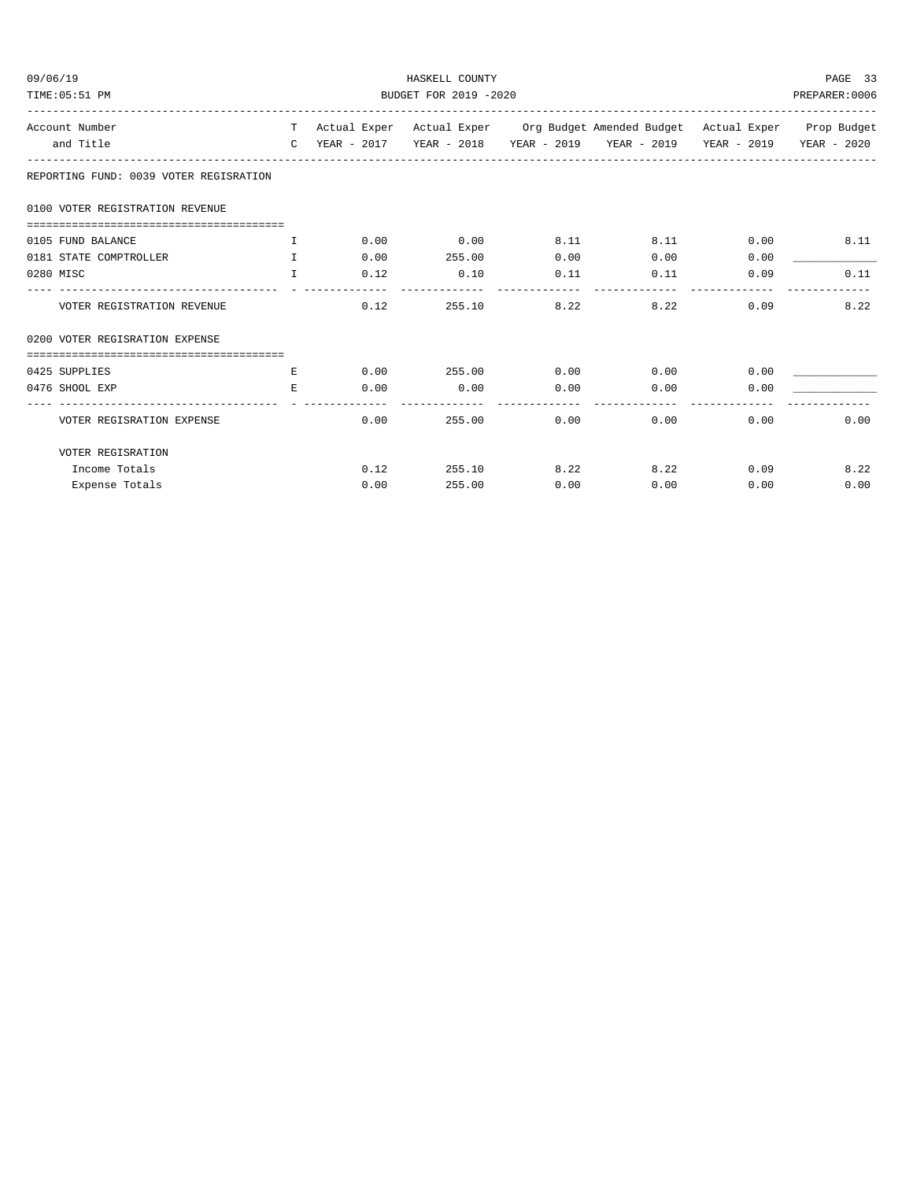| 09/06/19<br>TIME: 05:51 PM             | HASKELL COUNTY<br>BUDGET FOR 2019 -2020 |      |                       |      |                                                                                |      |      |  |
|----------------------------------------|-----------------------------------------|------|-----------------------|------|--------------------------------------------------------------------------------|------|------|--|
| Account Number                         |                                         |      |                       |      | T Actual Exper Actual Exper Org Budget Amended Budget Actual Exper Prop Budget |      |      |  |
| and Title                              |                                         |      |                       |      | C YEAR - 2017 YEAR - 2018 YEAR - 2019 YEAR - 2019 YEAR - 2019 YEAR - 2020      |      |      |  |
| REPORTING FUND: 0039 VOTER REGISRATION |                                         |      |                       |      |                                                                                |      |      |  |
| 0100 VOTER REGISTRATION REVENUE        |                                         |      |                       |      |                                                                                |      |      |  |
|                                        |                                         |      |                       |      |                                                                                |      |      |  |
| 0105 FUND BALANCE                      | $\top$                                  | 0.00 | 0.00                  | 8.11 | 8.11                                                                           | 0.00 | 8.11 |  |
| 0181 STATE COMPTROLLER                 | $\mathbf{T}$                            | 0.00 | 255.00                | 0.00 | 0.00                                                                           | 0.00 |      |  |
| 0280 MISC                              | T                                       | 0.12 | 0.10                  | 0.11 | 0.11                                                                           | 0.09 | 0.11 |  |
| VOTER REGISTRATION REVENUE             |                                         | 0.12 | 255.10                | 8.22 | 8.22                                                                           | 0.09 | 8.22 |  |
| 0200 VOTER REGISRATION EXPENSE         |                                         |      |                       |      |                                                                                |      |      |  |
|                                        |                                         |      |                       |      |                                                                                |      |      |  |
| 0425 SUPPLIES                          | E                                       |      | $0.00$ 255.00 0.00    |      | 0.00                                                                           | 0.00 |      |  |
| 0476 SHOOL EXP                         | E.                                      | 0.00 | 0.00<br>------------- | 0.00 | 0.00                                                                           | 0.00 |      |  |
| VOTER REGISRATION EXPENSE              |                                         | 0.00 | 255.00                | 0.00 | 0.00                                                                           | 0.00 | 0.00 |  |
| VOTER REGISRATION                      |                                         |      |                       |      |                                                                                |      |      |  |
| Income Totals                          |                                         | 0.12 | 255.10                | 8.22 | 8.22                                                                           | 0.09 | 8.22 |  |
| Expense Totals                         |                                         | 0.00 | 255.00                | 0.00 | 0.00                                                                           | 0.00 | 0.00 |  |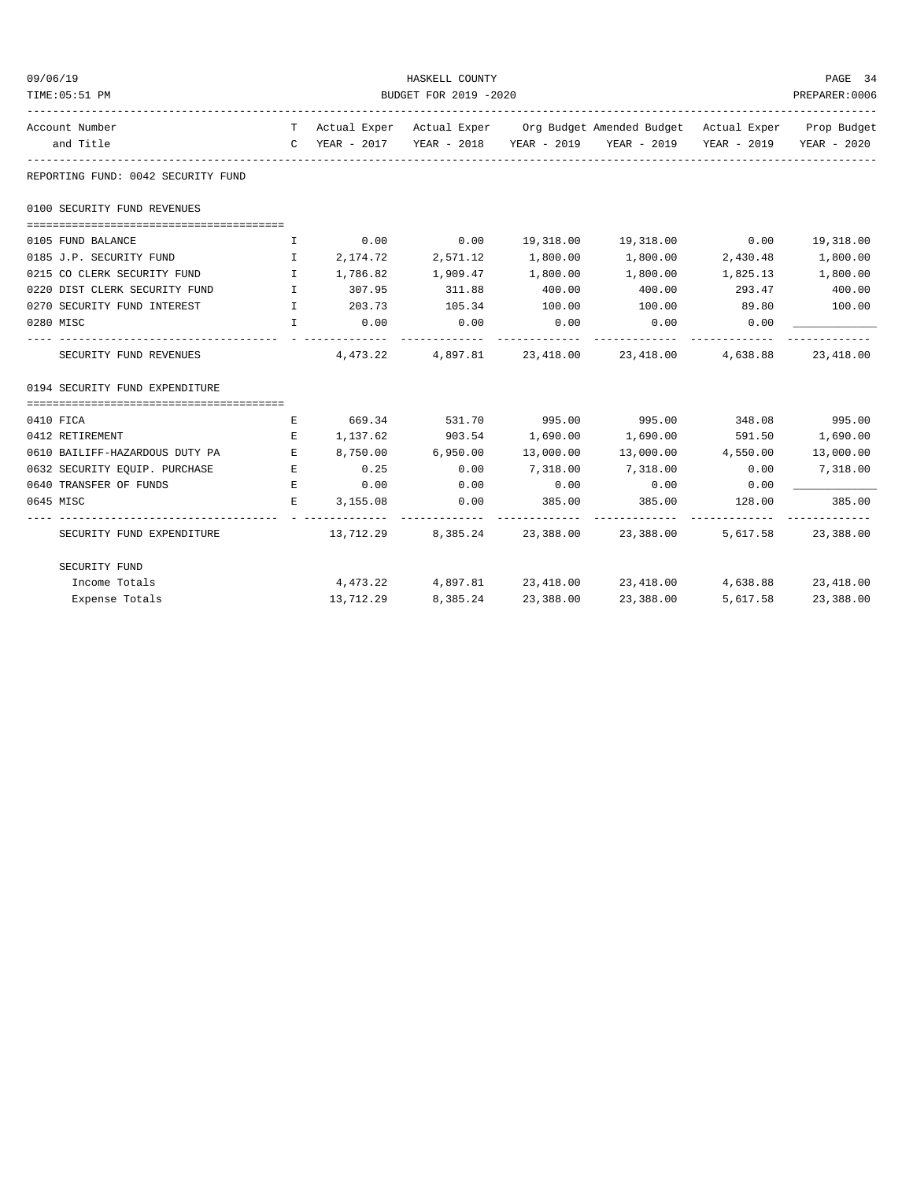| 09/06/19                           | HASKELL COUNTY                        |                      |                      |             |                                                                                         |                   |               |  |
|------------------------------------|---------------------------------------|----------------------|----------------------|-------------|-----------------------------------------------------------------------------------------|-------------------|---------------|--|
| TIME: 05:51 PM                     | BUDGET FOR 2019 -2020                 |                      |                      |             |                                                                                         |                   |               |  |
| Account Number                     |                                       |                      |                      |             | T Actual Exper Actual Exper Org Budget Amended Budget Actual Exper Prop Budget          |                   |               |  |
| and Title                          |                                       |                      |                      |             | C YEAR - 2017 YEAR - 2018 YEAR - 2019 YEAR - 2019 YEAR - 2019 YEAR - 2020               |                   |               |  |
| REPORTING FUND: 0042 SECURITY FUND |                                       |                      |                      |             |                                                                                         |                   |               |  |
| 0100 SECURITY FUND REVENUES        |                                       |                      |                      |             |                                                                                         |                   |               |  |
|                                    |                                       |                      |                      |             |                                                                                         |                   |               |  |
| 0105 FUND BALANCE                  | I.                                    |                      | $0.00$ 0.00          |             | 19,318.00  19,318.00  0.00  19,318.00                                                   |                   |               |  |
| 0185 J.P. SECURITY FUND            | $\mathbf{I}$                          | 2,174.72             | 2,571.12             | 1,800.00    | 1,800.00 2,430.48                                                                       |                   | 1,800.00      |  |
| 0215 CO CLERK SECURITY FUND I      |                                       | 1,786.82             | 1,909.47             | 1,800.00    | 1,800.00                                                                                | 1,825.13 1,800.00 |               |  |
| 0220 DIST CLERK SECURITY FUND      | $\mathbf{I}$ . The state $\mathbf{I}$ | 307.95 311.88        |                      | 400.00      | 400.00                                                                                  | 293.47            | 400.00        |  |
| 0270 SECURITY FUND INTEREST        | $\mathbb{I}$                          | 203.73               | 105.34               | 100.00      | 100.00                                                                                  | 89.80             | 100.00        |  |
| 0280 MISC                          | $\mathbf{I}$                          | 0.00<br>------------ | 0.00                 | 0.00        | 0.00                                                                                    | 0.00              |               |  |
| SECURITY FUND REVENUES             |                                       |                      |                      |             | $4,473.22$ $4,897.81$ $23,418.00$ $23,418.00$ $4,638.88$                                |                   | 23,418.00     |  |
| 0194 SECURITY FUND EXPENDITURE     |                                       |                      |                      |             |                                                                                         |                   |               |  |
| 0410 FICA                          | E                                     |                      | 669.34 531.70 995.00 |             | 995.00 348.08 995.00                                                                    |                   |               |  |
| 0412 RETIREMENT                    | Е                                     | 1, 137.62 903.54     |                      | 1,690.00    | 1,690.00                                                                                | 591.50            | 1,690.00      |  |
| 0610 BAILIFF-HAZARDOUS DUTY PA     | E                                     | 8,750.00 6,950.00    |                      | 13,000.00   | 13,000.00  4,550.00  13,000.00                                                          |                   |               |  |
| 0632 SECURITY EQUIP. PURCHASE      | <b>Experience State</b>               | 0.25                 | 0.00                 | 7,318.00    | 7,318.00                                                                                | 0.00              | 7,318.00      |  |
| 0640 TRANSFER OF FUNDS             | E                                     | 0.00                 | 0.00                 | 0.00        | 0.00                                                                                    | 0.00              |               |  |
| 0645 MISC                          | Е                                     | 3,155.08             | 0.00                 | 385.00      | 385.00                                                                                  | 128.00            | 385.00        |  |
| SECURITY FUND EXPENDITURE          |                                       |                      |                      | ----------- | --------------<br>$13,712.29$ $8,385.24$ $23,388.00$ $23,388.00$ $5,617.58$ $23,388.00$ |                   | ------------- |  |
| SECURITY FUND                      |                                       |                      |                      |             |                                                                                         |                   |               |  |
| Income Totals                      |                                       |                      |                      |             | $4,473.22$ $4,897.81$ $23,418.00$ $23,418.00$ $4,638.88$ $23,418.00$                    |                   |               |  |
| Expense Totals                     |                                       | 13,712.29            | 8,385.24             | 23,388.00   | 23,388.00                                                                               | 5,617.58          | 23,388.00     |  |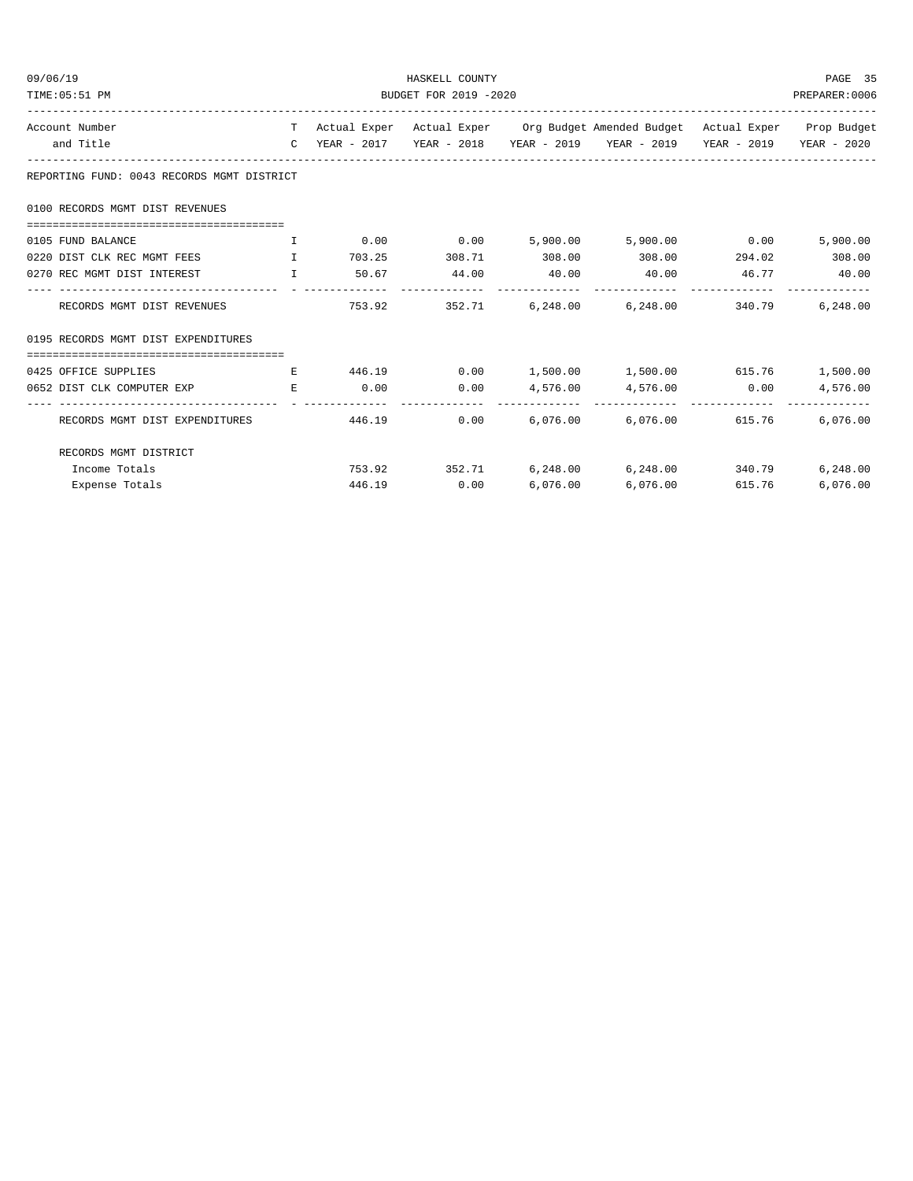| 09/06/19<br>TIME: 05:51 PM                                            | HASKELL COUNTY<br>BUDGET FOR 2019 -2020 |        |                      |          |                                                                                |        |          |  |
|-----------------------------------------------------------------------|-----------------------------------------|--------|----------------------|----------|--------------------------------------------------------------------------------|--------|----------|--|
| Account Number                                                        |                                         |        |                      |          | T Actual Exper Actual Exper Org Budget Amended Budget Actual Exper Prop Budget |        |          |  |
| and Title                                                             |                                         |        |                      |          | C YEAR - 2017 YEAR - 2018 YEAR - 2019 YEAR - 2019 YEAR - 2019 YEAR - 2020      |        |          |  |
| REPORTING FUND: 0043 RECORDS MGMT DISTRICT                            |                                         |        |                      |          |                                                                                |        |          |  |
| 0100 RECORDS MGMT DIST REVENUES                                       |                                         |        |                      |          |                                                                                |        |          |  |
|                                                                       |                                         |        |                      |          |                                                                                |        |          |  |
| 0105 FUND BALANCE                                                     | $\top$                                  |        |                      |          | $0.00$ $0.00$ $5,900.00$ $5,900.00$ $0.00$                                     |        | 5,900.00 |  |
| 0220 DIST CLK REC MGMT FEES THE THE                                   |                                         |        | 703.25 308.71 308.00 |          | 308.00 294.02 308.00                                                           |        |          |  |
| $\mathbf{I}$ . The set of $\mathbf{I}$<br>0270 REC MGMT DIST INTEREST |                                         |        | 50.67 44.00 40.00    |          | 40.00   46.77   40.00                                                          |        |          |  |
| RECORDS MGMT DIST REVENUES                                            |                                         |        |                      |          | 753.92 352.71 6,248.00 6,248.00 340.79                                         |        | 6,248.00 |  |
| 0195 RECORDS MGMT DIST EXPENDITURES                                   |                                         |        |                      |          |                                                                                |        |          |  |
|                                                                       |                                         |        |                      |          |                                                                                |        |          |  |
| 0425 OFFICE SUPPLIES                                                  | E                                       |        |                      |          | $446.19$ 0.00 1,500.00 1,500.00 615.76 1,500.00                                |        |          |  |
| 0652 DIST CLK COMPUTER EXP E                                          |                                         |        |                      |          | $0.00$ $0.00$ $4,576.00$ $4,576.00$ $0.00$                                     |        | 4,576.00 |  |
| RECORDS MGMT DIST EXPENDITURES                                        |                                         | 446.19 |                      |          | $0.00$ 6,076.00 6,076.00 615.76                                                |        | 6.076.00 |  |
| RECORDS MGMT DISTRICT                                                 |                                         |        |                      |          |                                                                                |        |          |  |
| Income Totals                                                         |                                         |        |                      |          | 753.92 352.71 6,248.00 6,248.00 340.79                                         |        | 6,248.00 |  |
| Expense Totals                                                        |                                         |        | 446.19 0.00          | 6,076.00 | 6,076.00                                                                       | 615.76 | 6,076.00 |  |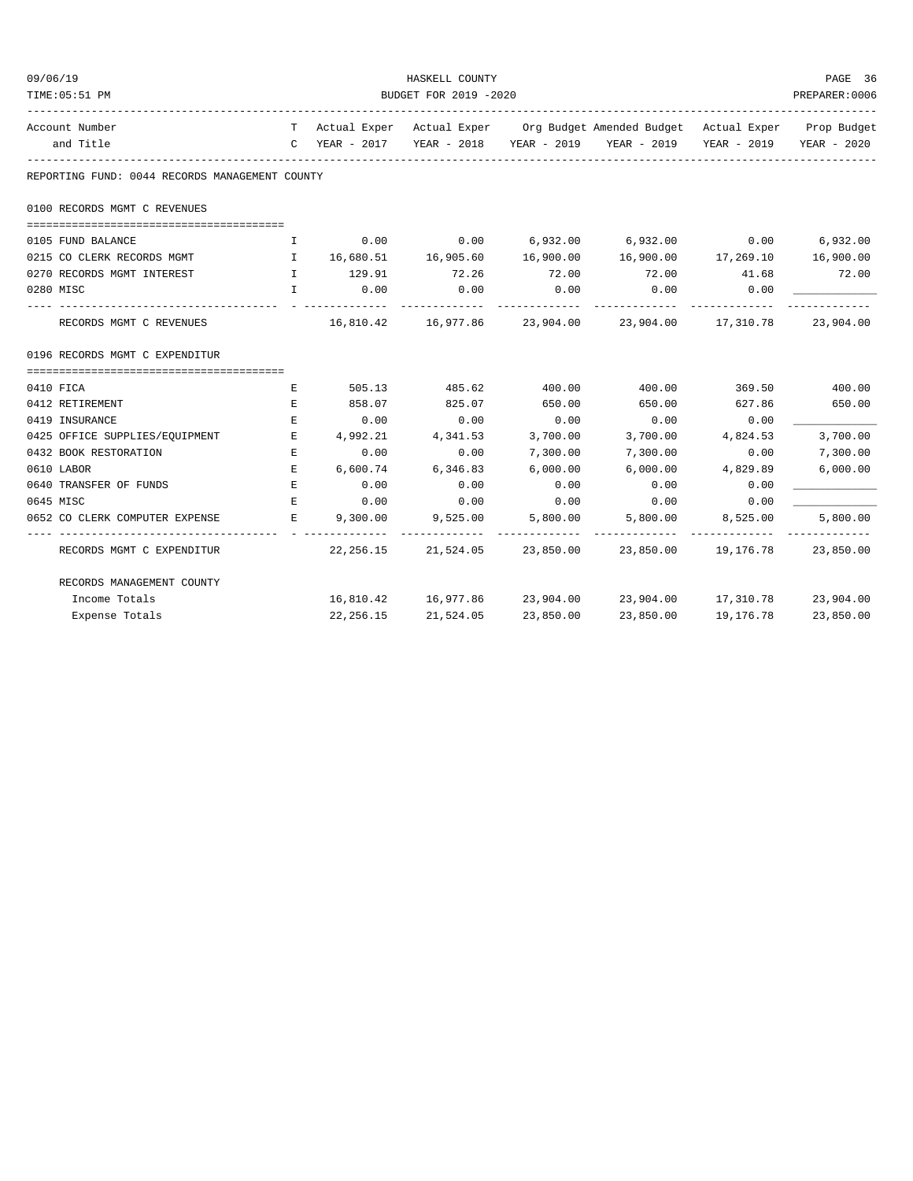| 09/06/19                                       |                                                                                                                 |                       | HASKELL COUNTY        |             |                                                                                |           | PAGE 36                   |  |  |
|------------------------------------------------|-----------------------------------------------------------------------------------------------------------------|-----------------------|-----------------------|-------------|--------------------------------------------------------------------------------|-----------|---------------------------|--|--|
| TIME: 05:51 PM                                 |                                                                                                                 | BUDGET FOR 2019 -2020 |                       |             |                                                                                |           |                           |  |  |
| Account Number                                 |                                                                                                                 |                       |                       |             | T Actual Exper Actual Exper Org Budget Amended Budget Actual Exper Prop Budget |           |                           |  |  |
| and Title                                      |                                                                                                                 |                       |                       |             | C YEAR - 2017 YEAR - 2018 YEAR - 2019 YEAR - 2019 YEAR - 2019 YEAR - 2020      |           |                           |  |  |
| REPORTING FUND: 0044 RECORDS MANAGEMENT COUNTY |                                                                                                                 |                       |                       |             |                                                                                |           |                           |  |  |
| 0100 RECORDS MGMT C REVENUES                   |                                                                                                                 |                       |                       |             |                                                                                |           |                           |  |  |
| 0105 FUND BALANCE                              | I.                                                                                                              | 0.00                  | 0.00                  |             | $6,932.00$ $6,932.00$ $0.00$ $6,932.00$                                        |           |                           |  |  |
| 0215 CO CLERK RECORDS MGMT                     | and the state of the state of the state of the state of the state of the state of the state of the state of the |                       | 16,680.51 16,905.60   |             | 16,900.00    16,900.00    17,269.10                                            |           | 16,900.00                 |  |  |
| 0270 RECORDS MGMT INTEREST                     |                                                                                                                 | I 129.91              | 72.26                 | 72.00       | 72.00 41.68                                                                    |           | 72.00                     |  |  |
| 0280 MISC                                      | $\mathbf{T}$                                                                                                    | 0.00                  | 0.00                  | 0.00        | 0.00<br>.                                                                      | 0.00      |                           |  |  |
| RECORDS MGMT C REVENUES                        |                                                                                                                 |                       |                       | ----------- | 16,810.42  16,977.86  23,904.00  23,904.00  17,310.78  23,904.00               |           |                           |  |  |
| 0196 RECORDS MGMT C EXPENDITUR                 |                                                                                                                 |                       |                       |             |                                                                                |           |                           |  |  |
|                                                |                                                                                                                 |                       |                       |             |                                                                                |           |                           |  |  |
| 0410 FICA                                      | Е                                                                                                               |                       | 505.13 485.62         | 400.00      | 400.00                                                                         |           | 369.50 400.00             |  |  |
| 0412 RETIREMENT                                | Е                                                                                                               | 858.07                | 825.07                | 650.00      | 650.00                                                                         | 627.86    | 650.00                    |  |  |
| 0419 INSURANCE                                 | E                                                                                                               | 0.00                  | 0.00                  | 0.00        | 0.00                                                                           | 0.00      |                           |  |  |
| 0425 OFFICE SUPPLIES/EQUIPMENT                 | E                                                                                                               |                       | 4,992.21 4,341.53     | 3,700.00    | 3,700.00                                                                       | 4,824.53  | 3,700.00                  |  |  |
| 0432 BOOK RESTORATION                          | $\mathbf E$                                                                                                     | 0.00                  | 0.00                  | 7,300.00    | 7,300.00                                                                       | 0.00      | 7,300.00                  |  |  |
| 0610 LABOR                                     | E.                                                                                                              | 6,600.74              | 6,346.83              | 6,000.00    | 6,000.00                                                                       | 4,829.89  | 6,000.00                  |  |  |
| 0640 TRANSFER OF FUNDS                         | E                                                                                                               | 0.00                  | 0.00                  | 0.00        | 0.00                                                                           | 0.00      |                           |  |  |
| 0645 MISC                                      | E                                                                                                               | 0.00                  | 0.00                  | 0.00        | 0.00                                                                           | 0.00      |                           |  |  |
| 0652 CO CLERK COMPUTER EXPENSE                 | <b>Barbara Barbara</b>                                                                                          | 9,300.00              | 9,525.00              | 5,800.00    | 5,800.00                                                                       | 8,525.00  | 5,800.00<br>_____________ |  |  |
| RECORDS MGMT C EXPENDITUR                      |                                                                                                                 |                       | 22, 256.15 21, 524.05 |             | 23,850.00 23,850.00 19,176.78 23,850.00                                        |           |                           |  |  |
| RECORDS MANAGEMENT COUNTY                      |                                                                                                                 |                       |                       |             |                                                                                |           |                           |  |  |
| Income Totals                                  |                                                                                                                 |                       | 16,810.42 16,977.86   |             | 23,904.00 23,904.00 17,310.78 23,904.00                                        |           |                           |  |  |
| Expense Totals                                 |                                                                                                                 | 22, 256. 15           | 21,524.05             | 23,850.00   | 23,850.00                                                                      | 19,176.78 | 23,850.00                 |  |  |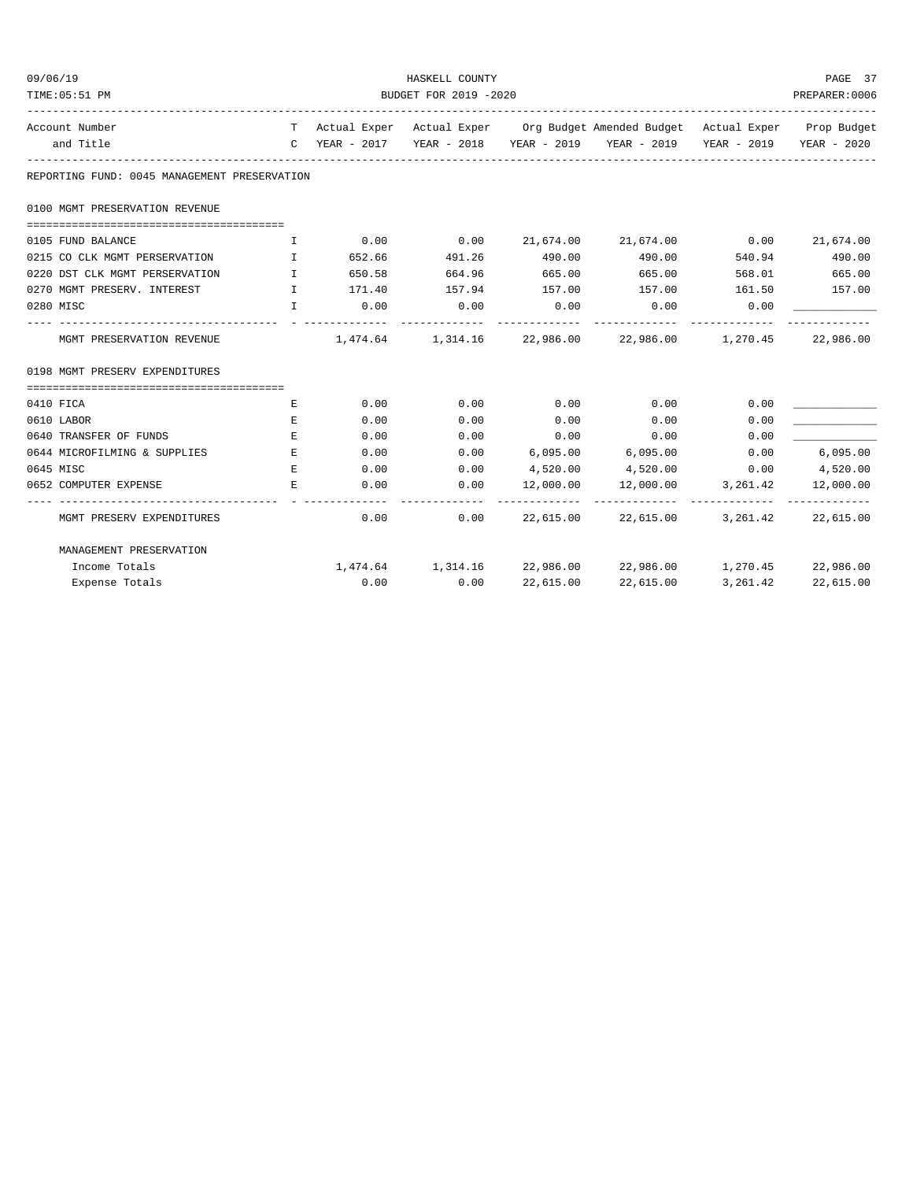| 09/06/19                                     | HASKELL COUNTY                                                                                                                                                                                                                                                                                   |          |             |           |                                                                                |                    |                                          |  |
|----------------------------------------------|--------------------------------------------------------------------------------------------------------------------------------------------------------------------------------------------------------------------------------------------------------------------------------------------------|----------|-------------|-----------|--------------------------------------------------------------------------------|--------------------|------------------------------------------|--|
| TIME: 05:51 PM                               | BUDGET FOR 2019 -2020                                                                                                                                                                                                                                                                            |          |             |           |                                                                                |                    |                                          |  |
| Account Number                               |                                                                                                                                                                                                                                                                                                  |          |             |           | T Actual Exper Actual Exper Org Budget Amended Budget Actual Exper Prop Budget |                    |                                          |  |
| and Title                                    |                                                                                                                                                                                                                                                                                                  |          |             |           | C YEAR - 2017 YEAR - 2018 YEAR - 2019 YEAR - 2019 YEAR - 2019 YEAR - 2020      |                    |                                          |  |
| REPORTING FUND: 0045 MANAGEMENT PRESERVATION |                                                                                                                                                                                                                                                                                                  |          |             |           |                                                                                |                    |                                          |  |
| 0100 MGMT PRESERVATION REVENUE               |                                                                                                                                                                                                                                                                                                  |          |             |           |                                                                                |                    |                                          |  |
| 0105 FUND BALANCE                            | $\mathbf{I}$ and $\mathbf{I}$ and $\mathbf{I}$ and $\mathbf{I}$ and $\mathbf{I}$ and $\mathbf{I}$ and $\mathbf{I}$ and $\mathbf{I}$ and $\mathbf{I}$ and $\mathbf{I}$ and $\mathbf{I}$ and $\mathbf{I}$ and $\mathbf{I}$ and $\mathbf{I}$ and $\mathbf{I}$ and $\mathbf{I}$ and $\mathbf{I}$ and |          | $0.00$ 0.00 |           | 21,674.00 21,674.00 0.00                                                       |                    | 21,674.00                                |  |
| 0215 CO CLK MGMT PERSERVATION I              |                                                                                                                                                                                                                                                                                                  | 652.66   | 491.26      | 490.00    | 490.00                                                                         | 540.94             | 490.00                                   |  |
| 0220 DST CLK MGMT PERSERVATION               | $\mathbb{I}$ and $\mathbb{I}$ and $\mathbb{I}$ and $\mathbb{I}$ and $\mathbb{I}$ and $\mathbb{I}$ and $\mathbb{I}$ and $\mathbb{I}$ and $\mathbb{I}$ and $\mathbb{I}$ and $\mathbb{I}$ and $\mathbb{I}$ and $\mathbb{I}$ and $\mathbb{I}$ and $\mathbb{I}$ and $\mathbb{I}$ and $\mathbb{I}$ and | 650.58   | 664.96      | 665.00    | 665.00                                                                         | 568.01             | 665.00                                   |  |
| 0270 MGMT PRESERV. INTEREST                  |                                                                                                                                                                                                                                                                                                  | I 171.40 | 157.94      | 157.00    | 157.00                                                                         | 161.50             | 157.00                                   |  |
| 0280 MISC                                    | T                                                                                                                                                                                                                                                                                                | 0.00     | 0.00        | 0.00      | 0.00                                                                           | 0.00               |                                          |  |
| MGMT PRESERVATION REVENUE                    |                                                                                                                                                                                                                                                                                                  |          |             |           | $1,474.64$ $1,314.16$ $22,986.00$ $22,986.00$ $1,270.45$ $22,986.00$           |                    |                                          |  |
| 0198 MGMT PRESERV EXPENDITURES               |                                                                                                                                                                                                                                                                                                  |          |             |           |                                                                                |                    |                                          |  |
| 0410 FICA                                    | E                                                                                                                                                                                                                                                                                                | 0.00     | 0.00        | 0.00      | 0.00                                                                           | 0.00               |                                          |  |
| 0610 LABOR                                   | E                                                                                                                                                                                                                                                                                                | 0.00     | 0.00        | 0.00      | 0.00                                                                           | 0.00               |                                          |  |
| 0640 TRANSFER OF FUNDS                       | E                                                                                                                                                                                                                                                                                                | 0.00     | 0.00        | 0.00      | 0.00                                                                           | 0.00               |                                          |  |
| 0644 MICROFILMING & SUPPLIES                 | E                                                                                                                                                                                                                                                                                                | 0.00     | 0.00        |           | 6,095.00 6,095.00                                                              | 0.00               | 6,095.00                                 |  |
| 0645 MISC                                    | E.                                                                                                                                                                                                                                                                                               | 0.00     | 0.00        |           | 4,520.00 4,520.00                                                              |                    | $0.00$ 4,520.00                          |  |
| 0652 COMPUTER EXPENSE                        | E                                                                                                                                                                                                                                                                                                | 0.00     | 0.00        | 12,000.00 |                                                                                | 12,000.00 3,261.42 | 12,000.00                                |  |
| MGMT PRESERV EXPENDITURES                    |                                                                                                                                                                                                                                                                                                  | 0.00     | 0.00        |           | 22,615.00 22,615.00                                                            |                    | --------------<br>3, 261, 42 22, 615, 00 |  |
| MANAGEMENT PRESERVATION                      |                                                                                                                                                                                                                                                                                                  |          |             |           |                                                                                |                    |                                          |  |
| Income Totals                                |                                                                                                                                                                                                                                                                                                  |          |             |           | $1,474.64$ $1,314.16$ $22,986.00$ $22,986.00$ $1,270.45$ $22,986.00$           |                    |                                          |  |
| Expense Totals                               |                                                                                                                                                                                                                                                                                                  | 0.00     | 0.00        | 22,615.00 | 22,615.00                                                                      | 3,261.42           | 22,615.00                                |  |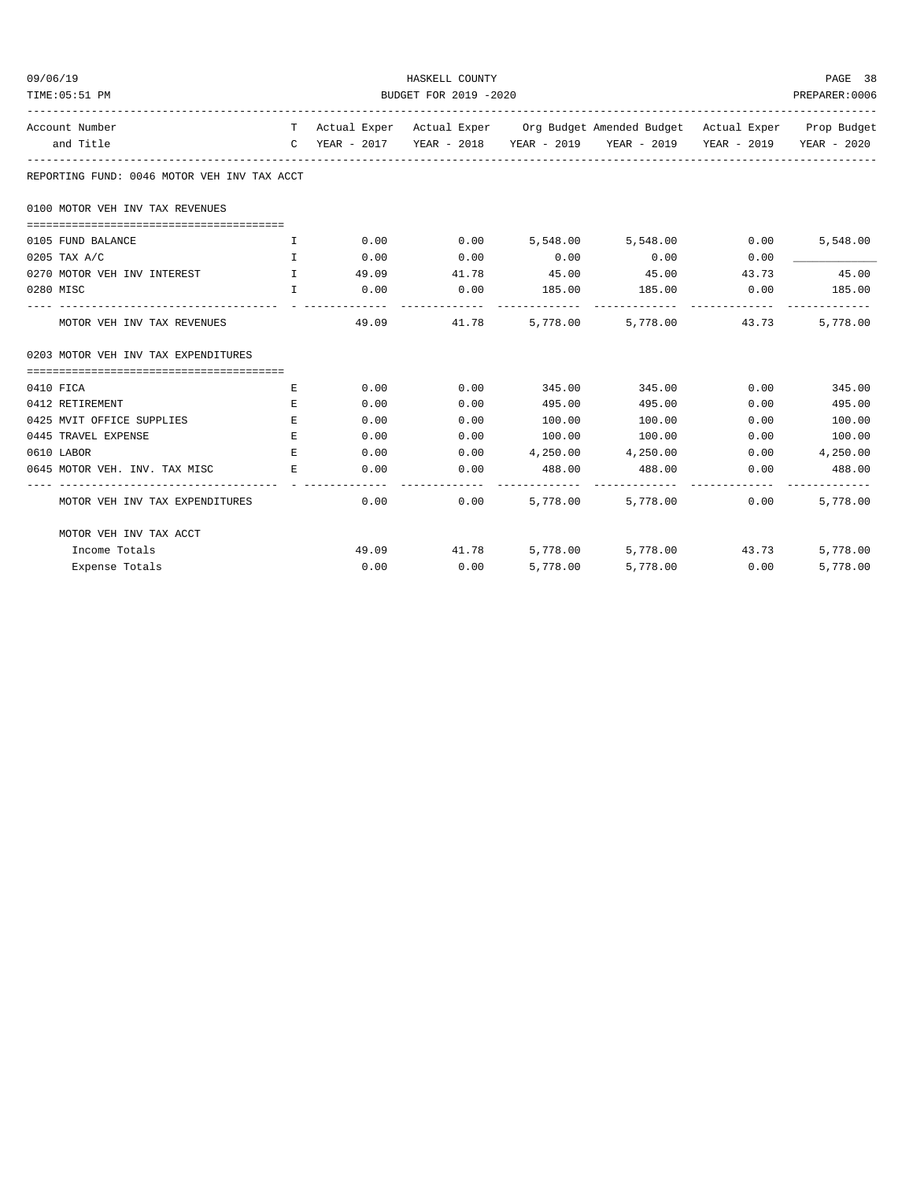| 09/06/19                                    |                               |                       | HASKELL COUNTY |          |                                                                                |       | PAGE 38                 |  |  |
|---------------------------------------------|-------------------------------|-----------------------|----------------|----------|--------------------------------------------------------------------------------|-------|-------------------------|--|--|
| TIME: 05:51 PM                              |                               | BUDGET FOR 2019 -2020 |                |          |                                                                                |       |                         |  |  |
| Account Number                              |                               |                       |                |          | T Actual Exper Actual Exper Org Budget Amended Budget Actual Exper Prop Budget |       |                         |  |  |
| and Title                                   |                               |                       |                |          | C YEAR - 2017 YEAR - 2018 YEAR - 2019 YEAR - 2019 YEAR - 2019 YEAR - 2020      |       |                         |  |  |
| REPORTING FUND: 0046 MOTOR VEH INV TAX ACCT |                               |                       |                |          |                                                                                |       |                         |  |  |
| 0100 MOTOR VEH INV TAX REVENUES             |                               |                       |                |          |                                                                                |       |                         |  |  |
| 0105 FUND BALANCE                           | I.                            | 0.00                  |                |          | $0.00$ $5,548.00$ $5,548.00$ $0.00$                                            |       | 5,548.00                |  |  |
| $0205$ TAX A/C                              | $\mathbf{I}$                  | 0.00                  | 0.00           | 0.00     | 0.00                                                                           | 0.00  |                         |  |  |
| 0270 MOTOR VEH INV INTEREST                 | and the contract of the Table | 49.09                 | 41.78          | 45.00    | 45.00                                                                          | 43.73 | 45.00                   |  |  |
| 0280 MISC                                   | $\mathbf{T}$                  | 0.00                  | 0.00           |          | 185.00 185.00 0.00                                                             |       | 185.00                  |  |  |
| MOTOR VEH INV TAX REVENUES                  |                               |                       | 49.09          |          | 41.78 5,778.00 5,778.00 43.73                                                  |       | 5,778.00                |  |  |
| 0203 MOTOR VEH INV TAX EXPENDITURES         |                               |                       |                |          |                                                                                |       |                         |  |  |
| 0410 FICA                                   | Е                             | 0.00                  | 0.00           | 345.00   | 345.00                                                                         | 0.00  | 345.00                  |  |  |
| 0412 RETIREMENT                             | Е                             | 0.00                  | 0.00           | 495.00   | 495.00                                                                         | 0.00  | 495.00                  |  |  |
| 0425 MVIT OFFICE SUPPLIES                   | E.                            | 0.00                  | 0.00           | 100.00   | 100.00                                                                         | 0.00  | 100.00                  |  |  |
| 0445 TRAVEL EXPENSE                         | E                             | 0.00                  | 0.00           | 100.00   | 100.00                                                                         | 0.00  | 100.00                  |  |  |
| 0610 LABOR                                  | E                             | 0.00                  | 0.00           |          | 4,250.00 4,250.00                                                              | 0.00  | 4,250.00                |  |  |
| 0645 MOTOR VEH. INV. TAX MISC               | $\mathbf{E}$                  | 0.00                  | 0.00           | 488.00   | 488.00<br>------------- --------------                                         | 0.00  | 488.00<br>------------- |  |  |
| MOTOR VEH INV TAX EXPENDITURES              |                               | 0.00                  |                |          | $0.00$ $5.778.00$ $5.778.00$                                                   | 0.00  | 5,778.00                |  |  |
| MOTOR VEH INV TAX ACCT                      |                               |                       |                |          |                                                                                |       |                         |  |  |
| Income Totals                               |                               |                       |                |          | $49.09$ $41.78$ $5,778.00$ $5,778.00$ $43.73$                                  |       | 5,778.00                |  |  |
| Expense Totals                              |                               | 0.00                  | 0.00           | 5,778.00 | 5,778.00                                                                       | 0.00  | 5,778.00                |  |  |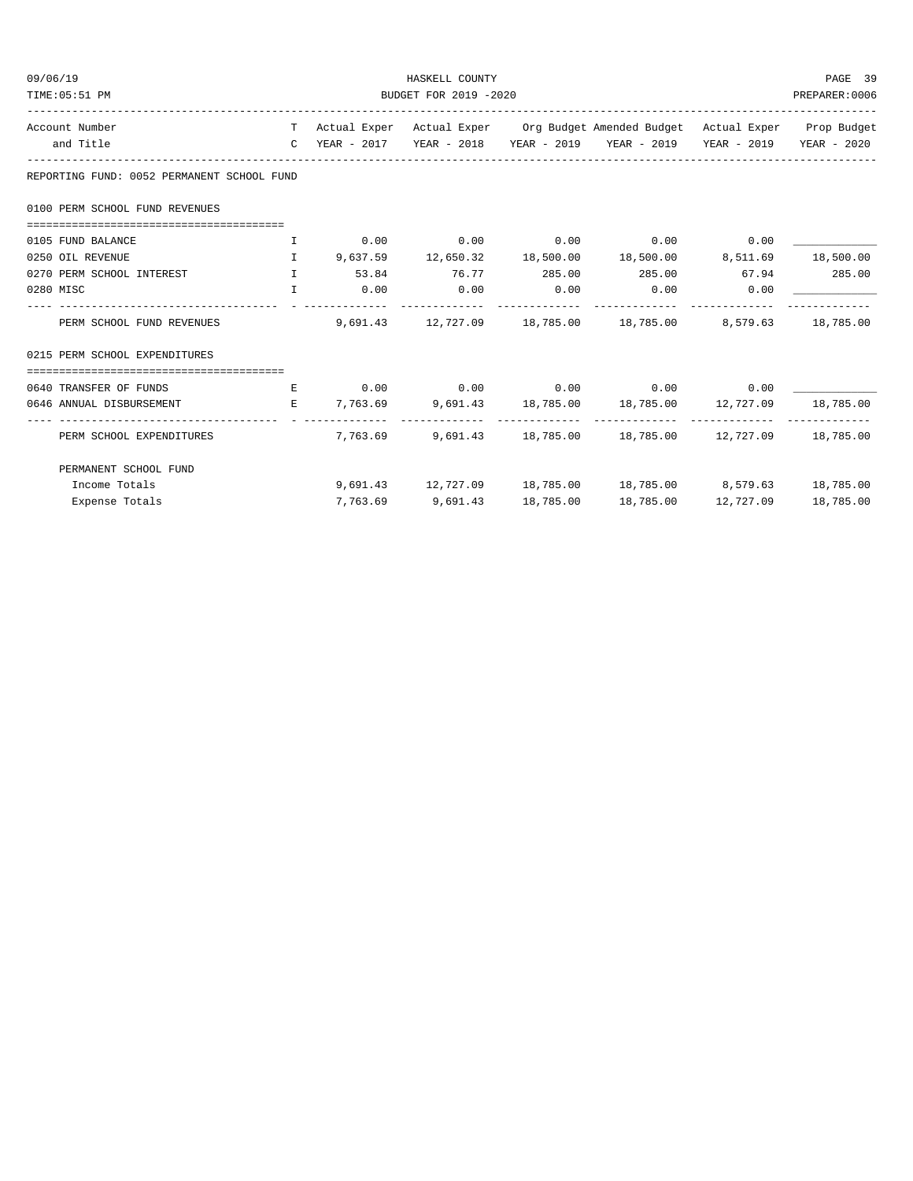| 09/06/19                                                                          |                                       |  | HASKELL COUNTY              |           |                                                                                          |                     | PAGE 39   |  |  |
|-----------------------------------------------------------------------------------|---------------------------------------|--|-----------------------------|-----------|------------------------------------------------------------------------------------------|---------------------|-----------|--|--|
| TIME: 05:51 PM                                                                    | BUDGET FOR 2019 -2020                 |  |                             |           |                                                                                          |                     |           |  |  |
| Account Number                                                                    |                                       |  |                             |           | T Actual Exper Actual Exper Org Budget Amended Budget Actual Exper Prop Budget           |                     |           |  |  |
| and Title                                                                         |                                       |  |                             |           | C YEAR - 2017    YEAR - 2018    YEAR - 2019    YEAR - 2019    YEAR - 2019    YEAR - 2020 |                     |           |  |  |
| REPORTING FUND: 0052 PERMANENT SCHOOL FUND                                        |                                       |  |                             |           |                                                                                          |                     |           |  |  |
| 0100 PERM SCHOOL FUND REVENUES                                                    |                                       |  |                             |           |                                                                                          |                     |           |  |  |
| 0105 FUND BALANCE                                                                 |                                       |  |                             |           |                                                                                          |                     |           |  |  |
| $I$ 9,637.59 12,650.32 18,500.00 18,500.00 8,511.69 18,500.00<br>0250 OIL REVENUE |                                       |  |                             |           |                                                                                          |                     |           |  |  |
| 0270 PERM SCHOOL INTEREST                                                         |                                       |  |                             |           | $1$ 53.84 76.77 285.00 285.00 67.94 285.00                                               |                     |           |  |  |
| 0280 MISC                                                                         | <b>The Community of The Theory II</b> |  | $0.00$ $0.00$ $0.00$ $0.00$ |           | $0.00$ 0.00                                                                              |                     |           |  |  |
| PERM SCHOOL FUND REVENUES                                                         |                                       |  |                             |           | 9,691.43 12,727.09 18,785.00 18,785.00 8,579.63 18,785.00                                |                     |           |  |  |
| 0215 PERM SCHOOL EXPENDITURES                                                     |                                       |  |                             |           |                                                                                          |                     |           |  |  |
|                                                                                   |                                       |  |                             |           |                                                                                          |                     |           |  |  |
| 0640 TRANSFER OF FUNDS                                                            |                                       |  |                             |           | $E$ 0.00 0.00 0.00 0.00 0.00 0.00                                                        |                     |           |  |  |
| 0646 ANNUAL DISBURSEMENT                                                          |                                       |  |                             |           | E 7,763.69 9,691.43 18,785.00 18,785.00 12,727.09 18,785.00                              |                     |           |  |  |
| PERM SCHOOL EXPENDITURES                                                          |                                       |  |                             |           | 7,763.69 9,691.43 18,785.00 18,785.00 12,727.09 18,785.00                                |                     |           |  |  |
| PERMANENT SCHOOL FUND                                                             |                                       |  |                             |           |                                                                                          |                     |           |  |  |
| Income Totals                                                                     |                                       |  |                             |           | 9,691.43 12,727.09 18,785.00 18,785.00 8,579.63 18,785.00                                |                     |           |  |  |
| Expense Totals                                                                    |                                       |  | 7,763.69 9,691.43           | 18,785.00 |                                                                                          | 18,785.00 12,727.09 | 18,785.00 |  |  |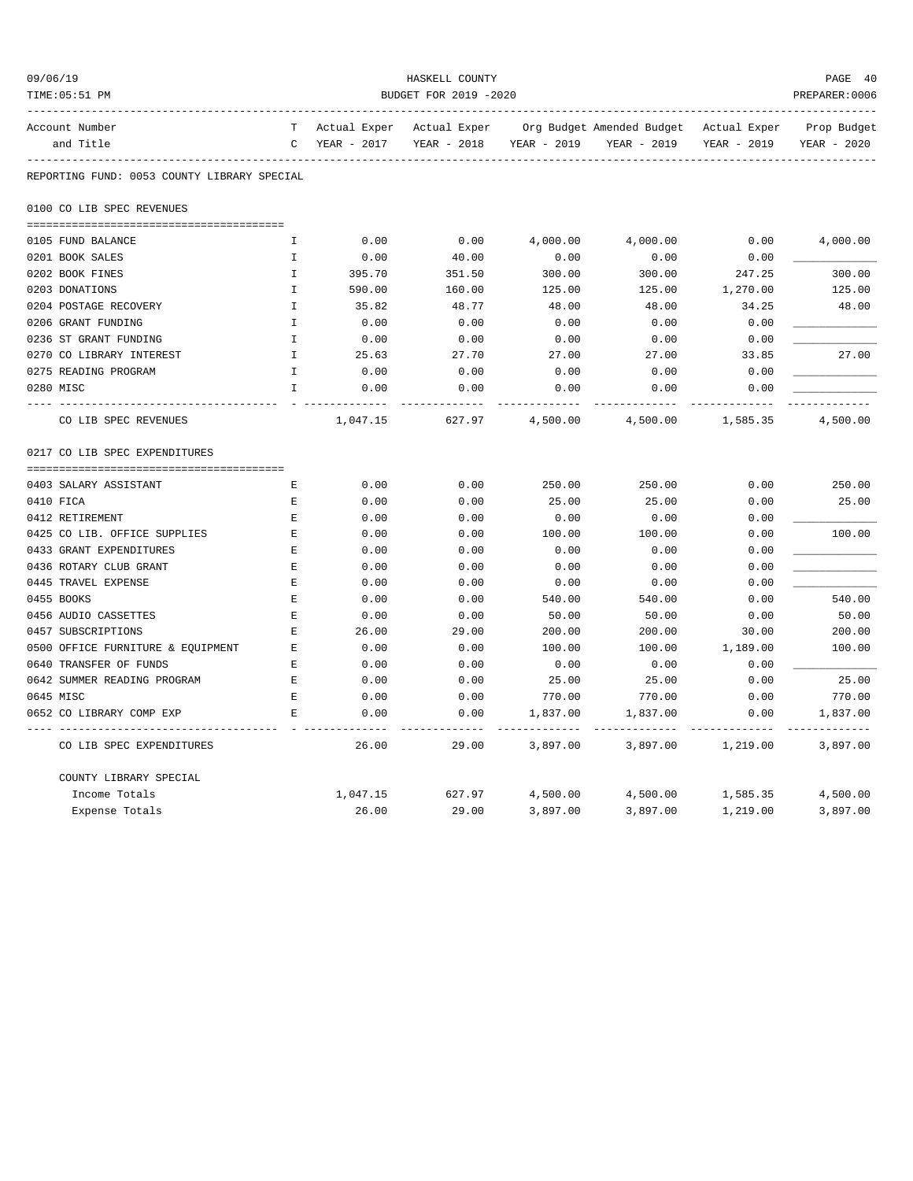| 09/06/19                                    |                       |              | HASKELL COUNTY |             |                           |              | PAGE 40     |  |  |
|---------------------------------------------|-----------------------|--------------|----------------|-------------|---------------------------|--------------|-------------|--|--|
| TIME: 05:51 PM                              | BUDGET FOR 2019 -2020 |              |                |             |                           |              |             |  |  |
| Account Number                              | T                     | Actual Exper | Actual Exper   |             | Org Budget Amended Budget | Actual Exper | Prop Budget |  |  |
| and Title                                   | C                     | YEAR - 2017  | YEAR - 2018    | YEAR - 2019 | YEAR - 2019               | YEAR - 2019  | YEAR - 2020 |  |  |
| REPORTING FUND: 0053 COUNTY LIBRARY SPECIAL |                       |              |                |             |                           |              |             |  |  |
| 0100 CO LIB SPEC REVENUES                   |                       |              |                |             |                           |              |             |  |  |
| 0105 FUND BALANCE                           | I.                    | 0.00         | 0.00           | 4,000.00    | 4,000.00                  | 0.00         | 4,000.00    |  |  |
| 0201 BOOK SALES                             | I                     | 0.00         | 40.00          | 0.00        | 0.00                      | 0.00         |             |  |  |
| 0202 BOOK FINES                             | $\mathbb{T}$          | 395.70       | 351.50         | 300.00      | 300.00                    | 247.25       | 300.00      |  |  |
| 0203 DONATIONS                              | $\mathbf I$           | 590.00       | 160.00         | 125.00      | 125.00                    | 1,270.00     | 125.00      |  |  |
| 0204 POSTAGE RECOVERY                       | $\mathbf I$           | 35.82        | 48.77          | 48.00       | 48.00                     | 34.25        | 48.00       |  |  |
| 0206 GRANT FUNDING                          | I                     | 0.00         | 0.00           | 0.00        | 0.00                      | 0.00         |             |  |  |
| 0236 ST GRANT FUNDING                       | $\mathbf I$           | 0.00         | 0.00           | 0.00        | 0.00                      | 0.00         |             |  |  |
| 0270 CO LIBRARY INTEREST                    | $\mathbf{I}$          | 25.63        | 27.70          | 27.00       | 27.00                     | 33.85        | 27.00       |  |  |
| 0275 READING PROGRAM                        | I.                    | 0.00         | 0.00           | 0.00        | 0.00                      | 0.00         |             |  |  |
| 0280 MISC                                   | I.                    | 0.00         | 0.00           | 0.00        | 0.00                      | 0.00         |             |  |  |
| CO LIB SPEC REVENUES                        |                       | 1,047.15     | 627.97         | 4,500.00    | 4,500.00                  | 1,585.35     | 4,500.00    |  |  |
| 0217 CO LIB SPEC EXPENDITURES               |                       |              |                |             |                           |              |             |  |  |
| 0403 SALARY ASSISTANT                       | Е                     | 0.00         | 0.00           | 250.00      | 250.00                    | 0.00         | 250.00      |  |  |
| 0410 FICA                                   | Е                     | 0.00         | 0.00           | 25.00       | 25.00                     | 0.00         | 25.00       |  |  |
| 0412 RETIREMENT                             | E                     | 0.00         | 0.00           | 0.00        | 0.00                      | 0.00         |             |  |  |
| 0425 CO LIB. OFFICE SUPPLIES                | E                     | 0.00         | 0.00           | 100.00      | 100.00                    | 0.00         | 100.00      |  |  |
| 0433 GRANT EXPENDITURES                     | Е                     | 0.00         | 0.00           | 0.00        | 0.00                      | 0.00         |             |  |  |
| 0436 ROTARY CLUB GRANT                      | E                     | 0.00         | 0.00           | 0.00        | 0.00                      | 0.00         |             |  |  |
| 0445 TRAVEL EXPENSE                         | Е                     | 0.00         | 0.00           | 0.00        | 0.00                      | 0.00         |             |  |  |
| 0455 BOOKS                                  | Е                     | 0.00         | 0.00           | 540.00      | 540.00                    | 0.00         | 540.00      |  |  |
| 0456 AUDIO CASSETTES                        | Ε                     | 0.00         | 0.00           | 50.00       | 50.00                     | 0.00         | 50.00       |  |  |
| 0457 SUBSCRIPTIONS                          | E                     | 26.00        | 29.00          | 200.00      | 200.00                    | 30.00        | 200.00      |  |  |
| 0500 OFFICE FURNITURE & EQUIPMENT           | Ε                     | 0.00         | 0.00           | 100.00      | 100.00                    | 1,189.00     | 100.00      |  |  |
| 0640 TRANSFER OF FUNDS                      | Е                     | 0.00         | 0.00           | 0.00        | 0.00                      | 0.00         |             |  |  |
| 0642 SUMMER READING PROGRAM                 | Е                     | 0.00         | 0.00           | 25.00       | 25.00                     | 0.00         | 25.00       |  |  |
| 0645 MISC                                   | E                     | 0.00         | 0.00           | 770.00      | 770.00                    | 0.00         | 770.00      |  |  |
| 0652 CO LIBRARY COMP EXP                    | E.                    | 0.00         | 0.00           | 1,837.00    | 1,837.00                  | 0.00         | 1,837.00    |  |  |
| CO LIB SPEC EXPENDITURES                    |                       | 26.00        | 29.00          | 3,897.00    | 3,897.00                  | 1,219.00     | 3,897.00    |  |  |
| COUNTY LIBRARY SPECIAL                      |                       |              |                |             |                           |              |             |  |  |
| Income Totals                               |                       | 1,047.15     | 627.97         | 4,500.00    | 4,500.00                  | 1,585.35     | 4,500.00    |  |  |
| Expense Totals                              |                       | 26.00        | 29.00          | 3,897.00    | 3,897.00                  | 1,219.00     | 3,897.00    |  |  |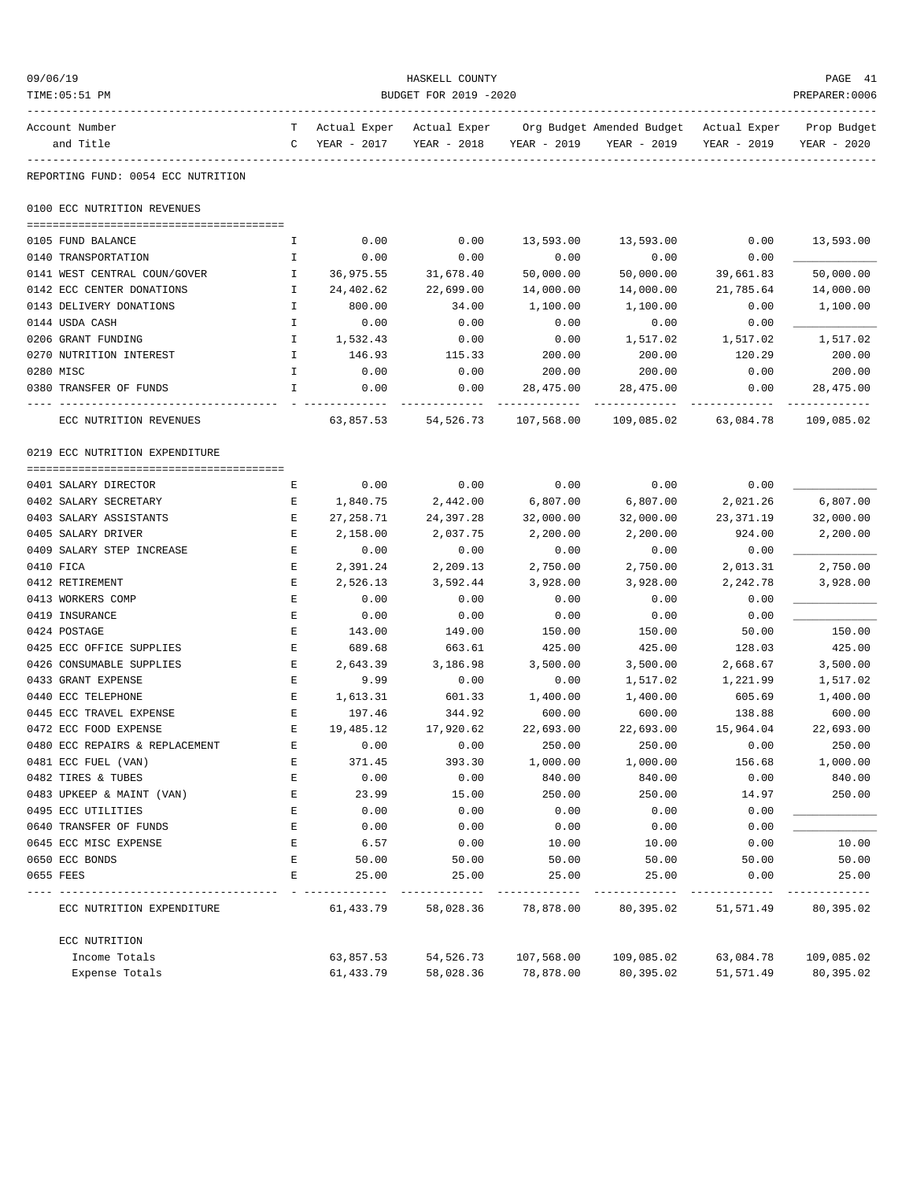| 09/06/19                            |                       |              | HASKELL COUNTY |                     |                                          |                    | PAGE 41             |  |
|-------------------------------------|-----------------------|--------------|----------------|---------------------|------------------------------------------|--------------------|---------------------|--|
| TIME: 05:51 PM                      | BUDGET FOR 2019 -2020 |              |                |                     |                                          |                    |                     |  |
| Account Number                      | T                     | Actual Exper | Actual Exper   |                     | Org Budget Amended Budget - Actual Exper |                    | Prop Budget         |  |
| and Title                           | $\mathbb{C}$          | YEAR - 2017  | YEAR - 2018    | YEAR - 2019         | YEAR - 2019                              | YEAR - 2019        | YEAR - 2020         |  |
| REPORTING FUND: 0054 ECC NUTRITION  |                       |              |                |                     |                                          |                    |                     |  |
| 0100 ECC NUTRITION REVENUES         |                       |              |                |                     |                                          |                    |                     |  |
|                                     |                       |              |                |                     |                                          |                    |                     |  |
| 0105 FUND BALANCE                   | I.                    | 0.00         | 0.00           | 13,593.00           | 13,593.00                                | 0.00               | 13,593.00           |  |
| 0140 TRANSPORTATION                 | Ι.                    | 0.00         | 0.00           | 0.00                | 0.00                                     | 0.00               |                     |  |
| 0141 WEST CENTRAL COUN/GOVER        | $\mathbf{I}$          | 36,975.55    | 31,678.40      | 50,000.00           | 50,000.00                                | 39,661.83          | 50,000.00           |  |
| 0142 ECC CENTER DONATIONS           | $\mathbf{I}$          | 24,402.62    | 22,699.00      | 14,000.00           | 14,000.00                                | 21,785.64          | 14,000.00           |  |
| 0143 DELIVERY DONATIONS             | Ι.                    | 800.00       | 34.00          | 1,100.00            | 1,100.00                                 | 0.00               | 1,100.00            |  |
| 0144 USDA CASH                      | I.<br>$\mathbf{I}$    | 0.00         | 0.00           | 0.00                | 0.00                                     | 0.00               |                     |  |
| 0206 GRANT FUNDING                  |                       | 1,532.43     | 0.00           | 0.00                | 1,517.02                                 | 1,517.02<br>120.29 | 1,517.02<br>200.00  |  |
| 0270 NUTRITION INTEREST             | Ι.<br>I.              | 146.93       | 115.33         | 200.00              | 200.00                                   |                    |                     |  |
| 0280 MISC<br>0380 TRANSFER OF FUNDS | $\mathbf{I}$          | 0.00<br>0.00 | 0.00<br>0.00   | 200.00<br>28,475.00 | 200.00<br>28,475.00                      | 0.00<br>0.00       | 200.00<br>28,475.00 |  |
|                                     |                       |              |                | -----------         | . <u>.</u> .                             | ----------         | -----------         |  |
| ECC NUTRITION REVENUES              |                       | 63,857.53    | 54,526.73      | 107,568.00          | 109,085.02                               | 63,084.78          | 109,085.02          |  |
| 0219 ECC NUTRITION EXPENDITURE      |                       |              |                |                     |                                          |                    |                     |  |
| 0401 SALARY DIRECTOR                | Е                     | 0.00         | 0.00           | 0.00                | 0.00                                     | 0.00               |                     |  |
| 0402 SALARY SECRETARY               | Е                     | 1,840.75     | 2,442.00       | 6,807.00            | 6,807.00                                 | 2,021.26           | 6,807.00            |  |
| 0403 SALARY ASSISTANTS              | Е                     | 27,258.71    | 24,397.28      | 32,000.00           | 32,000.00                                | 23,371.19          | 32,000.00           |  |
| 0405 SALARY DRIVER                  | Е                     | 2,158.00     | 2,037.75       | 2,200.00            | 2,200.00                                 | 924.00             | 2,200.00            |  |
| 0409 SALARY STEP INCREASE           | Е                     | 0.00         | 0.00           | 0.00                | 0.00                                     | 0.00               |                     |  |
| 0410 FICA                           | Е                     | 2,391.24     | 2,209.13       | 2,750.00            | 2,750.00                                 | 2,013.31           | 2,750.00            |  |
| 0412 RETIREMENT                     | Е                     | 2,526.13     | 3,592.44       | 3,928.00            | 3,928.00                                 | 2,242.78           | 3,928.00            |  |
| 0413 WORKERS COMP                   | Ε                     | 0.00         | 0.00           | 0.00                | 0.00                                     | 0.00               |                     |  |
| 0419 INSURANCE                      | E                     | 0.00         | 0.00           | 0.00                | 0.00                                     | 0.00               |                     |  |
| 0424 POSTAGE                        | Е                     | 143.00       | 149.00         | 150.00              | 150.00                                   | 50.00              | 150.00              |  |
| 0425 ECC OFFICE SUPPLIES            | E                     | 689.68       | 663.61         | 425.00              | 425.00                                   | 128.03             | 425.00              |  |
| 0426 CONSUMABLE SUPPLIES            | Е                     | 2,643.39     | 3,186.98       | 3,500.00            | 3,500.00                                 | 2,668.67           | 3,500.00            |  |
| 0433 GRANT EXPENSE                  | E                     | 9.99         | 0.00           | 0.00                | 1,517.02                                 | 1,221.99           | 1,517.02            |  |
| 0440 ECC TELEPHONE                  | Е                     | 1,613.31     | 601.33         | 1,400.00            | 1,400.00                                 | 605.69             | 1,400.00            |  |
| 0445 ECC TRAVEL EXPENSE             | Е                     | 197.46       | 344.92         | 600.00              | 600.00                                   | 138.88             | 600.00              |  |
| 0472 ECC FOOD EXPENSE               | E                     | 19,485.12    | 17,920.62      | 22,693.00           | 22,693.00                                | 15,964.04          | 22,693.00           |  |
| 0480 ECC REPAIRS & REPLACEMENT      | Ε                     | 0.00         | 0.00           | 250.00              | 250.00                                   | 0.00               | 250.00              |  |
| 0481 ECC FUEL (VAN)                 | E                     | 371.45       | 393.30         | 1,000.00            | 1,000.00                                 | 156.68             | 1,000.00            |  |
| 0482 TIRES & TUBES                  | Ε                     | 0.00         | 0.00           | 840.00              | 840.00                                   | 0.00               | 840.00              |  |
| 0483 UPKEEP & MAINT (VAN)           | E                     | 23.99        | 15.00          | 250.00              | 250.00                                   | 14.97              | 250.00              |  |
| 0495 ECC UTILITIES                  | E                     | 0.00         | 0.00           | 0.00                | 0.00                                     | 0.00               |                     |  |
| 0640 TRANSFER OF FUNDS              | E                     | 0.00         | 0.00           | 0.00                | 0.00                                     | 0.00               |                     |  |
| 0645 ECC MISC EXPENSE               | Ε                     | 6.57         | 0.00           | 10.00               | 10.00                                    | 0.00               | 10.00               |  |
| 0650 ECC BONDS                      | Ε                     | 50.00        | 50.00          | 50.00               | 50.00                                    | 50.00              | 50.00               |  |
| 0655 FEES                           | E                     | 25.00        | 25.00          | 25.00               | 25.00                                    | 0.00               | 25.00               |  |
| ECC NUTRITION EXPENDITURE           |                       | 61,433.79    | 58,028.36      | 78,878.00           | 80,395.02                                | 51,571.49          | 80,395.02           |  |
| ECC NUTRITION                       |                       |              |                |                     |                                          |                    |                     |  |
| Income Totals                       |                       | 63,857.53    | 54, 526. 73    | 107,568.00          | 109,085.02                               | 63,084.78          | 109,085.02          |  |
| Expense Totals                      |                       | 61, 433.79   | 58,028.36      | 78,878.00           | 80,395.02                                | 51,571.49          | 80,395.02           |  |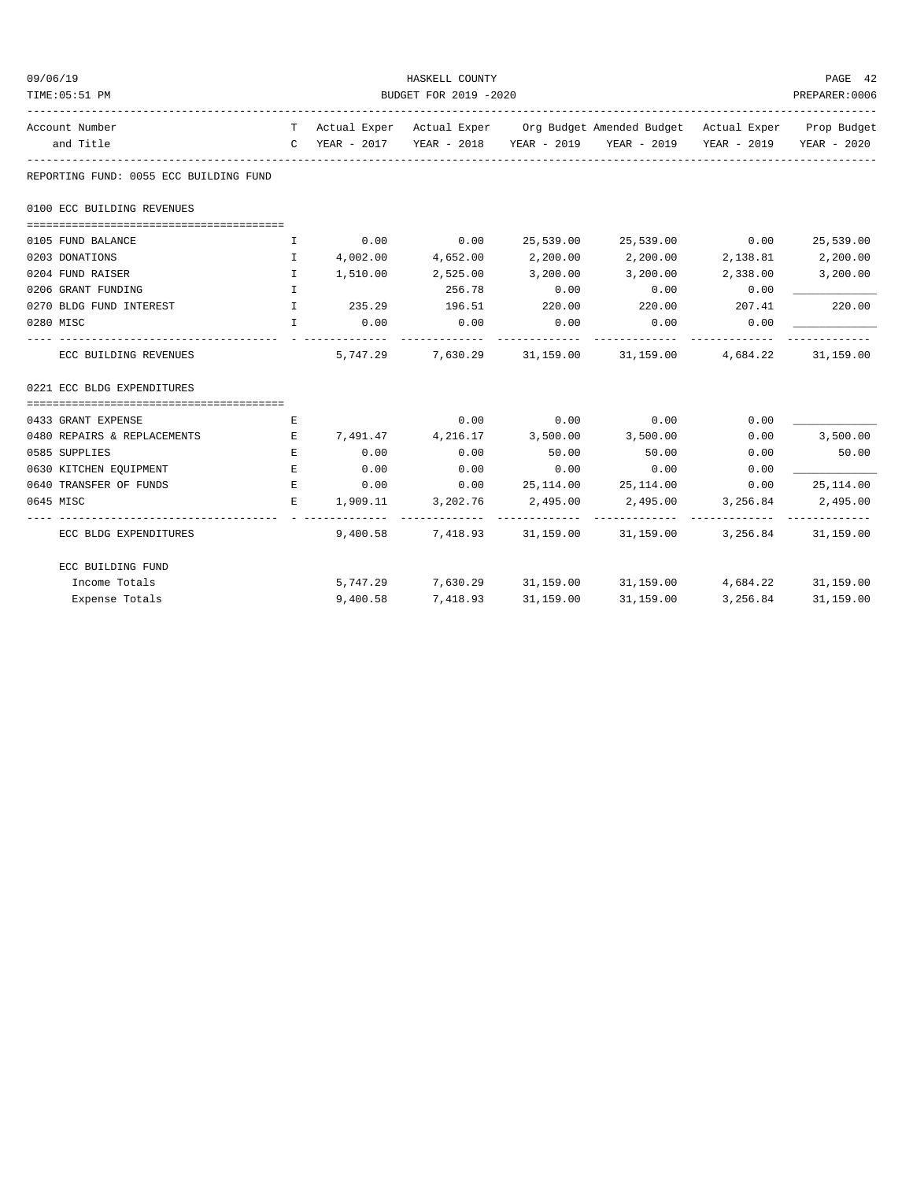| 09/06/19                               | HASKELL COUNTY        |                   |                   |           |                                                                                |                   |                         |  |  |
|----------------------------------------|-----------------------|-------------------|-------------------|-----------|--------------------------------------------------------------------------------|-------------------|-------------------------|--|--|
| TIME: 05:51 PM                         | BUDGET FOR 2019 -2020 |                   |                   |           |                                                                                |                   |                         |  |  |
| Account Number                         |                       |                   |                   |           | T Actual Exper Actual Exper Org Budget Amended Budget Actual Exper Prop Budget |                   |                         |  |  |
| and Title                              |                       |                   |                   |           | C YEAR - 2017 YEAR - 2018 YEAR - 2019 YEAR - 2019                              |                   | YEAR - 2019 YEAR - 2020 |  |  |
| REPORTING FUND: 0055 ECC BUILDING FUND |                       |                   |                   |           |                                                                                |                   |                         |  |  |
| 0100 ECC BUILDING REVENUES             |                       |                   |                   |           |                                                                                |                   |                         |  |  |
| 0105 FUND BALANCE                      | $\mathbf{I}$          | 0.00              | 0.00              |           | 25,539.00 25,539.00 0.00 25,539.00                                             |                   |                         |  |  |
| 0203 DONATIONS                         | $\mathbf{I}$          |                   | 4,002.00 4,652.00 | 2,200.00  | 2,200.00                                                                       | 2,138.81 2,200.00 |                         |  |  |
| 0204 FUND RAISER                       | Ι.                    | 1,510.00          | 2,525.00          | 3,200.00  | 3,200.00                                                                       | 2,338.00          | 3,200.00                |  |  |
| 0206 GRANT FUNDING                     | $\mathbf{T}$          |                   | 256.78            | 0.00      | 0.00                                                                           | 0.00              |                         |  |  |
| 0270 BLDG FUND INTEREST                | $\mathbf{I}$          | 235.29 196.51     |                   | 220.00    | 220.00                                                                         | 207.41            | 220.00                  |  |  |
| 0280 MISC                              | $\mathbf{T}$          | 0.00              | 0.00              | 0.00      | 0.00                                                                           | 0.00              |                         |  |  |
| ECC BUILDING REVENUES                  |                       |                   |                   |           | 5,747.29 7,630.29 31,159.00 31,159.00 4,684.22 31,159.00                       |                   |                         |  |  |
| 0221 ECC BLDG EXPENDITURES             |                       |                   |                   |           |                                                                                |                   |                         |  |  |
| 0433 GRANT EXPENSE                     | Е                     |                   | 0.00              | 0.00      | 0.00                                                                           | 0.00              |                         |  |  |
| 0480 REPAIRS & REPLACEMENTS            | E                     | 7,491.47 4,216.17 |                   | 3,500.00  | 3,500.00                                                                       | 0.00              | 3,500.00                |  |  |
| 0585 SUPPLIES                          | E                     | 0.00              | 0.00              | 50.00     | 50.00                                                                          | 0.00              | 50.00                   |  |  |
| 0630 KITCHEN EQUIPMENT                 | $\mathbf{E}$          | 0.00              | 0.00              | 0.00      | 0.00                                                                           | 0.00              |                         |  |  |
| 0640 TRANSFER OF FUNDS                 | $\mathbf{E}$          | 0.00              | 0.00              |           | 25, 114.00 25, 114.00                                                          | 0.00              | 25, 114.00              |  |  |
| 0645 MISC                              | Е                     | 1,909.11          | 3,202.76          | 2,495.00  | 2,495.00 3,256.84                                                              |                   | 2,495.00                |  |  |
| ECC BLDG EXPENDITURES                  |                       |                   |                   |           | 9,400.58 7,418.93 31,159.00 31,159.00 3,256.84 31,159.00                       |                   | ______________          |  |  |
| ECC BUILDING FUND                      |                       |                   |                   |           |                                                                                |                   |                         |  |  |
| Income Totals                          |                       |                   |                   |           | 5,747.29 7,630.29 31,159.00 31,159.00 4,684.22 31,159.00                       |                   |                         |  |  |
| Expense Totals                         |                       | 9,400.58          | 7,418.93          | 31,159.00 | 31,159.00                                                                      |                   | 3, 256.84 31, 159.00    |  |  |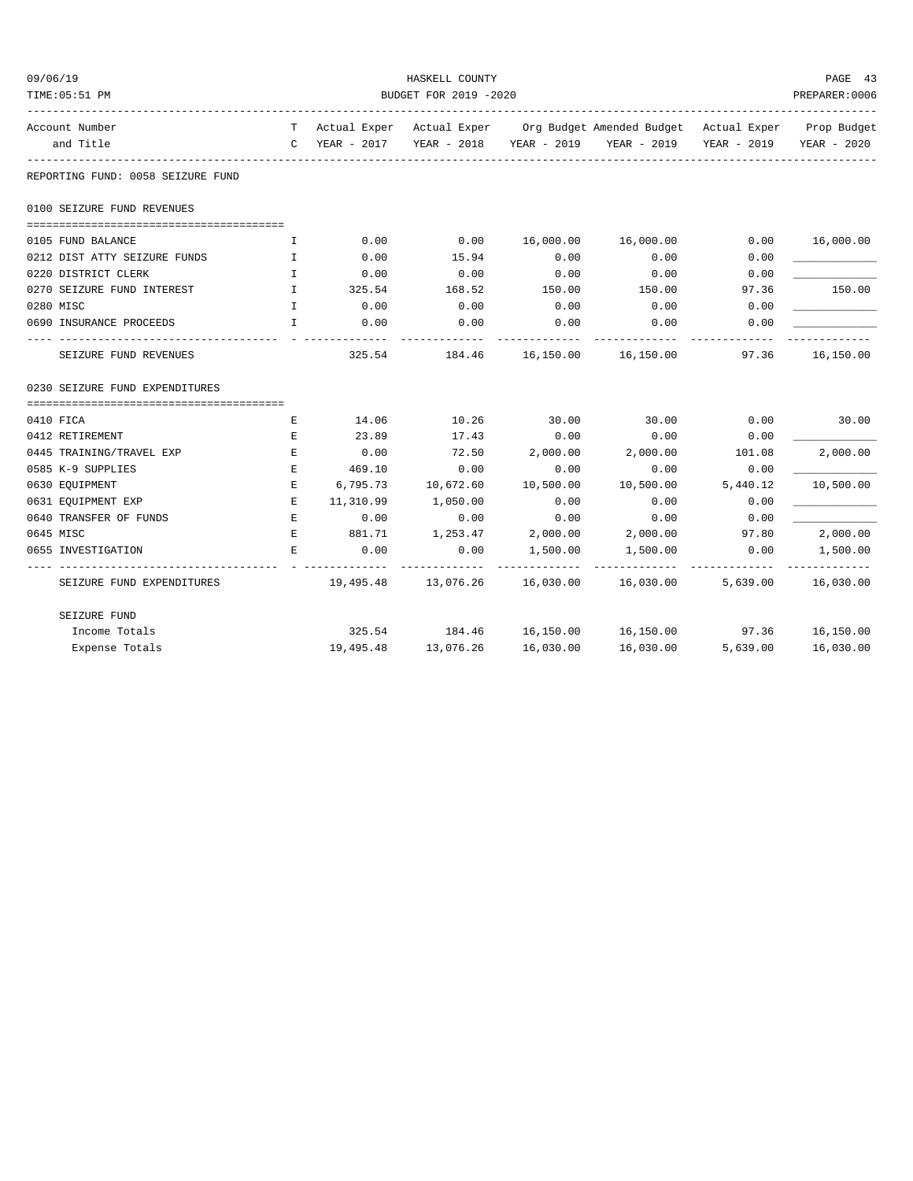| 09/06/19                                                  |                       |              | HASKELL COUNTY |             |                                                                                |          | PAGE 43                 |  |  |
|-----------------------------------------------------------|-----------------------|--------------|----------------|-------------|--------------------------------------------------------------------------------|----------|-------------------------|--|--|
| TIME: 05:51 PM                                            | BUDGET FOR 2019 -2020 |              |                |             |                                                                                |          |                         |  |  |
| Account Number                                            |                       |              |                |             | T Actual Exper Actual Exper Org Budget Amended Budget Actual Exper Prop Budget |          |                         |  |  |
| and Title                                                 |                       |              |                |             | C YEAR - 2017 YEAR - 2018 YEAR - 2019 YEAR - 2019                              |          | YEAR - 2019 YEAR - 2020 |  |  |
| REPORTING FUND: 0058 SEIZURE FUND                         |                       |              |                |             |                                                                                |          |                         |  |  |
| 0100 SEIZURE FUND REVENUES                                |                       |              |                |             |                                                                                |          |                         |  |  |
| 0105 FUND BALANCE                                         | $\mathbf I$           | 0.00         | 0.00           | 16,000.00   | 16,000.00                                                                      | 0.00     | 16,000.00               |  |  |
| 0212 DIST ATTY SEIZURE FUNDS                              | $\mathbf{I}$          | 0.00         | 15.94          | 0.00        | 0.00                                                                           | 0.00     |                         |  |  |
| 0220 DISTRICT CLERK                                       | $\mathbf{I}$          | 0.00         | 0.00           | 0.00        | 0.00                                                                           | 0.00     |                         |  |  |
| 0270 SEIZURE FUND INTEREST                                | $\mathbf{I}$          | 325.54       | 168.52         | 150.00      | 150.00                                                                         | 97.36    | 150.00                  |  |  |
| 0280 MISC                                                 | $\mathbf{I}$          | 0.00         | 0.00           | 0.00        | 0.00                                                                           | 0.00     |                         |  |  |
| 0690 INSURANCE PROCEEDS                                   | $\mathbf{I}$          | 0.00         | 0.00           | 0.00        | 0.00                                                                           | 0.00     |                         |  |  |
| --------------------------------<br>SEIZURE FUND REVENUES |                       |              |                | ----------- | -------------<br>325.54 184.46 16,150.00 16,150.00                             | 97.36    | 16,150.00               |  |  |
| 0230 SEIZURE FUND EXPENDITURES                            |                       |              |                |             |                                                                                |          |                         |  |  |
| 0410 FICA                                                 | Е                     | 14.06        | 10.26          | 30.00       | 30.00                                                                          | 0.00     | 30.00                   |  |  |
| 0412 RETIREMENT                                           | E                     | 23.89        | 17.43          | 0.00        | 0.00                                                                           | 0.00     |                         |  |  |
| 0445 TRAINING/TRAVEL EXP                                  | E                     | 0.00         | 72.50          | 2,000.00    | 2,000.00                                                                       | 101.08   | 2,000.00                |  |  |
| 0585 K-9 SUPPLIES                                         | E                     | 469.10       | 0.00           | 0.00        | 0.00                                                                           | 0.00     |                         |  |  |
| 0630 EQUIPMENT                                            | E.                    | 6,795.73     | 10,672.60      | 10,500.00   | 10,500.00                                                                      | 5,440.12 | 10,500.00               |  |  |
| 0631 EQUIPMENT EXP                                        | Е                     | 11,310.99    | 1,050.00       | 0.00        | 0.00                                                                           | 0.00     |                         |  |  |
| 0640 TRANSFER OF FUNDS                                    | E                     | 0.00         | 0.00           | 0.00        | 0.00                                                                           | 0.00     |                         |  |  |
| 0645 MISC                                                 | $\mathbf{E}$          | 881.71       | 1,253.47       |             | 2,000.00 2,000.00                                                              | 97.80    | 2,000.00                |  |  |
| 0655 INVESTIGATION                                        | E                     | 0.00         | 0.00           | 1,500.00    | 1,500.00                                                                       | 0.00     | 1,500.00                |  |  |
| SEIZURE FUND EXPENDITURES                                 |                       | ------------ | _____________  | ----------  | -------------<br>19,495.48 13,076.26 16,030.00 16,030.00 5,639.00 16,030.00    |          | -------------           |  |  |
| SEIZURE FUND                                              |                       |              |                |             |                                                                                |          |                         |  |  |
| Income Totals                                             |                       |              |                |             | 325.54 184.46 16,150.00 16,150.00 97.36 16,150.00                              |          |                         |  |  |
| Expense Totals                                            |                       | 19,495.48    | 13,076.26      | 16,030.00   | 16,030.00                                                                      | 5,639.00 | 16,030.00               |  |  |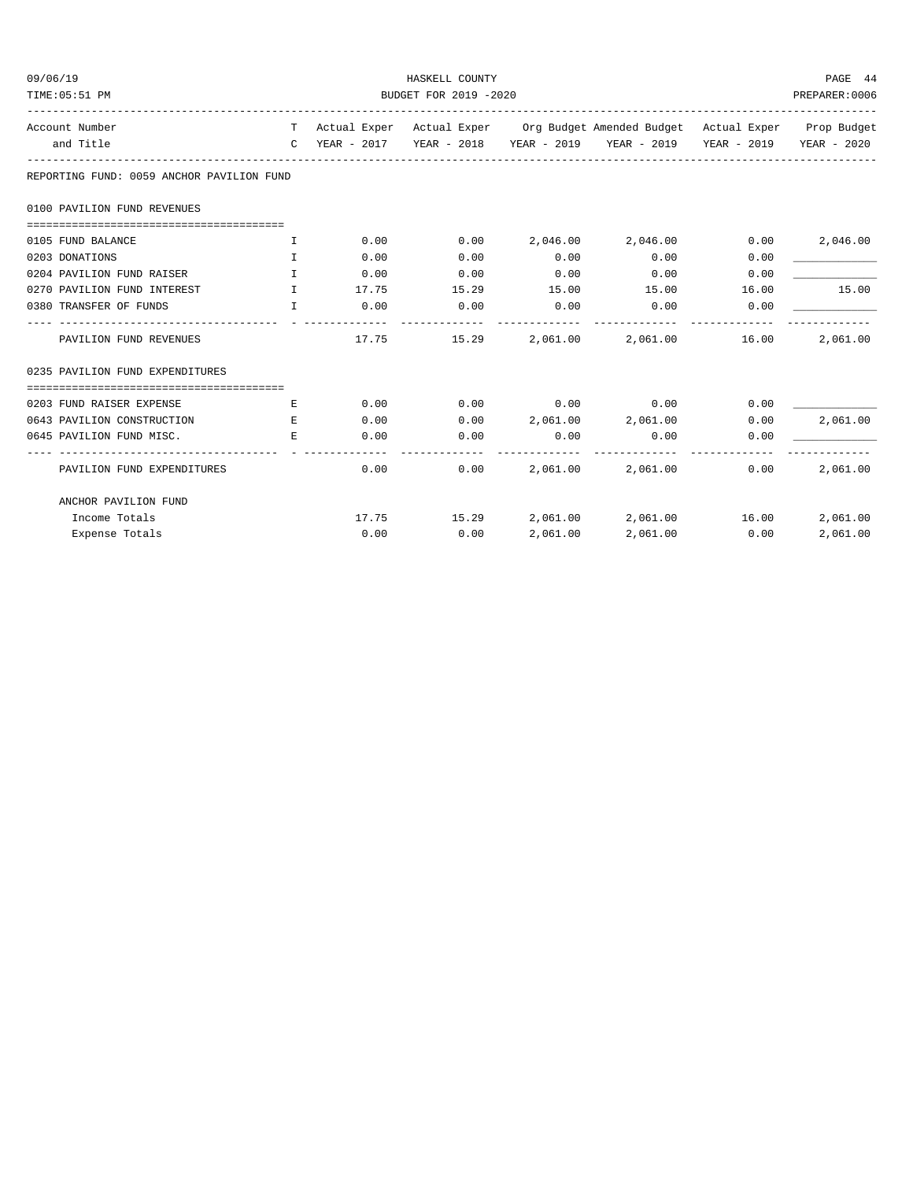| 09/06/19<br>TIME: 05:51 PM                | HASKELL COUNTY<br>BUDGET FOR 2019 -2020 |             |             |               |                                                                                                                                                             |               |          |  |
|-------------------------------------------|-----------------------------------------|-------------|-------------|---------------|-------------------------------------------------------------------------------------------------------------------------------------------------------------|---------------|----------|--|
|                                           |                                         |             |             |               |                                                                                                                                                             |               |          |  |
| Account Number<br>and Title               |                                         |             |             |               | T Actual Exper Actual Exper Org Budget Amended Budget Actual Exper Prop Budget<br>C YEAR - 2017 YEAR - 2018 YEAR - 2019 YEAR - 2019 YEAR - 2019 YEAR - 2020 |               |          |  |
| REPORTING FUND: 0059 ANCHOR PAVILION FUND |                                         |             |             |               |                                                                                                                                                             |               |          |  |
| 0100 PAVILION FUND REVENUES               |                                         |             |             |               |                                                                                                                                                             |               |          |  |
| 0105 FUND BALANCE                         | I.                                      | 0.00        | 0.00        |               | 2,046.00 2,046.00                                                                                                                                           | 0.00          | 2,046.00 |  |
| 0203 DONATIONS                            | $\mathbb{T}$                            | 0.00        | 0.00        | 0.00          | 0.00                                                                                                                                                        | 0.00          |          |  |
| 0204 PAVILION FUND RAISER                 | $\top$                                  | 0.00        | 0.00        | 0.00          | 0.00                                                                                                                                                        | 0.00          |          |  |
| 0270 PAVILION FUND INTEREST               | $\mathbf{I}$ . The state $\mathbf{I}$   | 17.75 15.29 |             | 15.00         | 15.00                                                                                                                                                       | 16.00         | 15.00    |  |
| 0380 TRANSFER OF FUNDS                    | $\mathbb{T}$                            | 0.00        | 0.00        | 0.00          | 0.00                                                                                                                                                        | 0.00          |          |  |
| PAVILION FUND REVENUES                    |                                         |             | 17.75 15.29 | ------------- | -------------<br>2,061.00 2,061.00 16.00                                                                                                                    | ------------- | 2,061.00 |  |
| 0235 PAVILION FUND EXPENDITURES           |                                         |             |             |               |                                                                                                                                                             |               |          |  |
| 0203 FUND RAISER EXPENSE                  | E.                                      |             |             |               | $0.00$ $0.00$ $0.00$ $0.00$ $0.00$                                                                                                                          | 0.00          |          |  |
| 0643 PAVILION CONSTRUCTION                | E.                                      | 0.00        | 0.00        |               | 2,061.00 2,061.00                                                                                                                                           | 0.00          | 2,061.00 |  |
| 0645 PAVILION FUND MISC.                  | E.                                      | 0.00        | 0.00        | 0.00          | 0.00                                                                                                                                                        | 0.00          |          |  |
| PAVILION FUND EXPENDITURES                |                                         | 0.00        | 0.00        | 2,061.00      | 2,061.00                                                                                                                                                    | 0.00          | 2,061.00 |  |
| ANCHOR PAVILION FUND                      |                                         |             |             |               |                                                                                                                                                             |               |          |  |
| Income Totals                             |                                         |             |             |               | $17.75$ $15.29$ $2,061.00$ $2,061.00$ $16.00$                                                                                                               |               | 2,061.00 |  |
| Expense Totals                            |                                         | 0.00        | 0.00        | 2,061.00      | 2,061.00                                                                                                                                                    | 0.00          | 2,061.00 |  |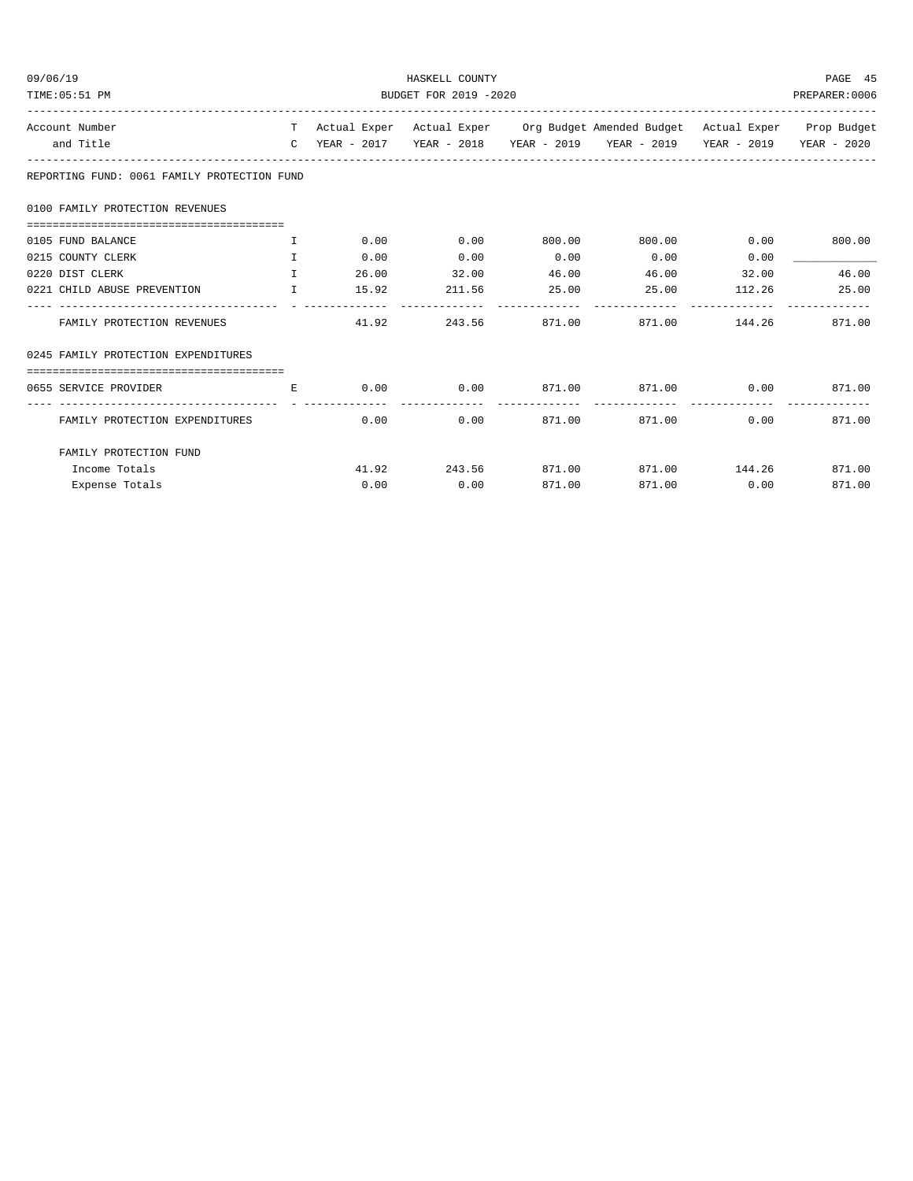| 09/06/19                                                            | HASKELL COUNTY            |      |             |                |                                                                                |      |               |  |
|---------------------------------------------------------------------|---------------------------|------|-------------|----------------|--------------------------------------------------------------------------------|------|---------------|--|
| TIME: 05:51 PM                                                      | BUDGET FOR 2019 -2020     |      |             |                |                                                                                |      |               |  |
| Account Number                                                      |                           |      |             |                | T Actual Exper Actual Exper Org Budget Amended Budget Actual Exper Prop Budget |      |               |  |
| and Title                                                           |                           |      |             |                | C YEAR - 2017 YEAR - 2018 YEAR - 2019 YEAR - 2019 YEAR - 2019 YEAR - 2020      |      |               |  |
| REPORTING FUND: 0061 FAMILY PROTECTION FUND                         |                           |      |             |                |                                                                                |      |               |  |
| 0100 FAMILY PROTECTION REVENUES                                     |                           |      |             |                |                                                                                |      |               |  |
| 0105 FUND BALANCE                                                   | and the first part of the |      |             |                | $0.00$ $0.00$ $0.00$ $0.00$ $0.00$ $0.00$ $0.00$ $0.00$ $0.00$                 |      |               |  |
| 0215 COUNTY CLERK                                                   | $\mathbf{T}$              | 0.00 | 0.00        | 0.00           | 0.00                                                                           | 0.00 |               |  |
| <b>The Community of The Terms</b><br>0220 DIST CLERK                |                           |      |             |                | $26.00$ $32.00$ $46.00$ $46.00$ $32.00$                                        |      | 46.00         |  |
| 0221 CHILD ABUSE PREVENTION 1 15.92 211.56 25.00 25.00 112.26 25.00 |                           |      |             |                |                                                                                |      |               |  |
| FAMILY PROTECTION REVENUES                                          |                           |      |             | -------------- | $41.92$ $243.56$ $871.00$ $871.00$ $144.26$ $871.00$                           |      |               |  |
| 0245 FAMILY PROTECTION EXPENDITURES                                 |                           |      |             |                |                                                                                |      |               |  |
| 0655 SERVICE PROVIDER                                               | E.                        |      |             |                | $0.00$ $0.00$ $871.00$ $871.00$ $0.00$ $871.00$                                |      |               |  |
| FAMILY PROTECTION EXPENDITURES                                      |                           | 0.00 |             |                | $0.00$ 871.00 871.00                                                           |      | $0.00$ 871.00 |  |
| FAMILY PROTECTION FUND                                              |                           |      |             |                |                                                                                |      |               |  |
| Income Totals                                                       |                           |      |             |                | 41.92 243.56 871.00 871.00 144.26 871.00                                       |      |               |  |
| Expense Totals                                                      |                           |      | $0.00$ 0.00 | 871.00         | 871.00                                                                         | 0.00 | 871.00        |  |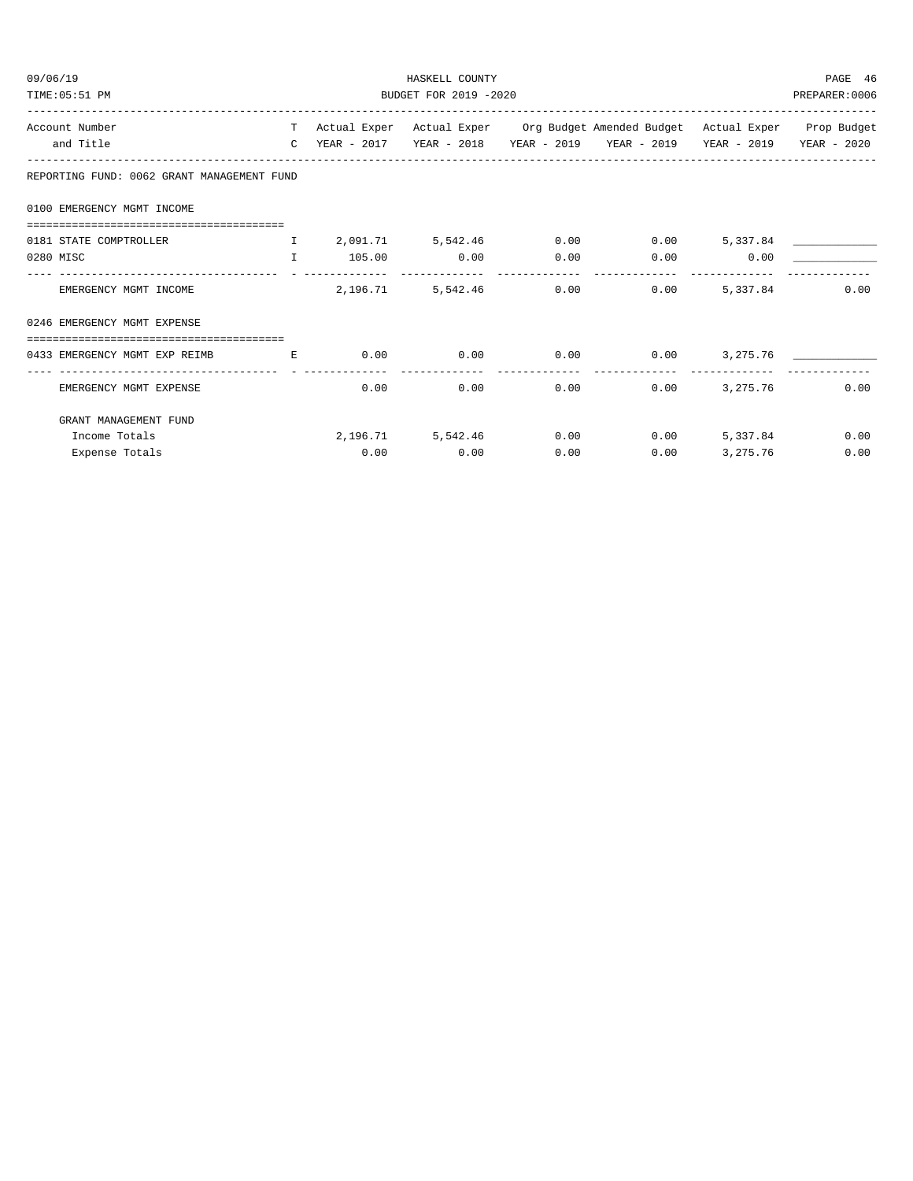| 09/06/19                                                      |                                    | HASKELL COUNTY        |      |      |                                                                                |            |      |  |  |
|---------------------------------------------------------------|------------------------------------|-----------------------|------|------|--------------------------------------------------------------------------------|------------|------|--|--|
| TIME: 05:51 PM                                                |                                    | BUDGET FOR 2019 -2020 |      |      |                                                                                |            |      |  |  |
| Account Number                                                |                                    |                       |      |      | T Actual Exper Actual Exper Org Budget Amended Budget Actual Exper Prop Budget |            |      |  |  |
| and Title                                                     |                                    |                       |      |      | C YEAR - 2017 YEAR - 2018 YEAR - 2019 YEAR - 2019 YEAR - 2019 YEAR - 2020      |            |      |  |  |
| REPORTING FUND: 0062 GRANT MANAGEMENT FUND                    |                                    |                       |      |      |                                                                                |            |      |  |  |
| 0100 EMERGENCY MGMT INCOME                                    |                                    |                       |      |      |                                                                                |            |      |  |  |
|                                                               |                                    |                       |      |      |                                                                                |            |      |  |  |
| 0181 STATE COMPTROLLER T 2,091.71 5,542.46 0.00 0.00 5,337.84 |                                    |                       |      |      |                                                                                |            |      |  |  |
| 0280 MISC                                                     | $\mathbf{T}$                       | 105.00 0.00           |      | 0.00 | $0.00$ 0.00                                                                    |            |      |  |  |
| EMERGENCY MGMT INCOME                                         |                                    | 2,196.71              |      |      | 5,542.46 0.00 0.00                                                             | 5,337.84   | 0.00 |  |  |
| 0246 EMERGENCY MGMT EXPENSE                                   |                                    |                       |      |      |                                                                                |            |      |  |  |
| -------------------------------------                         |                                    |                       |      |      |                                                                                |            |      |  |  |
| 0433 EMERGENCY MGMT EXP REIMB                                 | <b>Example 20 Service Research</b> | $0.00$ 0.00           |      |      | $0.00$ $0.00$ $3,275.76$ $\qquad \qquad$                                       |            |      |  |  |
| EMERGENCY MGMT EXPENSE                                        |                                    | 0.00                  | 0.00 |      | --------------<br>0.00<br>0.00                                                 | 3, 275, 76 | 0.00 |  |  |
| GRANT MANAGEMENT FUND                                         |                                    |                       |      |      |                                                                                |            |      |  |  |
| Income Totals                                                 |                                    |                       |      |      | 2,196.71 5,542.46 0.00 0.00 5,337.84                                           |            | 0.00 |  |  |
| Expense Totals                                                |                                    | 0.00                  | 0.00 | 0.00 | 0.00                                                                           | 3,275.76   | 0.00 |  |  |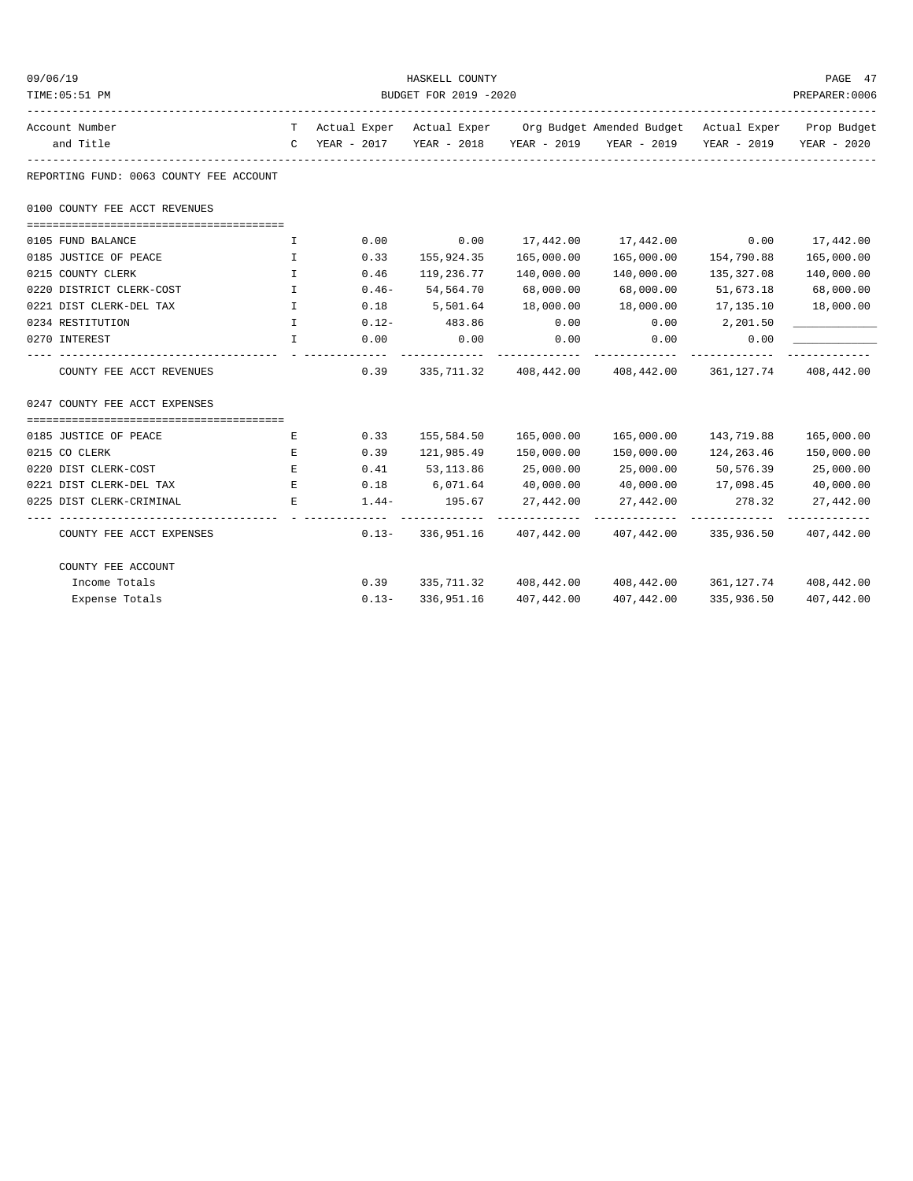| 09/06/19                                |                       |          | HASKELL COUNTY                                                                 |                       |                                                                           |                     | PAGE 47               |  |
|-----------------------------------------|-----------------------|----------|--------------------------------------------------------------------------------|-----------------------|---------------------------------------------------------------------------|---------------------|-----------------------|--|
| TIME: 05:51 PM                          | BUDGET FOR 2019 -2020 |          |                                                                                |                       |                                                                           |                     |                       |  |
| Account Number                          |                       |          | T Actual Exper Actual Exper Org Budget Amended Budget Actual Exper Prop Budget |                       |                                                                           |                     |                       |  |
| and Title                               |                       |          |                                                                                |                       | C YEAR - 2017 YEAR - 2018 YEAR - 2019 YEAR - 2019 YEAR - 2019 YEAR - 2020 |                     |                       |  |
| REPORTING FUND: 0063 COUNTY FEE ACCOUNT |                       |          |                                                                                |                       |                                                                           |                     |                       |  |
| 0100 COUNTY FEE ACCT REVENUES           |                       |          |                                                                                |                       |                                                                           |                     |                       |  |
| 0105 FUND BALANCE                       | $\mathbf{I}$          | 0.00     | 0.00                                                                           |                       | 17,442.00    17,442.00    0.00    17,442.00                               |                     |                       |  |
| 0185 JUSTICE OF PEACE                   | $\mathbb{I}$          | 0.33     | 155,924.35                                                                     | 165,000.00            | 165,000.00                                                                | 154,790.88          | 165,000.00            |  |
| 0215 COUNTY CLERK                       | $\mathbf{I}$          | 0.46     | 119,236.77                                                                     | 140,000.00            | 140,000.00                                                                | 135,327.08          | 140,000.00            |  |
| 0220 DISTRICT CLERK-COST                | $\mathbf{I}$          | $0.46 -$ | 54,564.70                                                                      | 68,000.00             | 68,000.00                                                                 | 51,673.18           | 68,000.00             |  |
| 0221 DIST CLERK-DEL TAX                 | $\mathbb{I}$          | 0.18     | 5,501.64                                                                       | 18,000.00             | 18,000.00                                                                 | 17,135.10           | 18,000.00             |  |
| 0234 RESTITUTION                        | $\mathbf{I}$          | $0.12 -$ | 483.86                                                                         | 0.00                  | 0.00                                                                      | 2,201.50            |                       |  |
| 0270 INTEREST                           | $\mathbf{I}$          | 0.00     | 0.00                                                                           | 0.00                  | 0.00                                                                      | 0.00                |                       |  |
| COUNTY FEE ACCT REVENUES                |                       | 0.39     |                                                                                |                       | 335,711.32 408,442.00 408,442.00 361,127.74 408,442.00                    |                     |                       |  |
| 0247 COUNTY FEE ACCT EXPENSES           |                       |          |                                                                                |                       |                                                                           |                     |                       |  |
|                                         |                       |          |                                                                                |                       |                                                                           |                     |                       |  |
| 0185 JUSTICE OF PEACE                   | Е                     | 0.33     | 155,584.50                                                                     | 165,000.00            | 165,000.00                                                                | 143,719.88          | 165,000.00            |  |
| 0215 CO CLERK                           | Е                     | 0.39     |                                                                                |                       | 150,000.00                                                                | 124,263.46          | 150,000.00            |  |
| 0220 DIST CLERK-COST                    | Е                     |          | $0.41$ $53,113.86$                                                             | 25,000.00             | 25,000.00                                                                 | 50,576.39           | 25,000.00             |  |
| 0221 DIST CLERK-DEL TAX                 | E                     |          | $0.18$ 6,071.64                                                                | 40,000.00             | 40,000.00                                                                 | 17,098.45 40,000.00 |                       |  |
| 0225 DIST CLERK-CRIMINAL                | E                     | $1.44-$  | 195.67                                                                         |                       | 27,442.00 27,442.00                                                       | 278.32 27,442.00    |                       |  |
| COUNTY FEE ACCT EXPENSES                |                       |          |                                                                                |                       | $0.13 - 336,951.16$ $407,442.00$ $407,442.00$ $335,936.50$ $407,442.00$   |                     |                       |  |
| COUNTY FEE ACCOUNT                      |                       |          |                                                                                |                       |                                                                           |                     |                       |  |
| Income Totals                           |                       | 0.39     |                                                                                |                       | $335,711.32$ $408,442.00$ $408,442.00$ $361,127.74$ $408,442.00$          |                     |                       |  |
| Expense Totals                          |                       | $0.13 -$ |                                                                                | 336,951.16 407,442.00 | 407,442.00                                                                |                     | 335,936.50 407,442.00 |  |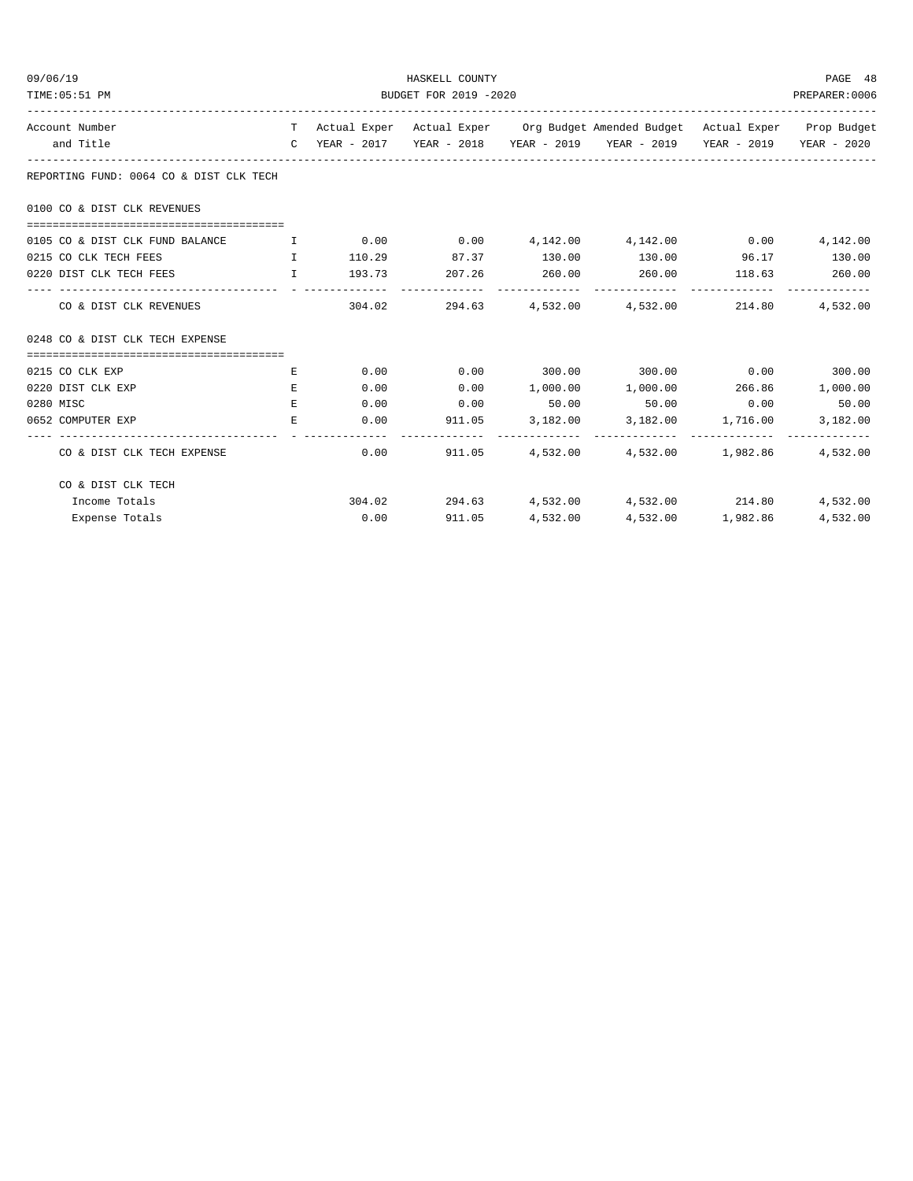| 09/06/19                                | HASKELL COUNTY<br>BUDGET FOR 2019 -2020 |      |                      |  |                                                                                |  |          |  |
|-----------------------------------------|-----------------------------------------|------|----------------------|--|--------------------------------------------------------------------------------|--|----------|--|
| TIME: 05:51 PM                          |                                         |      |                      |  |                                                                                |  |          |  |
| Account Number                          |                                         |      |                      |  | T Actual Exper Actual Exper Org Budget Amended Budget Actual Exper Prop Budget |  |          |  |
| and Title                               |                                         |      |                      |  | C YEAR - 2017 YEAR - 2018 YEAR - 2019 YEAR - 2019 YEAR - 2019 YEAR - 2020      |  |          |  |
| REPORTING FUND: 0064 CO & DIST CLK TECH |                                         |      |                      |  |                                                                                |  |          |  |
| 0100 CO & DIST CLK REVENUES             |                                         |      |                      |  |                                                                                |  |          |  |
| 0105 CO & DIST CLK FUND BALANCE         | and the first part of the               |      |                      |  | $0.00$ $0.00$ $0.142.00$ $0.142.00$ $0.00$                                     |  | 4,142.00 |  |
| 0215 CO CLK TECH FEES<br>$\mathbf{T}$   |                                         |      |                      |  | $110.29$ 87.37 $130.00$ $130.00$ 96.17 $130.00$                                |  |          |  |
| 0220 DIST CLK TECH FEES I               |                                         |      | 193.73 207.26 260.00 |  | 260.00 118.63 260.00                                                           |  |          |  |
| CO & DIST CLK REVENUES                  |                                         |      |                      |  | $304.02$ 294.63 4.532.00 4.532.00 214.80                                       |  | 4,532.00 |  |
| 0248 CO & DIST CLK TECH EXPENSE         |                                         |      |                      |  |                                                                                |  |          |  |
|                                         |                                         |      |                      |  |                                                                                |  |          |  |
| 0215 CO CLK EXP                         | E                                       | 0.00 | 0.00                 |  | $300.00$ $300.00$ $0.00$ $300.00$                                              |  |          |  |
| 0220 DIST CLK EXP                       | E.                                      | 0.00 | 0.00                 |  | 1,000.00    1,000.00    266.86                                                 |  | 1,000.00 |  |
| 0280 MISC                               | E.                                      |      | $0.00$ 0.00          |  | $50.00$ $50.00$ $0.00$ $50.00$                                                 |  |          |  |
| 0652 COMPUTER EXP                       | E.                                      |      |                      |  | $0.00$ 911.05 3,182.00 3,182.00 1,716.00                                       |  | 3,182.00 |  |
| CO & DIST CLK TECH EXPENSE              |                                         |      |                      |  | $0.00$ 911.05 $4,532.00$ $4,532.00$ $1,982.86$                                 |  | 4,532.00 |  |
| CO & DIST CLK TECH                      |                                         |      |                      |  |                                                                                |  |          |  |
| Income Totals                           |                                         |      |                      |  | $304.02$ $294.63$ $4,532.00$ $4,532.00$ $214.80$                               |  | 4,532.00 |  |
| Expense Totals                          |                                         |      | $0.00$ 911.05        |  | 4,532.00 4,532.00 1,982.86                                                     |  | 4,532.00 |  |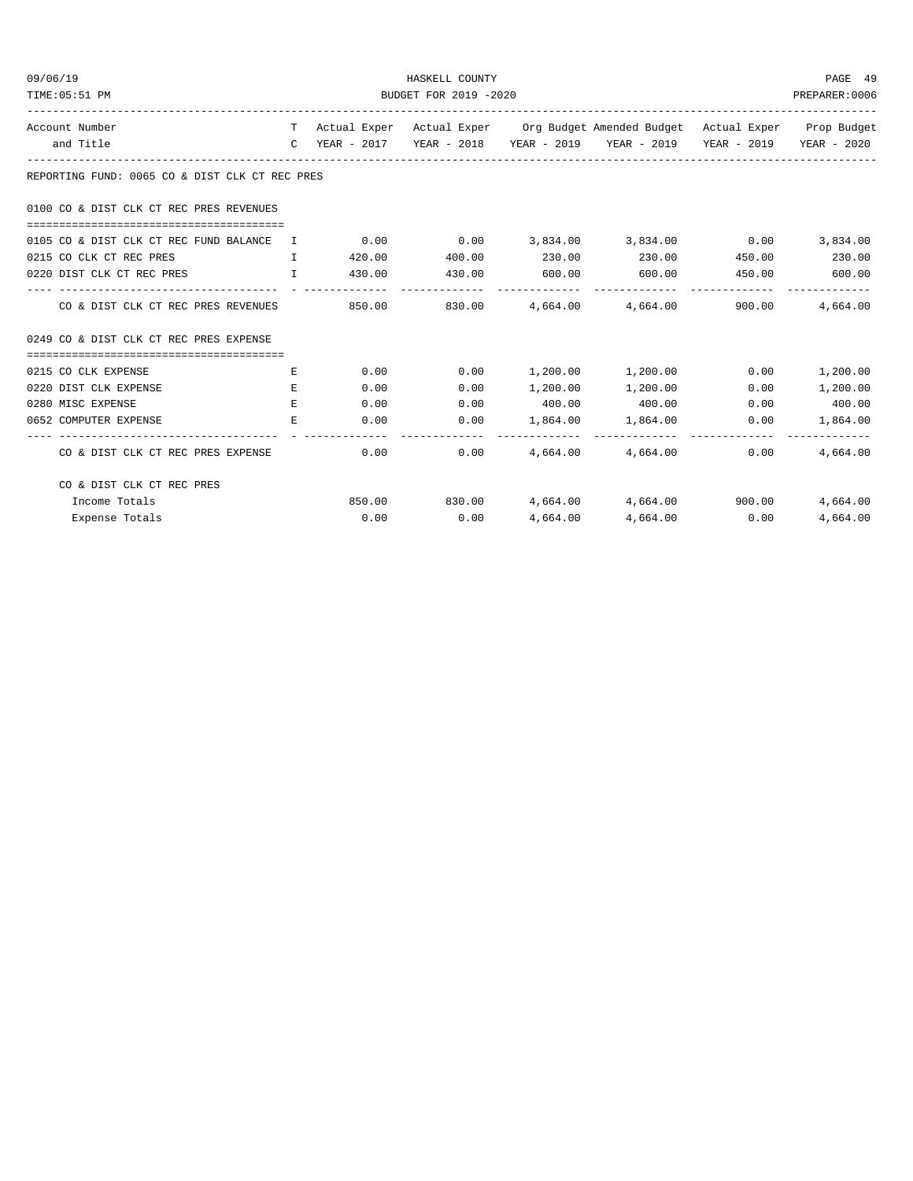| 09/06/19       |                                                                 |                       |      | PAGE 49                           |  |                                                                                |               |                            |
|----------------|-----------------------------------------------------------------|-----------------------|------|-----------------------------------|--|--------------------------------------------------------------------------------|---------------|----------------------------|
| TIME: 05:51 PM |                                                                 | BUDGET FOR 2019 -2020 |      |                                   |  |                                                                                |               |                            |
| Account Number |                                                                 |                       |      |                                   |  | T Actual Exper Actual Exper Org Budget Amended Budget Actual Exper Prop Budget |               |                            |
|                | and Title                                                       |                       |      |                                   |  | C YEAR - 2017 YEAR - 2018 YEAR - 2019 YEAR - 2019 YEAR - 2019 YEAR - 2020      |               |                            |
|                | REPORTING FUND: 0065 CO & DIST CLK CT REC PRES                  |                       |      |                                   |  |                                                                                |               |                            |
|                | 0100 CO & DIST CLK CT REC PRES REVENUES                         |                       |      |                                   |  |                                                                                |               |                            |
|                | 0105 CO & DIST CLK CT REC FUND BALANCE I                        |                       |      |                                   |  | $0.00$ $0.00$ $3,834.00$ $3,834.00$ $0.00$                                     |               | 3,834.00                   |
|                | 0215 CO CLK CT REC PRES<br><b>The Community of The Table 19</b> |                       |      | 420.00 400.00                     |  | $230.00$ $230.00$ $450.00$ $230.00$                                            |               |                            |
|                | 0220 DIST CLK CT REC PRES                                       |                       |      | $\mathbb{I}$ 430.00 430.00 600.00 |  | 600.00                                                                         | 450.00 600.00 |                            |
|                | CO & DIST CLK CT REC PRES REVENUES                              |                       |      |                                   |  | 850.00   830.00   4.664.00   4.664.00   900.00                                 |               | 4,664.00                   |
|                | 0249 CO & DIST CLK CT REC PRES EXPENSE                          |                       |      |                                   |  |                                                                                |               |                            |
|                |                                                                 |                       |      |                                   |  |                                                                                |               |                            |
|                | 0215 CO CLK EXPENSE                                             | Е                     | 0.00 |                                   |  | $0.00$ 1,200.00 1,200.00                                                       | 0.00          | 1,200.00                   |
|                | 0220 DIST CLK EXPENSE                                           | E.                    | 0.00 | 0.00                              |  | 1,200.00 1,200.00                                                              | 0.00          | 1,200.00                   |
|                | 0280 MISC EXPENSE                                               | E.                    | 0.00 | 0.00                              |  | 400.00 400.00                                                                  |               | $0.00$ 400.00              |
|                | 0652 COMPUTER EXPENSE                                           | Е                     |      | 0.00<br>0.00                      |  | 1,864.00 1,864.00                                                              | 0.00          | 1,864.00<br>-------------- |
|                | CO & DIST CLK CT REC PRES EXPENSE                               |                       | 0.00 |                                   |  | $0.00$ 4,664.00 4,664.00                                                       | 0.00          | 4,664.00                   |
|                | CO & DIST CLK CT REC PRES                                       |                       |      |                                   |  |                                                                                |               |                            |
|                | Income Totals                                                   |                       |      |                                   |  | 850.00 830.00 4,664.00 4,664.00 900.00                                         |               | 4,664.00                   |
|                | Expense Totals                                                  |                       |      | $0.00$ 0.00                       |  | 4,664.00 4,664.00 0.00                                                         |               | 4,664.00                   |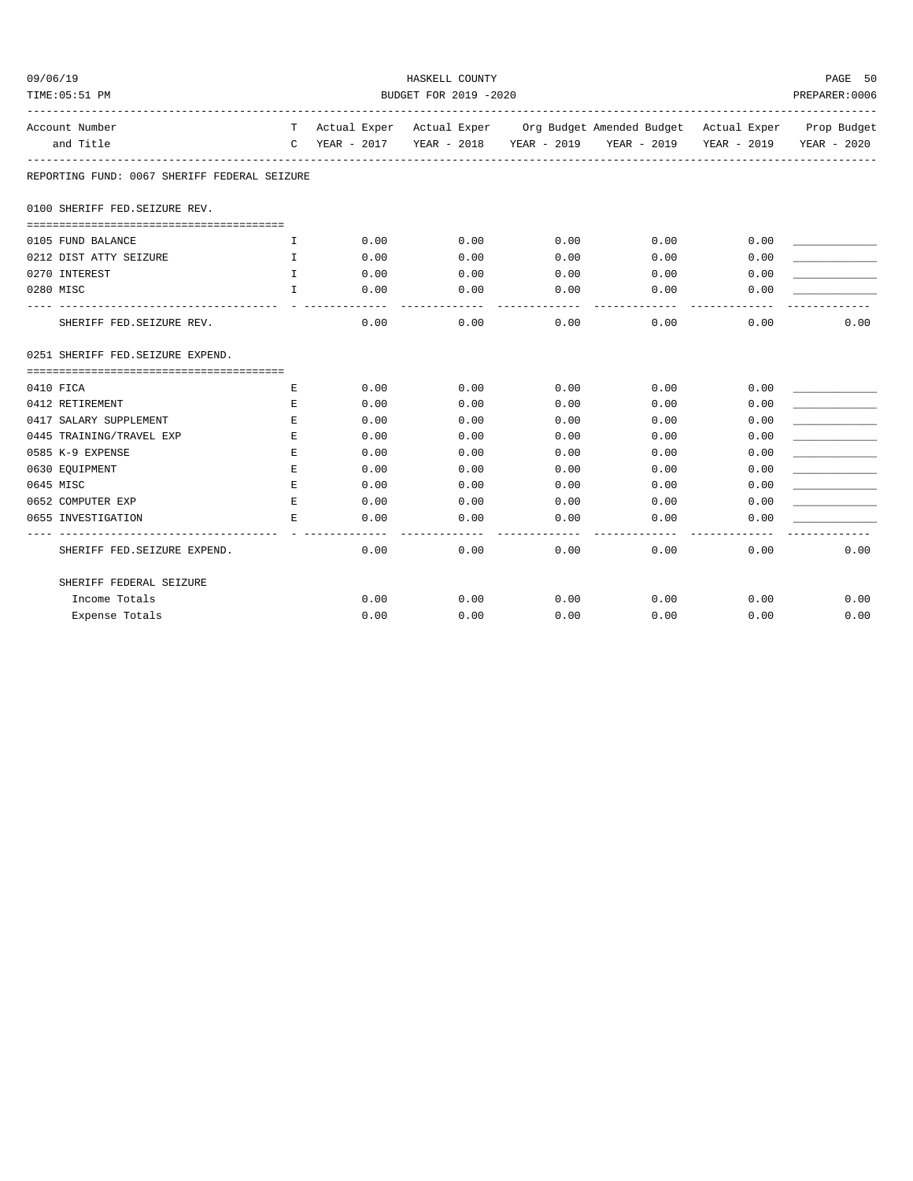| 09/06/19                                     |              | HASKELL COUNTY |                       |                       |                                                                                |             |             |  |
|----------------------------------------------|--------------|----------------|-----------------------|-----------------------|--------------------------------------------------------------------------------|-------------|-------------|--|
| TIME: 05:51 PM                               |              | PREPARER: 0006 |                       |                       |                                                                                |             |             |  |
| Account Number                               |              |                |                       |                       | T Actual Exper Actual Exper Org Budget Amended Budget Actual Exper Prop Budget |             |             |  |
| and Title                                    |              | C YEAR - 2017  |                       |                       | YEAR - 2018 YEAR - 2019 YEAR - 2019                                            | YEAR - 2019 | YEAR - 2020 |  |
| REPORTING FUND: 0067 SHERIFF FEDERAL SEIZURE |              |                |                       |                       |                                                                                |             |             |  |
| 0100 SHERIFF FED. SEIZURE REV.               |              |                |                       |                       |                                                                                |             |             |  |
| 0105 FUND BALANCE                            | Ι.           | 0.00           | 0.00                  | 0.00                  | 0.00                                                                           | 0.00        |             |  |
| 0212 DIST ATTY SEIZURE                       | T            | 0.00           | 0.00                  | 0.00                  | 0.00                                                                           | 0.00        |             |  |
| 0270 INTEREST                                | $\mathbf{I}$ | 0.00           | 0.00                  | 0.00                  | 0.00                                                                           | 0.00        |             |  |
| 0280 MISC                                    | $\mathbf{I}$ | 0.00           | 0.00                  | 0.00                  | 0.00                                                                           | 0.00        |             |  |
| SHERIFF FED. SEIZURE REV.                    |              | 0.00           | ----------<br>0.00    | -------------<br>0.00 | 0.00                                                                           | 0.00        | 0.00        |  |
| 0251 SHERIFF FED. SEIZURE EXPEND.            |              |                |                       |                       |                                                                                |             |             |  |
| 0410 FICA                                    | E            | 0.00           | 0.00                  | 0.00                  | 0.00                                                                           | 0.00        |             |  |
| 0412 RETIREMENT                              | E            | 0.00           | 0.00                  | 0.00                  | 0.00                                                                           | 0.00        |             |  |
| 0417 SALARY SUPPLEMENT                       | E.           | 0.00           | 0.00                  | 0.00                  | 0.00                                                                           | 0.00        |             |  |
| 0445 TRAINING/TRAVEL EXP                     | Е            | 0.00           | 0.00                  | 0.00                  | 0.00                                                                           | 0.00        |             |  |
| 0585 K-9 EXPENSE                             | $\mathbf E$  | 0.00           | 0.00                  | 0.00                  | 0.00                                                                           | 0.00        |             |  |
| 0630 EQUIPMENT                               | E.           | 0.00           | 0.00                  | 0.00                  | 0.00                                                                           | 0.00        |             |  |
| 0645 MISC                                    | E.           | 0.00           | 0.00                  | 0.00                  | 0.00                                                                           | 0.00        |             |  |
| 0652 COMPUTER EXP                            | E            | 0.00           | 0.00                  | 0.00                  | 0.00                                                                           | 0.00        |             |  |
| 0655 INVESTIGATION                           | E            | 0.00           | 0.00<br>$\frac{1}{2}$ | 0.00<br>.             | 0.00                                                                           | 0.00        |             |  |
| SHERIFF FED. SEIZURE EXPEND.                 |              | 0.00           | 0.00                  | 0.00                  | 0.00                                                                           | 0.00        | 0.00        |  |
| SHERIFF FEDERAL SEIZURE                      |              |                |                       |                       |                                                                                |             |             |  |
| Income Totals                                |              | 0.00           | 0.00                  | 0.00                  | 0.00                                                                           | 0.00        | 0.00        |  |
| Expense Totals                               |              | 0.00           | 0.00                  | 0.00                  | 0.00                                                                           | 0.00        | 0.00        |  |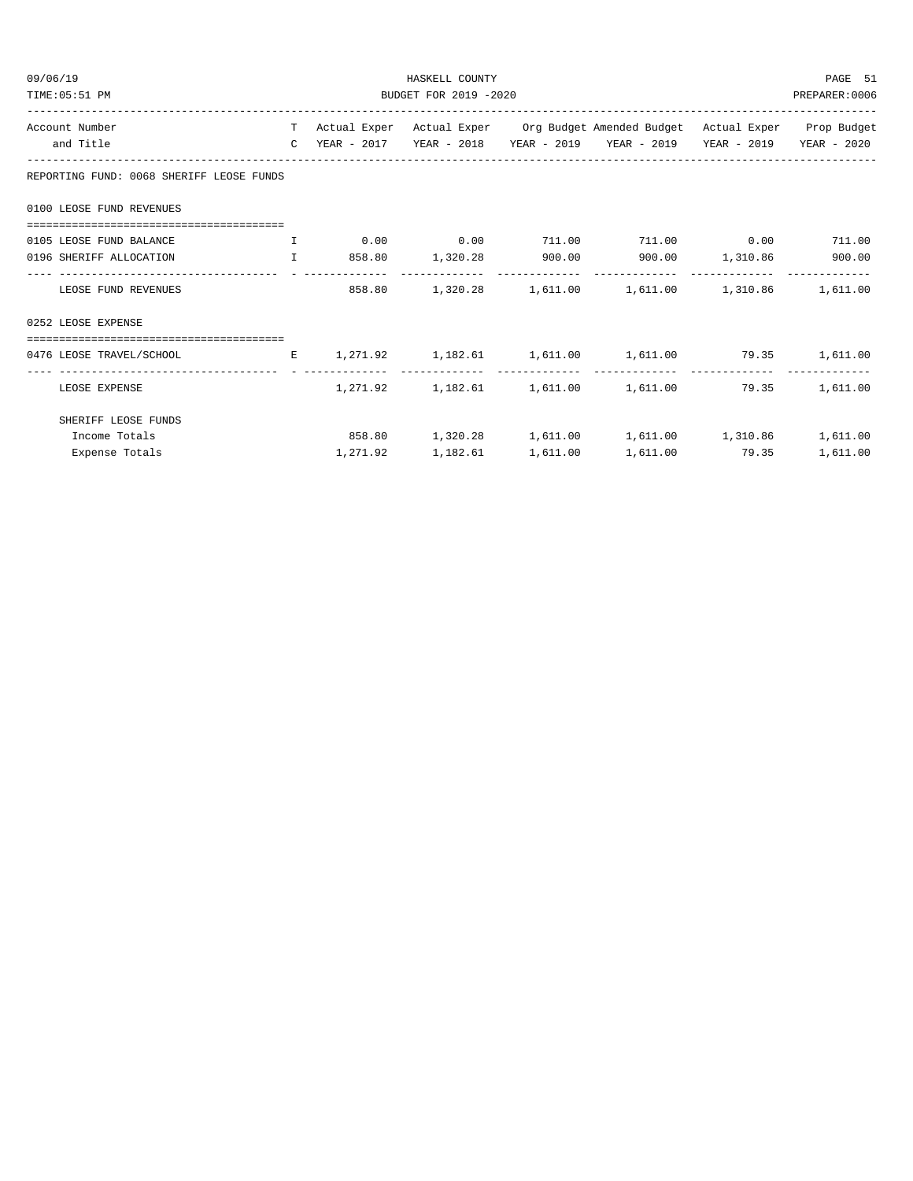| 09/06/19                                 |  |  | PAGE 51<br>PREPARER:0006 |  |                                                                                      |  |          |  |
|------------------------------------------|--|--|--------------------------|--|--------------------------------------------------------------------------------------|--|----------|--|
| BUDGET FOR 2019 -2020<br>TIME: 05:51 PM  |  |  |                          |  |                                                                                      |  |          |  |
| Account Number                           |  |  |                          |  | T Actual Exper Actual Exper Org Budget Amended Budget Actual Exper Prop Budget       |  |          |  |
| and Title                                |  |  |                          |  | C YEAR - 2017 YEAR - 2018 YEAR - 2019 YEAR - 2019 YEAR - 2019 YEAR - 2020            |  |          |  |
| REPORTING FUND: 0068 SHERIFF LEOSE FUNDS |  |  |                          |  |                                                                                      |  |          |  |
| 0100 LEOSE FUND REVENUES                 |  |  |                          |  |                                                                                      |  |          |  |
|                                          |  |  |                          |  |                                                                                      |  |          |  |
| 0105 LEOSE FUND BALANCE                  |  |  |                          |  |                                                                                      |  |          |  |
| 0196 SHERIFF ALLOCATION                  |  |  |                          |  | $\mathbf{I}$ 858.80 $\mathbf{1}$ , 320.28 900.00 900.00 $\mathbf{1}$ , 310.86 900.00 |  |          |  |
| LEOSE FUND REVENUES                      |  |  |                          |  | 858.80 1,320.28 1,611.00 1,611.00 1,310.86 1,611.00                                  |  |          |  |
| 0252 LEOSE EXPENSE                       |  |  |                          |  |                                                                                      |  |          |  |
| ======================================   |  |  |                          |  |                                                                                      |  |          |  |
| 0476 LEOSE TRAVEL/SCHOOL                 |  |  |                          |  | E 1,271.92 1,182.61 1,611.00 1,611.00 79.35 1,611.00                                 |  |          |  |
| LEOSE EXPENSE                            |  |  |                          |  | $1,271.92$ $1,182.61$ $1,611.00$ $1,611.00$ $79.35$                                  |  | 1,611.00 |  |
| SHERIFF LEOSE FUNDS                      |  |  |                          |  |                                                                                      |  |          |  |
| Income Totals                            |  |  |                          |  | 858.80   1,320.28   1,611.00   1,611.00   1,310.86   1,611.00                        |  |          |  |
| Expense Totals                           |  |  | 1,271.92 1,182.61        |  | 1,611.00    1,611.00    79.35                                                        |  | 1,611.00 |  |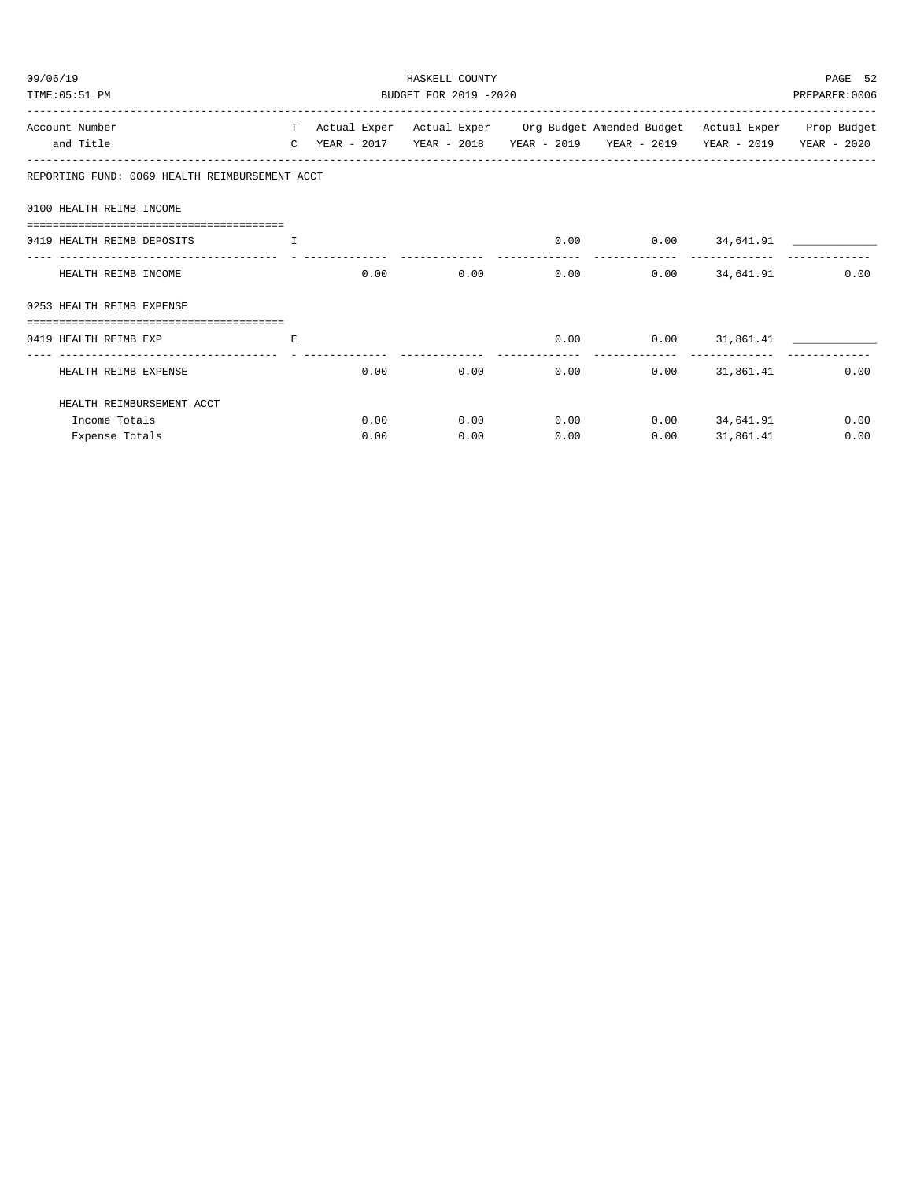| 09/06/19<br>TIME: 05:51 PM                                            |                               |      | HASKELL COUNTY<br>BUDGET FOR 2019 -2020 | PAGE 52<br>PREPARER: 0006 |                                                                                                                                                                                                                                |           |      |
|-----------------------------------------------------------------------|-------------------------------|------|-----------------------------------------|---------------------------|--------------------------------------------------------------------------------------------------------------------------------------------------------------------------------------------------------------------------------|-----------|------|
|                                                                       |                               |      |                                         |                           |                                                                                                                                                                                                                                |           |      |
| Account Number                                                        |                               |      |                                         |                           | T Actual Exper Actual Exper Org Budget Amended Budget Actual Exper Prop Budget                                                                                                                                                 |           |      |
| and Title                                                             |                               |      |                                         |                           | C YEAR - 2017   YEAR - 2018   YEAR - 2019   YEAR - 2019   YEAR - 2019   YEAR - 2020                                                                                                                                            |           |      |
| REPORTING FUND: 0069 HEALTH REIMBURSEMENT ACCT                        |                               |      |                                         |                           |                                                                                                                                                                                                                                |           |      |
| 0100 HEALTH REIMB INCOME                                              |                               |      |                                         |                           |                                                                                                                                                                                                                                |           |      |
|                                                                       |                               |      |                                         |                           |                                                                                                                                                                                                                                |           |      |
| 0419 HEALTH REIMB DEPOSITS                                            | and the contract of the Table |      |                                         |                           | $0.00$ $0.00$ $34,641.91$ $1$                                                                                                                                                                                                  |           |      |
| HEALTH REIMB INCOME                                                   |                               |      | 0.00                                    |                           | $0.00$ $0.00$ $0.00$ $34,641.91$                                                                                                                                                                                               |           | 0.00 |
| 0253 HEALTH REIMB EXPENSE                                             |                               |      |                                         |                           |                                                                                                                                                                                                                                |           |      |
|                                                                       |                               |      |                                         |                           |                                                                                                                                                                                                                                |           |      |
| 0419 HEALTH REIMB EXP<br>the contract of the contract of the Research |                               |      |                                         |                           | $0.00$ $0.00$ $31,861.41$ $\qquad \qquad$                                                                                                                                                                                      |           |      |
| HEALTH REIMB EXPENSE                                                  |                               | 0.00 |                                         |                           | $0.00$ $0.00$ $0.00$ $0.01$ $0.01$ $0.01$ $0.01$ $0.01$ $0.01$ $0.01$ $0.00$ $0.01$ $0.00$ $0.01$ $0.00$ $0.00$ $0.01$ $0.00$ $0.00$ $0.00$ $0.00$ $0.00$ $0.00$ $0.00$ $0.00$ $0.00$ $0.00$ $0.00$ $0.00$ $0.00$ $0.00$ $0.0$ |           | 0.00 |
| HEALTH REIMBURSEMENT ACCT                                             |                               |      |                                         |                           |                                                                                                                                                                                                                                |           |      |
| Income Totals                                                         |                               |      | 0.00                                    |                           | $0.00$ $0.00$ $0.00$ $34,641.91$                                                                                                                                                                                               |           | 0.00 |
| Expense Totals                                                        |                               | 0.00 | 0.00                                    | 0.00                      | 0.00                                                                                                                                                                                                                           | 31,861.41 | 0.00 |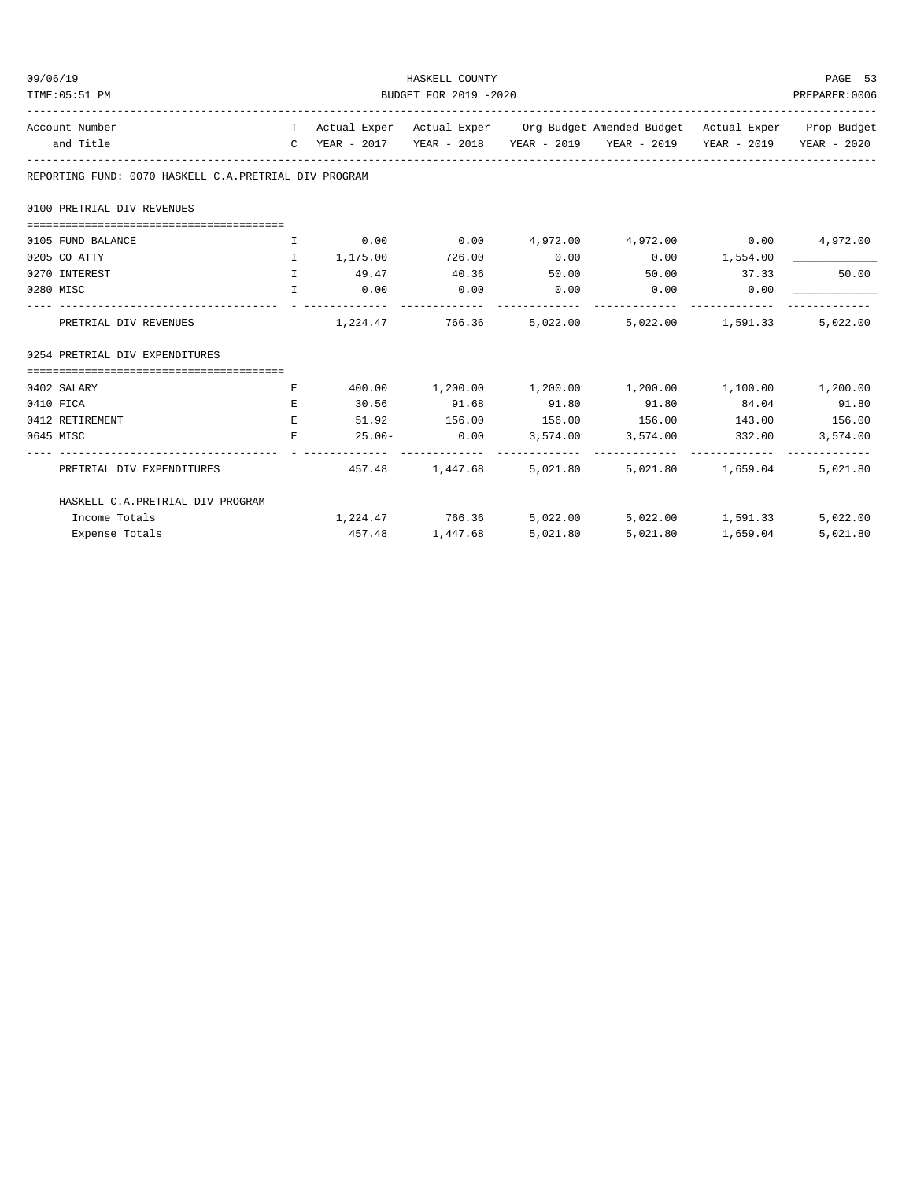| 09/06/19                                              |              | HASKELL COUNTY<br>BUDGET FOR 2019 -2020 |                 |       |                                                                                |       |          |  |  |
|-------------------------------------------------------|--------------|-----------------------------------------|-----------------|-------|--------------------------------------------------------------------------------|-------|----------|--|--|
| TIME: 05:51 PM                                        |              |                                         |                 |       |                                                                                |       |          |  |  |
| Account Number                                        |              |                                         |                 |       | T Actual Exper Actual Exper Org Budget Amended Budget Actual Exper Prop Budget |       |          |  |  |
| and Title                                             |              |                                         |                 |       | C YEAR - 2017 YEAR - 2018 YEAR - 2019 YEAR - 2019 YEAR - 2019 YEAR - 2020      |       |          |  |  |
| REPORTING FUND: 0070 HASKELL C.A.PRETRIAL DIV PROGRAM |              |                                         |                 |       |                                                                                |       |          |  |  |
| 0100 PRETRIAL DIV REVENUES                            |              |                                         |                 |       |                                                                                |       |          |  |  |
|                                                       |              |                                         |                 |       |                                                                                |       |          |  |  |
| 0105 FUND BALANCE                                     | $\mathbf{I}$ |                                         |                 |       | $0.00$ $0.00$ $4.972.00$ $4.972.00$ $0.00$ $4.972.00$                          |       |          |  |  |
| 0205 CO ATTY                                          | $\mathbf{T}$ | 1,175.00 726.00                         |                 | 0.00  | $0.00$ 1,554.00                                                                |       |          |  |  |
| 0270 INTEREST                                         |              | 1 49.47 40.36                           |                 | 50.00 | 50.00 37.33                                                                    |       | 50.00    |  |  |
| 0280 MISC                                             | $\mathbf{I}$ | 0.00                                    | 0.00            | 0.00  | $0.00$ 0.00                                                                    |       |          |  |  |
| PRETRIAL DIV REVENUES                                 |              |                                         |                 |       | $1,224.47$ $766.36$ $5,022.00$ $5,022.00$ $1,591.33$                           |       | 5,022,00 |  |  |
| 0254 PRETRIAL DIV EXPENDITURES                        |              |                                         |                 |       |                                                                                |       |          |  |  |
| 0402 SALARY                                           | Е            |                                         |                 |       | $400.00$ $1,200.00$ $1,200.00$ $1,200.00$ $1,100.00$ $1,200.00$                |       |          |  |  |
| 0410 FICA                                             | $E_{\rm{L}}$ |                                         | 30.56 91.68     | 91.80 | 91.80                                                                          | 84.04 | 91.80    |  |  |
| 0412 RETIREMENT                                       | E.           |                                         |                 |       | $51.92$ $156.00$ $156.00$ $156.00$ $143.00$ $156.00$                           |       |          |  |  |
| 0645 MISC                                             | E            |                                         |                 |       | $25.00 - 0.00$ $3,574.00$ $3,574.00$ $332.00$                                  |       | 3,574.00 |  |  |
| PRETRIAL DIV EXPENDITURES                             |              |                                         |                 |       | 457.48 1,447.68 5,021.80 5,021.80 1,659.04                                     |       | 5,021.80 |  |  |
| HASKELL C.A. PRETRIAL DIV PROGRAM                     |              |                                         |                 |       |                                                                                |       |          |  |  |
| Income Totals                                         |              |                                         |                 |       | $1,224.47$ $766.36$ $5,022.00$ $5,022.00$ $1,591.33$                           |       | 5,022.00 |  |  |
| Expense Totals                                        |              |                                         | 457.48 1,447.68 |       | 5,021.80 5,021.80 1,659.04                                                     |       | 5,021.80 |  |  |
|                                                       |              |                                         |                 |       |                                                                                |       |          |  |  |